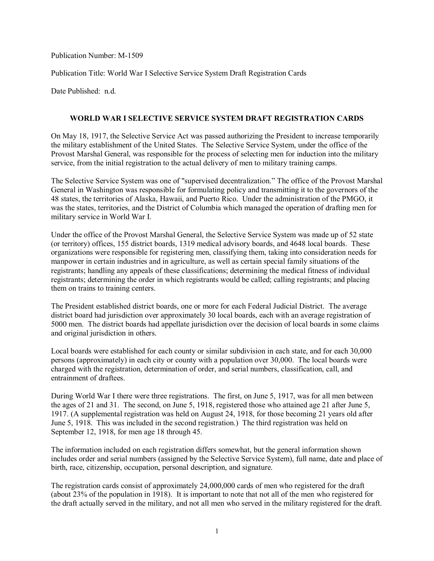Publication Number: M-1509

Publication Title: World War I Selective Service System Draft Registration Cards

Date Published: n.d.

## **WORLD WAR I SELECTIVE SERVICE SYSTEM DRAFT REGISTRATION CARDS**

On May 18, 1917, the Selective Service Act was passed authorizing the President to increase temporarily the military establishment of the United States. The Selective Service System, under the office of the Provost Marshal General, was responsible for the process of selecting men for induction into the military service, from the initial registration to the actual delivery of men to military training camps.

The Selective Service System was one of "supervised decentralization." The office of the Provost Marshal General in Washington was responsible for formulating policy and transmitting it to the governors of the 48 states, the territories of Alaska, Hawaii, and Puerto Rico. Under the administration of the PMGO, it was the states, territories, and the District of Columbia which managed the operation of drafting men for military service in World War I.

Under the office of the Provost Marshal General, the Selective Service System was made up of 52 state (or territory) offices, 155 district boards, 1319 medical advisory boards, and 4648 local boards. These organizations were responsible for registering men, classifying them, taking into consideration needs for manpower in certain industries and in agriculture, as well as certain special family situations of the registrants; handling any appeals of these classifications; determining the medical fitness of individual registrants; determining the order in which registrants would be called; calling registrants; and placing them on trains to training centers.

The President established district boards, one or more for each Federal Judicial District. The average district board had jurisdiction over approximately 30 local boards, each with an average registration of 5000 men. The district boards had appellate jurisdiction over the decision of local boards in some claims and original jurisdiction in others.

Local boards were established for each county or similar subdivision in each state, and for each 30,000 persons (approximately) in each city or county with a population over 30,000. The local boards were charged with the registration, determination of order, and serial numbers, classification, call, and entrainment of draftees.

During World War I there were three registrations. The first, on June 5, 1917, was for all men between the ages of 21 and 31. The second, on June 5, 1918, registered those who attained age 21 after June 5, 1917. (A supplemental registration was held on August 24, 1918, for those becoming 21 years old after June 5, 1918. This was included in the second registration.) The third registration was held on September 12, 1918, for men age 18 through 45.

The information included on each registration differs somewhat, but the general information shown includes order and serial numbers (assigned by the Selective Service System), full name, date and place of birth, race, citizenship, occupation, personal description, and signature.

The registration cards consist of approximately 24,000,000 cards of men who registered for the draft (about 23% of the population in 1918). It is important to note that not all of the men who registered for the draft actually served in the military, and not all men who served in the military registered for the draft.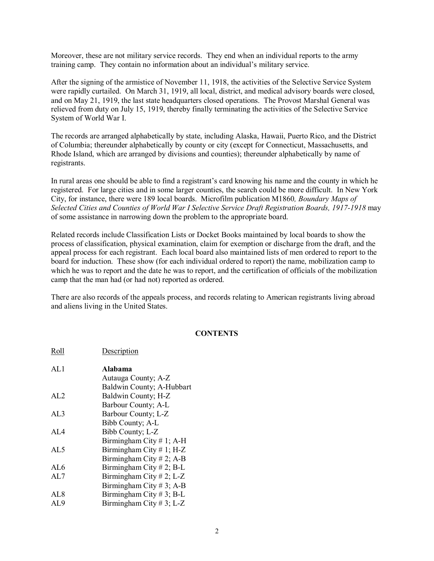Moreover, these are not military service records. They end when an individual reports to the army training camp. They contain no information about an individual's military service.

After the signing of the armistice of November 11, 1918, the activities of the Selective Service System were rapidly curtailed. On March 31, 1919, all local, district, and medical advisory boards were closed, and on May 21, 1919, the last state headquarters closed operations. The Provost Marshal General was relieved from duty on July 15, 1919, thereby finally terminating the activities of the Selective Service System of World War I.

The records are arranged alphabetically by state, including Alaska, Hawaii, Puerto Rico, and the District of Columbia; thereunder alphabetically by county or city (except for Connecticut, Massachusetts, and Rhode Island, which are arranged by divisions and counties); thereunder alphabetically by name of registrants.

In rural areas one should be able to find a registrant's card knowing his name and the county in which he registered. For large cities and in some larger counties, the search could be more difficult. In New York City, for instance, there were 189 local boards. Microfilm publication M1860*, Boundary Maps of Selected Cities and Counties of World War I Selective Service Draft Registration Boards, 1917-1918* may of some assistance in narrowing down the problem to the appropriate board.

Related records include Classification Lists or Docket Books maintained by local boards to show the process of classification, physical examination, claim for exemption or discharge from the draft, and the appeal process for each registrant. Each local board also maintained lists of men ordered to report to the board for induction. These show (for each individual ordered to report) the name, mobilization camp to which he was to report and the date he was to report, and the certification of officials of the mobilization camp that the man had (or had not) reported as ordered.

There are also records of the appeals process, and records relating to American registrants living abroad and aliens living in the United States.

## **CONTENTS**

| Roll            | Description                |
|-----------------|----------------------------|
| AL1             | Alabama                    |
|                 | Autauga County; A-Z        |
|                 | Baldwin County; A-Hubbart  |
| AI.2            | Baldwin County; H-Z        |
|                 | Barbour County; A-L        |
| AL <sub>3</sub> | Barbour County; L-Z        |
|                 | Bibb County; A-L           |
| AL4             | Bibb County; L-Z           |
|                 | Birmingham City # 1; A-H   |
| AL <sub>5</sub> | Birmingham City # 1; $H-Z$ |
|                 | Birmingham City # 2; A-B   |
| AL6             | Birmingham City # 2; B-L   |
| AL7             | Birmingham City # 2; L-Z   |
|                 | Birmingham City # 3; A-B   |
| AL8             | Birmingham City # 3; B-L   |
| AL9             | Birmingham City # 3; L-Z   |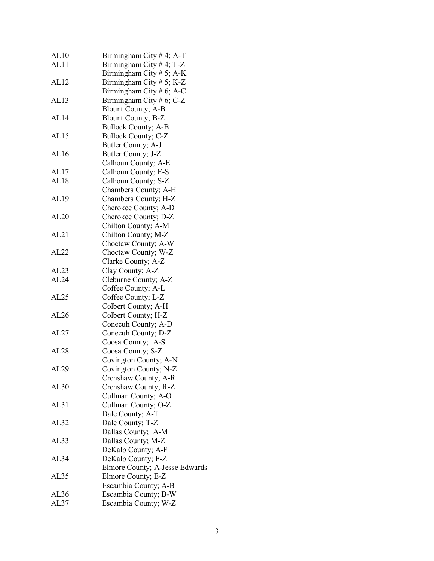| AL10             | Birmingham City #4; A-T        |
|------------------|--------------------------------|
| AL11             | Birmingham City #4; T-Z        |
|                  | Birmingham City # 5; A-K       |
| AL12             | Birmingham City $# 5$ ; K-Z    |
|                  | Birmingham City # 6; A-C       |
| AL13             | Birmingham City # 6; C-Z       |
|                  | <b>Blount County; A-B</b>      |
| AL <sub>14</sub> | <b>Blount County</b> ; B-Z     |
|                  |                                |
|                  | <b>Bullock County; A-B</b>     |
| AL <sub>15</sub> | <b>Bullock County; C-Z</b>     |
|                  | Butler County; A-J             |
| AL <sub>16</sub> | Butler County; J-Z             |
|                  | Calhoun County; A-E            |
| AL17             | Calhoun County; E-S            |
| AL18             | Calhoun County; S-Z            |
|                  | Chambers County; A-H           |
| AL <sub>19</sub> | Chambers County; H-Z           |
|                  | Cherokee County; A-D           |
| AL20             | Cherokee County; D-Z           |
|                  | Chilton County; A-M            |
| AL21             | Chilton County; M-Z            |
|                  | Choctaw County; A-W            |
| AL22             | Choctaw County; W-Z            |
|                  | Clarke County; A-Z             |
| AL23             | Clay County; A-Z               |
| AL24             | Cleburne County; A-Z           |
|                  | Coffee County; A-L             |
| AL25             | Coffee County; L-Z             |
|                  | Colbert County; A-H            |
| AL26             | Colbert County; H-Z            |
|                  | Conecuh County; A-D            |
| AL27             | Conecuh County; D-Z            |
|                  | Coosa County; A-S              |
| AL28             | Coosa County; S-Z              |
|                  | Covington County; A-N          |
| AL29             | Covington County; N-Z          |
|                  | Crenshaw County; A-R           |
| AL30             | Crenshaw County; R-Z           |
|                  | Cullman County; A-O            |
| AL31             | Cullman County; O-Z            |
|                  |                                |
| AL32             | Dale County; A-T               |
|                  | Dale County; T-Z               |
|                  | Dallas County; A-M             |
| AL33             | Dallas County; M-Z             |
|                  | DeKalb County; A-F             |
| AL34             | DeKalb County; F-Z             |
|                  | Elmore County; A-Jesse Edwards |
| AL35             | Elmore County; E-Z             |
|                  | Escambia County; A-B           |
| AL36             | Escambia County; B-W           |
| AL37             | Escambia County; W-Z           |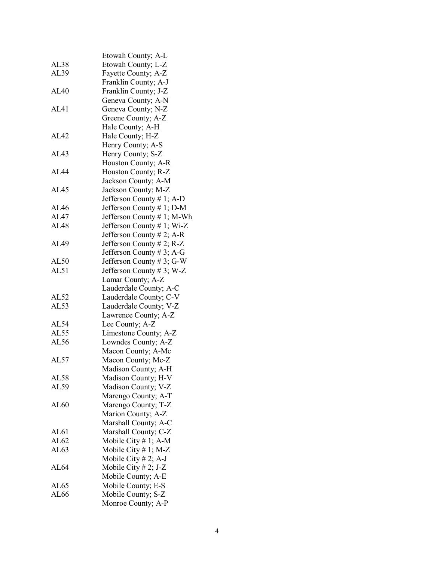|                  | Etowah County; A-L                                     |
|------------------|--------------------------------------------------------|
| AL38             | Etowah County; L-Z                                     |
| AL39             | Fayette County; A-Z                                    |
|                  | Franklin County; A-J                                   |
| AL40             | Franklin County; J-Z                                   |
|                  | Geneva County; A-N                                     |
| AL41             | Geneva County; N-Z                                     |
|                  | Greene County; A-Z                                     |
|                  | Hale County; A-H                                       |
| AL <sub>42</sub> | Hale County; H-Z                                       |
|                  | Henry County; A-S                                      |
| AL <sub>43</sub> | Henry County; S-Z                                      |
|                  | Houston County; A-R                                    |
| AL44             | Houston County; R-Z                                    |
|                  | Jackson County; A-M                                    |
| AL <sub>45</sub> | Jackson County; M-Z                                    |
|                  | Jefferson County # 1; A-D                              |
| AL46             | Jefferson County # 1; D-M                              |
| AL47             |                                                        |
| <b>AL48</b>      | Jefferson County # 1; M-Wh                             |
|                  | Jefferson County # 1; Wi-Z                             |
|                  | Jefferson County # 2; A-R<br>Jefferson County # 2; R-Z |
| AL49             |                                                        |
| AL50             | Jefferson County #3; A-G                               |
| AL51             | Jefferson County #3; G-W                               |
|                  | Jefferson County # 3; W-Z                              |
|                  | Lamar County; A-Z                                      |
| AL52             | Lauderdale County; A-C                                 |
| AL53             | Lauderdale County; C-V                                 |
|                  | Lauderdale County; V-Z<br>Lawrence County; A-Z         |
| AL54             | Lee County; A-Z                                        |
| AL55             | Limestone County; A-Z                                  |
| AL56             | Lowndes County; A-Z                                    |
|                  |                                                        |
| AL57             | Macon County; A-Mc                                     |
|                  | Macon County; Mc-Z                                     |
| AL58             | Madison County; A-H                                    |
| AL59             | Madison County; H-V<br>Madison County; V-Z             |
|                  |                                                        |
|                  | Marengo County; A-T                                    |
| AL60             | Marengo County; T-Z                                    |
|                  | Marion County; A-Z                                     |
|                  | Marshall County; A-C                                   |
| AL61             | Marshall County; C-Z                                   |
| AL62             | Mobile City $# 1$ ; A-M                                |
| AL63             | Mobile City $# 1$ ; M-Z                                |
|                  | Mobile City $# 2$ ; A-J                                |
| AL <sub>64</sub> | Mobile City $# 2$ ; J-Z                                |
|                  | Mobile County; A-E                                     |
| AL65             | Mobile County; E-S                                     |
| AL66             | Mobile County; S-Z                                     |
|                  | Monroe County; A-P                                     |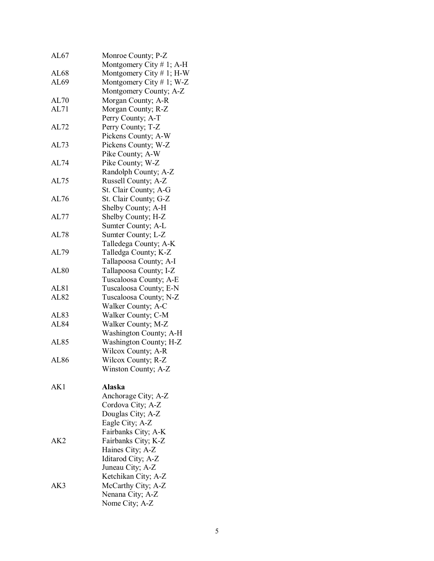| AL67             | Monroe County; P-Z          |
|------------------|-----------------------------|
|                  | Montgomery City # 1; A-H    |
| AL68             | Montgomery City $# 1$ ; H-W |
| AL69             | Montgomery City # 1; W-Z    |
|                  | Montgomery County; A-Z      |
| AL70             | Morgan County; A-R          |
| AL71             | Morgan County; R-Z          |
|                  | Perry County; A-T           |
| AL72             | Perry County; T-Z           |
|                  | Pickens County; A-W         |
| AL73             | Pickens County; W-Z         |
|                  | Pike County; A-W            |
| AL74             | Pike County; W-Z            |
|                  | Randolph County; A-Z        |
| AL75             | Russell County; A-Z         |
|                  | St. Clair County; A-G       |
| AL76             | St. Clair County; G-Z       |
|                  | Shelby County; A-H          |
| AL77             | Shelby County; H-Z          |
|                  | Sumter County; A-L          |
| AL78             | Sumter County; L-Z          |
|                  | Talledega County; A-K       |
| AL79             | Talledga County; K-Z        |
|                  | Tallapoosa County; A-I      |
| <b>AL80</b>      | Tallapoosa County; I-Z      |
|                  | Tuscaloosa County; A-E      |
| AL <sub>81</sub> | Tuscaloosa County; E-N      |
| AL82             | Tuscaloosa County; N-Z      |
|                  | Walker County; A-C          |
| AL <sub>83</sub> | Walker County; C-M          |
| AL <sub>84</sub> | Walker County; M-Z          |
|                  | Washington County; A-H      |
| AL85             | Washington County; H-Z      |
|                  | Wilcox County; A-R          |
| AL86             | Wilcox County; R-Z          |
|                  | Winston County; A-Z         |
|                  |                             |
| AK1              | <b>Alaska</b>               |
|                  | Anchorage City; A-Z         |
|                  | Cordova City; A-Z           |
|                  | Douglas City; A-Z           |
|                  | Eagle City; A-Z             |
|                  | Fairbanks City; A-K         |
| AK2              | Fairbanks City; K-Z         |
|                  | Haines City; A-Z            |
|                  | Iditarod City; A-Z          |
|                  | Juneau City; A-Z            |
|                  | Ketchikan City; A-Z         |
| AK3              | McCarthy City; A-Z          |
|                  | Nenana City; A-Z            |
|                  | Nome City; A-Z              |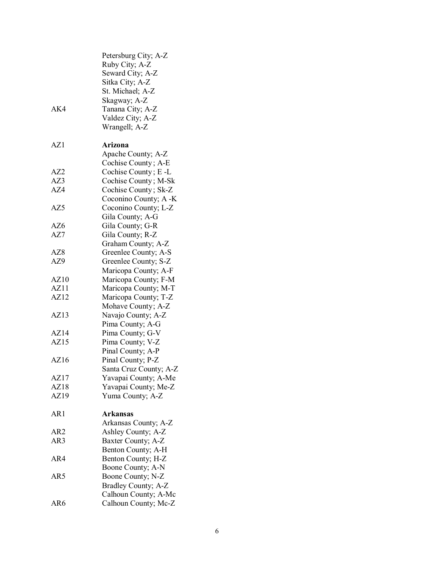| AK4  | Petersburg City; A-Z<br>Ruby City; A-Z<br>Seward City; A-Z<br>Sitka City; A-Z<br>St. Michael; A-Z<br>Skagway; A-Z<br>Tanana City; A-Z<br>Valdez City; A-Z<br>Wrangell; A-Z |
|------|----------------------------------------------------------------------------------------------------------------------------------------------------------------------------|
| AZ1  | Arizona                                                                                                                                                                    |
|      | Apache County; A-Z<br>Cochise County; A-E                                                                                                                                  |
| AZ2  | Cochise County; E-L                                                                                                                                                        |
| AZ3  | Cochise County; M-Sk                                                                                                                                                       |
| AZ4  | Cochise County; Sk-Z                                                                                                                                                       |
|      | Coconino County; A -K                                                                                                                                                      |
| AZ5  | Coconino County; L-Z                                                                                                                                                       |
|      | Gila County; A-G                                                                                                                                                           |
| AZ6  | Gila County; G-R                                                                                                                                                           |
| AZ7  | Gila County; R-Z                                                                                                                                                           |
|      | Graham County; A-Z                                                                                                                                                         |
| AZ8  | Greenlee County; A-S                                                                                                                                                       |
| AZ9  | Greenlee County; S-Z                                                                                                                                                       |
|      | Maricopa County; A-F                                                                                                                                                       |
| AZ10 | Maricopa County; F-M                                                                                                                                                       |
| AZ11 | Maricopa County; M-T                                                                                                                                                       |
| AZ12 | Maricopa County; T-Z                                                                                                                                                       |
|      | Mohave County; A-Z                                                                                                                                                         |
| AZ13 | Navajo County; A-Z                                                                                                                                                         |
|      | Pima County; A-G                                                                                                                                                           |
| AZ14 | Pima County; G-V                                                                                                                                                           |
| AZ15 | Pima County; V-Z                                                                                                                                                           |
|      | Pinal County; A-P                                                                                                                                                          |
| AZ16 | Pinal County; P-Z                                                                                                                                                          |
|      | Santa Cruz County; A-Z                                                                                                                                                     |
| AZ17 | Yavapai County; A-Me                                                                                                                                                       |
| AZ18 | Yavapai County; Me-Z                                                                                                                                                       |
| AZ19 | Yuma County; A-Z                                                                                                                                                           |
| AR1  | Arkansas                                                                                                                                                                   |
|      | Arkansas County; A-Z                                                                                                                                                       |
| AR2  | Ashley County; A-Z                                                                                                                                                         |
| AR3  | Baxter County; A-Z                                                                                                                                                         |
|      | Benton County; A-H                                                                                                                                                         |
| AR4  | Benton County; H-Z                                                                                                                                                         |
|      | Boone County; A-N                                                                                                                                                          |
| AR5  | Boone County; N-Z                                                                                                                                                          |
|      | Bradley County; A-Z                                                                                                                                                        |
|      | Calhoun County; A-Mc                                                                                                                                                       |
| AR6  | Calhoun County; Mc-Z                                                                                                                                                       |
|      |                                                                                                                                                                            |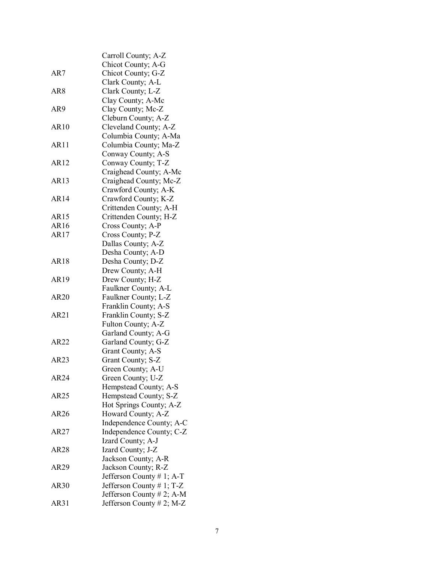|                 | Carroll County; A-Z       |
|-----------------|---------------------------|
|                 | Chicot County; A-G        |
| AR7             | Chicot County; G-Z        |
|                 | Clark County; A-L         |
| AR <sub>8</sub> | Clark County; L-Z         |
|                 | Clay County; A-Mc         |
| AR9             | Clay County; Mc-Z         |
|                 | Cleburn County; A-Z       |
| AR10            | Cleveland County; A-Z     |
|                 | Columbia County; A-Ma     |
| AR11            | Columbia County; Ma-Z     |
|                 | Conway County; A-S        |
| AR12            | Conway County; T-Z        |
|                 | Craighead County; A-Mc    |
| AR13            | Craighead County; Mc-Z    |
|                 | Crawford County; A-K      |
| AR14            |                           |
|                 | Crawford County; K-Z      |
|                 | Crittenden County; A-H    |
| AR15            | Crittenden County; H-Z    |
| AR16            | Cross County; A-P         |
| AR17            | Cross County; P-Z         |
|                 | Dallas County; A-Z        |
|                 | Desha County; A-D         |
| <b>AR18</b>     | Desha County; D-Z         |
|                 | Drew County; A-H          |
| AR19            | Drew County; H-Z          |
|                 | Faulkner County; A-L      |
| AR20            | Faulkner County; L-Z      |
|                 | Franklin County; A-S      |
| AR21            | Franklin County; S-Z      |
|                 | Fulton County; A-Z        |
|                 | Garland County; A-G       |
| AR22            | Garland County; G-Z       |
|                 | Grant County; A-S         |
| AR23            | Grant County; S-Z         |
|                 | Green County; A-U         |
| AR24            | Green County; U-Z         |
|                 | Hempstead County; A-S     |
| AR25            | Hempstead County; S-Z     |
|                 | Hot Springs County; A-Z   |
| AR26            | Howard County; A-Z        |
|                 | Independence County; A-C  |
| AR27            | Independence County; C-Z  |
|                 | Izard County; A-J         |
| <b>AR28</b>     | Izard County; J-Z         |
|                 | Jackson County; A-R       |
| AR29            | Jackson County; R-Z       |
|                 | Jefferson County # 1; A-T |
| AR30            | Jefferson County # 1; T-Z |
|                 | Jefferson County # 2; A-M |
| AR31            | Jefferson County # 2; M-Z |
|                 |                           |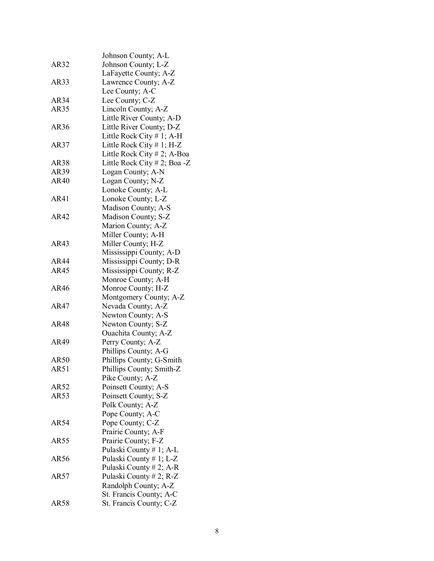|      | Johnson County; A-L            |
|------|--------------------------------|
| AR32 | Johnson County; L-Z            |
|      | LaFayette County; A-Z          |
| AR33 | Lawrence County; A-Z           |
|      | Lee County; A-C                |
| AR34 | Lee County; C-Z                |
| AR35 | Lincoln County; A-Z            |
|      | Little River County; A-D       |
| AR36 | Little River County; D-Z       |
|      | Little Rock City # 1; A-H      |
|      | Little Rock City $# 1$ ; H-Z   |
| AR37 |                                |
|      | Little Rock City $# 2$ ; A-Boa |
| AR38 | Little Rock City # 2; Boa -Z   |
| AR39 | Logan County; A-N              |
| AR40 | Logan County; N-Z              |
|      | Lonoke County; A-L             |
| AR41 | Lonoke County; L-Z             |
|      | Madison County; A-S            |
| AR42 | Madison County; S-Z            |
|      | Marion County; A-Z             |
|      | Miller County; A-H             |
| AR43 | Miller County; H-Z             |
|      | Mississippi County; A-D        |
| AR44 | Mississippi County; D-R        |
| AR45 | Mississippi County; R-Z        |
|      | Monroe County; A-H             |
| AR46 | Monroe County; H-Z             |
|      | Montgomery County; A-Z         |
| AR47 | Nevada County; A-Z             |
|      | Newton County; A-S             |
| AR48 | Newton County; S-Z             |
|      | <b>Ouachita County</b> ; A-Z   |
| AR49 | Perry County; A-Z              |
|      | Phillips County; A-G           |
| AR50 | Phillips County; G-Smith       |
| AR51 | Phillips County; Smith-Z       |
|      | Pike County; A-Z               |
| AR52 | Poinsett County; A-S           |
| AR53 | Poinsett County; S-Z           |
|      | Polk County; A-Z               |
|      | Pope County; A-C               |
| AR54 |                                |
|      | Pope County; C-Z               |
|      | Prairie County; A-F            |
| AR55 | Prairie County; F-Z            |
|      | Pulaski County # 1; A-L        |
| AR56 | Pulaski County # 1; L-Z        |
|      | Pulaski County # 2; A-R        |
| AR57 | Pulaski County # 2; R-Z        |
|      | Randolph County; A-Z           |
|      | St. Francis County; A-C        |
| AR58 | St. Francis County; C-Z        |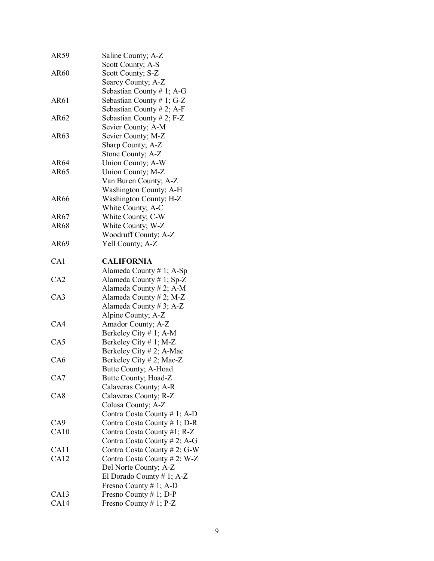| AR59            | Saline County; A-Z           |
|-----------------|------------------------------|
|                 | Scott County; A-S            |
| AR60            | Scott County; S-Z            |
|                 | Searcy County; A-Z           |
|                 | Sebastian County # 1; A-G    |
| AR61            | Sebastian County #1; G-Z     |
|                 | Sebastian County # 2; A-F    |
| AR62            | Sebastian County # 2; $F-Z$  |
|                 | Sevier County; A-M           |
| AR63            | Sevier County; M-Z           |
|                 | Sharp County; A-Z            |
|                 | Stone County; A-Z            |
| AR64            | Union County; A-W            |
| AR65            | Union County; M-Z            |
|                 | Van Buren County; A-Z        |
|                 | Washington County; A-H       |
|                 |                              |
| AR66            | Washington County; H-Z       |
|                 | White County; A-C            |
| AR67            | White County; C-W            |
| AR68            | White County; W-Z            |
|                 | Woodruff County; A-Z         |
| AR69            | Yell County; A-Z             |
| CA1             | <b>CALIFORNIA</b>            |
|                 | Alameda County # 1; $A-Sp$   |
| CA2             | Alameda County # 1; $Sp-Z$   |
|                 | Alameda County # 2; A-M      |
| CA <sub>3</sub> | Alameda County # 2; M-Z      |
|                 | Alameda County # 3; A-Z      |
|                 | Alpine County; A-Z           |
| CA4             | Amador County; A-Z           |
|                 | Berkeley City $# 1$ ; A-M    |
| CA5             | Berkeley City # 1; M-Z       |
|                 | Berkeley City # 2; A-Mac     |
| CA <sub>6</sub> | Berkeley City # 2; Mac-Z     |
|                 | Butte County; A-Hoad         |
| CA7             | Butte County; Hoad-Z         |
|                 | Calaveras County; A-R        |
| CA <sub>8</sub> | Calaveras County; R-Z        |
|                 |                              |
|                 | Colusa County; A-Z           |
|                 | Contra Costa County # 1; A-D |
| CA <sub>9</sub> | Contra Costa County # 1; D-R |
| CA10            | Contra Costa County #1; R-Z  |
|                 | Contra Costa County # 2; A-G |
| CA11            | Contra Costa County # 2; G-W |
| CA12            | Contra Costa County # 2; W-Z |
|                 | Del Norte County; A-Z        |
|                 | El Dorado County # 1; A-Z    |
|                 | Fresno County # 1; A-D       |
| CA13            | Fresno County # 1; D-P       |
| CA14            | Fresno County # 1; $P-Z$     |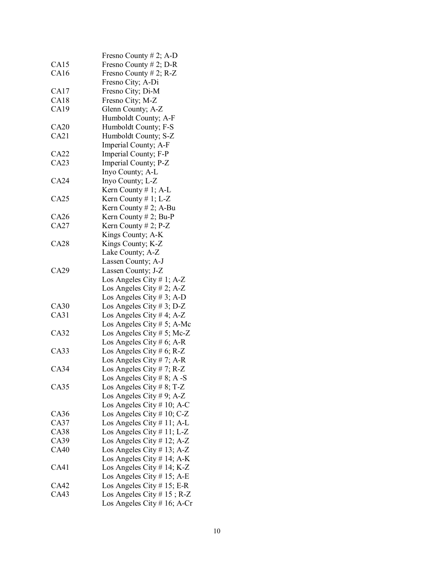|             | Fresno County # 2; A-D        |
|-------------|-------------------------------|
| CA15        | Fresno County # 2; D-R        |
| CA16        | Fresno County # 2; $R-Z$      |
|             | Fresno City; A-Di             |
| CA17        | Fresno City; Di-M             |
| CA18        |                               |
| CA19        | Fresno City; M-Z              |
|             | Glenn County; A-Z             |
| CA20        | Humboldt County; A-F          |
| CA21        | Humboldt County; F-S          |
|             | Humboldt County; S-Z          |
|             | Imperial County; A-F          |
| CA22        | Imperial County; F-P          |
| CA23        | Imperial County; P-Z          |
|             | Inyo County; A-L              |
| CA24        | Inyo County; L-Z              |
|             | Kern County $# 1$ ; A-L       |
| CA25        | Kern County $# 1$ ; L-Z       |
|             | Kern County $# 2$ ; A-Bu      |
| CA26        | Kern County # 2; Bu-P         |
| CA27        | Kern County $# 2$ ; P-Z       |
|             | Kings County; A-K             |
| CA28        | Kings County; K-Z             |
|             | Lake County; A-Z              |
|             | Lassen County; A-J            |
| CA29        | Lassen County; J-Z            |
|             | Los Angeles City # 1; $A-Z$   |
|             | Los Angeles City # 2; A-Z     |
|             | Los Angeles City # 3; A-D     |
| CA30        | Los Angeles City # 3; D-Z     |
| CA31        | Los Angeles City # 4; A-Z     |
|             | Los Angeles City # 5; A-Mc    |
| CA32        | Los Angeles City # 5; Mc-Z    |
|             | Los Angeles City # 6; A-R     |
| CA33        | Los Angeles City # 6; R-Z     |
|             | Los Angeles City # 7; A-R     |
| CA34        | Los Angeles City # 7; R-Z     |
|             | Los Angeles City # 8; A -S    |
| CA35        | Los Angeles City # 8; T-Z     |
|             | Los Angeles City # 9; A-Z     |
|             | Los Angeles City $# 10$ ; A-C |
| CA36        | Los Angeles City # 10; $C-Z$  |
| CA37        | Los Angeles City # 11; A-L    |
| <b>CA38</b> | Los Angeles City # 11; L-Z    |
| CA39        | Los Angeles City # 12; A-Z    |
| <b>CA40</b> | Los Angeles City # 13; A-Z    |
|             | Los Angeles City # 14; A-K    |
| CA41        | Los Angeles City # 14; K-Z    |
|             | Los Angeles City # 15; A-E    |
| <b>CA42</b> | Los Angeles City $# 15$ ; E-R |
| CA43        | Los Angeles City $# 15$ ; R-Z |
|             | Los Angeles City # 16; A-Cr   |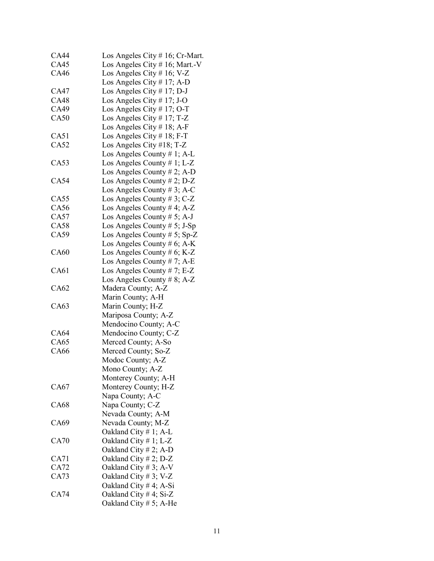| <b>CA44</b> | Los Angeles City # 16; Cr-Mart. |
|-------------|---------------------------------|
| <b>CA45</b> | Los Angeles City # 16; Mart.-V  |
| CA46        | Los Angeles City # 16; V-Z      |
|             | Los Angeles City # 17; A-D      |
| <b>CA47</b> | Los Angeles City # 17; D-J      |
| <b>CA48</b> | Los Angeles City # 17; J-O      |
| CA49        | Los Angeles City # 17; O-T      |
| CA50        | Los Angeles City # 17; T-Z      |
|             | Los Angeles City # 18; A-F      |
| CA51        | Los Angeles City # 18; F-T      |
| CA52        | Los Angeles City #18; T-Z       |
|             | Los Angeles County # 1; A-L     |
| CA53        | Los Angeles County $# 1$ ; L-Z  |
|             | Los Angeles County # 2; A-D     |
| <b>CA54</b> | Los Angeles County # 2; $D-Z$   |
|             | Los Angeles County # 3; A-C     |
| CA55        | Los Angeles County # 3; $C-Z$   |
| CA56        | Los Angeles County # 4; A-Z     |
| CA57        | Los Angeles County # 5; A-J     |
| <b>CA58</b> | Los Angeles County $# 5$ ; J-Sp |
| CA59        | Los Angeles County # 5; Sp-Z    |
|             | Los Angeles County # 6; $A-K$   |
| <b>CA60</b> | Los Angeles County # $6$ ; K-Z  |
|             | Los Angeles County # 7; A-E     |
| CA61        | Los Angeles County # 7; E-Z     |
|             | Los Angeles County # 8; A-Z     |
| CA62        | Madera County; A-Z              |
|             | Marin County; A-H               |
| CA63        | Marin County; H-Z               |
|             | Mariposa County; A-Z            |
|             | Mendocino County; A-C           |
| CA64        | Mendocino County; C-Z           |
| CA65        | Merced County; A-So             |
| CA66        | Merced County; So-Z             |
|             | Modoc County; A-Z               |
|             | Mono County; A-Z                |
|             | Monterey County; A-H            |
| CA67        | Monterey County; H-Z            |
|             | Napa County; A-C                |
| CA68        | Napa County; C-Z                |
|             | Nevada County; A-M              |
| CA69        | Nevada County; M-Z              |
|             |                                 |
| CA70        | Oakland City # 1; A-L           |
|             | Oakland City # 1; L-Z           |
|             | Oakland City # 2; A-D           |
| CA71        | Oakland City # 2; D-Z           |
| CA72        | Oakland City $# 3$ ; A-V        |
| CA73        | Oakland City # 3; V-Z           |
|             | Oakland City # 4; A-Si          |
| CA74        | Oakland City # 4; Si-Z          |
|             | Oakland City $# 5$ ; A-He       |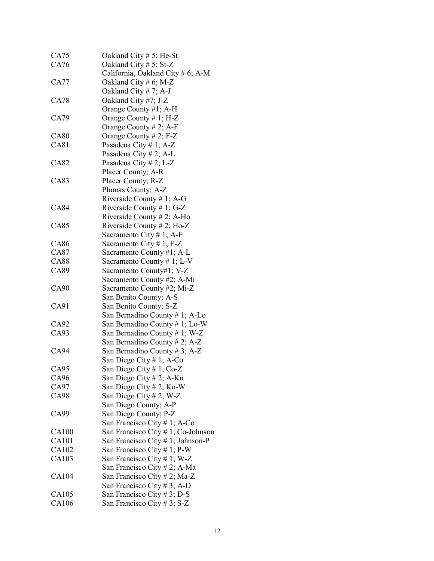| CA75        | Oakland City $# 5$ ; He-St         |
|-------------|------------------------------------|
| CA76        | Oakland City $# 5$ ; St-Z          |
|             | California, Oakland City # 6; A-M  |
| CA77        | Oakland City # 6; M-Z              |
|             | Oakland City # 7; A-J              |
| CA78        | Oakland City #7; J-Z               |
|             | Orange County #1; A-H              |
| CA79        | Orange County $# 1$ ; H-Z          |
|             | Orange County $# 2$ ; A-F          |
| CA80        | Orange County $# 2$ ; F-Z          |
| <b>CA81</b> | Pasadena City # 1; A-Z             |
|             | Pasadena City # 2; A-L             |
| CA82        | Pasadena City # 2; L-Z             |
|             | Placer County; A-R                 |
| CA83        | Placer County; R-Z                 |
|             |                                    |
|             | Plumas County; A-Z                 |
|             | Riverside County # 1; A-G          |
| <b>CA84</b> | Riverside County # 1; G-Z          |
|             | Riverside County # 2; A-Ho         |
| <b>CA85</b> | Riverside County # 2; Ho-Z         |
|             | Sacramento City # 1; A-F           |
| <b>CA86</b> | Sacramento City # 1; $F-Z$         |
| CA87        | Sacramento County #1; A-L          |
| <b>CA88</b> | Sacramento County # 1; $L-V$       |
| CA89        | Sacramento County#1; V-Z           |
|             | Sacramento County #2; A-Mi         |
| CA90        | Sacramento County #2; Mi-Z         |
|             | San Benito County; A-S             |
| CA91        | San Benito County; S-Z             |
|             | San Bernadino County # 1; A-Lo     |
| CA92        | San Bernadino County # 1; Lo-W     |
| CA93        | San Bernadino County # 1; W-Z      |
|             | San Bernadino County # 2; A-Z      |
| <b>CA94</b> | San Bernadino County # 3; A-Z      |
|             | San Diego City # 1; A-Co           |
| CA95        | San Diego City # 1; Co-Z           |
| CA96        | San Diego City # 2; A-Kn           |
| CA97        | San Diego City # 2; Kn-W           |
| CA98        | San Diego City # 2; W-Z            |
|             | San Diego County; A-P              |
| CA99        | San Diego County; P-Z              |
|             | San Francisco City # 1; A-Co       |
| CA100       | San Francisco City # 1; Co-Johnson |
| CA101       | San Francisco City # 1; Johnson-P  |
| CA102       |                                    |
|             | San Francisco City # 1; P-W        |
| CA103       | San Francisco City # 1; W-Z        |
|             | San Francisco City # 2; A-Ma       |
| CA104       | San Francisco City # 2; Ma-Z       |
|             | San Francisco City # 3; A-D        |
| CA105       | San Francisco City # 3; D-S        |
| CA106       | San Francisco City # 3; S-Z        |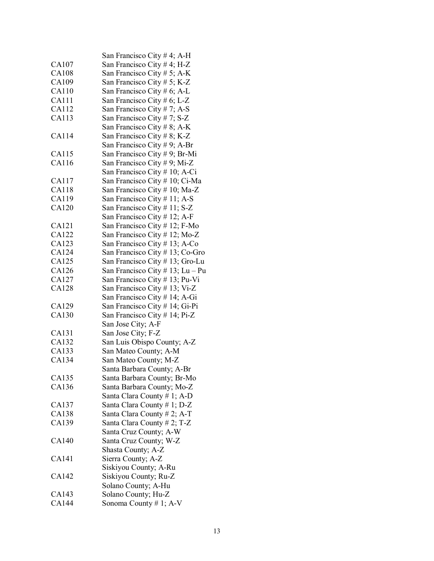|              | San Francisco City # 4; A-H      |
|--------------|----------------------------------|
| CA107        | San Francisco City # 4; H-Z      |
| <b>CA108</b> | San Francisco City # 5; A-K      |
| CA109        | San Francisco City # 5; K-Z      |
| CA110        | San Francisco City # 6; A-L      |
| <b>CA111</b> | San Francisco City # 6; L-Z      |
| CA112        | San Francisco City # 7; A-S      |
| CA113        | San Francisco City #7; S-Z       |
|              | San Francisco City # 8; A-K      |
| CA114        | San Francisco City # 8; K-Z      |
|              | San Francisco City # 9; A-Br     |
| CA115        | San Francisco City # 9; Br-Mi    |
| CA116        | San Francisco City # 9; Mi-Z     |
|              | San Francisco City # 10; A-Ci    |
| CA117        | San Francisco City # 10; Ci-Ma   |
| CA118        |                                  |
|              | San Francisco City # 10; Ma-Z    |
| CA119        | San Francisco City #11; A-S      |
| <b>CA120</b> | San Francisco City # 11; S-Z     |
|              | San Francisco City # 12; A-F     |
| CA121        | San Francisco City # 12; F-Mo    |
| CA122        | San Francisco City # 12; Mo-Z    |
| CA123        | San Francisco City # 13; A-Co    |
| CA124        | San Francisco City #13; Co-Gro   |
| CA125        | San Francisco City # 13; Gro-Lu  |
| CA126        | San Francisco City # 13; Lu – Pu |
| CA127        | San Francisco City # 13; Pu-Vi   |
| <b>CA128</b> | San Francisco City # 13; Vi-Z    |
|              | San Francisco City # 14; A-Gi    |
| CA129        | San Francisco City # 14; Gi-Pi   |
| CA130        | San Francisco City # 14; Pi-Z    |
|              | San Jose City; A-F               |
| CA131        | San Jose City; F-Z               |
| CA132        | San Luis Obispo County; A-Z      |
| CA133        | San Mateo County; A-M            |
| CA134        | San Mateo County; M-Z            |
|              | Santa Barbara County; A-Br       |
| CA135        | Santa Barbara County; Br-Mo      |
| CA136        | Santa Barbara County; Mo-Z       |
|              | Santa Clara County # 1; A-D      |
| CA137        | Santa Clara County # 1; D-Z      |
| <b>CA138</b> | Santa Clara County # 2; A-T      |
| CA139        | Santa Clara County # 2; T-Z      |
|              | Santa Cruz County; A-W           |
| CA140        | Santa Cruz County; W-Z           |
|              | Shasta County; A-Z               |
| CA141        | Sierra County; A-Z               |
|              | Siskiyou County; A-Ru            |
| CA142        | Siskiyou County; Ru-Z            |
|              | Solano County; A-Hu              |
| CA143        | Solano County; Hu-Z              |
| CA144        | Sonoma County #1; A-V            |
|              |                                  |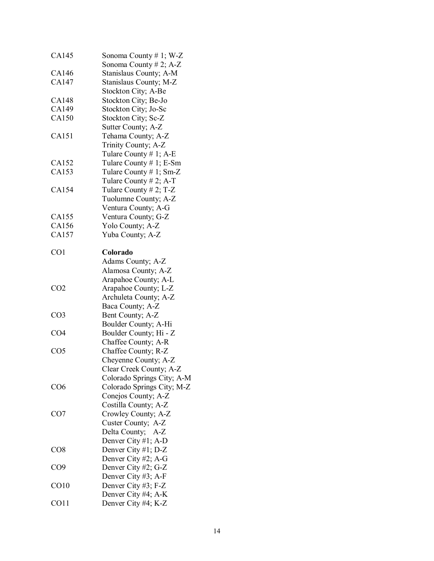| CA145            | Sonoma County # 1; W-Z     |
|------------------|----------------------------|
|                  | Sonoma County # 2; $A-Z$   |
| CA146            | Stanislaus County; A-M     |
| CA147            | Stanislaus County; M-Z     |
|                  | Stockton City; A-Be        |
| CA148            | Stockton City; Be-Jo       |
| CA149            | Stockton City; Jo-Sc       |
| CA150            | Stockton City; Sc-Z        |
|                  | Sutter County; A-Z         |
| CA151            | Tehama County; A-Z         |
|                  | Trinity County; A-Z        |
|                  | Tulare County # 1; A-E     |
| CA152            | Tulare County # 1; E-Sm    |
| CA153            | Tulare County $# 1$ ; Sm-Z |
|                  | Tulare County # 2; A-T     |
| CA154            |                            |
|                  | Tulare County # 2; $T-Z$   |
|                  | Tuolumne County; A-Z       |
|                  | Ventura County; A-G        |
| CA155            | Ventura County; G-Z        |
| CA156            | Yolo County; A-Z           |
| CA157            | Yuba County; A-Z           |
| CO <sub>1</sub>  | Colorado                   |
|                  | Adams County; A-Z          |
|                  |                            |
|                  | Alamosa County; A-Z        |
|                  | Arapahoe County; A-L       |
| CO <sub>2</sub>  | Arapahoe County; L-Z       |
|                  | Archuleta County; A-Z      |
|                  | Baca County; A-Z           |
| CO <sub>3</sub>  | Bent County; A-Z           |
|                  | Boulder County; A-Hi       |
| CO <sub>4</sub>  | Boulder County; Hi - Z     |
|                  | Chaffee County; A-R        |
| CO <sub>5</sub>  | Chaffee County; R-Z        |
|                  | Cheyenne County; A-Z       |
|                  | Clear Creek County; A-Z    |
|                  | Colorado Springs City; A-M |
| CO <sub>6</sub>  | Colorado Springs City; M-Z |
|                  | Conejos County; A-Z        |
|                  | Costilla County; A-Z       |
| CO <sub>7</sub>  | Crowley County; A-Z        |
|                  |                            |
|                  | Custer County; A-Z         |
|                  | Delta County; A-Z          |
|                  | Denver City #1; A-D        |
| CO8              | Denver City #1; D-Z        |
|                  | Denver City #2; A-G        |
| CO <sub>9</sub>  | Denver City #2; G-Z        |
|                  | Denver City #3; A-F        |
| CO <sub>10</sub> | Denver City #3; F-Z        |
|                  | Denver City #4; A-K        |
| CO11             | Denver City #4; K-Z        |
|                  |                            |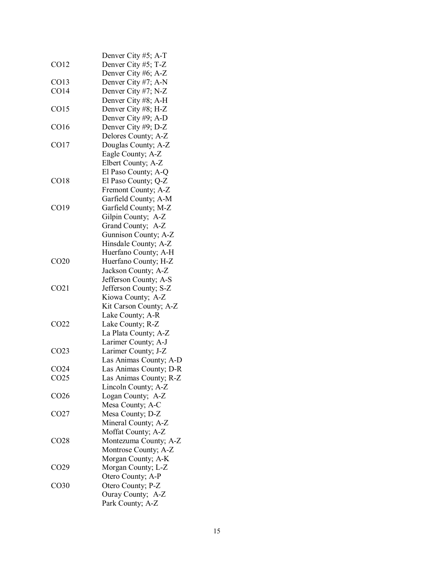|                  | Denver City #5; A-T    |
|------------------|------------------------|
| CO12             | Denver City #5; T-Z    |
|                  | Denver City #6; A-Z    |
| CO13             | Denver City #7; A-N    |
| CO14             | Denver City #7; N-Z    |
|                  |                        |
|                  | Denver City #8; A-H    |
| CO15             | Denver City #8; H-Z    |
|                  | Denver City #9; A-D    |
| CO16             | Denver City #9; D-Z    |
|                  | Delores County; A-Z    |
| CO17             | Douglas County; A-Z    |
|                  | Eagle County; A-Z      |
|                  | Elbert County; A-Z     |
|                  | El Paso County; A-Q    |
| CO18             | El Paso County; Q-Z    |
|                  | Fremont County; A-Z    |
|                  | Garfield County; A-M   |
| CO19             | Garfield County; M-Z   |
|                  | Gilpin County; A-Z     |
|                  | Grand County; A-Z      |
|                  |                        |
|                  | Gunnison County; A-Z   |
|                  | Hinsdale County; A-Z   |
|                  | Huerfano County; A-H   |
| CO <sub>20</sub> | Huerfano County; H-Z   |
|                  | Jackson County; A-Z    |
|                  | Jefferson County; A-S  |
| CO <sub>21</sub> | Jefferson County; S-Z  |
|                  | Kiowa County; A-Z      |
|                  | Kit Carson County; A-Z |
|                  | Lake County; A-R       |
| CO <sub>22</sub> | Lake County; R-Z       |
|                  | La Plata County; A-Z   |
|                  | Larimer County; A-J    |
| CO <sub>23</sub> | Larimer County; J-Z    |
|                  | Las Animas County; A-D |
| CO <sub>24</sub> | Las Animas County; D-R |
| CO <sub>25</sub> | Las Animas County; R-Z |
|                  | Lincoln County; A-Z    |
| CO <sub>26</sub> | Logan County; A-Z      |
|                  | Mesa County; A-C       |
| CO <sub>27</sub> | Mesa County; D-Z       |
|                  | Mineral County; A-Z    |
|                  |                        |
|                  | Moffat County; A-Z     |
| CO <sub>28</sub> | Montezuma County; A-Z  |
|                  | Montrose County; A-Z   |
|                  | Morgan County; A-K     |
| CO <sub>29</sub> | Morgan County; L-Z     |
|                  | Otero County; A-P      |
| CO <sub>30</sub> | Otero County; P-Z      |
|                  | Ouray County; A-Z      |
|                  | Park County; A-Z       |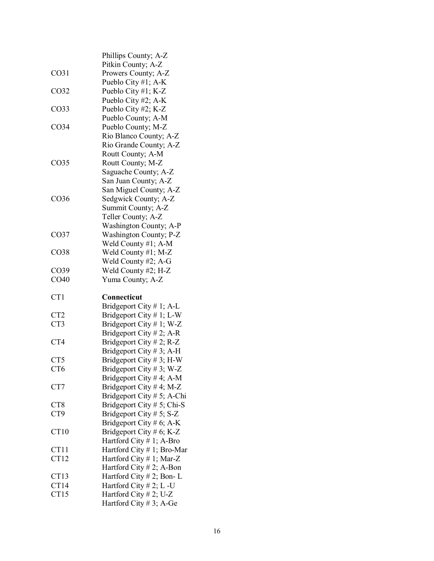|                  | Phillips County; A-Z                            |
|------------------|-------------------------------------------------|
|                  | Pitkin County; A-Z                              |
| CO <sub>31</sub> | Prowers County; A-Z                             |
|                  | Pueblo City #1; A-K                             |
| CO32             | Pueblo City #1; K-Z                             |
|                  | Pueblo City #2; A-K                             |
| CO <sub>33</sub> | Pueblo City #2; K-Z                             |
|                  | Pueblo County; A-M                              |
| CO <sub>34</sub> | Pueblo County; M-Z                              |
|                  | Rio Blanco County; A-Z                          |
|                  | Rio Grande County; A-Z                          |
|                  | Routt County; A-M                               |
| CO <sub>35</sub> | Routt County; M-Z                               |
|                  | Saguache County; A-Z                            |
|                  | San Juan County; A-Z                            |
|                  | San Miguel County; A-Z                          |
| CO <sub>36</sub> | Sedgwick County; A-Z                            |
|                  | Summit County; A-Z                              |
|                  | Teller County; A-Z                              |
|                  | Washington County; A-P                          |
| CO <sub>37</sub> | Washington County; P-Z                          |
|                  | Weld County #1; A-M                             |
| CO <sub>38</sub> | Weld County #1; M-Z                             |
|                  | Weld County #2; A-G                             |
| CO <sub>39</sub> |                                                 |
|                  |                                                 |
|                  | Weld County #2; H-Z                             |
| CO <sub>40</sub> | Yuma County; A-Z                                |
|                  |                                                 |
| CT1              | Connecticut                                     |
|                  | Bridgeport City # 1; A-L                        |
| CT <sub>2</sub>  | Bridgeport City # 1; L-W                        |
| CT3              | Bridgeport City # 1; W-Z                        |
|                  | Bridgeport City # 2; A-R                        |
| CT4              | Bridgeport City # 2; R-Z                        |
|                  | Bridgeport City # 3; A-H                        |
| CT5              | Bridgeport City # 3; H-W                        |
| CT <sub>6</sub>  | Bridgeport City # 3; W-Z                        |
|                  | Bridgeport City # 4; A-M                        |
| CT7              | Bridgeport City # 4; M-Z                        |
|                  | Bridgeport City # 5; A-Chi                      |
| CT8              | Bridgeport City # 5; Chi-S                      |
| CT9              | Bridgeport City # 5; $S-Z$                      |
|                  | Bridgeport City # 6; A-K                        |
| CT10             | Bridgeport City # 6; K-Z                        |
|                  | Hartford City # 1; A-Bro                        |
| CT11             | Hartford City # 1; Bro-Mar                      |
| CT12             | Hartford City # 1; Mar-Z                        |
|                  | Hartford City # 2; A-Bon                        |
| CT <sub>13</sub> | Hartford City #2; Bon-L                         |
| CT14             | Hartford City $# 2$ ; L -U                      |
| CT15             | Hartford City #2; U-Z<br>Hartford City #3; A-Ge |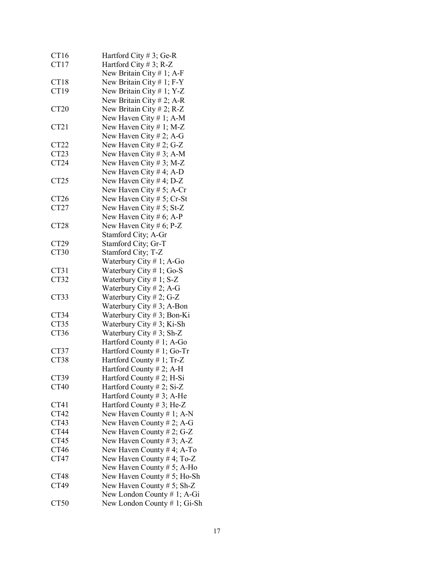| CT16             | Hartford City # 3; Ge-R        |
|------------------|--------------------------------|
| CT17             | Hartford City # 3; R-Z         |
|                  | New Britain City #1; A-F       |
| CT18             | New Britain City # 1; $F-Y$    |
| CT19             | New Britain City # 1; Y-Z      |
|                  |                                |
|                  | New Britain City # 2; A-R      |
| <b>CT20</b>      | New Britain City # 2; R-Z      |
|                  | New Haven City #1; A-M         |
| CT <sub>21</sub> | New Haven City # 1; M-Z        |
|                  | New Haven City # 2; A-G        |
| CT <sub>22</sub> | New Haven City # 2; G-Z        |
| CT <sub>23</sub> | New Haven City # 3; A-M        |
| CT <sub>24</sub> | New Haven City # 3; M-Z        |
|                  |                                |
|                  | New Haven City # 4; A-D        |
| CT <sub>25</sub> | New Haven City # 4; D-Z        |
|                  | New Haven City # 5; A-Cr       |
| CT <sub>26</sub> | New Haven City # 5; Cr-St      |
| CT <sub>27</sub> | New Haven City # 5; St-Z       |
|                  | New Haven City # 6; A-P        |
| <b>CT28</b>      | New Haven City # 6; P-Z        |
|                  | Stamford City; A-Gr            |
| CT29             | Stamford City; Gr-T            |
| CT30             | Stamford City; T-Z             |
|                  |                                |
|                  | Waterbury City $# 1$ ; A-Go    |
| CT31             | Waterbury City #1; Go-S        |
| CT32             | Waterbury City # 1; S-Z        |
|                  | Waterbury City # 2; A-G        |
| CT33             | Waterbury City # 2; G-Z        |
|                  | Waterbury City # 3; A-Bon      |
| CT34             | Waterbury City $# 3$ ; Bon-Ki  |
| CT35             | Waterbury City # 3; Ki-Sh      |
| CT36             | Waterbury City # 3; Sh-Z       |
|                  | Hartford County #1; A-Go       |
| CT37             | Hartford County # 1; Go-Tr     |
| CT38             | Hartford County #1; Tr-Z       |
|                  | Hartford County #2; A-H        |
| CT39             | Hartford County $# 2$ ; H-Si   |
| <b>CT40</b>      |                                |
|                  | Hartford County # 2; Si-Z      |
|                  | Hartford County # 3; A-He      |
| CT41             | Hartford County #3; He-Z       |
| CT42             | New Haven County $# 1$ ; A-N   |
| CT43             | New Haven County # 2; A-G      |
| CT44             | New Haven County # 2; G-Z      |
| CT45             | New Haven County # 3; $A-Z$    |
| CT46             | New Haven County #4; A-To      |
| CT47             | New Haven County #4; To-Z      |
|                  | New Haven County # 5; A-Ho     |
| CT48             | New Haven County $# 5$ ; Ho-Sh |
| CT49             |                                |
|                  | New Haven County # 5; Sh-Z     |
|                  | New London County # 1; A-Gi    |
| CT50             | New London County # 1; Gi-Sh   |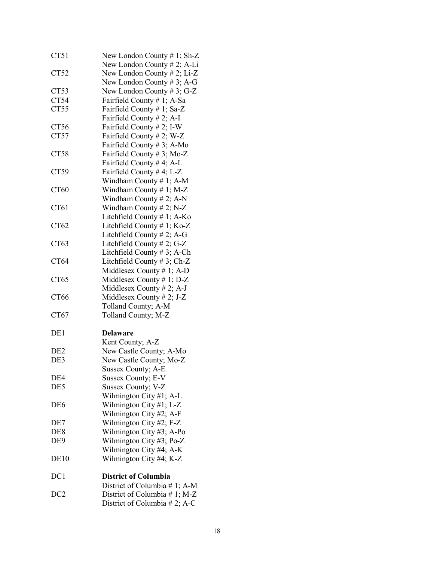| CT51             | New London County $# 1$ ; Sh-Z |
|------------------|--------------------------------|
|                  | New London County $# 2$ ; A-Li |
| CT52             | New London County $# 2$ ; Li-Z |
|                  | New London County # 3; A-G     |
| CT53             | New London County #3; G-Z      |
| CT54             | Fairfield County # 1; A-Sa     |
| CT55             | Fairfield County # 1; Sa-Z     |
|                  | Fairfield County # 2; A-I      |
| CT56             | Fairfield County # 2; I-W      |
| CT57             | Fairfield County # 2; W-Z      |
|                  | Fairfield County # 3; A-Mo     |
| CT58             | Fairfield County #3; Mo-Z      |
|                  | Fairfield County #4; A-L       |
| CT59             | Fairfield County #4; L-Z       |
|                  | Windham County # 1; A-M        |
| CT60             | Windham County $# 1$ ; M-Z     |
|                  | Windham County #2; A-N         |
| CT61             | Windham County # 2; $N-Z$      |
|                  | Litchfield County # 1; A-Ko    |
| CT <sub>62</sub> | Litchfield County $# 1$ ; Ko-Z |
|                  | Litchfield County # 2; A-G     |
| CT63             | Litchfield County # 2; G-Z     |
|                  | Litchfield County $# 3$ ; A-Ch |
| CT64             | Litchfield County $# 3$ ; Ch-Z |
|                  | Middlesex County $# 1$ ; A-D   |
| CT65             | Middlesex County # 1; $D-Z$    |
|                  |                                |
|                  | Middlesex County # 2; A-J      |
| CT66             | Middlesex County # 2; J-Z      |
|                  | Tolland County; A-M            |
| CT67             | Tolland County; M-Z            |
| DE1              | <b>Delaware</b>                |
|                  | Kent County; A-Z               |
| DE <sub>2</sub>  | New Castle County; A-Mo        |
| DE3              | New Castle County; Mo-Z        |
|                  | Sussex County; A-E             |
| DE4              |                                |
|                  | Sussex County; E-V             |
| DE5              | Sussex County; V-Z             |
|                  | Wilmington City #1; A-L        |
| DE <sub>6</sub>  | Wilmington City #1; L-Z        |
|                  | Wilmington City #2; A-F        |
| DE7              | Wilmington City #2; F-Z        |
| DE <sub>8</sub>  | Wilmington City #3; A-Po       |
| DE <sub>9</sub>  | Wilmington City #3; Po-Z       |
|                  | Wilmington City #4; A-K        |
| DE <sub>10</sub> | Wilmington City #4; K-Z        |
|                  |                                |
| DC1              | <b>District of Columbia</b>    |
|                  | District of Columbia # 1; A-M  |
| DC <sub>2</sub>  | District of Columbia # 1; M-Z  |
|                  | District of Columbia # 2; A-C  |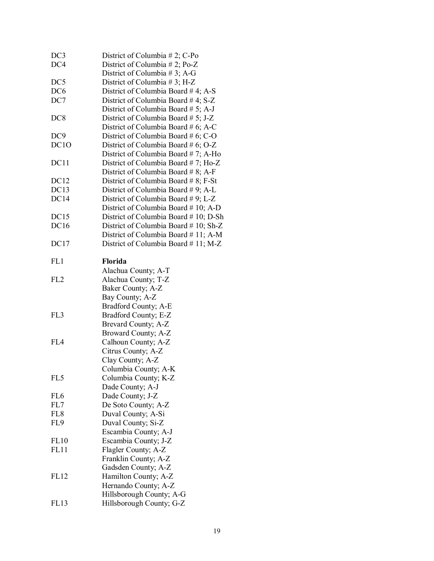| DC <sub>3</sub>  | District of Columbia # 2; $C$ -Po     |
|------------------|---------------------------------------|
| DC4              | District of Columbia #2; Po-Z         |
|                  | District of Columbia #3; A-G          |
| DC <sub>5</sub>  | District of Columbia #3; H-Z          |
| DC <sub>6</sub>  | District of Columbia Board #4; A-S    |
| DC7              | District of Columbia Board #4; S-Z    |
|                  | District of Columbia Board # 5; A-J   |
| DC <sub>8</sub>  | District of Columbia Board # 5; J-Z   |
|                  | District of Columbia Board # 6; A-C   |
| DC <sub>9</sub>  | District of Columbia Board # 6; C-O   |
| DC <sub>10</sub> | District of Columbia Board # 6; O-Z   |
|                  | District of Columbia Board #7; A-Ho   |
| DC11             | District of Columbia Board #7; Ho-Z   |
|                  | District of Columbia Board # 8; A-F   |
| DC12             | District of Columbia Board # 8; F-St  |
| DC13             | District of Columbia Board #9; A-L    |
| DC14             | District of Columbia Board #9; L-Z    |
|                  | District of Columbia Board # 10; A-D  |
| DC15             | District of Columbia Board #10; D-Sh  |
| <b>DC16</b>      | District of Columbia Board # 10; Sh-Z |
|                  | District of Columbia Board #11; A-M   |
| DC17             | District of Columbia Board #11; M-Z   |
| FL1              | <b>Florida</b>                        |
|                  | Alachua County; A-T                   |
| FL <sub>2</sub>  | Alachua County; T-Z                   |
|                  | Baker County; A-Z                     |
|                  | Bay County; A-Z                       |
|                  | Bradford County; A-E                  |
| FL3              | Bradford County; E-Z                  |
|                  | Brevard County; A-Z                   |
|                  | Broward County; A-Z                   |
| FIA              | Calhoun County; A-Z                   |
|                  | Citrus County; A-Z                    |
|                  | Clay County; A-Z                      |
|                  | Columbia County; A-K                  |
| FL5              | Columbia County; K-Z                  |
|                  | Dade County; A-J                      |
| FL <sub>6</sub>  | Dade County; J-Z                      |
| FL7              | De Soto County; A-Z                   |
| FL <sub>8</sub>  | Duval County; A-Si                    |
| FL9              | Duval County; Si-Z                    |
|                  | Escambia County; A-J                  |
| FL10             | Escambia County; J-Z                  |
| FL11             | Flagler County; A-Z                   |
|                  | Franklin County; A-Z                  |
|                  | Gadsden County; A-Z                   |
| <b>FL12</b>      | Hamilton County; A-Z                  |
|                  | Hernando County; A-Z                  |
|                  | Hillsborough County; A-G              |
| FL13             | Hillsborough County; G-Z              |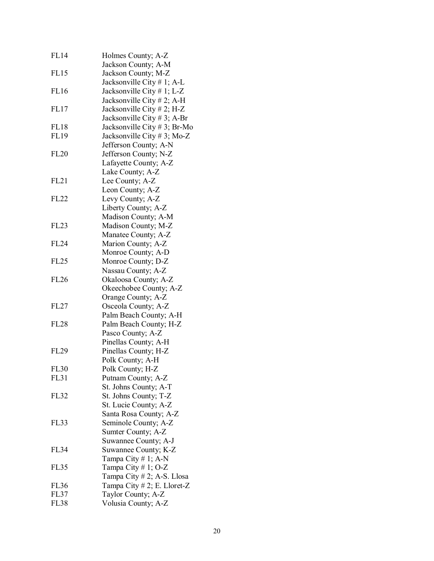| FL14        | Holmes County; A-Z             |
|-------------|--------------------------------|
|             | Jackson County; A-M            |
| FL15        | Jackson County; M-Z            |
|             | Jacksonville City # 1; A-L     |
| <b>FL16</b> | Jacksonville City # 1; L-Z     |
|             | Jacksonville City # 2; A-H     |
| <b>FL17</b> | Jacksonville City # 2; H-Z     |
|             | Jacksonville City # 3; A-Br    |
| <b>FL18</b> | Jacksonville City # 3; Br-Mo   |
| <b>FL19</b> |                                |
|             | Jacksonville City # 3; Mo-Z    |
|             | Jefferson County; A-N          |
| <b>FL20</b> | Jefferson County; N-Z          |
|             | Lafayette County; A-Z          |
|             | Lake County; A-Z               |
| FL21        | Lee County; A-Z                |
|             | Leon County; A-Z               |
| <b>FL22</b> | Levy County; A-Z               |
|             | Liberty County; A-Z            |
|             | Madison County; A-M            |
| <b>FL23</b> | Madison County; M-Z            |
|             | Manatee County; A-Z            |
| <b>FL24</b> | Marion County; A-Z             |
|             | Monroe County; A-D             |
| <b>FL25</b> | Monroe County; D-Z             |
|             | Nassau County; A-Z             |
| <b>FL26</b> | Okaloosa County; A-Z           |
|             | Okeechobee County; A-Z         |
|             | Orange County; A-Z             |
| FL27        | Osceola County; A-Z            |
|             | Palm Beach County; A-H         |
| <b>FL28</b> | Palm Beach County; H-Z         |
|             | Pasco County; A-Z              |
|             | Pinellas County; A-H           |
| <b>FL29</b> | Pinellas County; H-Z           |
|             | Polk County; A-H               |
| <b>FL30</b> | Polk County; H-Z               |
| <b>FL31</b> | Putnam County; A-Z             |
|             | St. Johns County; A-T          |
| <b>FL32</b> | St. Johns County; T-Z          |
|             | St. Lucie County; A-Z          |
|             | Santa Rosa County; A-Z         |
| <b>FL33</b> | Seminole County; A-Z           |
|             | Sumter County; A-Z             |
|             | Suwannee County; A-J           |
| <b>FL34</b> |                                |
|             | Suwannee County; K-Z           |
|             | Tampa City # 1; A-N            |
| <b>FL35</b> | Tampa City # 1; O-Z            |
|             | Tampa City # 2; A-S. Llosa     |
| <b>FL36</b> | Tampa City $# 2$ ; E. Lloret-Z |
| <b>FL37</b> | Taylor County; A-Z             |
| <b>FL38</b> | Volusia County; A-Z            |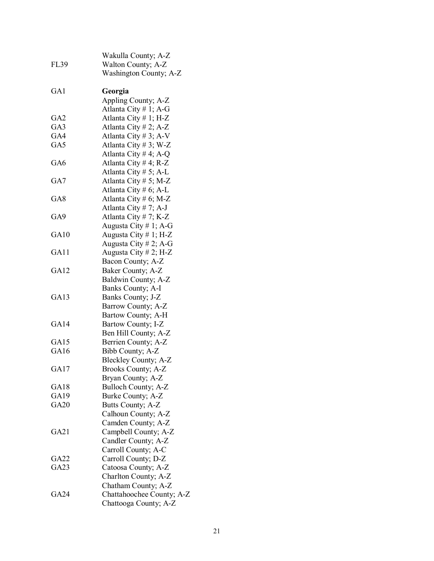| GA1<br>Georgia<br>Appling County; A-Z<br>Atlanta City # 1; A-G<br>Atlanta City #1; H-Z<br>GA2<br>Atlanta City # 2; A-Z<br>GA3<br>Atlanta City # 3; A-V<br>GA4<br>Atlanta City #3; W-Z<br>GA5<br>Atlanta City # 4; A-Q<br>Atlanta City # 4; R-Z<br>GA6<br>Atlanta City # $5$ ; A-L<br>Atlanta City # 5; M-Z<br>GA7<br>Atlanta City # 6; A-L<br>Atlanta City # 6; M-Z<br>GA8<br>Atlanta City #7; A-J<br>Atlanta City #7; K-Z<br>GA9<br>Augusta City #1; A-G<br>Augusta City # 1; H-Z<br>GA10<br>Augusta City # 2; A-G<br>Augusta City # 2; H-Z<br>GA11<br>Bacon County; A-Z<br>Baker County; A-Z<br>GA12<br>Baldwin County; A-Z<br>Banks County; A-I<br>Banks County; J-Z<br>GA <sub>13</sub><br>Barrow County; A-Z<br>Bartow County; A-H<br>GA14<br>Bartow County; I-Z<br>Ben Hill County; A-Z<br>Berrien County; A-Z<br>GA15<br>Bibb County; A-Z<br>GA16<br>Bleckley County; A-Z<br>GA17<br>Brooks County; A-Z<br>Bryan County; A-Z<br><b>Bulloch County; A-Z</b><br>GA18<br>Burke County; A-Z<br>GA <sub>19</sub><br><b>GA20</b><br>Butts County; A-Z<br>Calhoun County; A-Z<br>Camden County; A-Z<br>Campbell County; A-Z<br>GA <sub>21</sub><br>Candler County; A-Z<br>Carroll County; A-C<br>Carroll County; D-Z<br>GA22<br>Catoosa County; A-Z<br>GA23<br>Charlton County; A-Z<br>Chatham County; A-Z<br>Chattahoochee County; A-Z<br>GA24 | <b>FL39</b> | Wakulla County; A-Z<br>Walton County; A-Z<br>Washington County; A-Z |
|-------------------------------------------------------------------------------------------------------------------------------------------------------------------------------------------------------------------------------------------------------------------------------------------------------------------------------------------------------------------------------------------------------------------------------------------------------------------------------------------------------------------------------------------------------------------------------------------------------------------------------------------------------------------------------------------------------------------------------------------------------------------------------------------------------------------------------------------------------------------------------------------------------------------------------------------------------------------------------------------------------------------------------------------------------------------------------------------------------------------------------------------------------------------------------------------------------------------------------------------------------------------------------------------------------------------------------------------------|-------------|---------------------------------------------------------------------|
|                                                                                                                                                                                                                                                                                                                                                                                                                                                                                                                                                                                                                                                                                                                                                                                                                                                                                                                                                                                                                                                                                                                                                                                                                                                                                                                                                 |             |                                                                     |
|                                                                                                                                                                                                                                                                                                                                                                                                                                                                                                                                                                                                                                                                                                                                                                                                                                                                                                                                                                                                                                                                                                                                                                                                                                                                                                                                                 |             |                                                                     |
|                                                                                                                                                                                                                                                                                                                                                                                                                                                                                                                                                                                                                                                                                                                                                                                                                                                                                                                                                                                                                                                                                                                                                                                                                                                                                                                                                 |             |                                                                     |
|                                                                                                                                                                                                                                                                                                                                                                                                                                                                                                                                                                                                                                                                                                                                                                                                                                                                                                                                                                                                                                                                                                                                                                                                                                                                                                                                                 |             |                                                                     |
|                                                                                                                                                                                                                                                                                                                                                                                                                                                                                                                                                                                                                                                                                                                                                                                                                                                                                                                                                                                                                                                                                                                                                                                                                                                                                                                                                 |             |                                                                     |
|                                                                                                                                                                                                                                                                                                                                                                                                                                                                                                                                                                                                                                                                                                                                                                                                                                                                                                                                                                                                                                                                                                                                                                                                                                                                                                                                                 |             |                                                                     |
|                                                                                                                                                                                                                                                                                                                                                                                                                                                                                                                                                                                                                                                                                                                                                                                                                                                                                                                                                                                                                                                                                                                                                                                                                                                                                                                                                 |             |                                                                     |
|                                                                                                                                                                                                                                                                                                                                                                                                                                                                                                                                                                                                                                                                                                                                                                                                                                                                                                                                                                                                                                                                                                                                                                                                                                                                                                                                                 |             |                                                                     |
|                                                                                                                                                                                                                                                                                                                                                                                                                                                                                                                                                                                                                                                                                                                                                                                                                                                                                                                                                                                                                                                                                                                                                                                                                                                                                                                                                 |             |                                                                     |
|                                                                                                                                                                                                                                                                                                                                                                                                                                                                                                                                                                                                                                                                                                                                                                                                                                                                                                                                                                                                                                                                                                                                                                                                                                                                                                                                                 |             |                                                                     |
|                                                                                                                                                                                                                                                                                                                                                                                                                                                                                                                                                                                                                                                                                                                                                                                                                                                                                                                                                                                                                                                                                                                                                                                                                                                                                                                                                 |             |                                                                     |
|                                                                                                                                                                                                                                                                                                                                                                                                                                                                                                                                                                                                                                                                                                                                                                                                                                                                                                                                                                                                                                                                                                                                                                                                                                                                                                                                                 |             |                                                                     |
|                                                                                                                                                                                                                                                                                                                                                                                                                                                                                                                                                                                                                                                                                                                                                                                                                                                                                                                                                                                                                                                                                                                                                                                                                                                                                                                                                 |             |                                                                     |
|                                                                                                                                                                                                                                                                                                                                                                                                                                                                                                                                                                                                                                                                                                                                                                                                                                                                                                                                                                                                                                                                                                                                                                                                                                                                                                                                                 |             |                                                                     |
|                                                                                                                                                                                                                                                                                                                                                                                                                                                                                                                                                                                                                                                                                                                                                                                                                                                                                                                                                                                                                                                                                                                                                                                                                                                                                                                                                 |             |                                                                     |
|                                                                                                                                                                                                                                                                                                                                                                                                                                                                                                                                                                                                                                                                                                                                                                                                                                                                                                                                                                                                                                                                                                                                                                                                                                                                                                                                                 |             |                                                                     |
|                                                                                                                                                                                                                                                                                                                                                                                                                                                                                                                                                                                                                                                                                                                                                                                                                                                                                                                                                                                                                                                                                                                                                                                                                                                                                                                                                 |             |                                                                     |
|                                                                                                                                                                                                                                                                                                                                                                                                                                                                                                                                                                                                                                                                                                                                                                                                                                                                                                                                                                                                                                                                                                                                                                                                                                                                                                                                                 |             |                                                                     |
|                                                                                                                                                                                                                                                                                                                                                                                                                                                                                                                                                                                                                                                                                                                                                                                                                                                                                                                                                                                                                                                                                                                                                                                                                                                                                                                                                 |             |                                                                     |
|                                                                                                                                                                                                                                                                                                                                                                                                                                                                                                                                                                                                                                                                                                                                                                                                                                                                                                                                                                                                                                                                                                                                                                                                                                                                                                                                                 |             |                                                                     |
|                                                                                                                                                                                                                                                                                                                                                                                                                                                                                                                                                                                                                                                                                                                                                                                                                                                                                                                                                                                                                                                                                                                                                                                                                                                                                                                                                 |             |                                                                     |
|                                                                                                                                                                                                                                                                                                                                                                                                                                                                                                                                                                                                                                                                                                                                                                                                                                                                                                                                                                                                                                                                                                                                                                                                                                                                                                                                                 |             |                                                                     |
|                                                                                                                                                                                                                                                                                                                                                                                                                                                                                                                                                                                                                                                                                                                                                                                                                                                                                                                                                                                                                                                                                                                                                                                                                                                                                                                                                 |             |                                                                     |
|                                                                                                                                                                                                                                                                                                                                                                                                                                                                                                                                                                                                                                                                                                                                                                                                                                                                                                                                                                                                                                                                                                                                                                                                                                                                                                                                                 |             |                                                                     |
|                                                                                                                                                                                                                                                                                                                                                                                                                                                                                                                                                                                                                                                                                                                                                                                                                                                                                                                                                                                                                                                                                                                                                                                                                                                                                                                                                 |             |                                                                     |
|                                                                                                                                                                                                                                                                                                                                                                                                                                                                                                                                                                                                                                                                                                                                                                                                                                                                                                                                                                                                                                                                                                                                                                                                                                                                                                                                                 |             |                                                                     |
|                                                                                                                                                                                                                                                                                                                                                                                                                                                                                                                                                                                                                                                                                                                                                                                                                                                                                                                                                                                                                                                                                                                                                                                                                                                                                                                                                 |             |                                                                     |
|                                                                                                                                                                                                                                                                                                                                                                                                                                                                                                                                                                                                                                                                                                                                                                                                                                                                                                                                                                                                                                                                                                                                                                                                                                                                                                                                                 |             |                                                                     |
|                                                                                                                                                                                                                                                                                                                                                                                                                                                                                                                                                                                                                                                                                                                                                                                                                                                                                                                                                                                                                                                                                                                                                                                                                                                                                                                                                 |             |                                                                     |
|                                                                                                                                                                                                                                                                                                                                                                                                                                                                                                                                                                                                                                                                                                                                                                                                                                                                                                                                                                                                                                                                                                                                                                                                                                                                                                                                                 |             |                                                                     |
|                                                                                                                                                                                                                                                                                                                                                                                                                                                                                                                                                                                                                                                                                                                                                                                                                                                                                                                                                                                                                                                                                                                                                                                                                                                                                                                                                 |             |                                                                     |
|                                                                                                                                                                                                                                                                                                                                                                                                                                                                                                                                                                                                                                                                                                                                                                                                                                                                                                                                                                                                                                                                                                                                                                                                                                                                                                                                                 |             |                                                                     |
|                                                                                                                                                                                                                                                                                                                                                                                                                                                                                                                                                                                                                                                                                                                                                                                                                                                                                                                                                                                                                                                                                                                                                                                                                                                                                                                                                 |             |                                                                     |
|                                                                                                                                                                                                                                                                                                                                                                                                                                                                                                                                                                                                                                                                                                                                                                                                                                                                                                                                                                                                                                                                                                                                                                                                                                                                                                                                                 |             |                                                                     |
|                                                                                                                                                                                                                                                                                                                                                                                                                                                                                                                                                                                                                                                                                                                                                                                                                                                                                                                                                                                                                                                                                                                                                                                                                                                                                                                                                 |             |                                                                     |
|                                                                                                                                                                                                                                                                                                                                                                                                                                                                                                                                                                                                                                                                                                                                                                                                                                                                                                                                                                                                                                                                                                                                                                                                                                                                                                                                                 |             |                                                                     |
|                                                                                                                                                                                                                                                                                                                                                                                                                                                                                                                                                                                                                                                                                                                                                                                                                                                                                                                                                                                                                                                                                                                                                                                                                                                                                                                                                 |             |                                                                     |
|                                                                                                                                                                                                                                                                                                                                                                                                                                                                                                                                                                                                                                                                                                                                                                                                                                                                                                                                                                                                                                                                                                                                                                                                                                                                                                                                                 |             |                                                                     |
|                                                                                                                                                                                                                                                                                                                                                                                                                                                                                                                                                                                                                                                                                                                                                                                                                                                                                                                                                                                                                                                                                                                                                                                                                                                                                                                                                 |             |                                                                     |
|                                                                                                                                                                                                                                                                                                                                                                                                                                                                                                                                                                                                                                                                                                                                                                                                                                                                                                                                                                                                                                                                                                                                                                                                                                                                                                                                                 |             |                                                                     |
|                                                                                                                                                                                                                                                                                                                                                                                                                                                                                                                                                                                                                                                                                                                                                                                                                                                                                                                                                                                                                                                                                                                                                                                                                                                                                                                                                 |             |                                                                     |
|                                                                                                                                                                                                                                                                                                                                                                                                                                                                                                                                                                                                                                                                                                                                                                                                                                                                                                                                                                                                                                                                                                                                                                                                                                                                                                                                                 |             |                                                                     |
|                                                                                                                                                                                                                                                                                                                                                                                                                                                                                                                                                                                                                                                                                                                                                                                                                                                                                                                                                                                                                                                                                                                                                                                                                                                                                                                                                 |             |                                                                     |
|                                                                                                                                                                                                                                                                                                                                                                                                                                                                                                                                                                                                                                                                                                                                                                                                                                                                                                                                                                                                                                                                                                                                                                                                                                                                                                                                                 |             | Chattooga County; A-Z                                               |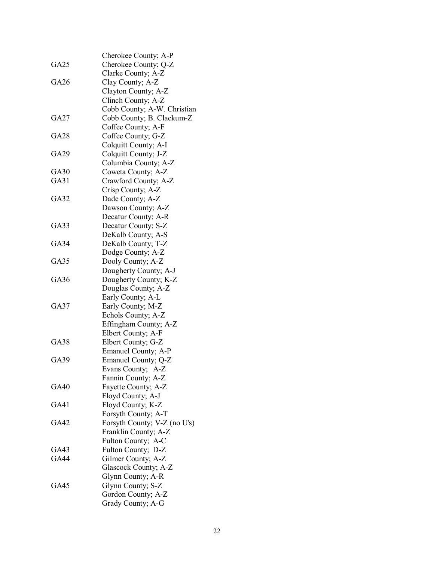|             | Cherokee County; A-P         |
|-------------|------------------------------|
| GA25        | Cherokee County; Q-Z         |
|             | Clarke County; A-Z           |
| GA26        | Clay County; A-Z             |
|             | Clayton County; A-Z          |
|             | Clinch County; A-Z           |
|             | Cobb County; A-W. Christian  |
| GA27        | Cobb County; B. Clackum-Z    |
|             | Coffee County; A-F           |
| GA28        | Coffee County; G-Z           |
|             | Colquitt County; A-I         |
| GA29        | Colquitt County; J-Z         |
|             | Columbia County; A-Z         |
| GA30        | Coweta County; A-Z           |
| GA31        | Crawford County; A-Z         |
|             | Crisp County; A-Z            |
| GA32        |                              |
|             | Dade County; A-Z             |
|             | Dawson County; A-Z           |
|             | Decatur County; A-R          |
| GA33        | Decatur County; S-Z          |
|             | DeKalb County; A-S           |
| <b>GA34</b> | DeKalb County; T-Z           |
|             | Dodge County; A-Z            |
| GA35        | Dooly County; A-Z            |
|             | Dougherty County; A-J        |
| GA36        | Dougherty County; K-Z        |
|             | Douglas County; A-Z          |
|             | Early County; A-L            |
| GA37        | Early County; M-Z            |
|             | Echols County; A-Z           |
|             | Effingham County; A-Z        |
|             | Elbert County; A-F           |
| <b>GA38</b> | Elbert County; G-Z           |
|             | Emanuel County; A-P          |
| GA39        | Emanuel County; Q-Z          |
|             | Evans County; A-Z            |
|             | Fannin County; A-Z           |
| GA40        | Fayette County; A-Z          |
|             | Floyd County; A-J            |
| <b>GA41</b> | Floyd County; K-Z            |
|             | Forsyth County; A-T          |
| <b>GA42</b> | Forsyth County; V-Z (no U's) |
|             | Franklin County; A-Z         |
|             | Fulton County; A-C           |
| GA43        | Fulton County; D-Z           |
| GA44        | Gilmer County; A-Z           |
|             | Glascock County; A-Z         |
|             | Glynn County; A-R            |
| GA45        | Glynn County; S-Z            |
|             | Gordon County; A-Z           |
|             | Grady County; A-G            |
|             |                              |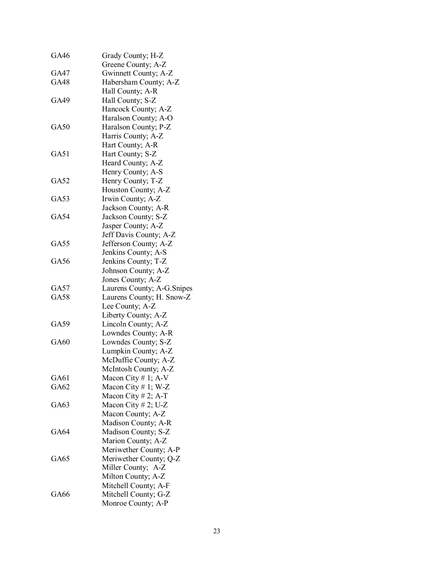| GA46        | Grady County; H-Z           |
|-------------|-----------------------------|
|             | Greene County; A-Z          |
| GA47        | Gwinnett County; A-Z        |
| GA48        | Habersham County; A-Z       |
|             | Hall County; A-R            |
| GA49        | Hall County; S-Z            |
|             | Hancock County; A-Z         |
|             | Haralson County; A-O        |
| GA50        | Haralson County; P-Z        |
|             | Harris County; A-Z          |
|             | Hart County; A-R            |
| GA51        | Hart County; S-Z            |
|             | Heard County; A-Z           |
|             | Henry County; A-S           |
| <b>GA52</b> | Henry County; T-Z           |
|             | Houston County; A-Z         |
| GA53        | Irwin County; A-Z           |
|             | Jackson County; A-R         |
| GA54        | Jackson County; S-Z         |
|             | Jasper County; A-Z          |
|             | Jeff Davis County; A-Z      |
| GA55        | Jefferson County; A-Z       |
|             | Jenkins County; A-S         |
| GA56        | Jenkins County; T-Z         |
|             | Johnson County; A-Z         |
|             | Jones County; A-Z           |
| GA57        | Laurens County; A-G. Snipes |
| GA58        | Laurens County; H. Snow-Z   |
|             | Lee County; A-Z             |
|             | Liberty County; A-Z         |
| GA59        | Lincoln County; A-Z         |
|             | Lowndes County; A-R         |
| GA60        | Lowndes County; S-Z         |
|             | Lumpkin County; A-Z         |
|             | McDuffie County; A-Z        |
|             | McIntosh County; A-Z        |
| GA61        | Macon City # 1; $A-V$       |
| GA62        | Macon City #1; W-Z          |
|             | Macon City # 2; A-T         |
| GA63        | Macon City # 2; U-Z         |
|             | Macon County; A-Z           |
|             | Madison County; A-R         |
| GA64        | Madison County; S-Z         |
|             | Marion County; A-Z          |
|             | Meriwether County; A-P      |
| GA65        | Meriwether County; Q-Z      |
|             | Miller County; A-Z          |
|             | Milton County; A-Z          |
|             | Mitchell County; A-F        |
| GA66        | Mitchell County; G-Z        |
|             | Monroe County; A-P          |
|             |                             |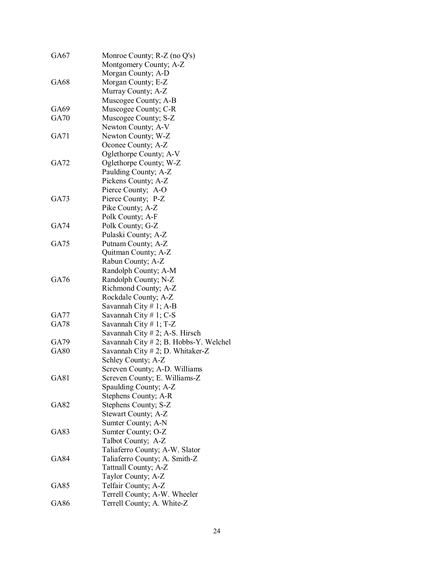| GA67        | Monroe County; R-Z (no Q's)               |
|-------------|-------------------------------------------|
|             | Montgomery County; A-Z                    |
|             | Morgan County; A-D                        |
| GA68        | Morgan County; E-Z                        |
|             | Murray County; A-Z                        |
|             | Muscogee County; A-B                      |
| GA69        | Muscogee County; C-R                      |
| <b>GA70</b> | Muscogee County; S-Z                      |
|             | Newton County; A-V                        |
| GA71        | Newton County; W-Z                        |
|             | Oconee County; A-Z                        |
|             | Oglethorpe County; A-V                    |
| GA72        | Oglethorpe County; W-Z                    |
|             | Paulding County; A-Z                      |
|             | Pickens County; A-Z                       |
|             | Pierce County; A-O                        |
| GA73        | Pierce County; P-Z                        |
|             | Pike County; A-Z                          |
|             | Polk County; A-F                          |
| GA74        | Polk County; G-Z                          |
|             | Pulaski County; A-Z                       |
| GA75        | Putnam County; A-Z                        |
|             | Quitman County; A-Z                       |
|             | Rabun County; A-Z                         |
|             | Randolph County; A-M                      |
| GA76        | Randolph County; N-Z                      |
|             | Richmond County; A-Z                      |
|             | Rockdale County; A-Z                      |
|             | Savannah City $# 1$ ; A-B                 |
| GA77        | Savannah City $# 1$ ; C-S                 |
| <b>GA78</b> | Savannah City $# 1$ ; T-Z                 |
|             | Savannah City # 2; A-S. Hirsch            |
| GA79        | Savannah City $# 2$ ; B. Hobbs-Y. Welchel |
| <b>GA80</b> | Savannah City # 2; D. Whitaker-Z          |
|             | Schley County; A-Z                        |
|             | Screven County; A-D. Williams             |
| GA81        | Screven County; E. Williams-Z             |
|             | Spaulding County; A-Z                     |
|             | Stephens County; A-R                      |
| <b>GA82</b> | Stephens County; S-Z                      |
|             | Stewart County; A-Z                       |
|             | Sumter County; A-N                        |
| GA83        | Sumter County; O-Z                        |
|             | Talbot County; A-Z                        |
|             | Taliaferro County; A-W. Slator            |
| <b>GA84</b> | Taliaferro County; A. Smith-Z             |
|             | Tattnall County; A-Z                      |
|             | Taylor County; A-Z                        |
| GA85        | Telfair County; A-Z                       |
|             | Terrell County; A-W. Wheeler              |
| GA86        | Terrell County; A. White-Z                |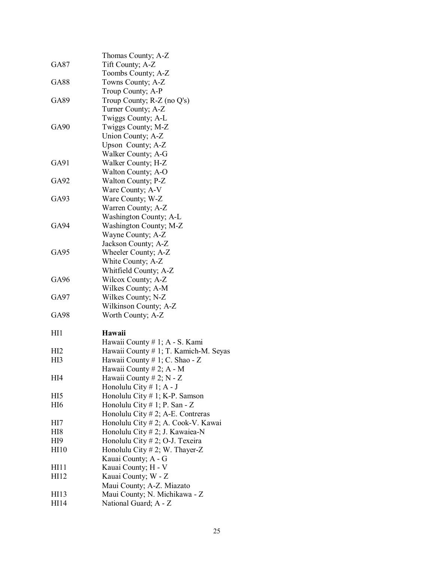|                  | Thomas County; A-Z                    |
|------------------|---------------------------------------|
| GA87             | Tift County; A-Z                      |
|                  | Toombs County; A-Z                    |
| GA88             | Towns County; A-Z                     |
|                  | Troup County; A-P                     |
| GA89             | Troup County; R-Z (no Q's)            |
|                  | Turner County; A-Z                    |
|                  | Twiggs County; A-L                    |
| GA <sub>90</sub> | Twiggs County; M-Z                    |
|                  | Union County; A-Z                     |
|                  | Upson County; A-Z                     |
|                  | Walker County; A-G                    |
| GA91             | Walker County; H-Z                    |
|                  | Walton County; A-O                    |
| GA92             | Walton County; P-Z                    |
|                  | Ware County; A-V                      |
| GA93             | Ware County; W-Z                      |
|                  | Warren County; A-Z                    |
|                  | Washington County; A-L                |
| GA94             | Washington County; M-Z                |
|                  | Wayne County; A-Z                     |
|                  | Jackson County; A-Z                   |
| GA95             | Wheeler County; A-Z                   |
|                  | White County; A-Z                     |
|                  | Whitfield County; A-Z                 |
| GA96             | Wilcox County; A-Z                    |
|                  | Wilkes County; A-M                    |
| GA97             | Wilkes County; N-Z                    |
|                  | Wilkinson County; A-Z                 |
| GA98             | Worth County; A-Z                     |
| H11              | Hawaii                                |
|                  | Hawaii County # 1; A - S. Kami        |
| HI <sub>2</sub>  | Hawaii County # 1; T. Kamich-M. Seyas |
| HI3              | Hawaii County # 1; C. Shao - Z        |
|                  | Hawaii County # 2; $A - M$            |
| HI4              | Hawaii County # 2; $N - Z$            |
|                  | Honolulu City $# 1$ ; A - J           |
| HI5              | Honolulu City $# 1$ ; K-P. Samson     |
| HI <sub>6</sub>  | Honolulu City # 1; P. San - Z         |
|                  | Honolulu City $# 2$ ; A-E. Contreras  |
| HI7              | Honolulu City # 2; A. Cook-V. Kawai   |
| HI8              | Honolulu City # 2; J. Kawaiea-N       |
| HI9              | Honolulu City # 2; O-J. Texeira       |
| HI10             | Honolulu City # 2; W. Thayer-Z        |
|                  | Kauai County; A - G                   |
| HI11             | Kauai County; H - V                   |
| HI12             | Kauai County; W - Z                   |
|                  | Maui County; A-Z. Miazato             |
| HI13             | Maui County; N. Michikawa - Z         |
| HI14             | National Guard; A - Z                 |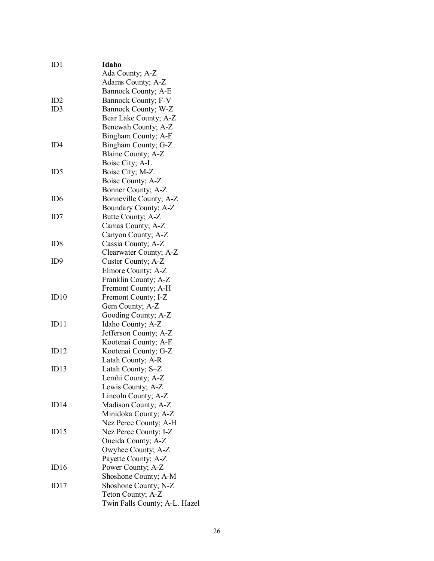| ID1             | Idaho                         |
|-----------------|-------------------------------|
|                 | Ada County; A-Z               |
|                 | Adams County; A-Z             |
|                 | Bannock County; A-E           |
| ID2             | Bannock County; F-V           |
| ID3             | Bannock County; W-Z           |
|                 | Bear Lake County; A-Z         |
|                 | Benewah County; A-Z           |
|                 | Bingham County; A-F           |
| ID4             | Bingham County; G-Z           |
|                 | Blaine County; A-Z            |
|                 | Boise City; A-L               |
| ID5             | Boise City; M-Z               |
|                 | Boise County; A-Z             |
|                 | Bonner County; A-Z            |
| ID <sub>6</sub> | Bonneville County; A-Z        |
|                 | Boundary County; A-Z          |
| ID7             | Butte County; A-Z             |
|                 | Camas County; A-Z             |
|                 | Canyon County; A-Z            |
| ID <sub>8</sub> | Cassia County; A-Z            |
|                 | Clearwater County; A-Z        |
| ID9             | Custer County; A-Z            |
|                 | Elmore County; A-Z            |
|                 | Franklin County; A-Z          |
|                 | Fremont County; A-H           |
| ID10            | Fremont County; I-Z           |
|                 | Gem County; A-Z               |
|                 | Gooding County; A-Z           |
| ID11            | Idaho County; A-Z             |
|                 | Jefferson County; A-Z         |
|                 | Kootenai County; A-F          |
| ID12            | Kootenai County; G-Z          |
|                 | Latah County; A-R             |
| ID13            | Latah County; S-Z             |
|                 | Lemhi County; A-Z             |
|                 | Lewis County; A-Z             |
|                 | Lincoln County; A-Z           |
| ID14            | Madison County; A-Z           |
|                 | Minidoka County; A-Z          |
|                 | Nez Perce County; A-H         |
| ID15            | Nez Perce County; I-Z         |
|                 | Oneida County; A-Z            |
|                 | Owyhee County; A-Z            |
|                 | Payette County; A-Z           |
| ID16            | Power County; A-Z             |
|                 | Shoshone County; A-M          |
| ID17            | Shoshone County; N-Z          |
|                 | Teton County; A-Z             |
|                 | Twin Falls County; A-L. Hazel |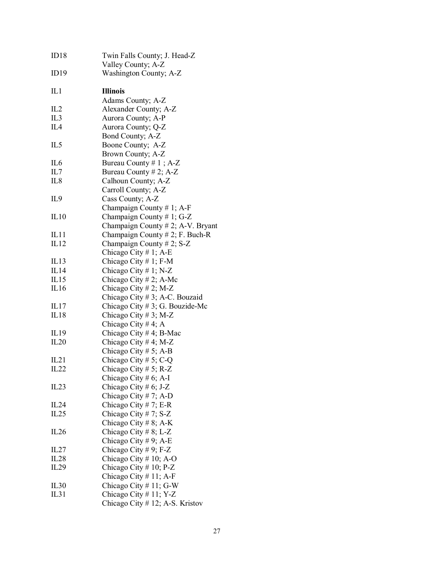| ID18             | Twin Falls County; J. Head-Z       |
|------------------|------------------------------------|
|                  | Valley County; A-Z                 |
| ID19             | Washington County; A-Z             |
| IL1              | <b>Illinois</b>                    |
|                  | Adams County; A-Z                  |
| IL2              | Alexander County; A-Z              |
| IL <sub>3</sub>  | Aurora County; A-P                 |
| IL <sub>4</sub>  | Aurora County; Q-Z                 |
|                  | Bond County; A-Z                   |
| IL <sub>5</sub>  | Boone County; A-Z                  |
|                  | Brown County; A-Z                  |
| IL <sub>6</sub>  | Bureau County $# 1$ ; A-Z          |
| IL7              | Bureau County # 2; $A-Z$           |
| IL <sub>8</sub>  | Calhoun County; A-Z                |
|                  | Carroll County; A-Z                |
| IL <sub>9</sub>  | Cass County; A-Z                   |
|                  | Champaign County # 1; A-F          |
| IL10             | Champaign County # 1; G-Z          |
|                  | Champaign County # 2; A-V. Bryant  |
|                  |                                    |
| IL11             | Champaign County $# 2$ ; F. Buch-R |
| IL12             | Champaign County # 2; S-Z          |
|                  | Chicago City # 1; A-E              |
| IL13             | Chicago City # 1; $F-M$            |
| IL14             | Chicago City # 1; N-Z              |
| IL15             | Chicago City # 2; A-Mc             |
| IL16             | Chicago City # 2; M-Z              |
|                  | Chicago City # 3; A-C. Bouzaid     |
| IL <sub>17</sub> | Chicago City # 3; G. Bouzide-Mc    |
| IL18             | Chicago City # 3; M-Z              |
|                  | Chicago City #4; A                 |
| IL19             | Chicago City # 4; B-Mac            |
| IL20             | Chicago City #4; M-Z               |
|                  | Chicago City # 5; A-B              |
| IL21             | Chicago City # 5; C-Q              |
| IL22             | Chicago City # 5; R-Z              |
|                  | Chicago City # 6; A-I              |
| IL23             | Chicago City # 6; J-Z              |
|                  | Chicago City # 7; A-D              |
| IL24             | Chicago City # 7; E-R              |
| IL25             | Chicago City # 7; $S-Z$            |
|                  | Chicago City # 8; A-K              |
| IL26             | Chicago City # 8; L-Z              |
|                  | Chicago City # 9; A-E              |
| IL27             | Chicago City # 9; F-Z              |
| IL28             | Chicago City # 10; A-O             |
| IL29             | Chicago City $# 10$ ; P-Z          |
|                  | Chicago City # 11; A-F             |
|                  |                                    |
| IL30             | Chicago City # 11; G-W             |
| IL31             | Chicago City # 11; Y-Z             |
|                  | Chicago City # 12; A-S. Kristov    |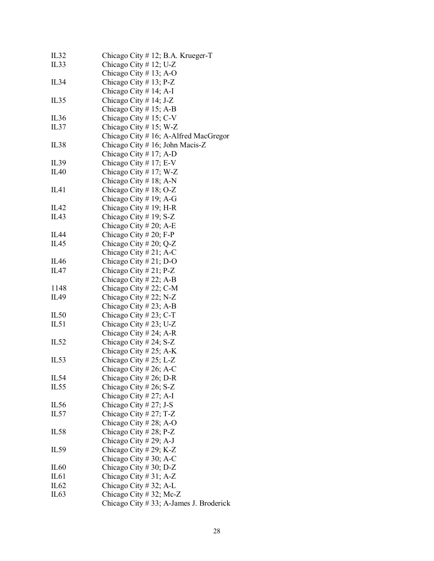| IL32             | Chicago City # 12; B.A. Krueger-T       |
|------------------|-----------------------------------------|
| IL33             | Chicago City # 12; U-Z                  |
|                  | Chicago City # 13; A-O                  |
| IL34             | Chicago City $# 13$ ; P-Z               |
|                  | Chicago City # 14; A-I                  |
| IL35             | Chicago City # 14; J-Z                  |
|                  |                                         |
|                  | Chicago City # 15; A-B                  |
| IL36             | Chicago City # 15; $C-V$                |
| IL37             | Chicago City # 15; W-Z                  |
|                  | Chicago City # 16; A-Alfred MacGregor   |
| IL38             | Chicago City # 16; John Macis-Z         |
|                  | Chicago City # 17; A-D                  |
| IL39             | Chicago City # 17; E-V                  |
| IL40             | Chicago City # 17; W-Z                  |
|                  | Chicago City # 18; A-N                  |
| IL41             | Chicago City # 18; O-Z                  |
|                  | Chicago City # 19; A-G                  |
| IL42             | Chicago City # 19; H-R                  |
| IL43             | Chicago City # 19; S-Z                  |
|                  | Chicago City # 20; A-E                  |
| IL44             | Chicago City # 20; F-P                  |
| IL <sub>45</sub> | Chicago City # 20; Q-Z                  |
|                  |                                         |
|                  | Chicago City # 21; A-C                  |
| IL46             | Chicago City # 21; D-O                  |
| IL <sub>47</sub> | Chicago City # 21; P-Z                  |
|                  | Chicago City # 22; A-B                  |
| 1148             | Chicago City #22; C-M                   |
| IL49             | Chicago City # 22; N-Z                  |
|                  | Chicago City # 23; A-B                  |
| IL50             | Chicago City # 23; C-T                  |
| IL51             | Chicago City # 23; U-Z                  |
|                  | Chicago City # 24; A-R                  |
| IL52             | Chicago City # 24; S-Z                  |
|                  | Chicago City # 25; A-K                  |
| IL53             | Chicago City # 25; L-Z                  |
|                  | Chicago City # 26; A-C                  |
| IL54             | Chicago City # 26; D-R                  |
| IL55             | Chicago City # 26; S-Z                  |
|                  | Chicago City # 27; A-I                  |
| IL56             | Chicago City # 27; J-S                  |
| IL57             | Chicago City # 27; T-Z                  |
|                  | Chicago City # 28; A-O                  |
| IL58             | Chicago City # 28; P-Z                  |
|                  |                                         |
|                  | Chicago City # 29; A-J                  |
| IL59             | Chicago City # 29; K-Z                  |
|                  | Chicago City # 30; A-C                  |
| IL <sub>60</sub> | Chicago City # 30; D-Z                  |
| IL61             | Chicago City # 31; A-Z                  |
| IL62             | Chicago City # 32; A-L                  |
| IL63             | Chicago City # 32; Mc-Z                 |
|                  | Chicago City # 33; A-James J. Broderick |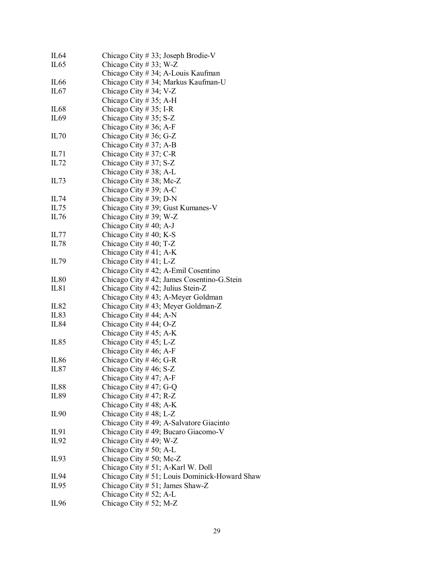| IL64             | Chicago City # 33; Joseph Brodie-V            |
|------------------|-----------------------------------------------|
| IL65             | Chicago City # 33; W-Z                        |
|                  | Chicago City # 34; A-Louis Kaufman            |
| IL <sub>66</sub> | Chicago City # 34; Markus Kaufman-U           |
| IL67             | Chicago City # 34; V-Z                        |
|                  | Chicago City # 35; A-H                        |
| IL <sub>68</sub> | Chicago City # 35; I-R                        |
| IL <sub>69</sub> | Chicago City # 35; S-Z                        |
|                  | Chicago City # 36; A-F                        |
| IL70             | Chicago City # 36; G-Z                        |
|                  | Chicago City # 37; A-B                        |
| IL71             | Chicago City # 37; C-R                        |
| IL72             | Chicago City # 37; S-Z                        |
|                  | Chicago City # 38; A-L                        |
| IL73             | Chicago City #38; Mc-Z                        |
|                  | Chicago City # 39; A-C                        |
| IL74             | Chicago City # 39; D-N                        |
| IL75             | Chicago City # 39; Gust Kumanes-V             |
| IL76             | Chicago City # 39; W-Z                        |
|                  | Chicago City # 40; A-J                        |
| IL77             | Chicago City # 40; K-S                        |
| IL78             | Chicago City # 40; T-Z                        |
|                  | Chicago City #41; A-K                         |
| IL79             | Chicago City # 41; L-Z                        |
|                  | Chicago City # 42; A-Emil Cosentino           |
| IL80             | Chicago City #42; James Cosentino-G. Stein    |
| IL81             | Chicago City # 42; Julius Stein-Z             |
|                  | Chicago City #43; A-Meyer Goldman             |
| IL82             | Chicago City #43; Meyer Goldman-Z             |
| IL <sub>83</sub> | Chicago City # 44; A-N                        |
| <b>IL84</b>      | Chicago City # 44; O-Z                        |
|                  | Chicago City #45; A-K                         |
| IL85             | Chicago City #45; L-Z                         |
|                  | Chicago City # 46; A-F                        |
| IL86             | Chicago City # 46; G-R                        |
| IL87             | Chicago City # 46; S-Z                        |
|                  | Chicago City #47; A-F                         |
| <b>IL88</b>      | Chicago City #47; G-Q                         |
| IL89             | Chicago City # 47; R-Z                        |
|                  | Chicago City #48; A-K                         |
| IL90             | Chicago City # 48; L-Z                        |
|                  | Chicago City #49; A-Salvatore Giacinto        |
| IL91             | Chicago City #49; Bucaro Giacomo-V            |
| IL92             | Chicago City #49; W-Z                         |
|                  | Chicago City # 50; A-L                        |
| IL93             | Chicago City # 50; Mc-Z                       |
|                  | Chicago City # 51; A-Karl W. Doll             |
| IL94             | Chicago City # 51; Louis Dominick-Howard Shaw |
| IL <sub>95</sub> | Chicago City $# 51$ ; James Shaw-Z            |
|                  | Chicago City # 52; A-L                        |
| IL <sub>96</sub> | Chicago City # 52; M-Z                        |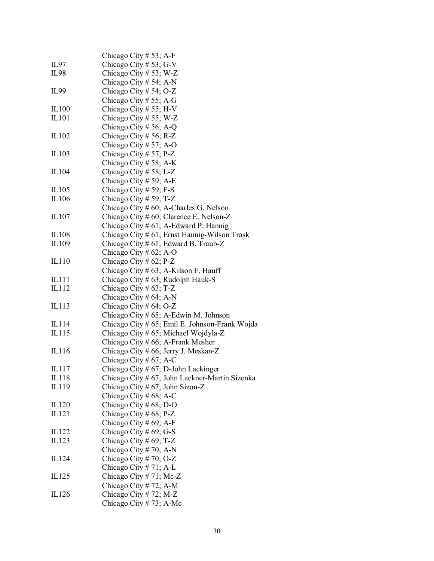|                | Chicago City # 53; A-F                                                                     |
|----------------|--------------------------------------------------------------------------------------------|
| IL97           | Chicago City # 53; G-V                                                                     |
| IL98           | Chicago City # 53; W-Z                                                                     |
|                | Chicago City # 54; A-N                                                                     |
| IL99           | Chicago City # 54; O-Z                                                                     |
|                | Chicago City # 55; A-G                                                                     |
| IL100          | Chicago City # 55; H-V                                                                     |
| IL101          | Chicago City # 55; W-Z                                                                     |
|                | Chicago City # 56; A-Q                                                                     |
| IL102          | Chicago City # 56; R-Z                                                                     |
|                | Chicago City # 57; A-O                                                                     |
| IL103          | Chicago City # 57; P-Z                                                                     |
|                | Chicago City # 58; A-K                                                                     |
| IL104          | Chicago City # 58; L-Z                                                                     |
|                | Chicago City # 59; A-E                                                                     |
| IL105          | Chicago City # 59; F-S                                                                     |
| IL106          | Chicago City # 59; T-Z                                                                     |
|                | Chicago City $# 60$ ; A-Charles G. Nelson                                                  |
| IL107          | Chicago City # 60; Clarence E. Nelson-Z                                                    |
|                | Chicago City # 61; A-Edward P. Hannig                                                      |
|                | Chicago City # 61; Ernst Hannig-Wilson Trask                                               |
| IL108<br>IL109 |                                                                                            |
|                | Chicago City # $61$ ; Edward B. Traub-Z                                                    |
|                | Chicago City # $62$ ; A-O                                                                  |
| IL110          | Chicago City # 62; P-Z                                                                     |
|                | Chicago City $# 63$ ; A-Kilson F. Hauff                                                    |
| IL111<br>IL112 | Chicago City # 63; Rudolph Hauk-S                                                          |
|                | Chicago City # 63; T-Z                                                                     |
|                | Chicago City # $64$ ; A-N                                                                  |
| IL113          | Chicago City # $64$ ; O-Z                                                                  |
| IL114          | Chicago City $# 65$ ; A-Edwin M. Johnson<br>Chicago City # 65; Emil E. Johnson-Frank Wojda |
|                |                                                                                            |
| IL115          | Chicago City # 65; Michael Wojdyla-Z<br>Chicago City # 66; A-Frank Mesher                  |
| IL116          | Chicago City # 66; Jerry J. Meskan-Z                                                       |
|                | Chicago City # 67; A-C                                                                     |
| IL117          |                                                                                            |
| IL118          | Chicago City # $67$ ; D-John Lackinger<br>Chicago City # 67; John Lackner-Martin Sizenka   |
| IL119          | Chicago City # 67; John Sizon-Z                                                            |
|                | Chicago City # 68; A-C                                                                     |
| IL120          | Chicago City # $68$ ; D-O                                                                  |
| IL121          | Chicago City # 68; P-Z                                                                     |
|                | Chicago City # 69; A-F                                                                     |
| IL122          | Chicago City # $69$ ; G-S                                                                  |
| IL123          | Chicago City # 69; T-Z                                                                     |
|                | Chicago City # 70; A-N                                                                     |
|                |                                                                                            |
| IL124          | Chicago City # 70; O-Z                                                                     |
| IL125          | Chicago City # 71; A-L<br>Chicago City # 71; Mc-Z                                          |
|                | Chicago City # 72; A-M                                                                     |
| IL126          | Chicago City # 72; M-Z                                                                     |
|                |                                                                                            |
|                | Chicago City # 73; A-Mc                                                                    |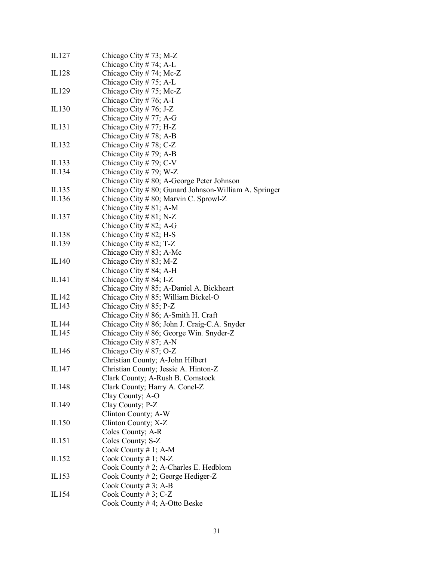| IL127 | Chicago City # 73; M-Z                                  |
|-------|---------------------------------------------------------|
|       | Chicago City # 74; A-L                                  |
| IL128 | Chicago City # 74; Mc-Z                                 |
|       | Chicago City # 75; A-L                                  |
| IL129 | Chicago City # 75; Mc-Z                                 |
|       | Chicago City # 76; A-I                                  |
| IL130 | Chicago City # 76; J-Z                                  |
|       | Chicago City # 77; A-G                                  |
| IL131 | Chicago City # 77; H-Z                                  |
|       | Chicago City # 78; A-B                                  |
| IL132 | Chicago City # 78; C-Z                                  |
|       | Chicago City # 79; A-B                                  |
| IL133 | Chicago City # 79; C-V                                  |
| IL134 | Chicago City # 79; W-Z                                  |
|       | Chicago City $# 80$ ; A-George Peter Johnson            |
| IL135 | Chicago City $#80$ ; Gunard Johnson-William A. Springer |
| IL136 | Chicago City # 80; Marvin C. Sprowl-Z                   |
|       | Chicago City # 81; A-M                                  |
| IL137 | Chicago City # 81; N-Z                                  |
|       | Chicago City # 82; A-G                                  |
| IL138 | Chicago City # 82; H-S                                  |
| IL139 | Chicago City # 82; T-Z                                  |
|       | Chicago City # 83; A-Mc                                 |
| IL140 | Chicago City # 83; M-Z                                  |
|       | Chicago City # 84; A-H                                  |
|       |                                                         |
| IL141 | Chicago City # 84; I-Z                                  |
|       | Chicago City # 85; A-Daniel A. Bickheart                |
| IL142 | Chicago City # 85; William Bickel-O                     |
| IL143 | Chicago City # 85; P-Z                                  |
|       | Chicago City # 86; A-Smith H. Craft                     |
| IL144 | Chicago City # 86; John J. Craig-C.A. Snyder            |
| IL145 | Chicago City # 86; George Win. Snyder-Z                 |
|       | Chicago City # 87; A-N                                  |
| IL146 | Chicago City # 87; O-Z                                  |
|       | Christian County; A-John Hilbert                        |
| IL147 | Christian County; Jessie A. Hinton-Z                    |
|       | Clark County; A-Rush B. Comstock                        |
| IL148 | Clark County; Harry A. Conel-Z                          |
|       | Clay County; A-O                                        |
| IL149 | Clay County; P-Z                                        |
|       | Clinton County; A-W                                     |
| IL150 | Clinton County; X-Z                                     |
|       | Coles County; A-R                                       |
| IL151 | Coles County; S-Z                                       |
|       | Cook County $# 1$ ; A-M                                 |
| IL152 | Cook County $# 1$ ; N-Z                                 |
|       | Cook County $# 2$ ; A-Charles E. Hedblom                |
| IL153 | Cook County # 2; George Hediger-Z                       |
|       | Cook County # 3; A-B                                    |
| IL154 | Cook County #3; C-Z                                     |
|       | Cook County #4; A-Otto Beske                            |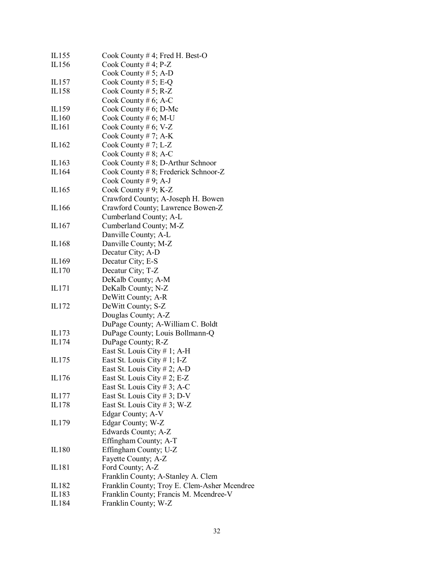| IL155 | Cook County #4; Fred H. Best-O               |
|-------|----------------------------------------------|
| IL156 | Cook County #4; $P-Z$                        |
|       | Cook County # 5; A-D                         |
| IL157 | Cook County # 5; E-Q                         |
| IL158 | Cook County # 5; $R-Z$                       |
|       | Cook County # $6$ ; A-C                      |
| IL159 | Cook County # $6$ ; D-Mc                     |
| IL160 | Cook County # $6$ ; M-U                      |
| IL161 | Cook County # $6$ ; V-Z                      |
|       | Cook County # 7; $A-K$                       |
| IL162 | Cook County # 7; L-Z                         |
|       | Cook County # 8; A-C                         |
| IL163 | Cook County $# 8$ ; D-Arthur Schnoor         |
| IL164 | Cook County # 8; Frederick Schnoor-Z         |
|       | Cook County # 9; A-J                         |
| IL165 | Cook County # 9; K-Z                         |
|       | Crawford County; A-Joseph H. Bowen           |
| IL166 | Crawford County; Lawrence Bowen-Z            |
|       | Cumberland County; A-L                       |
| IL167 | Cumberland County; M-Z                       |
|       | Danville County; A-L                         |
| IL168 | Danville County; M-Z                         |
|       | Decatur City; A-D                            |
| IL169 | Decatur City; E-S                            |
| IL170 | Decatur City; T-Z                            |
|       | DeKalb County; A-M                           |
| IL171 | DeKalb County; N-Z                           |
|       | DeWitt County; A-R                           |
| IL172 | DeWitt County; S-Z                           |
|       | Douglas County; A-Z                          |
|       | DuPage County; A-William C. Boldt            |
| IL173 | DuPage County; Louis Bollmann-Q              |
| IL174 | DuPage County; R-Z                           |
|       | East St. Louis City $# 1$ ; A-H              |
| IL175 | East St. Louis City $# 1$ ; I-Z              |
|       | East St. Louis City # 2; A-D                 |
| IL176 | East St. Louis City # 2; E-Z                 |
|       | East St. Louis City # 3; A-C                 |
| IL177 | East St. Louis City # 3; D-V                 |
| IL178 | East St. Louis City # 3; W-Z                 |
|       | Edgar County; A-V                            |
| IL179 | Edgar County; W-Z                            |
|       | Edwards County; A-Z                          |
|       | Effingham County; A-T                        |
| IL180 | Effingham County; U-Z                        |
|       | Fayette County; A-Z                          |
| IL181 | Ford County; A-Z                             |
|       | Franklin County; A-Stanley A. Clem           |
| IL182 | Franklin County; Troy E. Clem-Asher Mcendree |
| IL183 | Franklin County; Francis M. Mcendree-V       |
| IL184 | Franklin County; W-Z                         |
|       |                                              |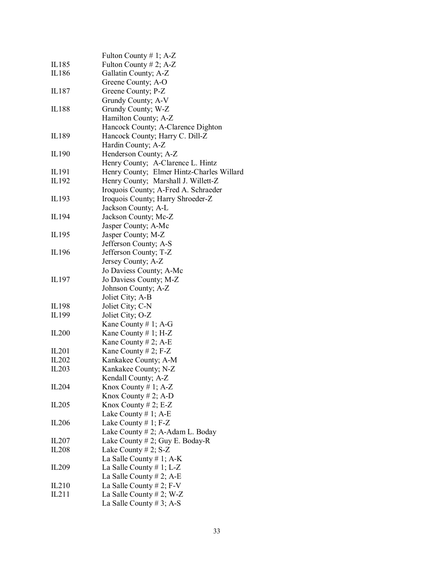|                   | Fulton County $# 1$ ; A-Z                 |
|-------------------|-------------------------------------------|
| IL185             | Fulton County # 2; A-Z                    |
| IL186             | Gallatin County; A-Z                      |
|                   | Greene County; A-O                        |
| IL187             | Greene County; P-Z                        |
|                   | Grundy County; A-V                        |
| IL188             | Grundy County; W-Z                        |
|                   | Hamilton County; A-Z                      |
|                   | Hancock County; A-Clarence Dighton        |
| IL189             | Hancock County; Harry C. Dill-Z           |
|                   | Hardin County; A-Z                        |
| IL190             | Henderson County; A-Z                     |
|                   | Henry County; A-Clarence L. Hintz         |
| IL191             |                                           |
|                   | Henry County; Elmer Hintz-Charles Willard |
| IL192             | Henry County; Marshall J. Willett-Z       |
|                   | Iroquois County; A-Fred A. Schraeder      |
| IL193             | Iroquois County; Harry Shroeder-Z         |
|                   | Jackson County; A-L                       |
| IL194             | Jackson County; Mc-Z                      |
|                   | Jasper County; A-Mc                       |
| IL195             | Jasper County; M-Z                        |
|                   | Jefferson County; A-S                     |
| IL196             | Jefferson County; T-Z                     |
|                   | Jersey County; A-Z                        |
|                   | Jo Daviess County; A-Mc                   |
| IL197             | Jo Daviess County; M-Z                    |
|                   | Johnson County; A-Z                       |
|                   | Joliet City; A-B                          |
| IL198             | Joliet City; C-N                          |
| IL199             | Joliet City; O-Z                          |
|                   | Kane County # 1; A-G                      |
| IL <sub>200</sub> | Kane County $# 1$ ; H-Z                   |
|                   | Kane County # 2; A-E                      |
| IL201             | Kane County # 2; $F-Z$                    |
| IL202             | Kankakee County; A-M                      |
| IL203             | Kankakee County; N-Z                      |
|                   | Kendall County; A-Z                       |
| IL <sub>204</sub> | Knox County # 1; $A-Z$                    |
|                   | Knox County $# 2$ ; A-D                   |
| IL <sub>205</sub> | Knox County # 2; $E-Z$                    |
|                   | Lake County # 1; A-E                      |
| IL <sub>206</sub> | Lake County # 1; $F-Z$                    |
|                   | Lake County $# 2$ ; A-Adam L. Boday       |
| IL207             | Lake County # 2; Guy E. Boday-R           |
| IL <sub>208</sub> | Lake County # 2; S-Z                      |
|                   | La Salle County # 1; A-K                  |
| IL <sub>209</sub> | La Salle County # 1; L-Z                  |
|                   | La Salle County # 2; A-E                  |
| IL210             | La Salle County # 2; $F-V$                |
| IL211             | La Salle County # 2; W-Z                  |
|                   | La Salle County # 3; A-S                  |
|                   |                                           |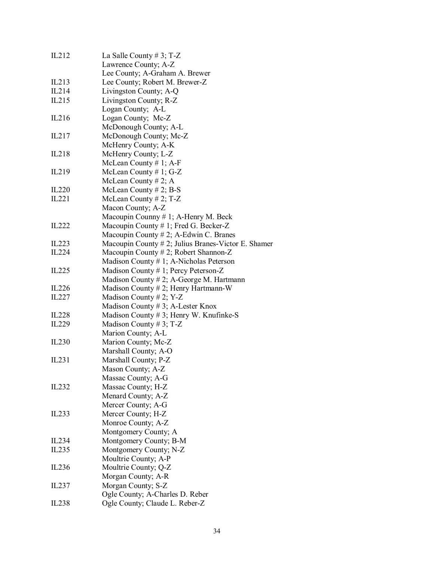| IL212             | La Salle County # 3; T-Z                               |
|-------------------|--------------------------------------------------------|
|                   | Lawrence County; A-Z                                   |
|                   | Lee County; A-Graham A. Brewer                         |
| IL213             | Lee County; Robert M. Brewer-Z                         |
| IL214             | Livingston County; A-Q                                 |
| IL215             | Livingston County; R-Z                                 |
|                   | Logan County; A-L                                      |
| IL216             | Logan County; Mc-Z                                     |
|                   | McDonough County; A-L                                  |
| IL217             | McDonough County; Mc-Z                                 |
|                   | McHenry County; A-K                                    |
| IL218             | McHenry County; L-Z                                    |
|                   | McLean County #1; A-F                                  |
| IL219             | McLean County $# 1$ ; G-Z                              |
|                   | McLean County # 2; A                                   |
| IL <sub>220</sub> | McLean County $# 2$ ; B-S                              |
| IL221             | McLean County $# 2$ ; T-Z                              |
|                   | Macon County; A-Z                                      |
|                   | Macoupin Counny $# 1$ ; A-Henry M. Beck                |
| IL222             | Macoupin County # 1; Fred G. Becker-Z                  |
|                   | Macoupin County # 2; A-Edwin C. Branes                 |
| IL223             | Macoupin County $# 2$ ; Julius Branes-Victor E. Shamer |
| IL224             | Macoupin County # 2; Robert Shannon-Z                  |
|                   | Madison County #1; A-Nicholas Peterson                 |
| IL <sub>225</sub> | Madison County # 1; Percy Peterson-Z                   |
|                   | Madison County $# 2$ ; A-George M. Hartmann            |
| IL226             | Madison County # 2; Henry Hartmann-W                   |
| IL227             | Madison County # 2; Y-Z                                |
|                   | Madison County # 3; A-Lester Knox                      |
| IL <sub>228</sub> | Madison County $# 3$ ; Henry W. Knufinke-S             |
| IL <sub>229</sub> | Madison County # 3; T-Z                                |
|                   | Marion County; A-L                                     |
| IL230             | Marion County; Mc-Z                                    |
|                   | Marshall County; A-O                                   |
| IL231             | Marshall County; P-Z                                   |
|                   | Mason County; A-Z                                      |
|                   | Massac County; A-G                                     |
| IL <sub>232</sub> | Massac County; H-Z                                     |
|                   | Menard County; A-Z                                     |
|                   | Mercer County; A-G                                     |
| IL <sub>233</sub> | Mercer County; H-Z                                     |
|                   | Monroe County; A-Z                                     |
| IL234             | Montgomery County; A                                   |
| IL <sub>235</sub> | Montgomery County; B-M<br>Montgomery County; N-Z       |
|                   |                                                        |
|                   | Moultrie County; A-P                                   |
| IL236             | Moultrie County; Q-Z                                   |
| IL237             | Morgan County; A-R<br>Morgan County; S-Z               |
|                   | Ogle County; A-Charles D. Reber                        |
| IL <sub>238</sub> | Ogle County; Claude L. Reber-Z                         |
|                   |                                                        |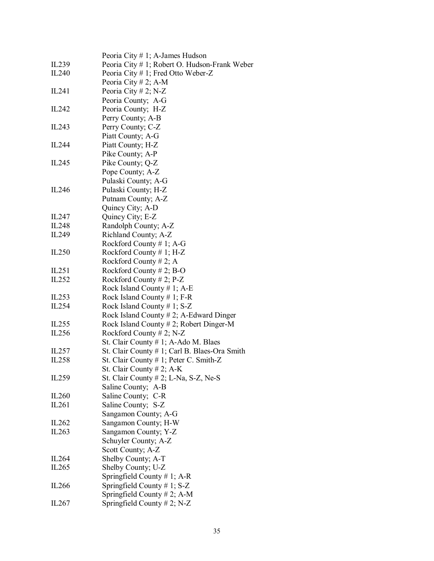|                   | Peoria City # 1; A-James Hudson               |
|-------------------|-----------------------------------------------|
| IL <sub>239</sub> | Peoria City # 1; Robert O. Hudson-Frank Weber |
| IL240             | Peoria City # 1; Fred Otto Weber-Z            |
|                   | Peoria City # 2; A-M                          |
| IL241             | Peoria City # 2; N-Z                          |
|                   | Peoria County; A-G                            |
| IL <sub>242</sub> | Peoria County; H-Z                            |
|                   | Perry County; A-B                             |
| IL <sub>243</sub> | Perry County; C-Z                             |
|                   | Piatt County; A-G                             |
|                   |                                               |
| IL244             | Piatt County; H-Z                             |
|                   | Pike County; A-P                              |
| IL <sub>245</sub> | Pike County; Q-Z                              |
|                   | Pope County; A-Z                              |
|                   | Pulaski County; A-G                           |
| IL246             | Pulaski County; H-Z                           |
|                   | Putnam County; A-Z                            |
|                   | Quincy City; A-D                              |
| IL247             | Quincy City; E-Z                              |
| IL <sub>248</sub> | Randolph County; A-Z                          |
| IL249             | Richland County; A-Z                          |
|                   | Rockford County # 1; A-G                      |
| IL <sub>250</sub> | Rockford County $# 1$ ; H-Z                   |
|                   | Rockford County # 2; A                        |
| IL251             | Rockford County # 2; B-O                      |
| IL252             | Rockford County # 2; $P-Z$                    |
|                   | Rock Island County # 1; A-E                   |
| IL253             | Rock Island County # 1; F-R                   |
| IL254             | Rock Island County # 1; $S-Z$                 |
|                   | Rock Island County $# 2$ ; A-Edward Dinger    |
| IL <sub>255</sub> | Rock Island County # 2; Robert Dinger-M       |
| IL256             | Rockford County # 2; N-Z                      |
|                   | St. Clair County # 1; A-Ado M. Blaes          |
| IL257             | St. Clair County # 1; Carl B. Blaes-Ora Smith |
| IL <sub>258</sub> | St. Clair County # 1; Peter C. Smith-Z        |
|                   | St. Clair County # 2; A-K                     |
| IL259             | St. Clair County $# 2$ ; L-Na, S-Z, Ne-S      |
|                   | Saline County; A-B                            |
| IL <sub>260</sub> | Saline County; C-R                            |
| IL261             | Saline County; S-Z                            |
|                   | Sangamon County; A-G                          |
| IL <sub>262</sub> | Sangamon County; H-W                          |
|                   |                                               |
| IL <sub>263</sub> | Sangamon County; Y-Z                          |
|                   | Schuyler County; A-Z                          |
|                   | Scott County; A-Z                             |
| IL264             | Shelby County; A-T                            |
| IL <sub>265</sub> | Shelby County; U-Z                            |
|                   | Springfield County # 1; A-R                   |
| IL266             | Springfield County $# 1$ ; S-Z                |
|                   | Springfield County # 2; A-M                   |
| IL267             | Springfield County $# 2$ ; N-Z                |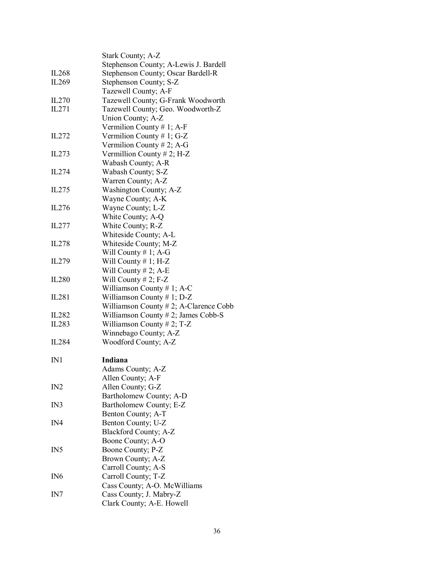|                   | Stark County; A-Z                               |
|-------------------|-------------------------------------------------|
|                   | Stephenson County; A-Lewis J. Bardell           |
| IL <sub>268</sub> | Stephenson County; Oscar Bardell-R              |
| IL269             | Stephenson County; S-Z                          |
|                   | Tazewell County; A-F                            |
| IL <sub>270</sub> | Tazewell County; G-Frank Woodworth              |
| IL271             | Tazewell County; Geo. Woodworth-Z               |
|                   | Union County; A-Z                               |
|                   | Vermilion County # 1; A-F                       |
| IL272             | Vermilion County # 1; G-Z                       |
|                   | Vermilion County # 2; A-G                       |
| IL273             | Vermillion County # 2; H-Z                      |
|                   | Wabash County; A-R                              |
| IL274             | Wabash County; S-Z                              |
|                   | Warren County; A-Z                              |
| IL275             | Washington County; A-Z                          |
|                   | Wayne County; A-K                               |
| IL276             | Wayne County; L-Z                               |
|                   | White County; A-Q                               |
| IL277             | White County; R-Z                               |
|                   |                                                 |
|                   | Whiteside County; A-L                           |
| IL <sub>278</sub> | Whiteside County; M-Z                           |
| IL279             | Will County $# 1$ ; A-G<br>Will County # 1; H-Z |
|                   | Will County $# 2$ ; A-E                         |
|                   |                                                 |
| IL <sub>280</sub> | Will County $# 2$ ; F-Z                         |
|                   | Williamson County # 1; A-C                      |
| IL <sub>281</sub> | Williamson County # 1; $D-Z$                    |
|                   | Williamson County $# 2$ ; A-Clarence Cobb       |
| IL282             | Williamson County $# 2$ ; James Cobb-S          |
| IL283             | Williamson County # 2; T-Z                      |
|                   | Winnebago County; A-Z                           |
| IL <sub>284</sub> | Woodford County; A-Z                            |
| IN1               | Indiana                                         |
|                   | Adams County; A-Z                               |
|                   | Allen County; A-F                               |
| IN2               | Allen County; G-Z                               |
|                   | Bartholomew County; A-D                         |
| IN3               | Bartholomew County; E-Z                         |
|                   | Benton County; A-T                              |
| IN4               | Benton County; U-Z                              |
|                   | Blackford County; A-Z                           |
|                   | Boone County; A-O                               |
| IN <sub>5</sub>   | Boone County; P-Z                               |
|                   | Brown County; A-Z                               |
|                   | Carroll County; A-S                             |
| IN <sub>6</sub>   | Carroll County; T-Z                             |
|                   | Cass County; A-O. McWilliams                    |
| IN7               | Cass County; J. Mabry-Z                         |
|                   | Clark County; A-E. Howell                       |
|                   |                                                 |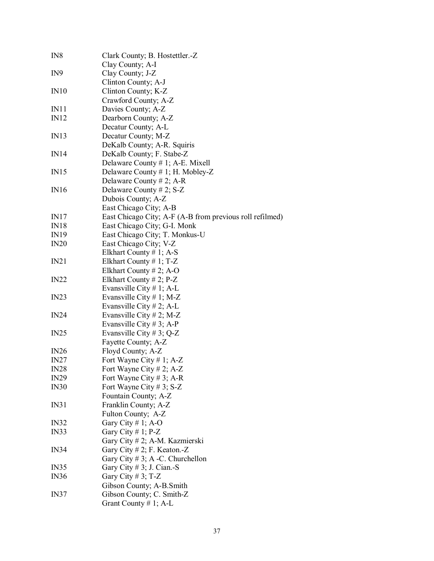| IN8             | Clark County; B. Hostettler.-Z                           |
|-----------------|----------------------------------------------------------|
|                 | Clay County; A-I                                         |
| IN <sub>9</sub> | Clay County; J-Z                                         |
|                 | Clinton County; A-J                                      |
| IN10            | Clinton County; K-Z                                      |
|                 | Crawford County; A-Z                                     |
| IN11            | Davies County; A-Z                                       |
| IN12            | Dearborn County; A-Z                                     |
|                 | Decatur County; A-L                                      |
| IN13            | Decatur County; M-Z                                      |
|                 | DeKalb County; A-R. Squiris                              |
| IN14            | DeKalb County; F. Stabe-Z                                |
|                 | Delaware County $# 1$ ; A-E. Mixell                      |
| IN15            | Delaware County # 1; H. Mobley-Z                         |
|                 | Delaware County # 2; A-R                                 |
| IN16            | Delaware County # 2; $S-Z$                               |
|                 | Dubois County; A-Z                                       |
|                 | East Chicago City; A-B                                   |
| IN17            | East Chicago City; A-F (A-B from previous roll refilmed) |
| IN18            | East Chicago City; G-I. Monk                             |
| IN19            | East Chicago City; T. Monkus-U                           |
| IN20            | East Chicago City; V-Z                                   |
|                 | Elkhart County $# 1$ ; A-S                               |
| IN21            | Elkhart County $# 1$ ; T-Z                               |
|                 | Elkhart County # 2; A-O                                  |
| IN22            | Elkhart County $# 2$ ; P-Z                               |
|                 | Evansville City $# 1$ ; A-L                              |
| IN23            | Evansville City $# 1$ ; M-Z                              |
|                 | Evansville City # 2; A-L                                 |
| IN24            | Evansville City # 2; M-Z                                 |
|                 | Evansville City # 3; A-P                                 |
| IN25            | Evansville City # 3; $Q-Z$                               |
|                 | Fayette County; A-Z                                      |
| IN26            | Floyd County; A-Z                                        |
| IN27            | Fort Wayne City # 1; $A-Z$                               |
| <b>IN28</b>     | Fort Wayne City # 2; A-Z                                 |
| IN29            | Fort Wayne City # 3; A-R                                 |
| IN30            | Fort Wayne City # 3; $S-Z$                               |
|                 | Fountain County; A-Z                                     |
| IN31            | Franklin County; A-Z                                     |
|                 | Fulton County; A-Z                                       |
| IN32            | Gary City # 1; A-O                                       |
| IN33            | Gary City # 1; $P-Z$                                     |
|                 | Gary City # 2; A-M. Kazmierski                           |
| IN34            | Gary City # 2; F. Keaton.-Z                              |
|                 | Gary City $# 3$ ; A -C. Churchellon                      |
| IN35            | Gary City # 3; J. Cian.-S                                |
| IN36            | Gary City # 3; T-Z                                       |
|                 | Gibson County; A-B. Smith                                |
| IN37            | Gibson County; C. Smith-Z                                |
|                 | Grant County # 1; $A-L$                                  |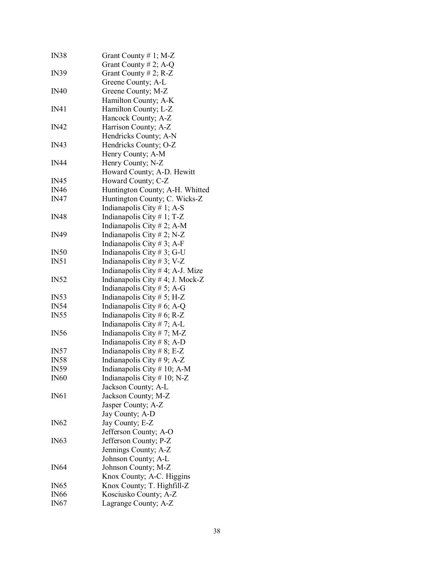| <b>IN38</b>      | Grant County #1; M-Z                |
|------------------|-------------------------------------|
|                  | Grant County # 2; A-Q               |
| <b>IN39</b>      | Grant County # 2; $R-Z$             |
|                  | Greene County; A-L                  |
| <b>IN40</b>      | Greene County; M-Z                  |
|                  | Hamilton County; A-K                |
| IN41             | Hamilton County; L-Z                |
|                  | Hancock County; A-Z                 |
| <b>IN42</b>      | Harrison County; A-Z                |
|                  | Hendricks County; A-N               |
| <b>IN43</b>      | Hendricks County; O-Z               |
|                  | Henry County; A-M                   |
| <b>IN44</b>      | Henry County; N-Z                   |
|                  | Howard County; A-D. Hewitt          |
| <b>IN45</b>      | Howard County; C-Z                  |
| <b>IN46</b>      | Huntington County; A-H. Whitted     |
| <b>IN47</b>      | Huntington County; C. Wicks-Z       |
|                  | Indianapolis City $# 1$ ; A-S       |
| <b>IN48</b>      | Indianapolis City $# 1$ ; T-Z       |
|                  | Indianapolis City # 2; A-M          |
| <b>IN49</b>      | Indianapolis City # 2; N-Z          |
|                  | Indianapolis City # 3; A-F          |
| IN50             | Indianapolis City # 3; G-U          |
| IN51             | Indianapolis City #3; V-Z           |
|                  | Indianapolis City $# 4$ ; A-J. Mize |
| IN52             | Indianapolis City # 4; J. Mock-Z    |
|                  | Indianapolis City # 5; A-G          |
| <b>IN53</b>      | Indianapolis City $# 5$ ; H-Z       |
| <b>IN54</b>      | Indianapolis City # 6; A-Q          |
| IN <sub>55</sub> | Indianapolis City # 6; R-Z          |
|                  | Indianapolis City $# 7$ ; A-L       |
| <b>IN56</b>      | Indianapolis City #7; M-Z           |
|                  | Indianapolis City #8; A-D           |
| <b>IN57</b>      | Indianapolis City #8; E-Z           |
| <b>IN58</b>      | Indianapolis City #9; A-Z           |
| <b>IN59</b>      | Indianapolis City # 10; A-M         |
| <b>IN60</b>      | Indianapolis City $# 10$ ; N-Z      |
|                  | Jackson County; A-L                 |
| IN61             | Jackson County; M-Z                 |
|                  | Jasper County; A-Z                  |
|                  | Jay County; A-D                     |
| <b>IN62</b>      | Jay County; E-Z                     |
|                  | Jefferson County; A-O               |
| <b>IN63</b>      | Jefferson County; P-Z               |
|                  | Jennings County; A-Z                |
|                  | Johnson County; A-L                 |
| IN64             | Johnson County; M-Z                 |
|                  | Knox County; A-C. Higgins           |
| <b>IN65</b>      | Knox County; T. Highfill-Z          |
| <b>IN66</b>      | Kosciusko County; A-Z               |
| IN67             | Lagrange County; A-Z                |
|                  |                                     |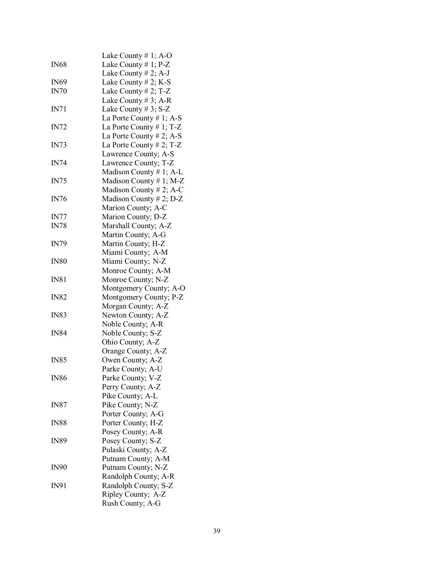|             | Lake County # 1; A-O        |
|-------------|-----------------------------|
| <b>IN68</b> | Lake County $# 1$ ; P-Z     |
|             | Lake County $# 2$ ; A-J     |
| <b>IN69</b> | Lake County $# 2$ ; K-S     |
| IN70        | Lake County # 2; T-Z        |
|             | Lake County # 3; A-R        |
| IN71        | Lake County $# 3$ ; S-Z     |
|             |                             |
|             | La Porte County # 1; A-S    |
| <b>IN72</b> | La Porte County $# 1$ ; T-Z |
|             | La Porte County $# 2$ ; A-S |
| IN73        | La Porte County # 2; T-Z    |
|             | Lawrence County; A-S        |
| <b>IN74</b> | Lawrence County; T-Z        |
|             | Madison County # 1; A-L     |
| IN75        | Madison County # 1; M-Z     |
|             | Madison County # 2; A-C     |
| <b>IN76</b> | Madison County # 2; D-Z     |
|             | Marion County; A-C          |
|             |                             |
| IN77        | Marion County; D-Z          |
| <b>IN78</b> | Marshall County; A-Z        |
|             | Martin County; A-G          |
| <b>IN79</b> | Martin County; H-Z          |
|             | Miami County; A-M           |
| <b>IN80</b> | Miami County; N-Z           |
|             | Monroe County; A-M          |
| IN81        | Monroe County; N-Z          |
|             | Montgomery County; A-O      |
| <b>IN82</b> | Montgomery County; P-Z      |
|             | Morgan County; A-Z          |
| <b>IN83</b> | Newton County; A-Z          |
|             | Noble County; A-R           |
| <b>IN84</b> | Noble County; S-Z           |
|             | Ohio County; A-Z            |
|             | Orange County; A-Z          |
|             |                             |
| <b>IN85</b> | Owen County; A-Z            |
|             | Parke County; A-U           |
| <b>IN86</b> | Parke County; V-Z           |
|             | Perry County; A-Z           |
|             | Pike County; A-L            |
| <b>IN87</b> | Pike County; N-Z            |
|             | Porter County; A-G          |
| <b>IN88</b> | Porter County; H-Z          |
|             | Posey County; A-R           |
| <b>IN89</b> | Posey County; S-Z           |
|             | Pulaski County; A-Z         |
|             | Putnam County; A-M          |
| <b>IN90</b> | Putnam County; N-Z          |
|             |                             |
|             | Randolph County; A-R        |
| IN91        | Randolph County; S-Z        |
|             | Ripley County; A-Z          |
|             | Rush County; A-G            |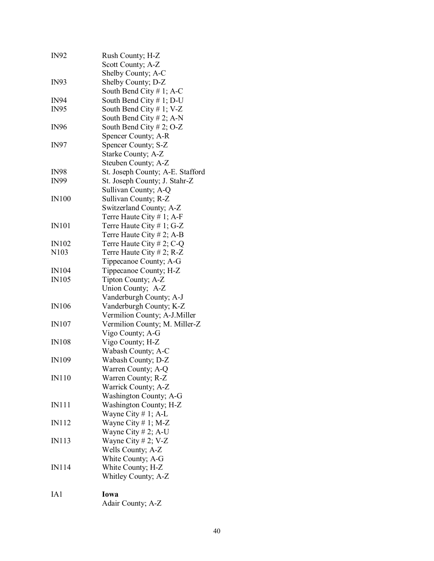| <b>IN92</b>       | Rush County; H-Z<br>Scott County; A-Z    |
|-------------------|------------------------------------------|
| <b>IN93</b>       | Shelby County; A-C<br>Shelby County; D-Z |
|                   | South Bend City $# 1$ ; A-C              |
| <b>IN94</b>       | South Bend City $# 1$ ; D-U              |
| <b>IN95</b>       | South Bend City # 1; V-Z                 |
|                   | South Bend City $# 2$ ; A-N              |
| <b>IN96</b>       | South Bend City # 2; O-Z                 |
|                   | Spencer County; A-R                      |
| <b>IN97</b>       | Spencer County; S-Z                      |
|                   | Starke County; A-Z                       |
|                   | Steuben County; A-Z                      |
| <b>IN98</b>       | St. Joseph County; A-E. Stafford         |
| <b>IN99</b>       | St. Joseph County; J. Stahr-Z            |
|                   | Sullivan County; A-Q                     |
| <b>IN100</b>      | Sullivan County; R-Z                     |
|                   | Switzerland County; A-Z                  |
|                   | Terre Haute City $# 1$ ; A-F             |
| <b>IN101</b>      | Terre Haute City # 1; G-Z                |
|                   | Terre Haute City # 2; A-B                |
| <b>IN102</b>      | Terre Haute City # 2; C-Q                |
| N <sub>10</sub> 3 | Terre Haute City # 2; R-Z                |
|                   |                                          |
|                   | Tippecanoe County; A-G                   |
| <b>IN104</b>      | Tippecanoe County; H-Z                   |
| <b>IN105</b>      | Tipton County; A-Z                       |
|                   | Union County; A-Z                        |
|                   | Vanderburgh County; A-J                  |
| <b>IN106</b>      | Vanderburgh County; K-Z                  |
|                   | Vermilion County; A-J.Miller             |
| <b>IN107</b>      | Vermilion County; M. Miller-Z            |
|                   | Vigo County; A-G                         |
| <b>IN108</b>      | Vigo County; H-Z                         |
|                   | Wabash County; A-C                       |
| <b>IN109</b>      | Wabash County; D-Z                       |
|                   | Warren County; A-Q                       |
| <b>IN110</b>      | Warren County; R-Z                       |
|                   | Warrick County; A-Z                      |
|                   | Washington County; A-G                   |
| <b>IN111</b>      | Washington County; H-Z                   |
|                   | Wayne City # 1; A-L                      |
| <b>IN112</b>      | Wayne City $# 1$ ; M-Z                   |
|                   | Wayne City # 2; A-U                      |
| <b>IN113</b>      | Wayne City # 2; V-Z                      |
|                   | Wells County; A-Z                        |
|                   | White County; A-G                        |
| IN114             | White County; H-Z                        |
|                   | Whitley County; A-Z                      |
|                   |                                          |
| IA1               | Iowa                                     |
|                   | Adair County; A-Z                        |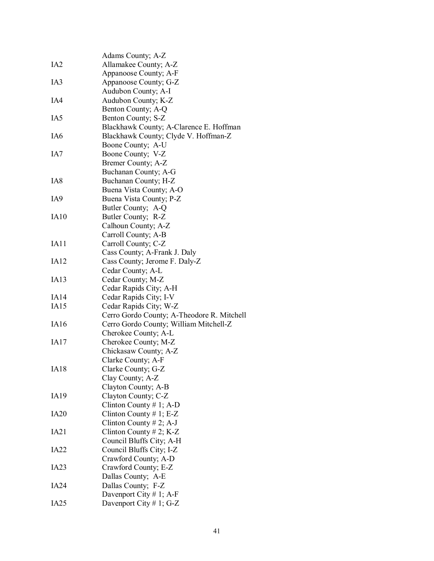|                  | Adams County; A-Z                          |
|------------------|--------------------------------------------|
| IA <sub>2</sub>  | Allamakee County; A-Z                      |
|                  | Appanoose County; A-F                      |
| IA <sub>3</sub>  | Appanoose County; G-Z                      |
|                  | Audubon County; A-I                        |
| IA4              | Audubon County; K-Z                        |
|                  | Benton County; A-Q                         |
| IA5              | Benton County; S-Z                         |
|                  | Blackhawk County; A-Clarence E. Hoffman    |
| IA6              | Blackhawk County; Clyde V. Hoffman-Z       |
|                  |                                            |
|                  | Boone County; A-U                          |
| IA7              | Boone County; V-Z                          |
|                  | Bremer County; A-Z                         |
|                  | Buchanan County; A-G                       |
| IA8              | Buchanan County; H-Z                       |
|                  | Buena Vista County; A-O                    |
| IA9              | Buena Vista County; P-Z                    |
|                  | Butler County; A-Q                         |
| IA10             | Butler County; R-Z                         |
|                  | Calhoun County; A-Z                        |
|                  | Carroll County; A-B                        |
| IA11             | Carroll County; C-Z                        |
|                  | Cass County; A-Frank J. Daly               |
| IA12             | Cass County; Jerome F. Daly-Z              |
|                  | Cedar County; A-L                          |
| IA13             | Cedar County; M-Z                          |
|                  | Cedar Rapids City; A-H                     |
| IA14             | Cedar Rapids City; I-V                     |
| IA15             | Cedar Rapids City; W-Z                     |
|                  | Cerro Gordo County; A-Theodore R. Mitchell |
| IA16             | Cerro Gordo County; William Mitchell-Z     |
|                  | Cherokee County; A-L                       |
| IA17             | Cherokee County; M-Z                       |
|                  | Chickasaw County; A-Z                      |
|                  | Clarke County; A-F                         |
| <b>IA18</b>      | Clarke County; G-Z                         |
|                  | Clay County; A-Z                           |
|                  | Clayton County; A-B                        |
| <b>IA19</b>      | Clayton County; C-Z                        |
|                  | Clinton County # 1; A-D                    |
|                  |                                            |
| IA20             | Clinton County # 1; $E-Z$                  |
|                  | Clinton County # 2; A-J                    |
| IA21             | Clinton County # 2; K-Z                    |
|                  | Council Bluffs City; A-H                   |
| IA <sub>22</sub> | Council Bluffs City; I-Z                   |
|                  | Crawford County; A-D                       |
| IA <sub>23</sub> | Crawford County; E-Z                       |
|                  | Dallas County; A-E                         |
| IA24             | Dallas County; F-Z                         |
|                  | Davenport City # 1; A-F                    |
| IA <sub>25</sub> | Davenport City # 1; G-Z                    |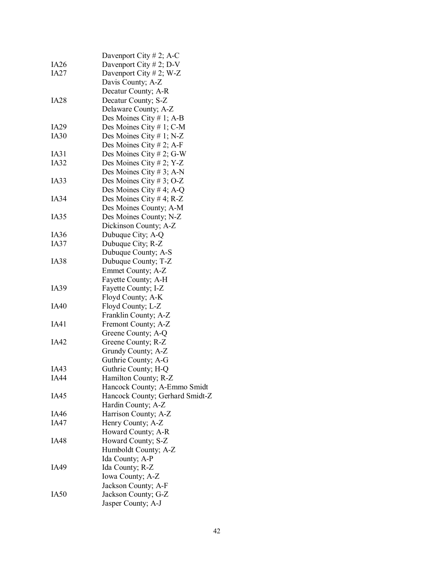|             | Davenport City # 2; A-C                   |
|-------------|-------------------------------------------|
| IA26        | Davenport City # 2; D-V                   |
| IA27        | Davenport City # 2; W-Z                   |
|             | Davis County; A-Z                         |
|             | Decatur County; A-R                       |
| <b>IA28</b> | Decatur County; S-Z                       |
|             | Delaware County; A-Z                      |
|             | Des Moines City # 1; A-B                  |
| IA29        | Des Moines City # 1; C-M                  |
| IA30        | Des Moines City # 1; N-Z                  |
|             | Des Moines City # 2; A-F                  |
| IA31        | Des Moines City # 2; G-W                  |
| IA32        | Des Moines City # 2; Y-Z                  |
|             | Des Moines City # 3; A-N                  |
| IA33        | Des Moines City # 3; O-Z                  |
|             | Des Moines City # 4; A-Q                  |
| IA34        | Des Moines City # 4; R-Z                  |
|             | Des Moines County; A-M                    |
| IA35        | Des Moines County; N-Z                    |
|             | Dickinson County; A-Z                     |
| IA36        | Dubuque City; A-Q                         |
| IA37        |                                           |
|             | Dubuque City; R-Z<br>Dubuque County; A-S  |
| <b>IA38</b> |                                           |
|             | Dubuque County; T-Z                       |
|             | Emmet County; A-Z                         |
| IA39        | Fayette County; A-H                       |
|             | Fayette County; I-Z                       |
| IA40        | Floyd County; A-K                         |
|             | Floyd County; L-Z<br>Franklin County; A-Z |
| IA41        |                                           |
|             | Fremont County; A-Z<br>Greene County; A-Q |
|             |                                           |
| IA42        | Greene County; R-Z                        |
|             | Grundy County; A-Z                        |
|             | Guthrie County; A-G                       |
| IA43        | Guthrie County; H-Q                       |
| <b>IA44</b> | Hamilton County; R-Z                      |
|             | Hancock County; A-Emmo Smidt              |
| IA45        | Hancock County; Gerhard Smidt-Z           |
|             | Hardin County; A-Z                        |
| IA46        | Harrison County; A-Z                      |
| IA47        | Henry County; A-Z                         |
|             | Howard County; A-R                        |
| IA48        | Howard County; S-Z                        |
|             | Humboldt County; A-Z                      |
|             | Ida County; A-P                           |
| IA49        | Ida County; R-Z                           |
|             | Iowa County; A-Z                          |
|             | Jackson County; A-F                       |
| IA50        | Jackson County; G-Z                       |
|             | Jasper County; A-J                        |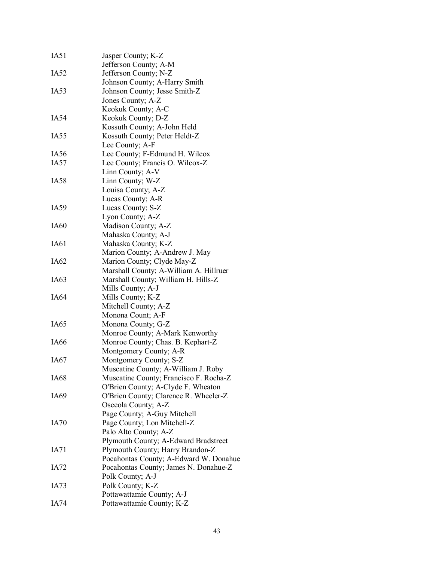| IA51             | Jasper County; K-Z                     |
|------------------|----------------------------------------|
|                  | Jefferson County; A-M                  |
| IA <sub>52</sub> | Jefferson County; N-Z                  |
|                  | Johnson County; A-Harry Smith          |
| IA <sub>53</sub> | Johnson County; Jesse Smith-Z          |
|                  | Jones County; A-Z                      |
|                  | Keokuk County; A-C                     |
| IA54             | Keokuk County; D-Z                     |
|                  | Kossuth County; A-John Held            |
| IA <sub>55</sub> | Kossuth County; Peter Heldt-Z          |
|                  | Lee County; A-F                        |
| IA56             | Lee County; F-Edmund H. Wilcox         |
| IA <sub>57</sub> | Lee County; Francis O. Wilcox-Z        |
|                  | Linn County; A-V                       |
| <b>IA58</b>      | Linn County; W-Z                       |
|                  | Louisa County; A-Z                     |
|                  | Lucas County; A-R                      |
| IA59             | Lucas County; S-Z                      |
|                  | Lyon County; A-Z                       |
| IA60             | Madison County; A-Z                    |
|                  | Mahaska County; A-J                    |
| IA61             | Mahaska County; K-Z                    |
|                  | Marion County; A-Andrew J. May         |
| IA <sub>62</sub> | Marion County; Clyde May-Z             |
|                  | Marshall County; A-William A. Hillruer |
| IA <sub>63</sub> | Marshall County; William H. Hills-Z    |
|                  | Mills County; A-J                      |
| IA64             | Mills County; K-Z                      |
|                  | Mitchell County; A-Z                   |
|                  | Monona Count; A-F                      |
| IA <sub>65</sub> | Monona County; G-Z                     |
|                  | Monroe County; A-Mark Kenworthy        |
| IA66             | Monroe County; Chas. B. Kephart-Z      |
|                  | Montgomery County; A-R                 |
| IA67             | Montgomery County; S-Z                 |
|                  | Muscatine County; A-William J. Roby    |
| <b>IA68</b>      | Muscatine County; Francisco F. Rocha-Z |
|                  | O'Brien County; A-Clyde F. Wheaton     |
| IA69             | O'Brien County; Clarence R. Wheeler-Z  |
|                  | Osceola County; A-Z                    |
|                  | Page County; A-Guy Mitchell            |
| <b>IA70</b>      | Page County; Lon Mitchell-Z            |
|                  | Palo Alto County; A-Z                  |
|                  | Plymouth County; A-Edward Bradstreet   |
| IA71             | Plymouth County; Harry Brandon-Z       |
|                  | Pocahontas County; A-Edward W. Donahue |
|                  |                                        |
| IA72             | Pocahontas County; James N. Donahue-Z  |
|                  | Polk County; A-J                       |
| IA73             | Polk County; K-Z                       |
| <b>IA74</b>      | Pottawattamie County; A-J              |
|                  | Pottawattamie County; K-Z              |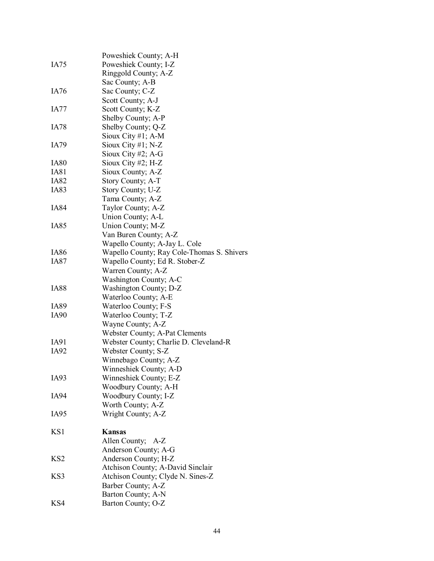|                  | Poweshiek County; A-H                      |
|------------------|--------------------------------------------|
| IA75             | Poweshiek County; I-Z                      |
|                  | Ringgold County; A-Z                       |
|                  | Sac County; A-B                            |
| IA76             | Sac County; C-Z                            |
|                  | Scott County; A-J                          |
| IA77             | Scott County; K-Z                          |
|                  | Shelby County; A-P                         |
| IA78             | Shelby County; Q-Z                         |
|                  | Sioux City #1; $A-M$                       |
| IA79             | Sioux City $#1$ ; N-Z                      |
|                  | Sioux City $#2$ ; A-G                      |
| IA80             | Sioux City #2; $H-Z$                       |
| IA81             | Sioux County; A-Z                          |
| <b>IA82</b>      | Story County; A-T                          |
| IA83             | Story County; U-Z                          |
|                  | Tama County; A-Z                           |
| IA84             |                                            |
|                  | Taylor County; A-Z                         |
|                  | Union County; A-L                          |
| IA85             | Union County; M-Z                          |
|                  | Van Buren County; A-Z                      |
|                  | Wapello County; A-Jay L. Cole              |
| IA86             | Wapello County; Ray Cole-Thomas S. Shivers |
| IA87             | Wapello County; Ed R. Stober-Z             |
|                  | Warren County; A-Z                         |
|                  | Washington County; A-C                     |
| IA88             | Washington County; D-Z                     |
|                  | Waterloo County; A-E                       |
| IA89             | Waterloo County; F-S                       |
| IA <sub>90</sub> | Waterloo County; T-Z                       |
|                  | Wayne County; A-Z                          |
|                  | Webster County; A-Pat Clements             |
| IA91             | Webster County; Charlie D. Cleveland-R     |
| IA92             | Webster County; S-Z                        |
|                  | Winnebago County; A-Z                      |
|                  | Winneshiek County; A-D                     |
| IA93             | Winneshiek County; E-Z                     |
|                  | Woodbury County; A-H                       |
| IA94             | Woodbury County; I-Z                       |
|                  | Worth County; A-Z                          |
| IA <sub>95</sub> | Wright County; A-Z                         |
|                  |                                            |
| KS <sub>1</sub>  | Kansas                                     |
|                  | Allen County; A-Z                          |
|                  | Anderson County; A-G                       |
| KS <sub>2</sub>  | Anderson County; H-Z                       |
|                  | Atchison County; A-David Sinclair          |
| KS3              | Atchison County; Clyde N. Sines-Z          |
|                  | Barber County; A-Z                         |
|                  | Barton County; A-N                         |
| KS4              | Barton County; O-Z                         |
|                  |                                            |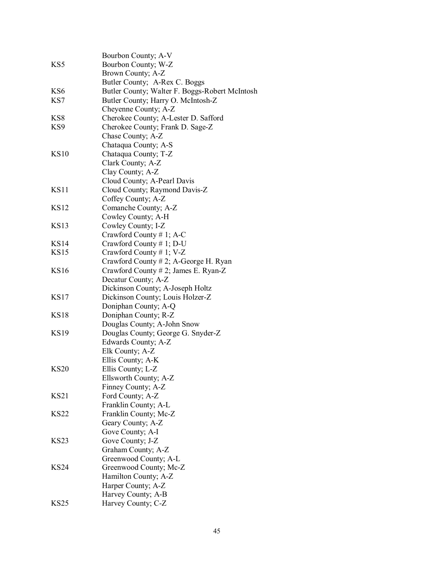|                 | Bourbon County; A-V                            |
|-----------------|------------------------------------------------|
| KS5             | Bourbon County; W-Z                            |
|                 | Brown County; A-Z                              |
|                 | Butler County; A-Rex C. Boggs                  |
| KS <sub>6</sub> | Butler County; Walter F. Boggs-Robert McIntosh |
| KS7             | Butler County; Harry O. McIntosh-Z             |
|                 | Cheyenne County; A-Z                           |
| KS <sub>8</sub> | Cherokee County; A-Lester D. Safford           |
| KS9             | Cherokee County; Frank D. Sage-Z               |
|                 | Chase County; A-Z                              |
|                 | Chataqua County; A-S                           |
| <b>KS10</b>     | Chataqua County; T-Z                           |
|                 | Clark County; A-Z                              |
|                 | Clay County; A-Z                               |
|                 | Cloud County; A-Pearl Davis                    |
| <b>KS11</b>     | Cloud County; Raymond Davis-Z                  |
|                 | Coffey County; A-Z                             |
| <b>KS12</b>     | Comanche County; A-Z                           |
|                 | Cowley County; A-H                             |
| <b>KS13</b>     | Cowley County; I-Z                             |
|                 | Crawford County # 1; A-C                       |
| <b>KS14</b>     | Crawford County # 1; D-U                       |
| <b>KS15</b>     | Crawford County # 1; V-Z                       |
|                 | Crawford County # 2; A-George H. Ryan          |
| <b>KS16</b>     | Crawford County # 2; James E. Ryan-Z           |
|                 | Decatur County; A-Z                            |
|                 | Dickinson County; A-Joseph Holtz               |
| <b>KS17</b>     | Dickinson County; Louis Holzer-Z               |
|                 | Doniphan County; A-Q                           |
| <b>KS18</b>     | Doniphan County; R-Z                           |
|                 | Douglas County; A-John Snow                    |
| <b>KS19</b>     | Douglas County; George G. Snyder-Z             |
|                 | Edwards County; A-Z                            |
|                 | Elk County; A-Z                                |
|                 | Ellis County; A-K                              |
| <b>KS20</b>     |                                                |
|                 | Ellis County; L-Z<br>Ellsworth County; A-Z     |
|                 | Finney County; A-Z                             |
| KS21            |                                                |
|                 | Ford County; A-Z<br>Franklin County; A-L       |
| <b>KS22</b>     | Franklin County; Mc-Z                          |
|                 |                                                |
|                 | Geary County; A-Z                              |
| <b>KS23</b>     | Gove County; A-I                               |
|                 | Gove County; J-Z<br>Graham County; A-Z         |
|                 |                                                |
|                 | Greenwood County; A-L                          |
| <b>KS24</b>     | Greenwood County; Mc-Z                         |
|                 | Hamilton County; A-Z                           |
|                 | Harper County; A-Z                             |
|                 | Harvey County; A-B                             |
| <b>KS25</b>     | Harvey County; C-Z                             |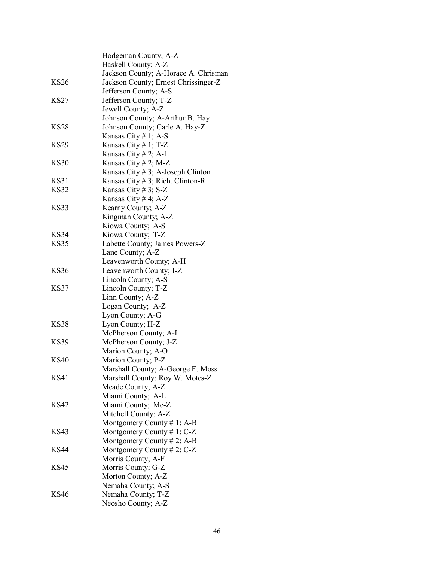|             | Hodgeman County; A-Z<br>Haskell County; A-Z                   |
|-------------|---------------------------------------------------------------|
|             | Jackson County; A-Horace A. Chrisman                          |
| KS26        | Jackson County; Ernest Chrissinger-Z<br>Jefferson County; A-S |
| KS27        | Jefferson County; T-Z                                         |
|             | Jewell County; A-Z                                            |
|             | Johnson County; A-Arthur B. Hay                               |
| KS28        | Johnson County; Carle A. Hay-Z                                |
|             | Kansas City #1; A-S                                           |
| KS29        | Kansas City # 1; $T-Z$                                        |
|             | Kansas City # 2; A-L                                          |
| KS30        | Kansas City # 2; M-Z                                          |
|             | Kansas City # 3; A-Joseph Clinton                             |
| KS31        | Kansas City # 3; Rich. Clinton-R                              |
| <b>KS32</b> | Kansas City # 3; $S-Z$                                        |
|             | Kansas City #4; $A-Z$                                         |
| KS33        | Kearny County; A-Z                                            |
|             | Kingman County; A-Z                                           |
|             | Kiowa County; A-S                                             |
| KS34        | Kiowa County; T-Z                                             |
| KS35        | Labette County; James Powers-Z                                |
|             | Lane County; A-Z                                              |
|             | Leavenworth County; A-H                                       |
| <b>KS36</b> | Leavenworth County; I-Z                                       |
|             | Lincoln County; A-S                                           |
| <b>KS37</b> | Lincoln County; T-Z                                           |
|             | Linn County; A-Z                                              |
|             | Logan County; A-Z                                             |
|             | Lyon County; A-G                                              |
| KS38        | Lyon County; H-Z                                              |
|             | McPherson County; A-I                                         |
| KS39        | McPherson County; J-Z                                         |
|             | Marion County; A-O                                            |
| <b>KS40</b> | Marion County; P-Z                                            |
|             | Marshall County; A-George E. Moss                             |
| KS41        | Marshall County; Roy W. Motes-Z                               |
|             | Meade County; A-Z                                             |
|             | Miami County; A-L                                             |
| KS42        | Miami County; Mc-Z                                            |
|             | Mitchell County; A-Z                                          |
|             | Montgomery County # 1; A-B                                    |
| KS43        | Montgomery County # 1; $C-Z$                                  |
|             | Montgomery County # 2; A-B                                    |
| KS44        | Montgomery County # 2; $C-Z$                                  |
|             | Morris County; A-F                                            |
| KS45        | Morris County; G-Z                                            |
|             | Morton County; A-Z                                            |
|             | Nemaha County; A-S                                            |
| KS46        | Nemaha County; T-Z                                            |
|             | Neosho County; A-Z                                            |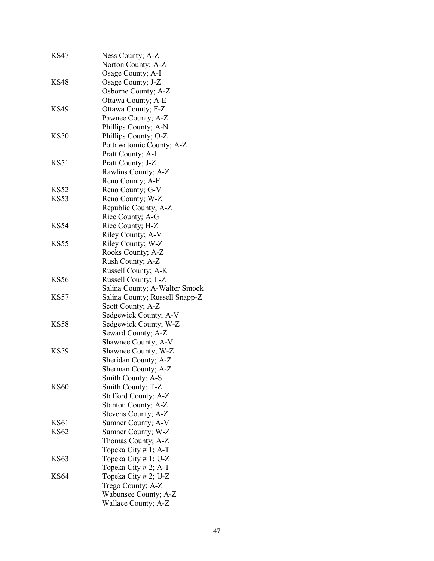| KS47        | Ness County; A-Z<br>Norton County; A-Z |
|-------------|----------------------------------------|
|             | Osage County; A-I                      |
| <b>KS48</b> | Osage County; J-Z                      |
|             | Osborne County; A-Z                    |
|             | Ottawa County; A-E                     |
| KS49        | Ottawa County; F-Z                     |
|             | Pawnee County; A-Z                     |
|             | Phillips County; A-N                   |
| KS50        | Phillips County; O-Z                   |
|             | Pottawatomie County; A-Z               |
|             | Pratt County; A-I                      |
| KS51        | Pratt County; J-Z                      |
|             | Rawlins County; A-Z                    |
|             | Reno County; A-F                       |
| KS52        | Reno County; G-V                       |
| KS53        | Reno County; W-Z                       |
|             | Republic County; A-Z                   |
|             | Rice County; A-G                       |
| KS54        | Rice County; H-Z                       |
|             | Riley County; A-V                      |
| <b>KS55</b> | Riley County; W-Z                      |
|             | Rooks County; A-Z                      |
|             | Rush County; A-Z                       |
|             | Russell County; A-K                    |
| <b>KS56</b> | Russell County; L-Z                    |
|             | Salina County; A-Walter Smock          |
| KS57        | Salina County; Russell Snapp-Z         |
|             | Scott County; A-Z                      |
|             | Sedgewick County; A-V                  |
| KS58        | Sedgewick County; W-Z                  |
|             | Seward County; A-Z                     |
|             | Shawnee County; A-V                    |
| <b>KS59</b> | Shawnee County; W-Z                    |
|             | Sheridan County; A-Z                   |
|             | Sherman County; A-Z                    |
|             | Smith County; A-S                      |
| KS60        | Smith County; T-Z                      |
|             | Stafford County; A-Z                   |
|             | Stanton County; A-Z                    |
|             | Stevens County; A-Z                    |
| KS61        | Sumner County; A-V                     |
| KS62        | Sumner County; W-Z                     |
|             | Thomas County; A-Z                     |
|             | Topeka City $# 1$ ; A-T                |
| KS63        | Topeka City # 1; U-Z                   |
|             | Topeka City # 2; A-T                   |
| KS64        | Topeka City # 2; U-Z                   |
|             | Trego County; A-Z                      |
|             | Wabunsee County; A-Z                   |
|             | Wallace County; A-Z                    |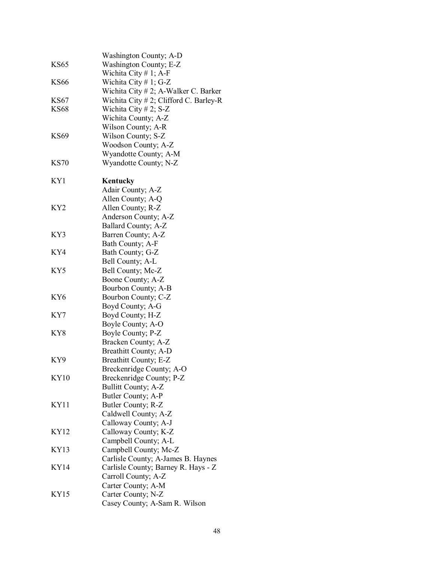|                 | Washington County; A-D                             |
|-----------------|----------------------------------------------------|
| <b>KS65</b>     | Washington County; E-Z<br>Wichita City $# 1$ ; A-F |
| <b>KS66</b>     | Wichita City # 1; G-Z                              |
|                 | Wichita City # 2; A-Walker C. Barker               |
| <b>KS67</b>     | Wichita City $# 2$ ; Clifford C. Barley-R          |
| <b>KS68</b>     | Wichita City # 2; $S-Z$                            |
|                 | Wichita County; A-Z                                |
|                 | Wilson County; A-R                                 |
| <b>KS69</b>     | Wilson County; S-Z                                 |
|                 | Woodson County; A-Z                                |
|                 | Wyandotte County; A-M                              |
| <b>KS70</b>     | Wyandotte County; N-Z                              |
| KY1             | Kentucky                                           |
|                 | Adair County; A-Z                                  |
|                 | Allen County; A-Q                                  |
| KY <sub>2</sub> | Allen County; R-Z                                  |
|                 | Anderson County; A-Z                               |
|                 | Ballard County; A-Z                                |
| KY3             | Barren County; A-Z                                 |
|                 | Bath County; A-F                                   |
| KY4             | Bath County; G-Z                                   |
|                 | Bell County; A-L                                   |
| KY5             | Bell County; Mc-Z                                  |
|                 | Boone County; A-Z                                  |
| KY6             | Bourbon County; A-B<br>Bourbon County; C-Z         |
|                 | Boyd County; A-G                                   |
| KY7             | Boyd County; H-Z                                   |
|                 | Boyle County; A-O                                  |
| KY8             | Boyle County; P-Z                                  |
|                 | Bracken County; A-Z                                |
|                 | Breathitt County; A-D                              |
| KY9             | Breathitt County; E-Z                              |
|                 | Breckenridge County; A-O                           |
| <b>KY10</b>     | Breckenridge County; P-Z                           |
|                 | <b>Bullitt County; A-Z</b>                         |
|                 | Butler County; A-P                                 |
| KY11            | Butler County; R-Z                                 |
|                 | Caldwell County; A-Z                               |
|                 | Calloway County; A-J                               |
| KY12            | Calloway County; K-Z                               |
|                 | Campbell County; A-L                               |
| KY13            | Campbell County; Mc-Z                              |
|                 | Carlisle County; A-James B. Haynes                 |
| KY14            | Carlisle County; Barney R. Hays - Z                |
|                 | Carroll County; A-Z                                |
|                 | Carter County; A-M                                 |
| KY15            | Carter County; N-Z                                 |
|                 | Casey County; A-Sam R. Wilson                      |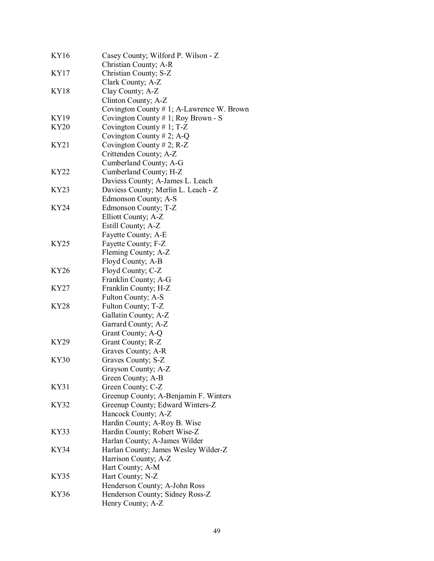| <b>KY16</b> | Casey County; Wilford P. Wilson - Z<br>Christian County; A-R |
|-------------|--------------------------------------------------------------|
| KY17        | Christian County; S-Z                                        |
|             | Clark County; A-Z                                            |
| <b>KY18</b> | Clay County; A-Z                                             |
|             | Clinton County; A-Z                                          |
|             | Covington County # 1; A-Lawrence W. Brown                    |
| KY19        |                                                              |
|             | Covington County $# 1$ ; Roy Brown - S                       |
| <b>KY20</b> | Covington County # 1; $T-Z$                                  |
|             | Covington County # 2; A-Q                                    |
| KY21        | Covington County # 2; $R-Z$                                  |
|             | Crittenden County; A-Z                                       |
|             | Cumberland County; A-G                                       |
| KY22        | Cumberland County; H-Z                                       |
|             | Daviess County; A-James L. Leach                             |
| KY23        | Daviess County; Merlin L. Leach - Z                          |
|             | Edmonson County; A-S                                         |
| KY24        | Edmonson County; T-Z                                         |
|             | Elliott County; A-Z                                          |
|             | Estill County; A-Z                                           |
|             | Fayette County; A-E                                          |
| <b>KY25</b> | Fayette County; F-Z                                          |
|             | Fleming County; A-Z                                          |
|             | Floyd County; A-B                                            |
| <b>KY26</b> | Floyd County; C-Z                                            |
|             | Franklin County; A-G                                         |
| KY27        | Franklin County; H-Z                                         |
|             | Fulton County; A-S                                           |
| <b>KY28</b> | Fulton County; T-Z                                           |
|             | Gallatin County; A-Z                                         |
|             | Garrard County; A-Z                                          |
|             | Grant County; A-Q                                            |
| KY29        | Grant County; R-Z                                            |
|             | Graves County; A-R                                           |
| KY30        | Graves County; S-Z                                           |
|             | Grayson County; A-Z                                          |
|             | Green County; A-B                                            |
| KY31        | Green County; C-Z                                            |
|             | Greenup County; A-Benjamin F. Winters                        |
| KY32        | Greenup County; Edward Winters-Z                             |
|             | Hancock County; A-Z                                          |
|             | Hardin County; A-Roy B. Wise                                 |
| KY33        | Hardin County; Robert Wise-Z                                 |
|             | Harlan County; A-James Wilder                                |
| <b>KY34</b> | Harlan County; James Wesley Wilder-Z                         |
|             | Harrison County; A-Z                                         |
|             | Hart County; A-M                                             |
| <b>KY35</b> | Hart County; N-Z                                             |
|             | Henderson County; A-John Ross                                |
| KY36        | Henderson County; Sidney Ross-Z                              |
|             | Henry County; A-Z                                            |
|             |                                                              |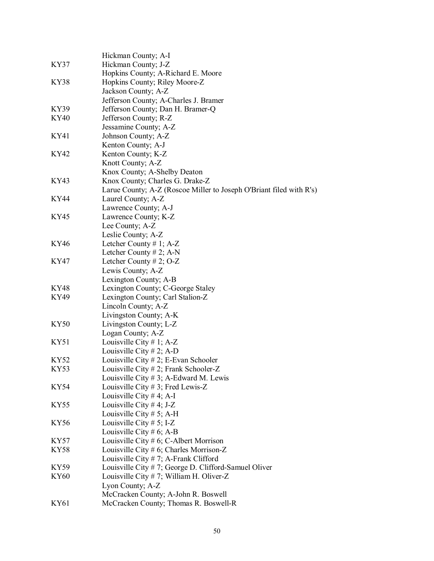|             | Hickman County; A-I                                                 |
|-------------|---------------------------------------------------------------------|
| KY37        | Hickman County; J-Z                                                 |
|             | Hopkins County; A-Richard E. Moore                                  |
| <b>KY38</b> | Hopkins County; Riley Moore-Z                                       |
|             | Jackson County; A-Z                                                 |
|             | Jefferson County; A-Charles J. Bramer                               |
| KY39        | Jefferson County; Dan H. Bramer-Q                                   |
| <b>KY40</b> | Jefferson County; R-Z                                               |
|             | Jessamine County; A-Z                                               |
| KY41        | Johnson County; A-Z                                                 |
|             | Kenton County; A-J                                                  |
| KY42        | Kenton County; K-Z                                                  |
|             | Knott County; A-Z                                                   |
|             | Knox County; A-Shelby Deaton                                        |
| KY43        | Knox County; Charles G. Drake-Z                                     |
|             | Larue County; A-Z (Roscoe Miller to Joseph O'Briant filed with R's) |
| KY44        | Laurel County; A-Z                                                  |
|             | Lawrence County; A-J                                                |
| KY45        | Lawrence County; K-Z                                                |
|             | Lee County; A-Z<br>Leslie County; A-Z                               |
| <b>KY46</b> | Letcher County # 1; $A-Z$                                           |
|             | Letcher County # 2; A-N                                             |
| KY47        | Letcher County # 2; $O-Z$                                           |
|             | Lewis County; A-Z                                                   |
|             | Lexington County; A-B                                               |
| <b>KY48</b> | Lexington County; C-George Staley                                   |
| KY49        | Lexington County; Carl Stalion-Z                                    |
|             | Lincoln County; A-Z                                                 |
|             | Livingston County; A-K                                              |
| KY50        | Livingston County; L-Z                                              |
|             | Logan County; A-Z                                                   |
| KY51        | Louisville City # 1; $A-Z$                                          |
|             | Louisville City # 2; A-D                                            |
| <b>KY52</b> | Louisville City # 2; E-Evan Schooler                                |
| KY53        | Louisville City # 2; Frank Schooler-Z                               |
|             | Louisville City $# 3$ ; A-Edward M. Lewis                           |
| KY54        | Louisville City # 3; Fred Lewis-Z                                   |
|             | Louisville City # 4; A-I                                            |
| KY55        | Louisville City # 4; J-Z                                            |
|             | Louisville City # 5; A-H                                            |
| <b>KY56</b> | Louisville City # 5; I-Z                                            |
|             | Louisville City # 6; A-B                                            |
| KY57        | Louisville City # 6; C-Albert Morrison                              |
| <b>KY58</b> | Louisville City # 6; Charles Morrison-Z                             |
|             | Louisville City $# 7$ ; A-Frank Clifford                            |
| KY59        | Louisville City #7; George D. Clifford-Samuel Oliver                |
| <b>KY60</b> | Louisville City # 7; William H. Oliver-Z                            |
|             | Lyon County; A-Z                                                    |
|             | McCracken County; A-John R. Boswell                                 |
| KY61        | McCracken County; Thomas R. Boswell-R                               |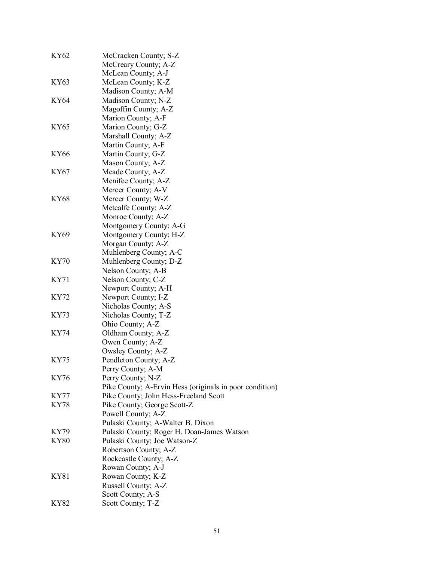| KY62        | McCracken County; S-Z<br>McCreary County; A-Z           |
|-------------|---------------------------------------------------------|
|             | McLean County; A-J                                      |
| KY63        | McLean County; K-Z                                      |
|             | Madison County; A-M                                     |
| KY64        | Madison County; N-Z                                     |
|             | Magoffin County; A-Z                                    |
|             | Marion County; A-F                                      |
| KY65        | Marion County; G-Z                                      |
|             | Marshall County; A-Z                                    |
|             | Martin County; A-F                                      |
| KY66        | Martin County; G-Z                                      |
|             | Mason County; A-Z                                       |
| KY67        | Meade County; A-Z                                       |
|             | Menifee County; A-Z                                     |
|             | Mercer County; A-V                                      |
| KY68        | Mercer County; W-Z                                      |
|             | Metcalfe County; A-Z                                    |
|             | Monroe County; A-Z                                      |
|             | Montgomery County; A-G                                  |
| KY69        | Montgomery County; H-Z                                  |
|             | Morgan County; A-Z                                      |
|             | Muhlenberg County; A-C                                  |
| KY70        | Muhlenberg County; D-Z                                  |
|             | Nelson County; A-B                                      |
| KY71        | Nelson County; C-Z                                      |
|             | Newport County; A-H                                     |
| KY72        | Newport County; I-Z                                     |
|             | Nicholas County; A-S                                    |
| KY73        | Nicholas County; T-Z                                    |
|             | Ohio County; A-Z                                        |
| KY74        | Oldham County; A-Z                                      |
|             | Owen County; A-Z                                        |
|             | Owsley County; A-Z                                      |
| KY75        | Pendleton County; A-Z                                   |
|             | Perry County; A-M                                       |
| <b>KY76</b> | Perry County; N-Z                                       |
|             | Pike County; A-Ervin Hess (originals in poor condition) |
| KY77        | Pike County; John Hess-Freeland Scott                   |
| KY78        | Pike County; George Scott-Z                             |
|             | Powell County; A-Z                                      |
|             | Pulaski County; A-Walter B. Dixon                       |
| KY79        | Pulaski County; Roger H. Doan-James Watson              |
| KY80        | Pulaski County; Joe Watson-Z                            |
|             | Robertson County; A-Z                                   |
|             | Rockcastle County; A-Z                                  |
|             | Rowan County; A-J                                       |
| KY81        | Rowan County; K-Z                                       |
|             | Russell County; A-Z                                     |
|             | Scott County; A-S                                       |
| KY82        | Scott County; T-Z                                       |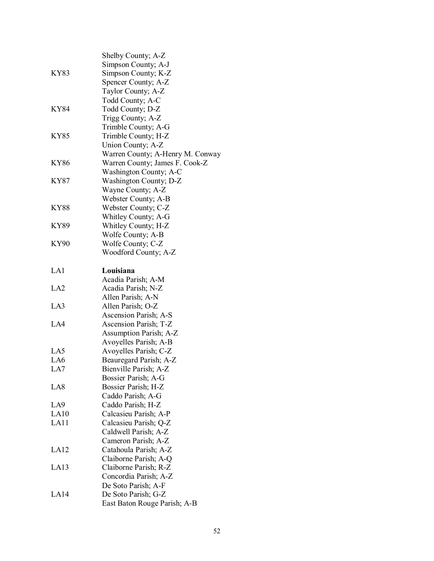|                  | Shelby County; A-Z<br>Simpson County; A-J |
|------------------|-------------------------------------------|
| KY83             | Simpson County; K-Z                       |
|                  | Spencer County; A-Z                       |
|                  | Taylor County; A-Z                        |
|                  | Todd County; A-C                          |
| <b>KY84</b>      | Todd County; D-Z                          |
|                  | Trigg County; A-Z                         |
|                  | Trimble County; A-G                       |
| KY85             | Trimble County; H-Z                       |
|                  | Union County; A-Z                         |
|                  | Warren County; A-Henry M. Conway          |
| KY86             | Warren County; James F. Cook-Z            |
|                  | Washington County; A-C                    |
| KY87             | Washington County; D-Z                    |
|                  | Wayne County; A-Z                         |
|                  | Webster County; A-B                       |
| <b>KY88</b>      | Webster County; C-Z                       |
|                  | Whitley County; A-G                       |
| <b>KY89</b>      | Whitley County; H-Z                       |
|                  | Wolfe County; A-B                         |
| <b>KY90</b>      | Wolfe County; C-Z                         |
|                  | Woodford County; A-Z                      |
| LA1              | Louisiana                                 |
| LA <sub>2</sub>  | Acadia Parish; A-M<br>Acadia Parish; N-Z  |
|                  | Allen Parish; A-N                         |
| LA3              | Allen Parish; O-Z                         |
|                  | Ascension Parish; A-S                     |
| LA4              | Ascension Parish; T-Z                     |
|                  | <b>Assumption Parish; A-Z</b>             |
|                  | Avoyelles Parish; A-B                     |
| LA5              | Avoyelles Parish; C-Z                     |
| LA6              | Beauregard Parish; A-Z                    |
| LA7              | Bienville Parish; A-Z                     |
|                  | Bossier Parish; A-G                       |
| LA <sub>8</sub>  | Bossier Parish; H-Z                       |
|                  | Caddo Parish; A-G                         |
| LA <sub>9</sub>  | Caddo Parish; H-Z                         |
| LA10             | Calcasieu Parish; A-P                     |
| LA11             | Calcasieu Parish; Q-Z                     |
|                  | Caldwell Parish; A-Z                      |
|                  | Cameron Parish; A-Z                       |
| LA <sub>12</sub> | Catahoula Parish; A-Z                     |
|                  | Claiborne Parish; A-Q                     |
| LA <sub>13</sub> | Claiborne Parish; R-Z                     |
|                  | Concordia Parish; A-Z                     |
|                  | De Soto Parish; A-F                       |
| LA <sub>14</sub> | De Soto Parish; G-Z                       |
|                  | East Baton Rouge Parish; A-B              |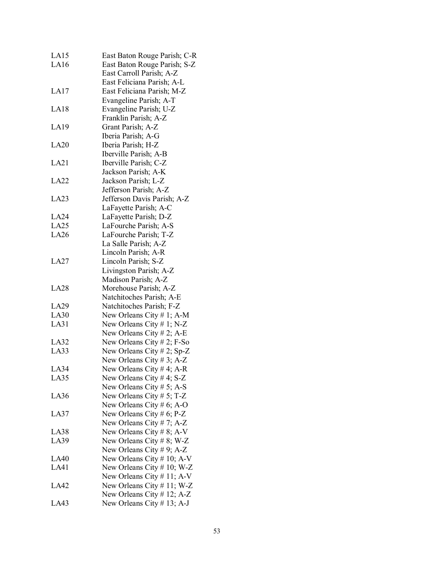| LA <sub>15</sub> | East Baton Rouge Parish; C-R  |
|------------------|-------------------------------|
| LA16             | East Baton Rouge Parish; S-Z  |
|                  | East Carroll Parish; A-Z      |
|                  | East Feliciana Parish; A-L    |
| LA17             | East Feliciana Parish; M-Z    |
|                  | Evangeline Parish; A-T        |
| LA18             | Evangeline Parish; U-Z        |
|                  |                               |
|                  | Franklin Parish; A-Z          |
| LA19             | Grant Parish; A-Z             |
|                  | Iberia Parish; A-G            |
| LA20             | Iberia Parish; H-Z            |
|                  | Iberville Parish; A-B         |
| LA21             | Iberville Parish; C-Z         |
|                  | Jackson Parish; A-K           |
| LA22             | Jackson Parish; L-Z           |
|                  | Jefferson Parish; A-Z         |
| LA <sub>23</sub> | Jefferson Davis Parish; A-Z   |
|                  | LaFayette Parish; A-C         |
| LA24             | LaFayette Parish; D-Z         |
| LA25             | LaFourche Parish; A-S         |
| LA26             | LaFourche Parish; T-Z         |
|                  | La Salle Parish; A-Z          |
|                  | Lincoln Parish; A-R           |
| LA27             | Lincoln Parish; S-Z           |
|                  | Livingston Parish; A-Z        |
|                  | Madison Parish; A-Z           |
| LA <sub>28</sub> | Morehouse Parish; A-Z         |
|                  | Natchitoches Parish; A-E      |
| LA29             | Natchitoches Parish; F-Z      |
| LA30             | New Orleans City # 1; A-M     |
| LA31             | New Orleans City # 1; N-Z     |
|                  |                               |
|                  | New Orleans City # 2; A-E     |
| LA32             | New Orleans City # 2; $F-So$  |
| LA33             | New Orleans City # 2; Sp-Z    |
|                  | New Orleans City # 3; A-Z     |
| LA34             | New Orleans City $# 4$ ; A-R  |
| LA35             | New Orleans City #4; S-Z      |
|                  | New Orleans City # 5; A-S     |
| LA36             | New Orleans City # 5; T-Z     |
|                  | New Orleans City # 6; A-O     |
| LA37             | New Orleans City # 6; $P-Z$   |
|                  | New Orleans City # 7; $A-Z$   |
| LA38             | New Orleans City # 8; A-V     |
| LA39             | New Orleans City # 8; W-Z     |
|                  | New Orleans City # 9; A-Z     |
| <b>LA40</b>      | New Orleans City $# 10$ ; A-V |
| LA41             | New Orleans City $# 10$ ; W-Z |
|                  | New Orleans City $# 11$ ; A-V |
| LA42             | New Orleans City $# 11$ ; W-Z |
|                  | New Orleans City # 12; A-Z    |
| LA43             | New Orleans City # 13; A-J    |
|                  |                               |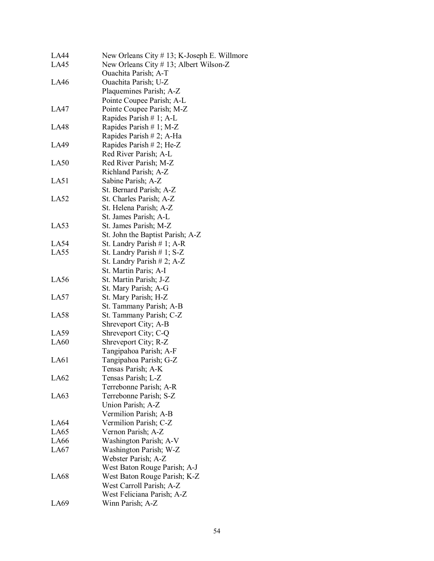| LA44             | New Orleans City $# 13$ ; K-Joseph E. Willmore |
|------------------|------------------------------------------------|
| LA45             | New Orleans City # 13; Albert Wilson-Z         |
|                  | Ouachita Parish; A-T                           |
| LA46             | Ouachita Parish; U-Z                           |
|                  | Plaquemines Parish; A-Z                        |
|                  | Pointe Coupee Parish; A-L                      |
| LA47             | Pointe Coupee Parish; M-Z                      |
|                  | Rapides Parish $# 1$ ; A-L                     |
| LA48             | Rapides Parish # 1; M-Z                        |
|                  | Rapides Parish # 2; A-Ha                       |
| LA49             | Rapides Parish # 2; He-Z                       |
|                  | Red River Parish; A-L                          |
| LA50             | Red River Parish; M-Z                          |
|                  | Richland Parish; A-Z                           |
|                  |                                                |
| LA51             | Sabine Parish; A-Z                             |
|                  | St. Bernard Parish; A-Z                        |
| LA52             | St. Charles Parish; A-Z                        |
|                  | St. Helena Parish; A-Z                         |
|                  | St. James Parish; A-L                          |
| LA53             | St. James Parish; M-Z                          |
|                  | St. John the Baptist Parish; A-Z               |
| LA54             | St. Landry Parish $# 1$ ; A-R                  |
| LA55             | St. Landry Parish $# 1$ ; S-Z                  |
|                  | St. Landry Parish # 2; A-Z                     |
|                  | St. Martin Paris; A-I                          |
| LA <sub>56</sub> | St. Martin Parish; J-Z                         |
|                  | St. Mary Parish; A-G                           |
| LA57             | St. Mary Parish; H-Z                           |
|                  | St. Tammany Parish; A-B                        |
| LA58             | St. Tammany Parish; C-Z                        |
|                  | Shreveport City; A-B                           |
| LA59             | Shreveport City; C-Q                           |
| LA60             | Shreveport City; R-Z                           |
|                  | Tangipahoa Parish; A-F                         |
| LA61             | Tangipahoa Parish; G-Z                         |
|                  | Tensas Parish; A-K                             |
| LA62             | Tensas Parish; L-Z                             |
|                  | Terrebonne Parish; A-R                         |
| LA63             | Terrebonne Parish; S-Z                         |
|                  | Union Parish; A-Z                              |
|                  | Vermilion Parish; A-B                          |
| LA64             | Vermilion Parish; C-Z                          |
| LA65             | Vernon Parish; A-Z                             |
| LA66             | Washington Parish; A-V                         |
| LA67             | Washington Parish; W-Z                         |
|                  | Webster Parish; A-Z                            |
|                  | West Baton Rouge Parish; A-J                   |
| LA68             | West Baton Rouge Parish; K-Z                   |
|                  | West Carroll Parish; A-Z                       |
|                  | West Feliciana Parish; A-Z                     |
| LA69             | Winn Parish; A-Z                               |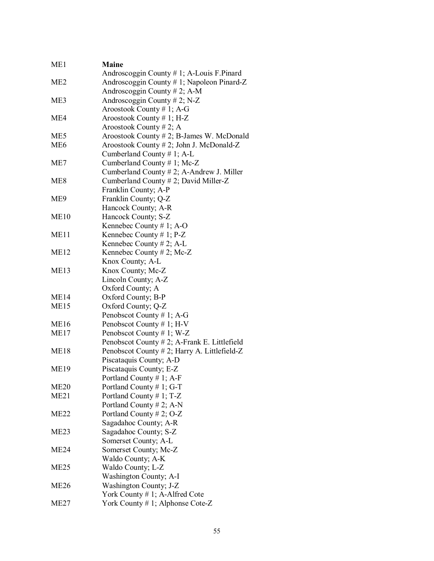| ME1              | <b>Maine</b>                                            |
|------------------|---------------------------------------------------------|
|                  | Androscoggin County $# 1$ ; A-Louis F. Pinard           |
| ME <sub>2</sub>  | Androscoggin County # 1; Napoleon Pinard-Z              |
|                  | Androscoggin County # 2; A-M                            |
| ME3              | Androscoggin County # 2; N-Z                            |
|                  | Aroostook County #1; A-G                                |
| ME4              | Aroostook County #1; H-Z                                |
|                  | Aroostook County # 2; A                                 |
| ME <sub>5</sub>  | Aroostook County # 2; B-James W. McDonald               |
| ME <sub>6</sub>  | Aroostook County # 2; John J. McDonald-Z                |
|                  | Cumberland County # 1; A-L                              |
| ME7              | Cumberland County # 1; Mc-Z                             |
|                  | Cumberland County # 2; A-Andrew J. Miller               |
| ME <sub>8</sub>  | Cumberland County # 2; David Miller-Z                   |
|                  | Franklin County; A-P                                    |
| ME9              | Franklin County; Q-Z                                    |
|                  | Hancock County; A-R                                     |
| ME10             | Hancock County; S-Z                                     |
|                  | Kennebec County # 1; A-O                                |
| ME <sub>11</sub> | Kennebec County # 1; P-Z                                |
|                  | Kennebec County $# 2$ ; A-L                             |
| ME <sub>12</sub> | Kennebec County $# 2$ ; Mc-Z                            |
|                  | Knox County; A-L                                        |
| ME <sub>13</sub> | Knox County; Mc-Z                                       |
|                  | Lincoln County; A-Z                                     |
|                  | Oxford County; A                                        |
| ME <sub>14</sub> | Oxford County; B-P                                      |
| ME15             | Oxford County; Q-Z                                      |
|                  | Penobscot County # 1; A-G                               |
| <b>ME16</b>      | Penobscot County # 1; H-V                               |
| ME17             | Penobscot County # 1; W-Z                               |
|                  | Penobscot County # 2; A-Frank E. Littlefield            |
| <b>ME18</b>      | Penobscot County # 2; Harry A. Littlefield-Z            |
|                  | Piscataquis County; A-D                                 |
| <b>ME19</b>      | Piscataquis County; E-Z                                 |
| <b>ME20</b>      | Portland County $# 1$ ; A-F<br>Portland County # 1; G-T |
| ME21             | Portland County # 1; $T-Z$                              |
|                  | Portland County # 2; A-N                                |
| ME22             | Portland County # 2; O-Z                                |
|                  | Sagadahoc County; A-R                                   |
| ME <sub>23</sub> | Sagadahoc County; S-Z                                   |
|                  | Somerset County; A-L                                    |
| ME24             | Somerset County; Mc-Z                                   |
|                  | Waldo County; A-K                                       |
| ME <sub>25</sub> | Waldo County; L-Z                                       |
|                  | Washington County; A-I                                  |
| ME <sub>26</sub> | Washington County; J-Z                                  |
|                  | York County # 1; A-Alfred Cote                          |
| ME27             | York County # 1; Alphonse Cote-Z                        |
|                  |                                                         |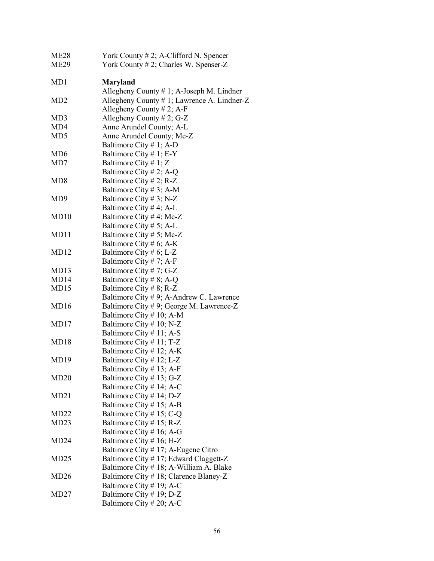| ME <sub>28</sub> | York County $# 2$ ; A-Clifford N. Spencer    |
|------------------|----------------------------------------------|
| ME29             | York County # 2; Charles W. Spenser-Z        |
|                  |                                              |
| MD1              | <b>Maryland</b>                              |
|                  | Allegheny County $# 1$ ; A-Joseph M. Lindner |
| MD <sub>2</sub>  | Allegheny County # 1; Lawrence A. Lindner-Z  |
|                  | Allegheny County $# 2$ ; A-F                 |
| MD3              | Allegheny County $# 2$ ; G-Z                 |
| MD4              | Anne Arundel County; A-L                     |
| MD <sub>5</sub>  | Anne Arundel County; Mc-Z                    |
|                  | Baltimore City # 1; A-D                      |
| MD <sub>6</sub>  | Baltimore City # 1; $E-Y$                    |
| MD7              | Baltimore City # 1; Z                        |
|                  | Baltimore City # 2; A-Q                      |
| MD <sub>8</sub>  | Baltimore City # 2; R-Z                      |
|                  | Baltimore City # 3; A-M                      |
| MD <sub>9</sub>  | Baltimore City # 3; N-Z                      |
|                  |                                              |
|                  | Baltimore City # 4; A-L                      |
| MD10             | Baltimore City # 4; Mc-Z                     |
|                  | Baltimore City # 5; A-L                      |
| MD11             | Baltimore City # 5; Mc-Z                     |
|                  | Baltimore City # 6; A-K                      |
| MD12             | Baltimore City # 6; L-Z                      |
|                  | Baltimore City # 7; A-F                      |
| MD <sub>13</sub> | Baltimore City # 7; G-Z                      |
| MD14             | Baltimore City # 8; A-Q                      |
| MD15             | Baltimore City # 8; R-Z                      |
|                  | Baltimore City #9; A-Andrew C. Lawrence      |
| MD <sub>16</sub> | Baltimore City #9; George M. Lawrence-Z      |
|                  | Baltimore City # 10; A-M                     |
| MD17             | Baltimore City # 10; N-Z                     |
|                  | Baltimore City # 11; A-S                     |
| MD18             | Baltimore City # 11; T-Z                     |
|                  | Baltimore City # 12; A-K                     |
| MD19             | Baltimore City # 12; L-Z                     |
|                  | Baltimore City # 13; A-F                     |
| MD20             | Baltimore City # 13; G-Z                     |
|                  | Baltimore City # 14; A-C                     |
| MD <sub>21</sub> | Baltimore City # 14; D-Z                     |
|                  | Baltimore City # 15; A-B                     |
| MD <sub>22</sub> | Baltimore City # 15; C-Q                     |
| MD23             | Baltimore City # 15; R-Z                     |
|                  | Baltimore City # 16; A-G                     |
| MD24             | Baltimore City # 16; H-Z                     |
|                  | Baltimore City # 17; A-Eugene Citro          |
| MD <sub>25</sub> | Baltimore City #17; Edward Claggett-Z        |
|                  | Baltimore City # 18; A-William A. Blake      |
| MD <sub>26</sub> | Baltimore City # 18; Clarence Blaney-Z       |
|                  | Baltimore City # 19; A-C                     |
| MD <sub>27</sub> | Baltimore City # 19; D-Z                     |
|                  | Baltimore City # 20; A-C                     |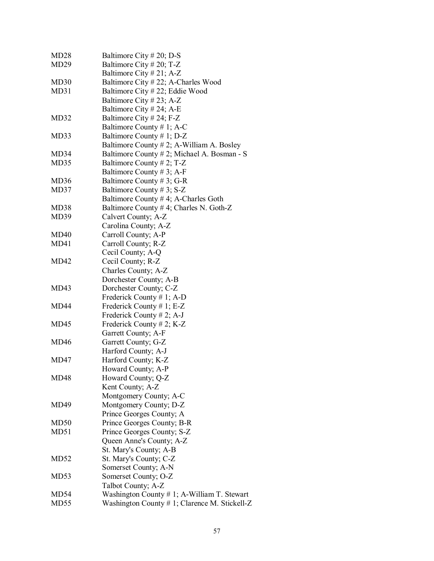| MD <sub>28</sub> | Baltimore City # 20; D-S                      |
|------------------|-----------------------------------------------|
| MD <sub>29</sub> | Baltimore City # 20; T-Z                      |
|                  | Baltimore City # 21; A-Z                      |
| MD <sub>30</sub> | Baltimore City #22; A-Charles Wood            |
| MD31             | Baltimore City #22; Eddie Wood                |
|                  | Baltimore City # 23; A-Z                      |
|                  | Baltimore City # 24; A-E                      |
| MD32             | Baltimore City # 24; F-Z                      |
|                  | Baltimore County # 1; A-C                     |
| MD33             | Baltimore County # 1; D-Z                     |
|                  | Baltimore County # 2; A-William A. Bosley     |
| MD34             | Baltimore County # 2; Michael A. Bosman - S   |
| MD35             | Baltimore County # 2; $T-Z$                   |
|                  | Baltimore County # 3; A-F                     |
| MD36             | Baltimore County # 3; G-R                     |
| MD37             | Baltimore County #3; S-Z                      |
|                  | Baltimore County #4; A-Charles Goth           |
| MD38             | Baltimore County # 4; Charles N. Goth-Z       |
| MD39             | Calvert County; A-Z                           |
|                  | Carolina County; A-Z                          |
| MD40             | Carroll County; A-P                           |
| MD41             | Carroll County; R-Z                           |
|                  | Cecil County; A-Q                             |
| MD42             | Cecil County; R-Z                             |
|                  | Charles County; A-Z                           |
|                  | Dorchester County; A-B                        |
| MD43             | Dorchester County; C-Z                        |
|                  | Frederick County # 1; A-D                     |
| MD <sub>44</sub> | Frederick County # 1; E-Z                     |
|                  | Frederick County # 2; A-J                     |
| MD <sub>45</sub> | Frederick County # 2; K-Z                     |
|                  | Garrett County; A-F                           |
| MD <sub>46</sub> | Garrett County; G-Z                           |
|                  | Harford County; A-J                           |
| MD47             | Harford County; K-Z                           |
|                  | Howard County; A-P                            |
| MD48             | Howard County; Q-Z                            |
|                  | Kent County; A-Z                              |
|                  | Montgomery County; A-C                        |
| MD49             | Montgomery County; D-Z                        |
|                  | Prince Georges County; A                      |
| MD50             | Prince Georges County; B-R                    |
| MD51             | Prince Georges County; S-Z                    |
|                  | Queen Anne's County; A-Z                      |
|                  | St. Mary's County; A-B                        |
| MD52             | St. Mary's County; C-Z                        |
|                  | Somerset County; A-N                          |
| MD <sub>53</sub> | Somerset County; O-Z                          |
|                  | Talbot County; A-Z                            |
| MD54             | Washington County # 1; A-William T. Stewart   |
| MD <sub>55</sub> | Washington County # 1; Clarence M. Stickell-Z |
|                  |                                               |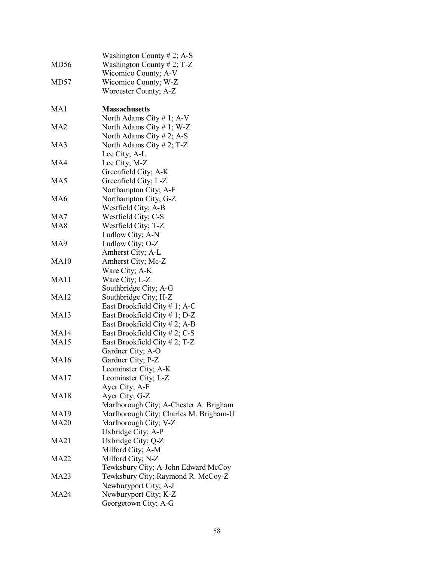|                  | Washington County $# 2$ ; A-S          |
|------------------|----------------------------------------|
| MD <sub>56</sub> | Washington County # 2; T-Z             |
|                  | Wicomico County; A-V                   |
| MD57             | Wicomico County; W-Z                   |
|                  | Worcester County; A-Z                  |
|                  |                                        |
| MA1              | <b>Massachusetts</b>                   |
|                  | North Adams City # 1; $A-V$            |
| MA2              | North Adams City # 1; W-Z              |
|                  | North Adams City # 2; A-S              |
| MA3              | North Adams City # 2; T-Z              |
|                  | Lee City; A-L                          |
| MA4              | Lee City; M-Z                          |
|                  | Greenfield City; A-K                   |
| MA5              |                                        |
|                  | Greenfield City; L-Z                   |
|                  | Northampton City; A-F                  |
| MA <sub>6</sub>  | Northampton City; G-Z                  |
|                  | Westfield City; A-B                    |
| MA7              | Westfield City; C-S                    |
| MA <sub>8</sub>  | Westfield City; T-Z                    |
|                  | Ludlow City; A-N                       |
| MA9              | Ludlow City; O-Z                       |
|                  | Amherst City; A-L                      |
| <b>MA10</b>      | Amherst City; Mc-Z                     |
|                  | Ware City; A-K                         |
| MA11             | Ware City; L-Z                         |
|                  | Southbridge City; A-G                  |
| <b>MA12</b>      | Southbridge City; H-Z                  |
|                  | East Brookfield City # 1; A-C          |
| <b>MA13</b>      | East Brookfield City $# 1$ ; D-Z       |
|                  | East Brookfield City $# 2$ ; A-B       |
| <b>MA14</b>      | East Brookfield City # 2; C-S          |
| <b>MA15</b>      | East Brookfield City # 2; T-Z          |
|                  | Gardner City; A-O                      |
| <b>MA16</b>      | Gardner City; P-Z                      |
|                  | Leominster City; A-K                   |
| <b>MA17</b>      | Leominster City; L-Z                   |
|                  | Ayer City; A-F                         |
| <b>MA18</b>      | Ayer City; G-Z                         |
|                  | Marlborough City; A-Chester A. Brigham |
| <b>MA19</b>      | Marlborough City; Charles M. Brigham-U |
| <b>MA20</b>      | Marlborough City; V-Z                  |
|                  | Uxbridge City; A-P                     |
| <b>MA21</b>      | Uxbridge City; Q-Z                     |
|                  | Milford City; A-M                      |
| <b>MA22</b>      | Milford City; N-Z                      |
|                  | Tewksbury City; A-John Edward McCoy    |
| <b>MA23</b>      | Tewksbury City; Raymond R. McCoy-Z     |
|                  | Newburyport City; A-J                  |
| <b>MA24</b>      | Newburyport City; K-Z                  |
|                  | Georgetown City; A-G                   |
|                  |                                        |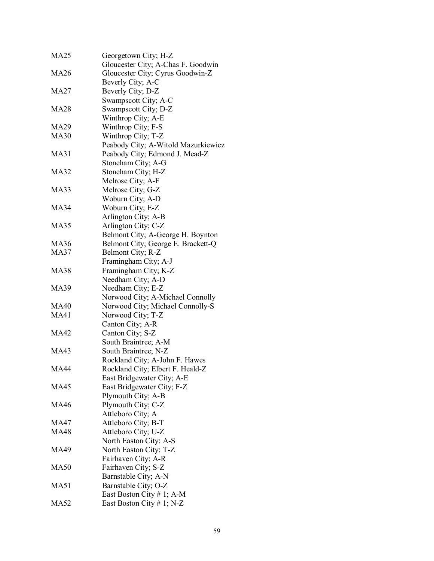| <b>MA25</b> | Georgetown City; H-Z                |
|-------------|-------------------------------------|
|             | Gloucester City; A-Chas F. Goodwin  |
| MA26        | Gloucester City; Cyrus Goodwin-Z    |
|             | Beverly City; A-C                   |
| MA27        | Beverly City; D-Z                   |
|             | Swampscott City; A-C                |
| MA28        | Swampscott City; D-Z                |
|             | Winthrop City; A-E                  |
| MA29        | Winthrop City; F-S                  |
| <b>MA30</b> | Winthrop City; T-Z                  |
|             | Peabody City; A-Witold Mazurkiewicz |
| MA31        | Peabody City; Edmond J. Mead-Z      |
|             | Stoneham City; A-G                  |
| <b>MA32</b> | Stoneham City; H-Z                  |
|             | Melrose City; A-F                   |
| <b>MA33</b> | Melrose City; G-Z                   |
|             | Woburn City; A-D                    |
| MA34        |                                     |
|             | Woburn City; E-Z                    |
|             | Arlington City; A-B                 |
| MA35        | Arlington City; C-Z                 |
|             | Belmont City; A-George H. Boynton   |
| <b>MA36</b> | Belmont City; George E. Brackett-Q  |
| <b>MA37</b> | Belmont City; R-Z                   |
|             | Framingham City; A-J                |
| <b>MA38</b> | Framingham City; K-Z                |
|             | Needham City; A-D                   |
| MA39        | Needham City; E-Z                   |
|             | Norwood City; A-Michael Connolly    |
| MA40        | Norwood City; Michael Connolly-S    |
| <b>MA41</b> | Norwood City; T-Z                   |
|             | Canton City; A-R                    |
| <b>MA42</b> | Canton City; S-Z                    |
|             | South Braintree; A-M                |
| MA43        | South Braintree; N-Z                |
|             | Rockland City; A-John F. Hawes      |
| <b>MA44</b> | Rockland City; Elbert F. Heald-Z    |
|             | East Bridgewater City; A-E          |
| <b>MA45</b> | East Bridgewater City; F-Z          |
|             | Plymouth City; A-B                  |
| <b>MA46</b> | Plymouth City; C-Z                  |
|             | Attleboro City; A                   |
| MA47        | Attleboro City; B-T                 |
| <b>MA48</b> | Attleboro City; U-Z                 |
|             | North Easton City; A-S              |
| <b>MA49</b> | North Easton City; T-Z              |
|             | Fairhaven City; A-R                 |
| <b>MA50</b> | Fairhaven City; S-Z                 |
|             | Barnstable City; A-N                |
| <b>MA51</b> | Barnstable City; O-Z                |
|             | East Boston City # 1; A-M           |
| <b>MA52</b> | East Boston City # 1; N-Z           |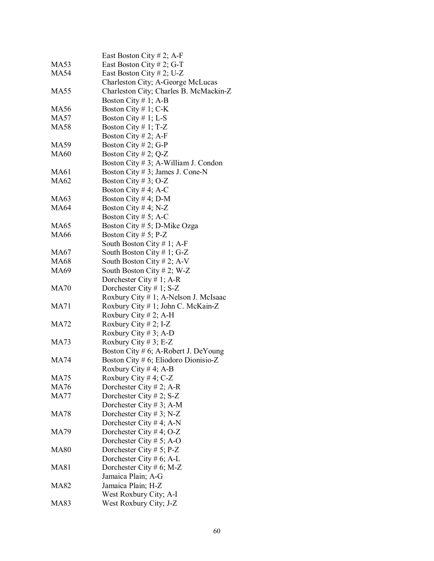|             | East Boston City # 2; A-F              |
|-------------|----------------------------------------|
| MA53        | East Boston City # 2; G-T              |
| MA54        | East Boston City # 2; U-Z              |
|             | Charleston City; A-George McLucas      |
| <b>MA55</b> | Charleston City; Charles B. McMackin-Z |
|             | Boston City $# 1$ ; A-B                |
| MA56        | Boston City # 1; $C-K$                 |
| <b>MA57</b> | Boston City $# 1$ ; L-S                |
| <b>MA58</b> | Boston City #1; T-Z                    |
|             | Boston City # 2; A-F                   |
| MA59        | Boston City # 2; G-P                   |
| <b>MA60</b> | Boston City # 2; Q-Z                   |
|             | Boston City # 3; A-William J. Condon   |
| MA61        | Boston City # 3; James J. Cone-N       |
|             |                                        |
| <b>MA62</b> | Boston City # 3; O-Z                   |
|             | Boston City # 4; A-C                   |
| MA63        | Boston City # 4; D-M                   |
| <b>MA64</b> | Boston City # 4; N-Z                   |
|             | Boston City # 5; A-C                   |
| <b>MA65</b> | Boston City # 5; D-Mike Ozga           |
| <b>MA66</b> | Boston City # 5; $P-Z$                 |
|             | South Boston City # 1; A-F             |
| MA67        | South Boston City # 1; G-Z             |
| MA68        | South Boston City # 2; A-V             |
| MA69        | South Boston City #2; W-Z              |
|             | Dorchester City # 1; A-R               |
| <b>MA70</b> | Dorchester City # 1; $S-Z$             |
|             | Roxbury City # 1; A-Nelson J. McIsaac  |
| MA71        | Roxbury City # 1; John C. McKain-Z     |
|             | Roxbury City # 2; A-H                  |
| MA72        | Roxbury City # 2; I-Z                  |
|             | Roxbury City # 3; A-D                  |
| <b>MA73</b> | Roxbury City # 3; E-Z                  |
|             | Boston City # 6; A-Robert J. DeYoung   |
| <b>MA74</b> | Boston City # 6; Eliodoro Dionisio-Z   |
|             | Roxbury City # 4; A-B                  |
| MA75        | Roxbury City #4; C-Z                   |
| MA76        | Dorchester City # 2; A-R               |
| <b>MA77</b> | Dorchester City # 2; $S-Z$             |
|             | Dorchester City # 3; A-M               |
| MA78        | Dorchester City # 3; N-Z               |
|             | Dorchester City # 4; A-N               |
| MA79        | Dorchester City #4; O-Z                |
|             | Dorchester City # 5; A-O               |
| <b>MA80</b> | Dorchester City # 5; $P-Z$             |
|             | Dorchester City # 6; A-L               |
| MA81        | Dorchester City # 6; M-Z               |
|             | Jamaica Plain; A-G                     |
| MA82        | Jamaica Plain; H-Z                     |
|             | West Roxbury City; A-I                 |
| <b>MA83</b> | West Roxbury City; J-Z                 |
|             |                                        |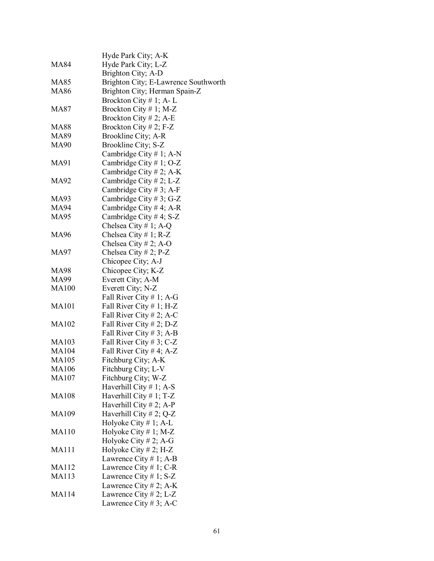|              | Hyde Park City; A-K                  |
|--------------|--------------------------------------|
| MA84         | Hyde Park City; L-Z                  |
|              | Brighton City; A-D                   |
| MA85         | Brighton City; E-Lawrence Southworth |
| <b>MA86</b>  | Brighton City; Herman Spain-Z        |
|              | Brockton City $# 1$ ; A-L            |
| <b>MA87</b>  | Brockton City #1; M-Z                |
|              | Brockton City # 2; A-E               |
| <b>MA88</b>  | Brockton City # 2; F-Z               |
| <b>MA89</b>  | Brookline City; A-R                  |
| <b>MA90</b>  | Brookline City; S-Z                  |
|              | Cambridge City $# 1$ ; A-N           |
| MA91         | Cambridge City # 1; O-Z              |
|              | Cambridge City # 2; A-K              |
| MA92         | Cambridge City # 2; L-Z              |
|              | Cambridge City #3; A-F               |
| MA93         | Cambridge City #3; G-Z               |
| MA94         | Cambridge City # 4; A-R              |
| <b>MA95</b>  | Cambridge City #4; S-Z               |
|              | Chelsea City # 1; A-Q                |
| <b>MA96</b>  | Chelsea City # 1; $R-Z$              |
|              | Chelsea City # 2; A-O                |
| <b>MA97</b>  | Chelsea City # 2; $P-Z$              |
|              | Chicopee City; A-J                   |
| <b>MA98</b>  | Chicopee City; K-Z                   |
| MA99         | Everett City; A-M                    |
| <b>MA100</b> | Everett City; N-Z                    |
|              | Fall River City # 1; A-G             |
| <b>MA101</b> | Fall River City # 1; H-Z             |
|              | Fall River City # 2; A-C             |
| MA102        | Fall River City # 2; D-Z             |
|              | Fall River City # 3; A-B             |
| <b>MA103</b> | Fall River City # 3; C-Z             |
| <b>MA104</b> | Fall River City # 4; A-Z             |
| <b>MA105</b> | Fitchburg City; A-K                  |
| MA106        | Fitchburg City; L-V                  |
| MA107        | Fitchburg City; W-Z                  |
|              | Haverhill City $# 1$ ; A-S           |
| <b>MA108</b> | Haverhill City $# 1$ ; T-Z           |
|              | Haverhill City # 2; A-P              |
| MA109        | Haverhill City # 2; Q-Z              |
|              | Holyoke City $# 1$ ; A-L             |
| <b>MA110</b> | Holyoke City $# 1$ ; M-Z             |
|              | Holyoke City # 2; A-G                |
| <b>MA111</b> | Holyoke City # 2; H-Z                |
|              | Lawrence City # 1; A-B               |
| <b>MA112</b> | Lawrence City $# 1$ ; C-R            |
| <b>MA113</b> | Lawrence City # 1; $S-Z$             |
|              | Lawrence City # 2; A-K               |
| <b>MA114</b> | Lawrence City # 2; L-Z               |
|              | Lawrence City # 3; A-C               |
|              |                                      |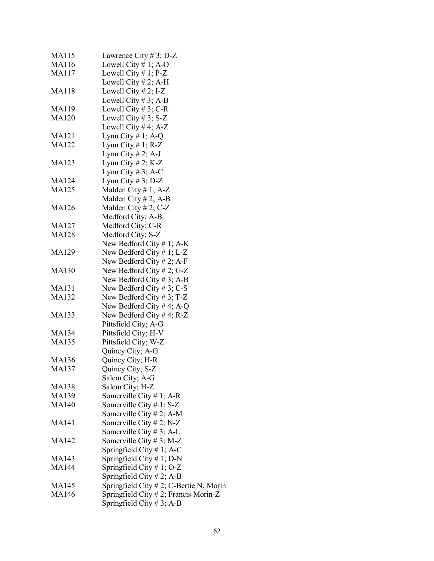| MA115        | Lawrence City # 3; D-Z                     |
|--------------|--------------------------------------------|
| MA116        | Lowell City $# 1$ ; A-O                    |
| MA117        | Lowell City $# 1$ ; P-Z                    |
|              | Lowell City $# 2$ ; A-H                    |
| MA118        | Lowell City $# 2$ ; I-Z                    |
|              | Lowell City $# 3$ ; A-B                    |
| MA119        | Lowell City # 3; C-R                       |
| MA120        | Lowell City # 3; S-Z                       |
|              | Lowell City # 4; A-Z                       |
| MA121        | Lynn City # 1; A-Q                         |
| MA122        | Lynn City $# 1$ ; R-Z                      |
|              | Lynn City # 2; A-J                         |
| MA123        | Lynn City # 2; $K-Z$                       |
|              | Lynn City # 3; A-C                         |
| <b>MA124</b> |                                            |
|              | Lynn City # 3; $D-Z$                       |
| MA125        | Malden City # 1; $A-Z$                     |
|              | Malden City # 2; A-B                       |
| <b>MA126</b> | Malden City # 2; C-Z                       |
|              | Medford City; A-B                          |
| <b>MA127</b> | Medford City; C-R                          |
| MA128        | Medford City; S-Z                          |
|              | New Bedford City # 1; $A-K$                |
| MA129        | New Bedford City $# 1$ ; L-Z               |
|              | New Bedford City # 2; A-F                  |
| <b>MA130</b> | New Bedford City # 2; G-Z                  |
|              | New Bedford City #3; A-B                   |
| MA131        | New Bedford City #3; C-S                   |
| MA132        | New Bedford City # 3; T-Z                  |
|              | New Bedford City # 4; A-Q                  |
| MA133        | New Bedford City # 4; R-Z                  |
|              | Pittsfield City; A-G                       |
| MA134        | Pittsfield City; H-V                       |
| <b>MA135</b> | Pittsfield City; W-Z                       |
|              | Quincy City; A-G                           |
| <b>MA136</b> | Quincy City; H-R                           |
| MA137        | Quincy City; S-Z                           |
|              | Salem City; A-G                            |
| <b>MA138</b> | Salem City; H-Z                            |
| MA139        | Somerville City # 1; A-R                   |
| <b>MA140</b> | Somerville City $# 1$ ; S-Z                |
|              | Somerville City # 2; A-M                   |
| <b>MA141</b> | Somerville City # 2; N-Z                   |
|              | Somerville City # 3; A-L                   |
| MA142        | Somerville City # 3; M-Z                   |
|              | Springfield City $# 1$ ; A-C               |
| MA143        | Springfield City # 1; D-N                  |
|              |                                            |
| MA144        | Springfield City $# 1$ ; O-Z               |
|              | Springfield City # 2; A-B                  |
| MA145        | Springfield City $# 2$ ; C-Bertie N. Morin |
| <b>MA146</b> | Springfield City $# 2$ ; Francis Morin-Z   |
|              | Springfield City # 3; A-B                  |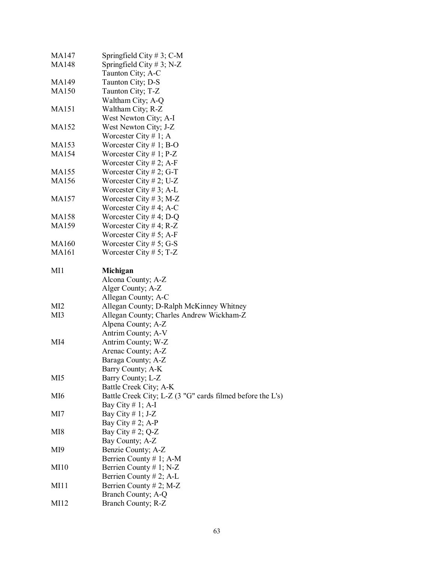| MA147           | Springfield City $# 3$ ; C-M                               |
|-----------------|------------------------------------------------------------|
| MA148           | Springfield City # 3; N-Z                                  |
|                 | Taunton City; A-C                                          |
| MA149           | Taunton City; D-S                                          |
| <b>MA150</b>    | Taunton City; T-Z                                          |
|                 | Waltham City; A-Q                                          |
| <b>MA151</b>    | Waltham City; R-Z                                          |
|                 | West Newton City; A-I                                      |
| MA152           | West Newton City; J-Z                                      |
|                 | Worcester City # 1; A                                      |
| MA153           | Worcester City # 1; B-O                                    |
| MA154           | Worcester City # 1; $P-Z$                                  |
|                 | Worcester City # 2; A-F                                    |
| MA155           | Worcester City # 2; G-T                                    |
| MA156           | Worcester City # 2; U-Z                                    |
|                 | Worcester City # 3; A-L                                    |
| MA157           | Worcester City # 3; M-Z                                    |
|                 | Worcester City # 4; A-C                                    |
| <b>MA158</b>    | Worcester City # 4; D-Q                                    |
| MA159           | Worcester City # 4; R-Z                                    |
|                 | Worcester City # 5; A-F                                    |
| MA160           | Worcester City # 5; G-S                                    |
| <b>MA161</b>    | Worcester City # 5; T-Z                                    |
|                 |                                                            |
| MI1             | Michigan                                                   |
|                 | Alcona County; A-Z                                         |
|                 | Alger County; A-Z                                          |
|                 | Allegan County; A-C                                        |
| MI <sub>2</sub> | Allegan County; D-Ralph McKinney Whitney                   |
| MI3             | Allegan County; Charles Andrew Wickham-Z                   |
|                 | Alpena County; A-Z                                         |
|                 | Antrim County; A-V                                         |
| MI4             | Antrim County; W-Z                                         |
|                 | Arenac County; A-Z                                         |
|                 | Baraga County; A-Z                                         |
|                 | Barry County; A-K                                          |
| MI <sub>5</sub> | Barry County; L-Z                                          |
|                 | Battle Creek City; A-K                                     |
| MI6             | Battle Creek City; L-Z (3 "G" cards filmed before the L's) |
|                 | Bay City # 1; A-I                                          |
| MI7             | Bay City # 1; J-Z                                          |
|                 | Bay City # 2; A-P                                          |
|                 |                                                            |
| MI8             | Bay City # 2; $Q-Z$                                        |
|                 | Bay County; A-Z                                            |
| MI9             | Benzie County; A-Z                                         |
|                 | Berrien County # 1; A-M                                    |
| <b>MI10</b>     | Berrien County # 1; N-Z                                    |
|                 | Berrien County # 2; A-L                                    |
| MI11            | Berrien County # 2; M-Z                                    |
|                 | Branch County; A-Q                                         |
| MI12            | Branch County; R-Z                                         |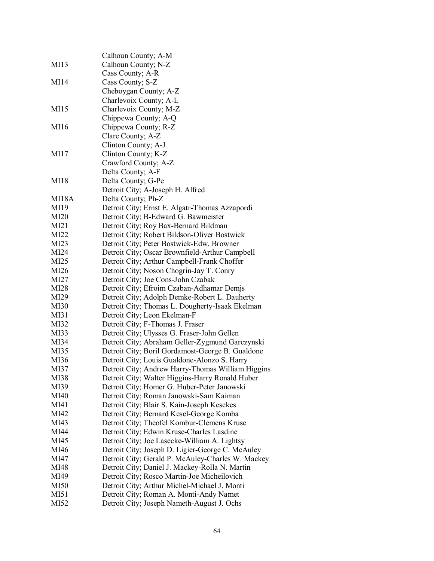|             | Calhoun County; A-M                               |
|-------------|---------------------------------------------------|
| MI13        | Calhoun County; N-Z                               |
|             | Cass County; A-R                                  |
| MI14        | Cass County; S-Z                                  |
|             | Cheboygan County; A-Z                             |
|             | Charlevoix County; A-L                            |
| MI15        | Charlevoix County; M-Z                            |
|             | Chippewa County; A-Q                              |
| MI16        | Chippewa County; R-Z                              |
|             | Clare County; A-Z                                 |
|             | Clinton County; A-J                               |
| MI17        | Clinton County; K-Z                               |
|             | Crawford County; A-Z                              |
|             | Delta County; A-F                                 |
| MI18        | Delta County; G-Pe                                |
|             | Detroit City; A-Joseph H. Alfred                  |
| MI18A       | Delta County; Ph-Z                                |
| MI19        | Detroit City; Ernst E. Algatr-Thomas Azzapordi    |
|             |                                                   |
| <b>MI20</b> | Detroit City; B-Edward G. Bawmeister              |
| MI21        | Detroit City; Roy Bax-Bernard Bildman             |
| MI22        | Detroit City; Robert Bildson-Oliver Bostwick      |
| MI23        | Detroit City; Peter Bostwick-Edw. Browner         |
| MI24        | Detroit City; Oscar Brownfield-Arthur Campbell    |
| MI25        | Detroit City; Arthur Campbell-Frank Choffer       |
| MI26        | Detroit City; Noson Chogrin-Jay T. Conry          |
| MI27        | Detroit City; Joe Cons-John Czabak                |
| MI28        | Detroit City; Efroim Czaban-Adhamar Demjs         |
| MI29        | Detroit City; Adolph Demke-Robert L. Dauherty     |
| <b>MI30</b> | Detroit City; Thomas L. Dougherty-Isaak Ekelman   |
| MI31        | Detroit City; Leon Ekelman-F                      |
| MI32        | Detroit City; F-Thomas J. Fraser                  |
| MI33        | Detroit City; Ulysses G. Fraser-John Gellen       |
| MI34        | Detroit City; Abraham Geller-Zygmund Garczynski   |
| MI35        | Detroit City; Boril Gordamost-George B. Gualdone  |
| MI36        | Detroit City; Louis Gualdone-Alonzo S. Harry      |
| MI37        | Detroit City; Andrew Harry-Thomas William Higgins |
| MI38        | Detroit City; Walter Higgins-Harry Ronald Huber   |
| MI39        | Detroit City; Homer G. Huber-Peter Janowski       |
| MI40        | Detroit City; Roman Janowski-Sam Kaiman           |
| MI41        | Detroit City; Blair S. Kain-Joseph Kesckes        |
| MI42        | Detroit City; Bernard Kesel-George Komba          |
| MI43        | Detroit City; Theofel Kombur-Clemens Kruse        |
| MI44        | Detroit City; Edwin Kruse-Charles Lasdine         |
| MI45        | Detroit City; Joe Lasecke-William A. Lightsy      |
| MI46        | Detroit City; Joseph D. Ligier-George C. McAuley  |
| MI47        | Detroit City; Gerald P. McAuley-Charles W. Mackey |
| MI48        | Detroit City; Daniel J. Mackey-Rolla N. Martin    |
| MI49        | Detroit City; Rosco Martin-Joe Micheilovich       |
| MI50        | Detroit City; Arthur Michel-Michael J. Monti      |
| MI51        | Detroit City; Roman A. Monti-Andy Namet           |
| MI52        | Detroit City; Joseph Nameth-August J. Ochs        |
|             |                                                   |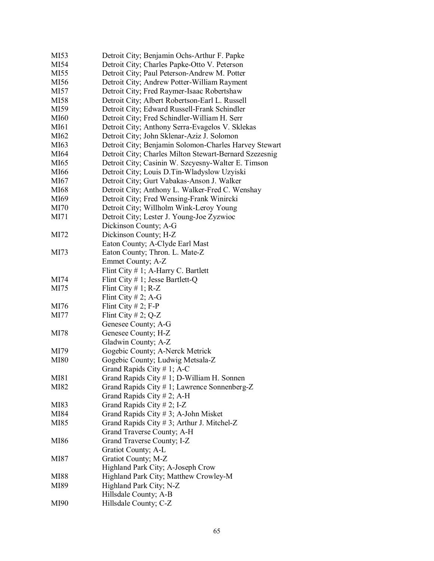| MI53        | Detroit City; Benjamin Ochs-Arthur F. Papke            |
|-------------|--------------------------------------------------------|
| MI54        | Detroit City; Charles Papke-Otto V. Peterson           |
| MI55        | Detroit City; Paul Peterson-Andrew M. Potter           |
| MI56        | Detroit City; Andrew Potter-William Rayment            |
| MI57        | Detroit City; Fred Raymer-Isaac Robertshaw             |
| MI58        | Detroit City; Albert Robertson-Earl L. Russell         |
| MI59        | Detroit City; Edward Russell-Frank Schindler           |
| MI60        | Detroit City; Fred Schindler-William H. Serr           |
| MI61        | Detroit City; Anthony Serra-Evagelos V. Sklekas        |
| MI62        | Detroit City; John Sklenar-Aziz J. Solomon             |
| MI63        | Detroit City; Benjamin Solomon-Charles Harvey Stewart  |
| MI64        | Detroit City; Charles Milton Stewart-Bernard Szezesnig |
| MI65        | Detroit City; Casinin W. Szcyesny-Walter E. Timson     |
| MI66        | Detroit City; Louis D.Tin-Wladyslow Uzyiski            |
| MI67        | Detroit City; Gurt Vabakas-Anson J. Walker             |
| MI68        | Detroit City; Anthony L. Walker-Fred C. Wenshay        |
| MI69        | Detroit City; Fred Wensing-Frank Winircki              |
| MI70        | Detroit City; Willholm Wink-Leroy Young                |
| MI71        | Detroit City; Lester J. Young-Joe Zyzwioc              |
|             | Dickinson County; A-G                                  |
| MI72        | Dickinson County; H-Z                                  |
|             | Eaton County; A-Clyde Earl Mast                        |
| MI73        | Eaton County; Thron. L. Mate-Z                         |
|             | Emmet County; A-Z                                      |
|             | Flint City $# 1$ ; A-Harry C. Bartlett                 |
| MI74        | Flint City # 1; Jesse Bartlett-Q                       |
| MI75        | Flint City # 1; $R-Z$                                  |
|             | Flint City # 2; A-G                                    |
| MI76        | Flint City $# 2$ ; F-P                                 |
| MI77        | Flint City # 2; $Q-Z$                                  |
|             | Genesee County; A-G                                    |
| MI78        | Genesee County; H-Z                                    |
|             | Gladwin County; A-Z                                    |
| MI79        | Gogebic County; A-Nerck Metrick                        |
| <b>MI80</b> | Gogebic County; Ludwig Metsala-Z                       |
|             | Grand Rapids City $# 1$ ; A-C                          |
| MI81        | Grand Rapids City # 1; D-William H. Sonnen             |
| MI82        | Grand Rapids City # 1; Lawrence Sonnenberg-Z           |
|             | Grand Rapids City # 2; A-H                             |
| MI83        | Grand Rapids City # 2; I-Z                             |
| MI84        | Grand Rapids City # 3; A-John Misket                   |
| MI85        | Grand Rapids City $# 3$ ; Arthur J. Mitchel-Z          |
|             | Grand Traverse County; A-H                             |
| MI86        | Grand Traverse County; I-Z                             |
|             | Gratiot County; A-L                                    |
| MI87        | Gratiot County; M-Z                                    |
|             | Highland Park City; A-Joseph Crow                      |
| MI88        | Highland Park City; Matthew Crowley-M                  |
| MI89        | Highland Park City; N-Z                                |
|             | Hillsdale County; A-B                                  |
| MI90        | Hillsdale County; C-Z                                  |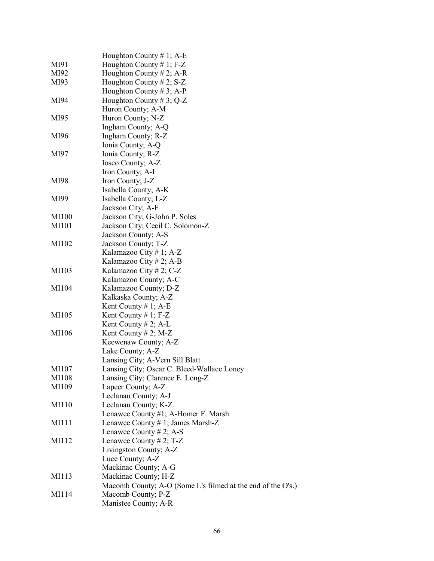|       | Houghton County # 1; $A-E$                                  |
|-------|-------------------------------------------------------------|
| MI91  | Houghton County # 1; $F-Z$                                  |
|       |                                                             |
| MI92  | Houghton County # 2; A-R                                    |
| MI93  | Houghton County # 2; $S-Z$                                  |
|       | Houghton County # 3; A-P                                    |
| MI94  | Houghton County # 3; $Q-Z$                                  |
|       | Huron County; A-M                                           |
| MI95  | Huron County; N-Z                                           |
|       | Ingham County; A-Q                                          |
| MI96  | Ingham County; R-Z                                          |
|       | Ionia County; A-Q                                           |
| MI97  | Ionia County; R-Z                                           |
|       | Iosco County; A-Z                                           |
|       | Iron County; A-I                                            |
| MI98  | Iron County; J-Z                                            |
|       | Isabella County; A-K                                        |
| MI99  | Isabella County; L-Z                                        |
|       | Jackson City; A-F                                           |
| MI100 | Jackson City; G-John P. Soles                               |
| MI101 | Jackson City; Cecil C. Solomon-Z                            |
|       | Jackson County; A-S                                         |
| MI102 | Jackson County; T-Z                                         |
|       | Kalamazoo City # 1; A-Z                                     |
|       | Kalamazoo City # 2; A-B                                     |
| MI103 | Kalamazoo City # 2; C-Z                                     |
|       | Kalamazoo County; A-C                                       |
| MI104 | Kalamazoo County; D-Z                                       |
|       | Kalkaska County; A-Z                                        |
|       | Kent County # 1; A-E                                        |
| MI105 | Kent County # 1; $F-Z$                                      |
|       | Kent County # 2; A-L                                        |
| MI106 | Kent County # 2; M-Z                                        |
|       | Keewenaw County; A-Z                                        |
|       | Lake County; A-Z                                            |
|       | Lansing City; A-Vern Sill Blatt                             |
| MI107 | Lansing City; Oscar C. Bleed-Wallace Loney                  |
| MI108 | Lansing City; Clarence E. Long-Z                            |
| MI109 | Lapeer County; A-Z                                          |
|       | Leelanau County; A-J                                        |
| MI110 | Leelanau County; K-Z                                        |
|       | Lenawee County #1; A-Homer F. Marsh                         |
| MI111 | Lenawee County # 1; James Marsh-Z                           |
|       | Lenawee County # 2; A-S                                     |
| MI112 | Lenawee County # 2; $T-Z$                                   |
|       | Livingston County; A-Z                                      |
|       | Luce County; A-Z                                            |
|       | Mackinac County; A-G                                        |
| MI113 | Mackinac County; H-Z                                        |
|       | Macomb County; A-O (Some L's filmed at the end of the O's.) |
| MI114 | Macomb County; P-Z                                          |
|       | Manistee County; A-R                                        |
|       |                                                             |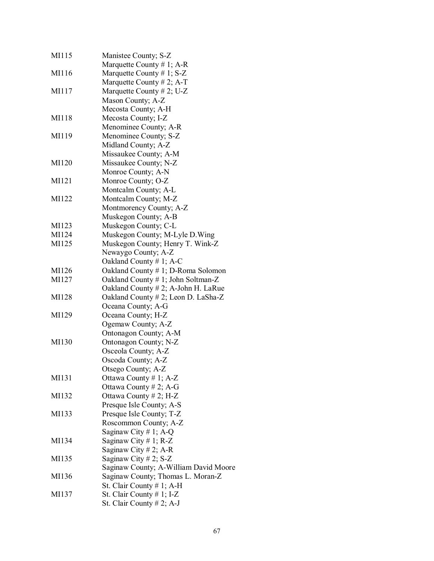| MI115 | Manistee County; S-Z                  |
|-------|---------------------------------------|
|       | Marquette County # 1; A-R             |
| MI116 | Marquette County # 1; $S-Z$           |
|       | Marquette County # 2; A-T             |
| MI117 | Marquette County # 2; U-Z             |
|       | Mason County; A-Z                     |
|       | Mecosta County; A-H                   |
| MI118 | Mecosta County; I-Z                   |
|       | Menominee County; A-R                 |
| MI119 | Menominee County; S-Z                 |
|       | Midland County; A-Z                   |
|       | Missaukee County; A-M                 |
| MI120 | Missaukee County; N-Z                 |
|       | Monroe County; A-N                    |
| MI121 | Monroe County; O-Z                    |
|       | Montcalm County; A-L                  |
| MI122 | Montcalm County; M-Z                  |
|       | Montmorency County; A-Z               |
|       | Muskegon County; A-B                  |
|       | Muskegon County; C-L                  |
| MI123 |                                       |
| MI124 | Muskegon County; M-Lyle D. Wing       |
| MI125 | Muskegon County; Henry T. Wink-Z      |
|       | Newaygo County; A-Z                   |
|       | Oakland County #1; A-C                |
| MI126 | Oakland County # 1; D-Roma Solomon    |
| MI127 | Oakland County # 1; John Soltman-Z    |
|       | Oakland County # 2; A-John H. LaRue   |
| MI128 | Oakland County # 2; Leon D. LaSha-Z   |
|       | Oceana County; A-G                    |
| MI129 | Oceana County; H-Z                    |
|       | Ogemaw County; A-Z                    |
|       | Ontonagon County; A-M                 |
| MI130 | Ontonagon County; N-Z                 |
|       | Osceola County; A-Z                   |
|       | Oscoda County; A-Z                    |
|       | Otsego County; A-Z                    |
| MI131 | Ottawa County # 1; $A-Z$              |
|       | Ottawa County # 2; A-G                |
| MI132 | Ottawa County # 2; $H-Z$              |
|       | Presque Isle County; A-S              |
| MI133 | Presque Isle County; T-Z              |
|       | Roscommon County; A-Z                 |
|       | Saginaw City #1; A-Q                  |
| MI134 | Saginaw City # 1; R-Z                 |
|       | Saginaw City # 2; A-R                 |
| MI135 | Saginaw City # 2; $S-Z$               |
|       | Saginaw County; A-William David Moore |
| MI136 | Saginaw County; Thomas L. Moran-Z     |
|       | St. Clair County $# 1$ ; A-H          |
| MI137 | St. Clair County $# 1$ ; I-Z          |
|       | St. Clair County # 2; A-J             |
|       |                                       |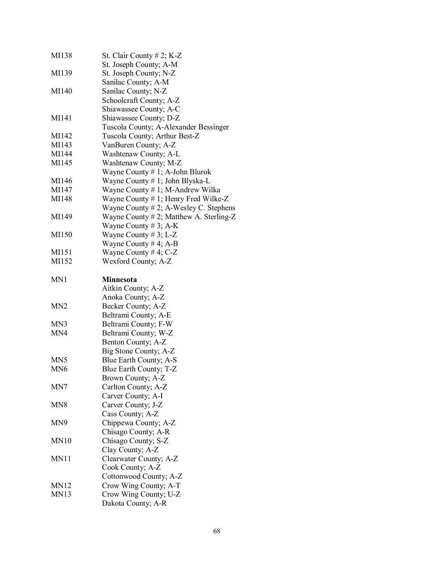| MI138            | St. Clair County $# 2$ ; K-Z                |
|------------------|---------------------------------------------|
|                  | St. Joseph County; A-M                      |
| MI139            | St. Joseph County; N-Z                      |
|                  | Sanilac County; A-M                         |
| MI140            | Sanilac County; N-Z                         |
|                  | Schoolcraft County; A-Z                     |
|                  | Shiawassee County; A-C                      |
| MI141            | Shiawassee County; D-Z                      |
|                  | Tuscola County; A-Alexander Bessinger       |
| MI142            | Tuscola County; Arthur Best-Z               |
| MI143            | VanBuren County; A-Z                        |
| MI144            | Washtenaw County; A-L                       |
| MI145            | Washtenaw County; M-Z                       |
|                  | Wayne County # 1; A-John Blurok             |
| MI146            | Wayne County # 1; John Blyska-L             |
| MI147            | Wayne County # 1; M-Andrew Wilka            |
| MI148            | Wayne County # 1; Henry Fred Wilke-Z        |
|                  | Wayne County $# 2$ ; A-Wesley C. Stephens   |
| MI149            | Wayne County $# 2$ ; Matthew A. Sterling-Z  |
|                  | Wayne County # 3; A-K                       |
| MI150            | Wayne County # 3; L-Z                       |
|                  | Wayne County # 4; A-B                       |
| MI151            | Wayne County # 4; $C-Z$                     |
| MI152            | Wexford County; A-Z                         |
|                  |                                             |
| MN1              | <b>Minnesota</b>                            |
|                  | Aitkin County; A-Z                          |
|                  |                                             |
|                  |                                             |
|                  | Anoka County; A-Z                           |
| M <sub>N</sub> 2 | Becker County; A-Z                          |
|                  | Beltrami County; A-E                        |
| MN3              | Beltrami County; F-W                        |
| MN4              | Beltrami County; W-Z                        |
|                  | Benton County; A-Z                          |
|                  | Big Stone County; A-Z                       |
| MN <sub>5</sub>  | Blue Earth County; A-S                      |
| MN6              | Blue Earth County; T-Z                      |
|                  | Brown County; A-Z                           |
| MN7              | Carlton County; A-Z                         |
|                  | Carver County; A-I                          |
| MN8              | Carver County; J-Z                          |
|                  | Cass County; A-Z                            |
| MN9              | Chippewa County; A-Z                        |
|                  | Chisago County; A-R                         |
| <b>MN10</b>      | Chisago County; S-Z                         |
|                  | Clay County; A-Z                            |
| MN11             | Clearwater County; A-Z                      |
|                  | Cook County; A-Z                            |
|                  | Cottonwood County; A-Z                      |
| <b>MN12</b>      | Crow Wing County; A-T                       |
| <b>MN13</b>      | Crow Wing County; U-Z<br>Dakota County; A-R |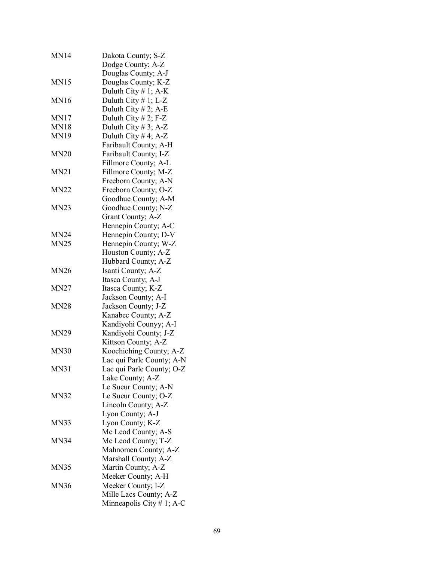| <b>MN14</b> | Dakota County; S-Z<br>Dodge County; A-Z |
|-------------|-----------------------------------------|
|             | Douglas County; A-J                     |
| <b>MN15</b> | Douglas County; K-Z                     |
|             | Duluth City # 1; $A-K$                  |
| <b>MN16</b> | Duluth City # 1; L-Z                    |
|             | Duluth City # 2; A-E                    |
| <b>MN17</b> | Duluth City # 2; F-Z                    |
| <b>MN18</b> | Duluth City # 3; A-Z                    |
| <b>MN19</b> | Duluth City #4; $A-Z$                   |
|             | Faribault County; A-H                   |
| <b>MN20</b> | Faribault County; I-Z                   |
|             | Fillmore County; A-L                    |
| MN21        | Fillmore County; M-Z                    |
|             | Freeborn County; A-N                    |
| <b>MN22</b> | Freeborn County; O-Z                    |
|             | Goodhue County; A-M                     |
| <b>MN23</b> | Goodhue County; N-Z                     |
|             | Grant County; A-Z                       |
|             | Hennepin County; A-C                    |
| <b>MN24</b> | Hennepin County; D-V                    |
| <b>MN25</b> | Hennepin County; W-Z                    |
|             | Houston County; A-Z                     |
|             | Hubbard County; A-Z                     |
| <b>MN26</b> | Isanti County; A-Z                      |
|             | Itasca County; A-J                      |
| <b>MN27</b> | Itasca County; K-Z                      |
|             | Jackson County; A-I                     |
| <b>MN28</b> | Jackson County; J-Z                     |
|             | Kanabec County; A-Z                     |
|             | Kandiyohi Counyy; A-I                   |
| <b>MN29</b> | Kandiyohi County; J-Z                   |
|             | Kittson County; A-Z                     |
| <b>MN30</b> | Koochiching County; A-Z                 |
|             | Lac qui Parle County; A-N               |
| <b>MN31</b> |                                         |
|             | Lac qui Parle County; O-Z               |
|             | Lake County; A-Z                        |
|             | Le Sueur County; A-N                    |
| <b>MN32</b> | Le Sueur County; O-Z                    |
|             | Lincoln County; A-Z                     |
|             | Lyon County; A-J                        |
| <b>MN33</b> | Lyon County; K-Z                        |
|             | Mc Leod County; A-S                     |
| <b>MN34</b> | Mc Leod County; T-Z                     |
|             | Mahnomen County; A-Z                    |
|             | Marshall County; A-Z                    |
| <b>MN35</b> | Martin County; A-Z                      |
|             | Meeker County; A-H                      |
| <b>MN36</b> | Meeker County; I-Z                      |
|             | Mille Lacs County; A-Z                  |
|             | Minneapolis City $# 1$ ; A-C            |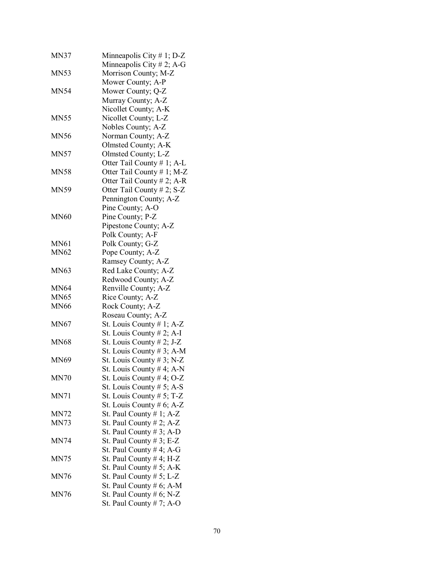| <b>MN37</b> | Minneapolis City # 1; $D-Z$<br>Minneapolis City # 2; A-G  |
|-------------|-----------------------------------------------------------|
| MN53        | Morrison County; M-Z                                      |
| <b>MN54</b> | Mower County; A-P<br>Mower County; Q-Z                    |
|             | Murray County; A-Z<br>Nicollet County; A-K                |
| <b>MN55</b> | Nicollet County; L-Z                                      |
| <b>MN56</b> | Nobles County; A-Z<br>Norman County; A-Z                  |
| <b>MN57</b> | Olmsted County; A-K<br>Olmsted County; L-Z                |
| MN58        | Otter Tail County # 1; A-L<br>Otter Tail County # 1; M-Z  |
|             | Otter Tail County # 2; A-R                                |
| <b>MN59</b> | Otter Tail County # 2; S-Z<br>Pennington County; A-Z      |
|             | Pine County; A-O                                          |
| <b>MN60</b> | Pine County; P-Z                                          |
|             | Pipestone County; A-Z                                     |
|             | Polk County; A-F                                          |
| <b>MN61</b> | Polk County; G-Z                                          |
| <b>MN62</b> | Pope County; A-Z                                          |
|             | Ramsey County; A-Z                                        |
| <b>MN63</b> | Red Lake County; A-Z                                      |
|             | Redwood County; A-Z                                       |
| <b>MN64</b> | Renville County; A-Z                                      |
| <b>MN65</b> | Rice County; A-Z                                          |
| <b>MN66</b> | Rock County; A-Z                                          |
|             | Roseau County; A-Z                                        |
| <b>MN67</b> | St. Louis County # 1; A-Z<br>St. Louis County $# 2$ ; A-I |
| MN68        | St. Louis County $# 2$ ; J-Z                              |
|             | St. Louis County # 3; A-M                                 |
| MN69        | St. Louis County $# 3$ ; N-Z                              |
|             | St. Louis County # 4; A-N                                 |
| <b>MN70</b> | St. Louis County # 4; O-Z                                 |
|             | St. Louis County $# 5$ ; A-S                              |
| MN71        | St. Louis County # 5; T-Z                                 |
|             | St. Louis County # $6$ ; A-Z                              |
| MN72        | St. Paul County $# 1$ ; A-Z                               |
| <b>MN73</b> | St. Paul County $# 2$ ; A-Z                               |
|             | St. Paul County $# 3$ ; A-D                               |
| <b>MN74</b> | St. Paul County # 3; E-Z<br>St. Paul County # 4; A-G      |
| <b>MN75</b> | St. Paul County $# 4$ ; H-Z                               |
|             | St. Paul County $# 5$ ; A-K                               |
| <b>MN76</b> | St. Paul County $# 5$ ; L-Z                               |
|             | St. Paul County # 6; A-M                                  |
| <b>MN76</b> | St. Paul County # $6$ ; N-Z                               |
|             | St. Paul County $# 7$ ; A-O                               |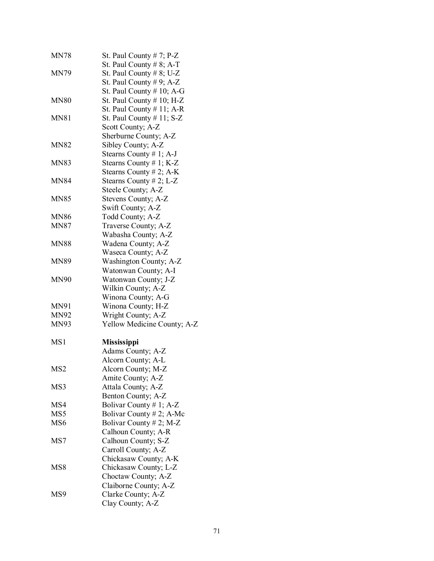| <b>MN78</b>     | St. Paul County $# 7$ ; P-Z<br>St. Paul County $# 8$ ; A-T |
|-----------------|------------------------------------------------------------|
| <b>MN79</b>     | St. Paul County $# 8$ ; U-Z                                |
|                 | St. Paul County $# 9$ ; A-Z                                |
|                 | St. Paul County $# 10$ ; A-G                               |
| <b>MN80</b>     | St. Paul County # 10; H-Z                                  |
|                 | St. Paul County $# 11$ ; A-R                               |
| <b>MN81</b>     | St. Paul County # 11; S-Z                                  |
|                 | Scott County; A-Z                                          |
|                 |                                                            |
|                 | Sherburne County; A-Z                                      |
| <b>MN82</b>     | Sibley County; A-Z                                         |
|                 | Stearns County $# 1$ ; A-J                                 |
| <b>MN83</b>     | Stearns County # 1; K-Z                                    |
|                 | Stearns County # 2; A-K                                    |
| <b>MN84</b>     | Stearns County # 2; L-Z                                    |
|                 | Steele County; A-Z                                         |
| <b>MN85</b>     | Stevens County; A-Z                                        |
|                 | Swift County; A-Z                                          |
| <b>MN86</b>     | Todd County; A-Z                                           |
| <b>MN87</b>     | Traverse County; A-Z                                       |
|                 | Wabasha County; A-Z                                        |
| <b>MN88</b>     | Wadena County; A-Z                                         |
|                 | Waseca County; A-Z                                         |
| <b>MN89</b>     | Washington County; A-Z                                     |
|                 | Watonwan County; A-I                                       |
| <b>MN90</b>     | Watonwan County; J-Z                                       |
|                 | Wilkin County; A-Z                                         |
|                 | Winona County; A-G                                         |
| MN91            | Winona County; H-Z                                         |
| <b>MN92</b>     | Wright County; A-Z                                         |
| <b>MN93</b>     | Yellow Medicine County; A-Z                                |
| MS1             | <b>Mississippi</b>                                         |
|                 | Adams County; A-Z                                          |
|                 | Alcorn County; A-L                                         |
| MS <sub>2</sub> | Alcorn County; M-Z                                         |
|                 | Amite County; A-Z                                          |
| MS3             | Attala County; A-Z                                         |
|                 | Benton County; A-Z                                         |
| MS4             | Bolivar County # 1; A-Z                                    |
| MS5             | Bolivar County # 2; A-Mc                                   |
| MS <sub>6</sub> | Bolivar County # 2; M-Z                                    |
|                 | Calhoun County; A-R                                        |
| MS7             | Calhoun County; S-Z                                        |
|                 | Carroll County; A-Z                                        |
|                 | Chickasaw County; A-K                                      |
| MS8             | Chickasaw County; L-Z                                      |
|                 | Choctaw County; A-Z                                        |
|                 | Claiborne County; A-Z                                      |
| MS9             | Clarke County; A-Z                                         |
|                 | Clay County; A-Z                                           |
|                 |                                                            |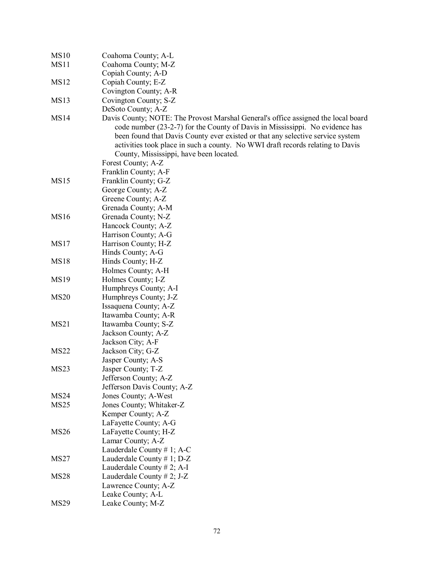| <b>MS10</b>      | Coahoma County; A-L                                                               |
|------------------|-----------------------------------------------------------------------------------|
| MS11             | Coahoma County; M-Z                                                               |
|                  | Copiah County; A-D                                                                |
| MS12             | Copiah County; E-Z                                                                |
|                  | Covington County; A-R                                                             |
| <b>MS13</b>      | Covington County; S-Z                                                             |
|                  | DeSoto County; A-Z                                                                |
| MS14             | Davis County; NOTE: The Provost Marshal General's office assigned the local board |
|                  | code number (23-2-7) for the County of Davis in Mississippi. No evidence has      |
|                  | been found that Davis County ever existed or that any selective service system    |
|                  | activities took place in such a county. No WWI draft records relating to Davis    |
|                  | County, Mississippi, have been located.                                           |
|                  | Forest County; A-Z                                                                |
|                  | Franklin County; A-F                                                              |
| <b>MS15</b>      | Franklin County; G-Z                                                              |
|                  | George County; A-Z                                                                |
|                  | Greene County; A-Z                                                                |
|                  | Grenada County; A-M                                                               |
| <b>MS16</b>      | Grenada County; N-Z                                                               |
|                  | Hancock County; A-Z                                                               |
|                  | Harrison County; A-G                                                              |
| MS17             | Harrison County; H-Z                                                              |
|                  | Hinds County; A-G                                                                 |
| <b>MS18</b>      | Hinds County; H-Z                                                                 |
|                  | Holmes County; A-H                                                                |
| MS19             | Holmes County; I-Z                                                                |
|                  | Humphreys County; A-I                                                             |
| <b>MS20</b>      | Humphreys County; J-Z                                                             |
|                  | Issaquena County; A-Z                                                             |
|                  | Itawamba County; A-R                                                              |
| MS21             | Itawamba County; S-Z                                                              |
|                  | Jackson County; A-Z                                                               |
|                  | Jackson City; A-F                                                                 |
| <b>MS22</b>      | Jackson City; G-Z                                                                 |
|                  | Jasper County; A-S                                                                |
| MS <sub>23</sub> | Jasper County; T-Z                                                                |
|                  | Jefferson County; A-Z                                                             |
|                  | Jefferson Davis County; A-Z                                                       |
| MS <sub>24</sub> | Jones County; A-West                                                              |
| MS <sub>25</sub> | Jones County; Whitaker-Z                                                          |
|                  | Kemper County; A-Z                                                                |
|                  | LaFayette County; A-G                                                             |
| <b>MS26</b>      | LaFayette County; H-Z                                                             |
|                  | Lamar County; A-Z                                                                 |
|                  | Lauderdale County # 1; A-C                                                        |
| MS <sub>27</sub> | Lauderdale County # 1; $D-Z$                                                      |
|                  | Lauderdale County $# 2$ ; A-I                                                     |
| <b>MS28</b>      | Lauderdale County # 2; J-Z                                                        |
|                  | Lawrence County; A-Z                                                              |
|                  | Leake County; A-L                                                                 |
| <b>MS29</b>      | Leake County; M-Z                                                                 |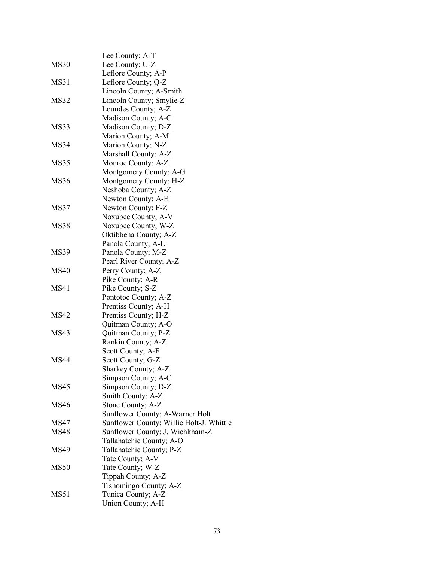|             | Lee County; A-T                          |
|-------------|------------------------------------------|
| <b>MS30</b> | Lee County; U-Z                          |
|             | Leflore County; A-P                      |
| MS31        | Leflore County; Q-Z                      |
|             | Lincoln County; A-Smith                  |
| <b>MS32</b> | Lincoln County; Smylie-Z                 |
|             | Loundes County; A-Z                      |
|             | Madison County; A-C                      |
| MS33        | Madison County; D-Z                      |
|             | Marion County; A-M                       |
| MS34        | Marion County; N-Z                       |
|             | Marshall County; A-Z                     |
| MS35        | Monroe County; A-Z                       |
|             | Montgomery County; A-G                   |
| <b>MS36</b> | Montgomery County; H-Z                   |
|             | Neshoba County; A-Z                      |
|             | Newton County; A-E                       |
| MS37        | Newton County; F-Z                       |
|             | Noxubee County; A-V                      |
| <b>MS38</b> | Noxubee County; W-Z                      |
|             | Oktibbeha County; A-Z                    |
|             | Panola County; A-L                       |
| <b>MS39</b> | Panola County; M-Z                       |
|             | Pearl River County; A-Z                  |
| <b>MS40</b> | Perry County; A-Z                        |
|             | Pike County; A-R                         |
| MS41        | Pike County; S-Z                         |
|             | Pontotoc County; A-Z                     |
|             | Prentiss County; A-H                     |
| <b>MS42</b> | Prentiss County; H-Z                     |
|             | Quitman County; A-O                      |
| <b>MS43</b> | Quitman County; P-Z                      |
|             | Rankin County; A-Z                       |
|             | Scott County; A-F                        |
| <b>MS44</b> | Scott County; G-Z                        |
|             | Sharkey County; A-Z                      |
|             | Simpson County; A-C                      |
| <b>MS45</b> | Simpson County; D-Z                      |
|             | Smith County; A-Z                        |
| <b>MS46</b> | Stone County; A-Z                        |
|             | Sunflower County; A-Warner Holt          |
| <b>MS47</b> | Sunflower County; Willie Holt-J. Whittle |
| <b>MS48</b> | Sunflower County; J. Wichkham-Z          |
|             | Tallahatchie County; A-O                 |
| <b>MS49</b> | Tallahatchie County; P-Z                 |
|             | Tate County; A-V                         |
| <b>MS50</b> | Tate County; W-Z                         |
|             | Tippah County; A-Z                       |
|             | Tishomingo County; A-Z                   |
| <b>MS51</b> | Tunica County; A-Z                       |
|             | Union County; A-H                        |
|             |                                          |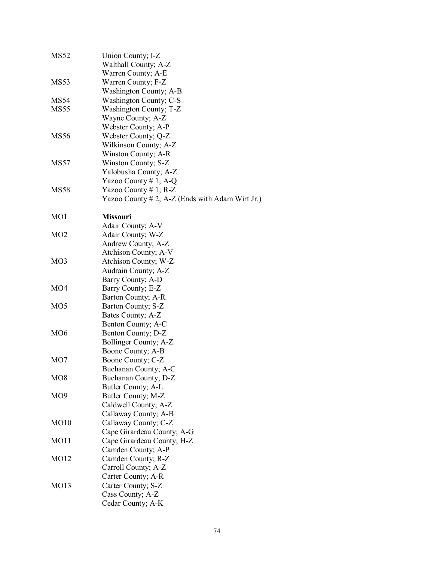| MS52             | Union County; I-Z                               |
|------------------|-------------------------------------------------|
|                  | Walthall County; A-Z                            |
|                  | Warren County; A-E                              |
| MS <sub>53</sub> | Warren County; F-Z                              |
|                  | Washington County; A-B                          |
| <b>MS54</b>      | Washington County; C-S                          |
| <b>MS55</b>      | Washington County; T-Z                          |
|                  | Wayne County; A-Z                               |
|                  | Webster County; A-P                             |
| <b>MS56</b>      | Webster County; Q-Z                             |
|                  | Wilkinson County; A-Z                           |
|                  | Winston County; A-R                             |
| <b>MS57</b>      | Winston County; S-Z                             |
|                  | Yalobusha County; A-Z                           |
|                  | Yazoo County # 1; A-Q                           |
| <b>MS58</b>      |                                                 |
|                  | Yazoo County # 1; $R-Z$                         |
|                  | Yazoo County # 2; A-Z (Ends with Adam Wirt Jr.) |
| MO1              | <b>Missouri</b>                                 |
|                  | Adair County; A-V                               |
| M <sub>O</sub> 2 | Adair County; W-Z                               |
|                  | Andrew County; A-Z                              |
|                  | Atchison County; A-V                            |
| MO <sub>3</sub>  |                                                 |
|                  | Atchison County; W-Z                            |
|                  | Audrain County; A-Z                             |
| MO <sub>4</sub>  | Barry County; A-D                               |
|                  | Barry County; E-Z                               |
|                  | Barton County; A-R                              |
| MO <sub>5</sub>  | Barton County; S-Z                              |
|                  | Bates County; A-Z                               |
|                  | Benton County; A-C                              |
| MO <sub>6</sub>  | Benton County; D-Z                              |
|                  | Bollinger County; A-Z                           |
|                  | Boone County; A-B                               |
| MO7              | Boone County; C-Z                               |
|                  | Buchanan County; A-C                            |
| MO <sub>8</sub>  | Buchanan County; D-Z                            |
|                  | Butler County; A-L                              |
| MO <sub>9</sub>  | Butler County; M-Z                              |
|                  | Caldwell County; A-Z                            |
|                  | Callaway County; A-B                            |
| MO10             | Callaway County; C-Z                            |
|                  | Cape Girardeau County; A-G                      |
| MO11             | Cape Girardeau County; H-Z                      |
|                  | Camden County; A-P                              |
| MO12             | Camden County; R-Z                              |
|                  | Carroll County; A-Z                             |
|                  | Carter County; A-R                              |
| MO13             | Carter County; S-Z                              |
|                  | Cass County; A-Z                                |
|                  | Cedar County; A-K                               |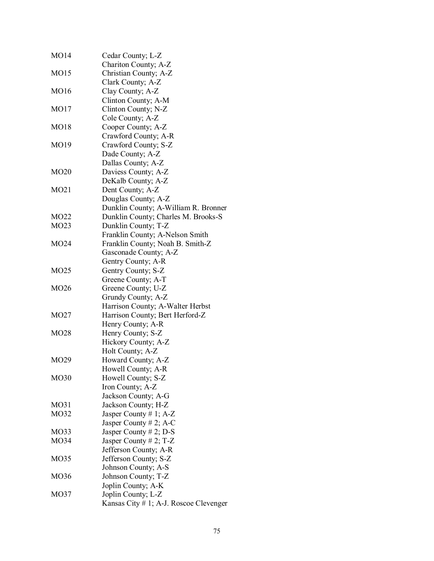| MO14             | Cedar County; L-Z                      |
|------------------|----------------------------------------|
|                  | Chariton County; A-Z                   |
| MO15             | Christian County; A-Z                  |
|                  | Clark County; A-Z                      |
| MO16             | Clay County; A-Z                       |
|                  | Clinton County; A-M                    |
| MO17             | Clinton County; N-Z                    |
|                  | Cole County; A-Z                       |
| MO <sub>18</sub> | Cooper County; A-Z                     |
|                  | Crawford County; A-R                   |
| MO19             | Crawford County; S-Z                   |
|                  | Dade County; A-Z                       |
|                  | Dallas County; A-Z                     |
| MO <sub>20</sub> | Daviess County; A-Z                    |
|                  | DeKalb County; A-Z                     |
| MO21             | Dent County; A-Z                       |
|                  | Douglas County; A-Z                    |
|                  | Dunklin County; A-William R. Bronner   |
| MO22             | Dunklin County; Charles M. Brooks-S    |
| MO23             | Dunklin County; T-Z                    |
|                  | Franklin County; A-Nelson Smith        |
| MO24             | Franklin County; Noah B. Smith-Z       |
|                  | Gasconade County; A-Z                  |
|                  | Gentry County; A-R                     |
| MO25             | Gentry County; S-Z                     |
|                  | Greene County; A-T                     |
| MO26             | Greene County; U-Z                     |
|                  | Grundy County; A-Z                     |
|                  | Harrison County; A-Walter Herbst       |
| MO <sub>27</sub> | Harrison County; Bert Herford-Z        |
|                  | Henry County; A-R                      |
| MO <sub>28</sub> | Henry County; S-Z                      |
|                  | Hickory County; A-Z                    |
|                  | Holt County; A-Z                       |
| MO29             | Howard County; A-Z                     |
|                  | Howell County; A-R                     |
| MO30             | Howell County; S-Z                     |
|                  | Iron County; A-Z                       |
|                  | Jackson County; A-G                    |
| MO31             | Jackson County; H-Z                    |
| MO32             | Jasper County # 1; A-Z                 |
|                  | Jasper County # 2; A-C                 |
| MO33             | Jasper County # 2; D-S                 |
| MO34             | Jasper County # 2; T-Z                 |
|                  | Jefferson County; A-R                  |
| MO35             | Jefferson County; S-Z                  |
|                  | Johnson County; A-S                    |
| MO36             | Johnson County; T-Z                    |
|                  | Joplin County; A-K                     |
| MO37             | Joplin County; L-Z                     |
|                  | Kansas City # 1; A-J. Roscoe Clevenger |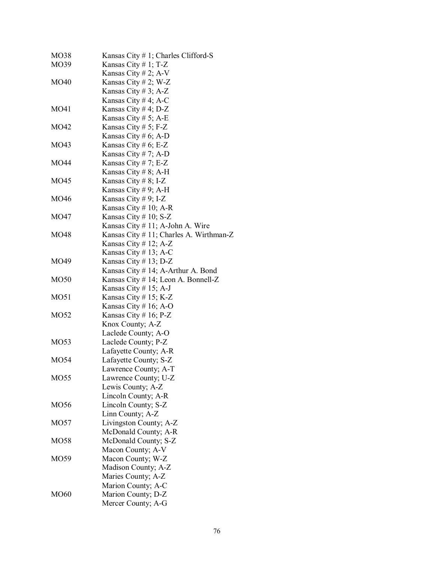| MO38        | Kansas City $# 1$ ; Charles Clifford-S     |
|-------------|--------------------------------------------|
| MO39        | Kansas City # 1; T-Z                       |
|             | Kansas City # 2; $A-V$                     |
| MO40        | Kansas City # 2; W-Z                       |
|             | Kansas City # 3; A-Z                       |
|             | Kansas City # 4; A-C                       |
| MO41        |                                            |
|             | Kansas City # 4; $D-Z$                     |
|             | Kansas City # 5; A-E                       |
| MO42        | Kansas City # 5; F-Z                       |
|             | Kansas City # 6; A-D                       |
| MO43        | Kansas City # 6; E-Z                       |
|             | Kansas City # 7; A-D                       |
| MO44        | Kansas City # 7; E-Z                       |
|             | Kansas City # 8; A-H                       |
| MO45        | Kansas City # 8; I-Z                       |
|             | Kansas City # 9; A-H                       |
| MO46        | Kansas City # 9; I-Z                       |
|             | Kansas City $# 10$ ; A-R                   |
| MO47        | Kansas City # 10; $S-Z$                    |
|             | Kansas City $# 11$ ; A-John A. Wire        |
| MO48        | Kansas City $# 11$ ; Charles A. Wirthman-Z |
|             | Kansas City $# 12$ ; A-Z                   |
|             | Kansas City # 13; A-C                      |
| MO49        | Kansas City $# 13$ ; D-Z                   |
|             | Kansas City # 14; A-Arthur A. Bond         |
| MO50        | Kansas City # 14; Leon A. Bonnell-Z        |
|             | Kansas City # 15; A-J                      |
| MO51        | Kansas City # 15; K-Z                      |
|             | Kansas City # 16; A-O                      |
| MO52        | Kansas City # 16; $P-Z$                    |
|             |                                            |
|             | Knox County; A-Z                           |
|             | Laclede County; A-O                        |
| MO53        | Laclede County; P-Z                        |
|             | Lafayette County; A-R                      |
| MO54        | Lafayette County; S-Z                      |
|             | Lawrence County; A-T                       |
| MO55        | Lawrence County; U-Z                       |
|             | Lewis County; A-Z                          |
|             | Lincoln County; A-R                        |
| MO56        | Lincoln County; S-Z                        |
|             | Linn County; A-Z                           |
| MO57        | Livingston County; A-Z                     |
|             | McDonald County; A-R                       |
| MO58        | McDonald County; S-Z                       |
|             | Macon County; A-V                          |
| MO59        | Macon County; W-Z                          |
|             | Madison County; A-Z                        |
|             | Maries County; A-Z                         |
|             | Marion County; A-C                         |
| <b>MO60</b> | Marion County; D-Z                         |
|             | Mercer County; A-G                         |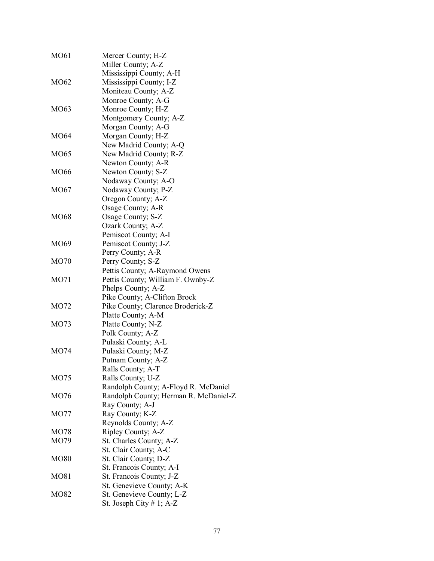| MO61 | Mercer County; H-Z                    |  |
|------|---------------------------------------|--|
|      | Miller County; A-Z                    |  |
|      | Mississippi County; A-H               |  |
| MO62 | Mississippi County; I-Z               |  |
|      | Moniteau County; A-Z                  |  |
|      | Monroe County; A-G                    |  |
| MO63 | Monroe County; H-Z                    |  |
|      | Montgomery County; A-Z                |  |
|      | Morgan County; A-G                    |  |
| MO64 | Morgan County; H-Z                    |  |
|      | New Madrid County; A-Q                |  |
| MO65 | New Madrid County; R-Z                |  |
|      | Newton County; A-R                    |  |
| MO66 | Newton County; S-Z                    |  |
|      | Nodaway County; A-O                   |  |
| MO67 | Nodaway County; P-Z                   |  |
|      | Oregon County; A-Z                    |  |
|      | Osage County; A-R                     |  |
| MO68 | Osage County; S-Z                     |  |
|      | Ozark County; A-Z                     |  |
|      | Pemiscot County; A-I                  |  |
| MO69 | Pemiscot County; J-Z                  |  |
|      | Perry County; A-R                     |  |
| MO70 | Perry County; S-Z                     |  |
|      | Pettis County; A-Raymond Owens        |  |
| MO71 | Pettis County; William F. Ownby-Z     |  |
|      | Phelps County; A-Z                    |  |
|      | Pike County; A-Clifton Brock          |  |
| MO72 | Pike County; Clarence Broderick-Z     |  |
|      | Platte County; A-M                    |  |
| MO73 | Platte County; N-Z                    |  |
|      | Polk County; A-Z                      |  |
|      | Pulaski County; A-L                   |  |
| MO74 | Pulaski County; M-Z                   |  |
|      | Putnam County; A-Z                    |  |
|      | Ralls County; A-T                     |  |
| MO75 | Ralls County; U-Z                     |  |
|      | Randolph County; A-Floyd R. McDaniel  |  |
| MO76 | Randolph County; Herman R. McDaniel-Z |  |
|      | Ray County; A-J                       |  |
| MO77 | Ray County; K-Z                       |  |
|      | Reynolds County; A-Z                  |  |
| MO78 | Ripley County; A-Z                    |  |
| MO79 | St. Charles County; A-Z               |  |
|      | St. Clair County; A-C                 |  |
| MO80 | St. Clair County; D-Z                 |  |
|      | St. Francois County; A-I              |  |
| MO81 | St. Francois County; J-Z              |  |
|      | St. Genevieve County; A-K             |  |
| MO82 | St. Genevieve County; L-Z             |  |
|      | St. Joseph City $# 1$ ; A-Z           |  |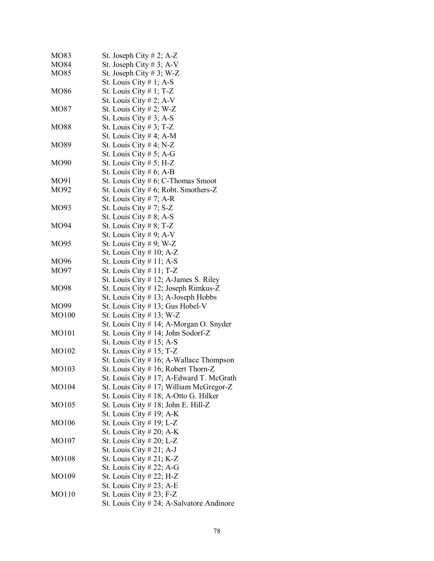| MO83  | St. Joseph City $# 2$ ; A-Z                |
|-------|--------------------------------------------|
| MO84  | St. Joseph City # 3; A-V                   |
| MO85  | St. Joseph City # 3; W-Z                   |
|       | St. Louis City $# 1$ ; A-S                 |
| MO86  | St. Louis City $\#$ 1; T-Z                 |
|       | St. Louis City # 2; A-V                    |
| MO87  | St. Louis City # 2; W-Z                    |
|       | St. Louis City # 3; A-S                    |
| MO88  | St. Louis City # 3; T-Z                    |
|       | St. Louis City # 4; A-M                    |
| MO89  | St. Louis City # 4; N-Z                    |
|       | St. Louis City # 5; A-G                    |
| MO90  | St. Louis City $# 5$ ; H-Z                 |
|       | St. Louis City # 6; A-B                    |
| MO91  | St. Louis City $# 6$ ; C-Thomas Smoot      |
| MO92  | St. Louis City # 6; Robt. Smothers-Z       |
|       | St. Louis City # 7; A-R                    |
| MO93  | St. Louis City $# 7; S-Z$                  |
|       | St. Louis City # 8; A-S                    |
| MO94  | St. Louis City $\# 8$ ; T-Z                |
|       | St. Louis City # 9; A-V                    |
| MO95  | St. Louis City # 9; W-Z                    |
|       | St. Louis City $# 10$ ; A-Z                |
| MO96  | St. Louis City $# 11$ ; A-S                |
| MO97  | St. Louis City # 11; T-Z                   |
|       | St. Louis City # 12; A-James S. Riley      |
| MO98  | St. Louis City # 12; Joseph Rimkus-Z       |
|       | St. Louis City # 13; A-Joseph Hobbs        |
| MO99  | St. Louis City # 13; Gus Hobel-V           |
| MO100 | St. Louis City $# 13$ ; W-Z                |
|       | St. Louis City # 14; A-Morgan O. Snyder    |
| MO101 | St. Louis City # 14; John Sodorf-Z         |
|       | St. Louis City # 15; A-S                   |
| MO102 | St. Louis City $# 15$ ; T-Z                |
|       | St. Louis City $# 16$ ; A-Wallace Thompson |
| MO103 | St. Louis City # 16; Robert Thorn-Z        |
|       | St. Louis City # 17; A-Edward T. McGrath   |
| MO104 | St. Louis City # 17; William McGregor-Z    |
|       | St. Louis City # 18; A-Otto G. Hilker      |
| MO105 | St. Louis City $# 18$ ; John E. Hill-Z     |
|       | St. Louis City # 19; A-K                   |
| MO106 | St. Louis City $# 19$ ; L-Z                |
|       | St. Louis City # 20; A-K                   |
| MO107 | St. Louis City # 20; L-Z                   |
|       | St. Louis City $\# 21$ ; A-J               |
| MO108 | St. Louis City $#21; K-Z$                  |
|       | St. Louis City # 22; A-G                   |
| MO109 | St. Louis City $# 22$ ; H-Z                |
|       | St. Louis City $# 23$ ; A-E                |
| MO110 | St. Louis City $\#$ 23; F-Z                |
|       | St. Louis City # 24; A-Salvatore Andinore  |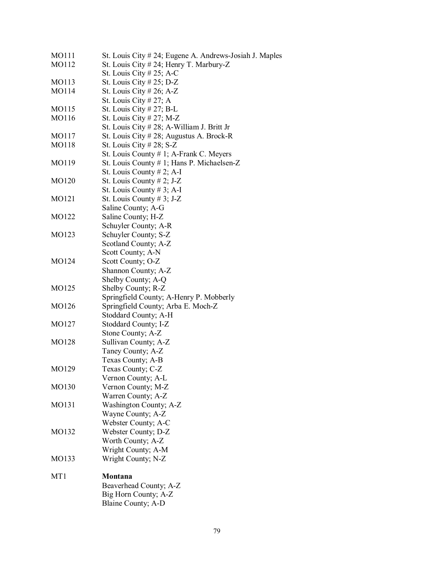| MO111 | St. Louis City # 24; Eugene A. Andrews-Josiah J. Maples |
|-------|---------------------------------------------------------|
| MO112 | St. Louis City # 24; Henry T. Marbury-Z                 |
|       | St. Louis City # 25; A-C                                |
| MO113 | St. Louis City # 25; D-Z                                |
| MO114 | St. Louis City # 26; A-Z                                |
|       | St. Louis City # 27; A                                  |
| MO115 | St. Louis City $# 27;$ B-L                              |
| MO116 | St. Louis City # 27; M-Z                                |
|       | St. Louis City # 28; A-William J. Britt Jr              |
| MO117 | St. Louis City $# 28$ ; Augustus A. Brock-R             |
| MO118 | St. Louis City $\#$ 28; S-Z                             |
|       | St. Louis County # 1; A-Frank C. Meyers                 |
| MO119 | St. Louis County # 1; Hans P. Michaelsen-Z              |
|       | St. Louis County $# 2$ ; A-I                            |
| MO120 | St. Louis County $# 2$ ; J-Z                            |
|       | St. Louis County # 3; A-I                               |
| MO121 | St. Louis County # 3; J-Z                               |
|       | Saline County; A-G                                      |
| MO122 | Saline County; H-Z                                      |
|       | Schuyler County; A-R                                    |
| MO123 | Schuyler County; S-Z                                    |
|       | Scotland County; A-Z                                    |
|       | Scott County; A-N                                       |
| MO124 | Scott County; O-Z                                       |
|       | Shannon County; A-Z                                     |
|       | Shelby County; A-Q                                      |
| MO125 | Shelby County; R-Z                                      |
|       | Springfield County; A-Henry P. Mobberly                 |
| MO126 | Springfield County; Arba E. Moch-Z                      |
|       | Stoddard County; A-H                                    |
| MO127 | Stoddard County; I-Z                                    |
|       | Stone County; A-Z                                       |
| MO128 | Sullivan County; A-Z                                    |
|       | Taney County; A-Z                                       |
|       | Texas County; A-B                                       |
| MO129 | Texas County; C-Z                                       |
|       | Vernon County; A-L                                      |
| MO130 | Vernon County; M-Z                                      |
|       | Warren County; A-Z                                      |
| MO131 | Washington County; A-Z                                  |
|       | Wayne County; A-Z                                       |
|       | Webster County; A-C                                     |
| MO132 | Webster County; D-Z                                     |
|       | Worth County; A-Z                                       |
|       | Wright County; A-M                                      |
| MO133 | Wright County; N-Z                                      |
|       |                                                         |
| MT1   | Montana                                                 |
|       | Beaverhead County; A-Z                                  |
|       | Big Horn County; A-Z                                    |
|       | Blaine County; A-D                                      |
|       |                                                         |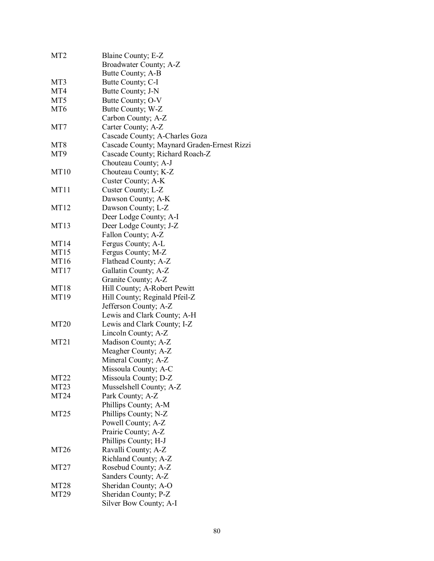| MT <sub>2</sub>  | Blaine County; E-Z                             |
|------------------|------------------------------------------------|
|                  | Broadwater County; A-Z                         |
|                  | Butte County; A-B                              |
| MT3              | Butte County; C-I                              |
| MT4              | Butte County; J-N                              |
| MT <sub>5</sub>  | Butte County; O-V                              |
| MT <sub>6</sub>  | Butte County; W-Z                              |
|                  | Carbon County; A-Z                             |
| MT7              | Carter County; A-Z                             |
|                  | Cascade County; A-Charles Goza                 |
| MT <sub>8</sub>  | Cascade County; Maynard Graden-Ernest Rizzi    |
| MT9              | Cascade County; Richard Roach-Z                |
|                  | Chouteau County; A-J                           |
| <b>MT10</b>      | Chouteau County; K-Z                           |
|                  | Custer County; A-K                             |
| MT11             | Custer County; L-Z                             |
|                  | Dawson County; A-K                             |
| MT <sub>12</sub> | Dawson County; L-Z                             |
|                  | Deer Lodge County; A-I                         |
| MT <sub>13</sub> | Deer Lodge County; J-Z                         |
|                  | Fallon County; A-Z                             |
| MT14             | Fergus County; A-L                             |
| MT <sub>15</sub> | Fergus County; M-Z                             |
| MT16             | Flathead County; A-Z                           |
| MT17             | Gallatin County; A-Z                           |
|                  | Granite County; A-Z                            |
| <b>MT18</b>      | Hill County; A-Robert Pewitt                   |
| MT19             | Hill County; Reginald Pfeil-Z                  |
|                  | Jefferson County; A-Z                          |
|                  | Lewis and Clark County; A-H                    |
| <b>MT20</b>      | Lewis and Clark County; I-Z                    |
|                  | Lincoln County; A-Z                            |
| MT21             | Madison County; A-Z                            |
|                  | Meagher County; A-Z                            |
|                  | Mineral County; A-Z                            |
|                  | Missoula County; A-C                           |
| MT <sub>22</sub> | Missoula County; D-Z                           |
| MT <sub>23</sub> | Musselshell County; A-Z                        |
| MT24             | Park County; A-Z                               |
|                  | Phillips County; A-M                           |
| MT <sub>25</sub> | Phillips County; N-Z                           |
|                  | Powell County; A-Z                             |
|                  | Prairie County; A-Z                            |
|                  | Phillips County; H-J                           |
| MT <sub>26</sub> | Ravalli County; A-Z                            |
|                  | Richland County; A-Z                           |
| MT <sub>27</sub> |                                                |
|                  | Rosebud County; A-Z                            |
| MT <sub>28</sub> | Sanders County; A-Z                            |
| MT <sub>29</sub> | Sheridan County; A-O                           |
|                  | Sheridan County; P-Z<br>Silver Bow County; A-I |
|                  |                                                |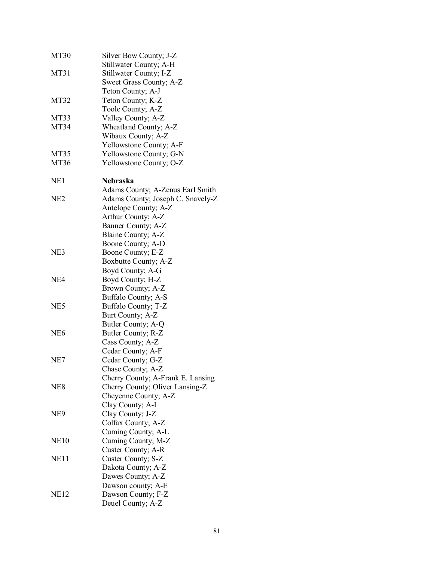| MT30            | Silver Bow County; J-Z            |
|-----------------|-----------------------------------|
|                 | Stillwater County; A-H            |
| MT31            | Stillwater County; I-Z            |
|                 | Sweet Grass County; A-Z           |
|                 | Teton County; A-J                 |
| MT32            | Teton County; K-Z                 |
|                 | Toole County; A-Z                 |
| MT33            | Valley County; A-Z                |
| MT34            | Wheatland County; A-Z             |
|                 | Wibaux County; A-Z                |
|                 | Yellowstone County; A-F           |
| MT35            | Yellowstone County; G-N           |
| MT36            | Yellowstone County; O-Z           |
|                 |                                   |
| NE1             | <b>Nebraska</b>                   |
|                 | Adams County; A-Zenus Earl Smith  |
| NE <sub>2</sub> | Adams County; Joseph C. Snavely-Z |
|                 | Antelope County; A-Z              |
|                 | Arthur County; A-Z                |
|                 | Banner County; A-Z                |
|                 | Blaine County; A-Z                |
|                 | Boone County; A-D                 |
| NE3             | Boone County; E-Z                 |
|                 | Boxbutte County; A-Z              |
|                 | Boyd County; A-G                  |
| NE4             | Boyd County; H-Z                  |
|                 | Brown County; A-Z                 |
|                 | Buffalo County; A-S               |
| NE <sub>5</sub> |                                   |
|                 | Buffalo County; T-Z               |
|                 | Burt County; A-Z                  |
| NE <sub>6</sub> | Butler County; A-Q                |
|                 | Butler County; R-Z                |
|                 | Cass County; A-Z                  |
|                 | Cedar County; A-F                 |
| NE7             | Cedar County; G-Z                 |
|                 | Chase County; A-Z                 |
|                 | Cherry County; A-Frank E. Lansing |
| NE8             | Cherry County; Oliver Lansing-Z   |
|                 | Cheyenne County; A-Z              |
|                 | Clay County; A-I                  |
| NE9             | Clay County; J-Z                  |
|                 | Colfax County; A-Z                |
|                 | Cuming County; A-L                |
| NE10            | Cuming County; M-Z                |
|                 | Custer County; A-R                |
| NE11            | Custer County; S-Z                |
|                 | Dakota County; A-Z                |
|                 | Dawes County; A-Z                 |
|                 | Dawson county; A-E                |
| <b>NE12</b>     | Dawson County; F-Z                |
|                 | Deuel County; A-Z                 |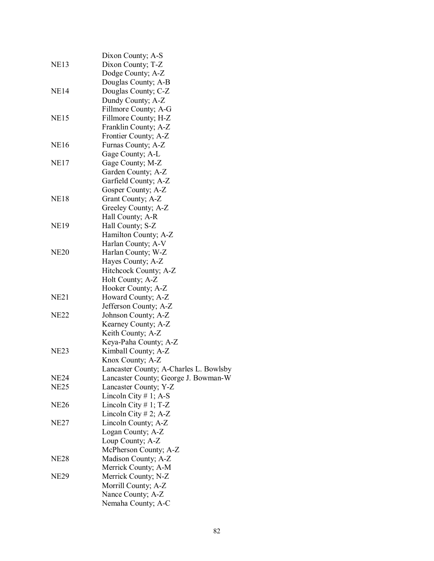|                  | Dixon County; A-S                      |
|------------------|----------------------------------------|
| <b>NE13</b>      | Dixon County; T-Z                      |
|                  | Dodge County; A-Z                      |
|                  | Douglas County; A-B                    |
| <b>NE14</b>      | Douglas County; C-Z                    |
|                  | Dundy County; A-Z                      |
|                  | Fillmore County; A-G                   |
| <b>NE15</b>      | Fillmore County; H-Z                   |
|                  | Franklin County; A-Z                   |
|                  | Frontier County; A-Z                   |
| <b>NE16</b>      | Furnas County; A-Z                     |
|                  | Gage County; A-L                       |
| NE17             | Gage County; M-Z                       |
|                  | Garden County; A-Z                     |
|                  | Garfield County; A-Z                   |
|                  | Gosper County; A-Z                     |
| <b>NE18</b>      | Grant County; A-Z                      |
|                  | Greeley County; A-Z                    |
|                  | Hall County; A-R                       |
| <b>NE19</b>      | Hall County; S-Z                       |
|                  | Hamilton County; A-Z                   |
|                  | Harlan County; A-V                     |
| <b>NE20</b>      | Harlan County; W-Z                     |
|                  | Hayes County; A-Z                      |
|                  | Hitchcock County; A-Z                  |
|                  | Holt County; A-Z                       |
|                  | Hooker County; A-Z                     |
| NE <sub>21</sub> | Howard County; A-Z                     |
|                  | Jefferson County; A-Z                  |
| <b>NE22</b>      | Johnson County; A-Z                    |
|                  | Kearney County; A-Z                    |
|                  | Keith County; A-Z                      |
|                  | Keya-Paha County; A-Z                  |
| NE23             | Kimball County; A-Z                    |
|                  | Knox County; A-Z                       |
|                  | Lancaster County; A-Charles L. Bowlsby |
| NE24             | Lancaster County; George J. Bowman-W   |
| NE <sub>25</sub> | Lancaster County; Y-Z                  |
|                  | Lincoln City # 1; A-S                  |
| <b>NE26</b>      | Lincoln City # 1; $T-Z$                |
|                  | Lincoln City # 2; A-Z                  |
| NE <sub>27</sub> | Lincoln County; A-Z                    |
|                  | Logan County; A-Z                      |
|                  | Loup County; A-Z                       |
|                  | McPherson County; A-Z                  |
| NE <sub>28</sub> | Madison County; A-Z                    |
|                  | Merrick County; A-M                    |
| <b>NE29</b>      | Merrick County; N-Z                    |
|                  | Morrill County; A-Z                    |
|                  | Nance County; A-Z                      |
|                  | Nemaha County; A-C                     |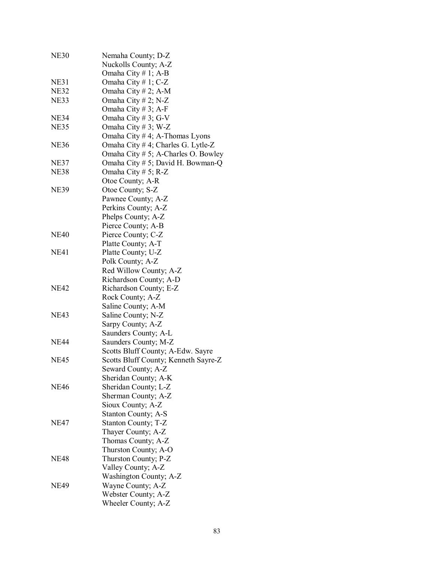| <b>NE30</b> | Nemaha County; D-Z                   |
|-------------|--------------------------------------|
|             | Nuckolls County; A-Z                 |
|             | Omaha City $# 1$ ; A-B               |
| NE31        | Omaha City # 1; $C-Z$                |
| <b>NE32</b> | Omaha City # 2; A-M                  |
| NE33        | Omaha City # 2; N-Z                  |
|             | Omaha City # 3; A-F                  |
| <b>NE34</b> | Omaha City # 3; G-V                  |
| <b>NE35</b> | Omaha City #3; W-Z                   |
|             | Omaha City #4; A-Thomas Lyons        |
| NE36        | Omaha City # 4; Charles G. Lytle-Z   |
|             | Omaha City # 5; A-Charles O. Bowley  |
| <b>NE37</b> | Omaha City # 5; David H. Bowman-Q    |
| NE38        | Omaha City # 5; R-Z                  |
|             |                                      |
| NE39        | Otoe County; A-R                     |
|             | Otoe County; S-Z                     |
|             | Pawnee County; A-Z                   |
|             | Perkins County; A-Z                  |
|             | Phelps County; A-Z                   |
|             | Pierce County; A-B                   |
| NE40        | Pierce County; C-Z                   |
|             | Platte County; A-T                   |
| NE41        | Platte County; U-Z                   |
|             | Polk County; A-Z                     |
|             | Red Willow County; A-Z               |
|             | Richardson County; A-D               |
| NE42        | Richardson County; E-Z               |
|             | Rock County; A-Z                     |
|             | Saline County; A-M                   |
| NE43        | Saline County; N-Z                   |
|             | Sarpy County; A-Z                    |
|             | Saunders County; A-L                 |
| <b>NE44</b> | Saunders County; M-Z                 |
|             | Scotts Bluff County; A-Edw. Sayre    |
| NE45        | Scotts Bluff County; Kenneth Sayre-Z |
|             | Seward County; A-Z                   |
|             | Sheridan County; A-K                 |
| NE46        | Sheridan County; L-Z                 |
|             | Sherman County; A-Z                  |
|             | Sioux County; A-Z                    |
|             | Stanton County; A-S                  |
| NE47        | Stanton County; T-Z                  |
|             | Thayer County; A-Z                   |
|             | Thomas County; A-Z                   |
|             | Thurston County; A-O                 |
| NE48        | Thurston County; P-Z                 |
|             | Valley County; A-Z                   |
|             | Washington County; A-Z               |
| NE49        | Wayne County; A-Z                    |
|             | Webster County; A-Z                  |
|             | Wheeler County; A-Z                  |
|             |                                      |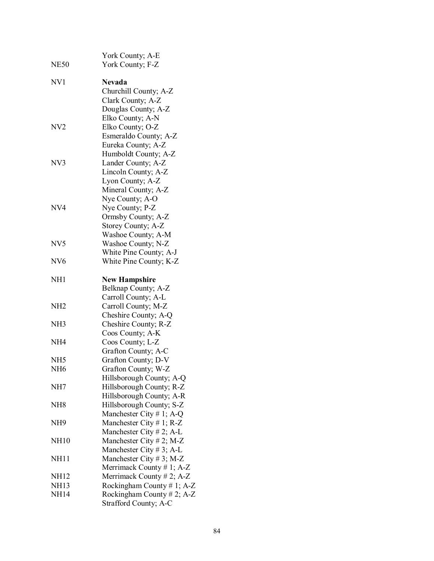| <b>NE50</b>     | York County; A-E<br>York County; F-Z                                                                   |
|-----------------|--------------------------------------------------------------------------------------------------------|
| NV1             | <b>Nevada</b><br>Churchill County; A-Z<br>Clark County; A-Z<br>Douglas County; A-Z<br>Elko County; A-N |
| NV2             | Elko County; O-Z<br>Esmeraldo County; A-Z<br>Eureka County; A-Z<br>Humboldt County; A-Z                |
| NV3             | Lander County; A-Z<br>Lincoln County; A-Z<br>Lyon County; A-Z<br>Mineral County; A-Z                   |
| NV4             | Nye County; A-O<br>Nye County; P-Z<br>Ormsby County; A-Z<br>Storey County; A-Z<br>Washoe County; A-M   |
| NV <sub>5</sub> | Washoe County; N-Z<br>White Pine County; A-J                                                           |
| NV <sub>6</sub> | White Pine County; K-Z                                                                                 |
| NH1             | <b>New Hampshire</b><br>Belknap County; A-Z<br>Carroll County; A-L                                     |
| NH2             | Carroll County; M-Z<br>Cheshire County; A-Q                                                            |
| NH3             | Cheshire County; R-Z<br>Coos County; A-K                                                               |
| NH4             | Coos County; L-Z<br>Grafton County; A-C                                                                |
| NH5             | Grafton County; D-V                                                                                    |
| NH <sub>6</sub> | Grafton County; W-Z<br>Hillsborough County; A-Q                                                        |
| NH7             | Hillsborough County; R-Z<br>Hillsborough County; A-R                                                   |
| NH8             | Hillsborough County; S-Z<br>Manchester City # 1; A-Q                                                   |
| NH9             | Manchester City # 1; $R-Z$<br>Manchester City $# 2$ ; A-L                                              |
| <b>NH10</b>     | Manchester City # 2; M-Z<br>Manchester City #3; A-L                                                    |
| NH11            | Manchester City #3; M-Z<br>Merrimack County # 1; A-Z                                                   |
| <b>NH12</b>     | Merrimack County # 2; A-Z                                                                              |
| <b>NH13</b>     | Rockingham County #1; A-Z                                                                              |
| <b>NH14</b>     | Rockingham County # 2; A-Z<br>Strafford County; A-C                                                    |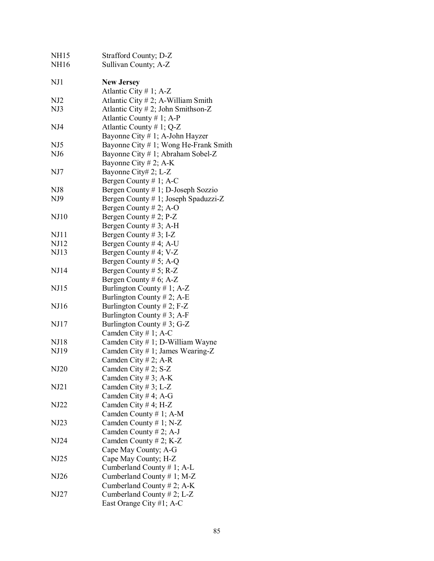| <b>NH15</b>     | Strafford County; D-Z                 |
|-----------------|---------------------------------------|
| <b>NH16</b>     | Sullivan County; A-Z                  |
| NJ1             | <b>New Jersey</b>                     |
|                 | Atlantic City # 1; $A-Z$              |
| NJ <sub>2</sub> | Atlantic City $# 2$ ; A-William Smith |
| NJ3             | Atlantic City # 2; John Smithson-Z    |
|                 | Atlantic County # 1; A-P              |
| NJ4             | Atlantic County # 1; $Q-Z$            |
|                 | Bayonne City # 1; A-John Hayzer       |
| NJ <sub>5</sub> | Bayonne City # 1; Wong He-Frank Smith |
| NJ <sub>6</sub> | Bayonne City # 1; Abraham Sobel-Z     |
|                 | Bayonne City # 2; A-K                 |
| NJ7             | Bayonne City# 2; L-Z                  |
|                 | Bergen County # 1; A-C                |
| NJ8             | Bergen County # 1; D-Joseph Sozzio    |
| NJ9             | Bergen County # 1; Joseph Spaduzzi-Z  |
|                 | Bergen County # 2; A-O                |
| NJ10            | Bergen County $# 2$ ; P-Z             |
|                 | Bergen County # 3; A-H                |
| NJ11            | Bergen County # 3; I-Z                |
| NJ12            | Bergen County # 4; A-U                |
| NJ13            | Bergen County # 4; $V-Z$              |
|                 | Bergen County # 5; A-Q                |
| NJ14            | Bergen County # $5$ ; R-Z             |
|                 | Bergen County # 6; A-Z                |
| <b>NJ15</b>     | Burlington County # 1; $A-Z$          |
|                 | Burlington County # 2; A-E            |
| NJ16            | Burlington County # 2; $F-Z$          |
|                 | Burlington County # 3; A-F            |
| NJ17            | Burlington County # 3; G-Z            |
|                 | Camden City # 1; A-C                  |
| <b>NJ18</b>     | Camden City # 1; D-William Wayne      |
| NJ19            | Camden City # 1; James Wearing-Z      |
|                 | Camden City # 2; A-R                  |
| NJ20            | Camden City # 2; S-Z                  |
|                 | Camden City # 3; A-K                  |
| NJ21            | Camden City # 3; L-Z                  |
|                 | Camden City # 4; A-G                  |
| NJ22            | Camden City # 4; H-Z                  |
|                 | Camden County # 1; A-M                |
| NJ23            | Camden County # 1; $N-Z$              |
|                 | Camden County # 2; A-J                |
| NJ24            | Camden County # 2; K-Z                |
|                 | Cape May County; A-G                  |
| NJ25            | Cape May County; H-Z                  |
|                 | Cumberland County # 1; A-L            |
| NJ26            | Cumberland County # 1; M-Z            |
|                 | Cumberland County # 2; A-K            |
| NJ27            | Cumberland County # 2; L-Z            |
|                 | East Orange City #1; A-C              |
|                 |                                       |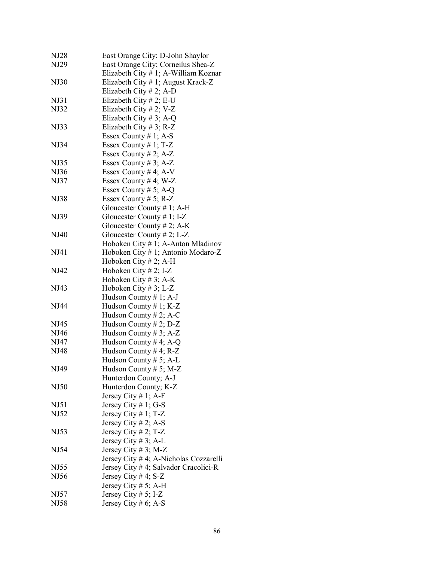| NJ28        | East Orange City; D-John Shaylor        |
|-------------|-----------------------------------------|
| NJ29        | East Orange City; Corneilus Shea-Z      |
|             | Elizabeth City $# 1$ ; A-William Koznar |
| <b>NJ30</b> | Elizabeth City # 1; August Krack-Z      |
|             | Elizabeth City # 2; A-D                 |
| NJ31        | Elizabeth City # 2; E-U                 |
| NJ32        |                                         |
|             | Elizabeth City # 2; V-Z                 |
|             | Elizabeth City # 3; A-Q                 |
| NJ33        | Elizabeth City # 3; R-Z                 |
|             | Essex County $# 1$ ; A-S                |
| NJ34        | Essex County # 1; $T-Z$                 |
|             | Essex County # 2; $A-Z$                 |
| NJ35        | Essex County # 3; $A-Z$                 |
| NJ36        | Essex County # 4; A-V                   |
| NJ37        | Essex County # 4; W-Z                   |
|             | Essex County # 5; A-Q                   |
| NJ38        | Essex County # 5; R-Z                   |
|             | Gloucester County # 1; A-H              |
| NJ39        | Gloucester County # 1; I-Z              |
|             | Gloucester County # 2; $A-K$            |
| NJ40        | Gloucester County # 2; L-Z              |
|             |                                         |
| NJ41        | Hoboken City $# 1$ ; A-Anton Mladinov   |
|             | Hoboken City # 1; Antonio Modaro-Z      |
|             | Hoboken City $# 2$ ; A-H                |
| NJ42        | Hoboken City # 2; I-Z                   |
|             | Hoboken City # 3; A-K                   |
| NJ43        | Hoboken City #3; L-Z                    |
|             | Hudson County $# 1$ ; A-J               |
| NJ44        | Hudson County $# 1$ ; K-Z               |
|             | Hudson County # 2; A-C                  |
| NJ45        | Hudson County # 2; $D-Z$                |
| NJ46        | Hudson County # 3; A-Z                  |
| NJ47        | Hudson County #4; A-Q                   |
| NJ48        | Hudson County # 4; $R-Z$                |
|             | Hudson County # 5; A-L                  |
| NJ49        | Hudson County # 5; M-Z                  |
|             | Hunterdon County; A-J                   |
| NJ50        | Hunterdon County; K-Z                   |
|             | Jersey City # 1; A-F                    |
| NJ51        | Jersey City # 1; G-S                    |
| NJ52        | Jersey City # 1; $T-Z$                  |
|             | Jersey City # 2; A-S                    |
| NJ53        | Jersey City # 2; T-Z                    |
|             | Jersey City # 3; A-L                    |
| NJ54        | Jersey City # 3; M-Z                    |
|             | Jersey City # 4; A-Nicholas Cozzarelli  |
|             |                                         |
| NJ55        | Jersey City # 4; Salvador Cracolici-R   |
| NJ56        | Jersey City # 4; $S-Z$                  |
|             | Jersey City # 5; A-H                    |
| NJ57        | Jersey City # $5$ ; I-Z                 |
| NJ58        | Jersey City # 6; A-S                    |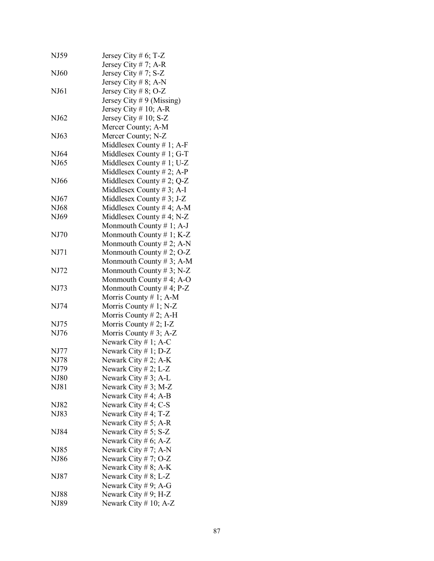| NJ59        | Jersey City # 6; T-Z                           |
|-------------|------------------------------------------------|
| NJ60        | Jersey City # 7; A-R<br>Jersey City # 7; $S-Z$ |
|             | Jersey City # 8; A-N                           |
|             |                                                |
| NJ61        | Jersey City # 8; O-Z                           |
|             | Jersey City # 9 (Missing)                      |
|             | Jersey City # 10; A-R                          |
| NJ62        | Jersey City # 10; S-Z                          |
|             | Mercer County; A-M                             |
| NJ63        | Mercer County; N-Z                             |
|             | Middlesex County # 1; A-F                      |
| NJ64        | Middlesex County #1; G-T                       |
| NJ65        | Middlesex County # 1; U-Z                      |
|             | Middlesex County # 2; A-P                      |
| NJ66        | Middlesex County # 2; $Q-Z$                    |
|             | Middlesex County # 3; A-I                      |
| NJ67        | Middlesex County # 3; J-Z                      |
| NJ68        | Middlesex County #4; A-M                       |
| NJ69        | Middlesex County #4; N-Z                       |
|             | Monmouth County $\# 1$ ; A-J                   |
| NJ70        | Monmouth County # 1; $K-Z$                     |
|             | Monmouth County # 2; A-N                       |
| NJ71        | Monmouth County # 2; O-Z                       |
|             | Monmouth County # 3; A-M                       |
| NJ72        | Monmouth County # 3; $N-Z$                     |
|             | Monmouth County #4; A-O                        |
| NJ73        | Monmouth County #4; $P-Z$                      |
|             | Morris County $# 1$ ; A-M                      |
| NJ74        | Morris County # 1; N-Z                         |
|             | Morris County $# 2$ ; A-H                      |
| NJ75        | Morris County # 2; I-Z                         |
| NJ76        | Morris County # 3; A-Z                         |
|             | Newark City # 1; A-C                           |
| NJ77        | Newark City #1; D-Z                            |
| NJ78        | Newark City $# 2$ ; A-K                        |
| NJ79        | Newark City # 2; L-Z                           |
| NJ80        | Newark City # 3; A-L                           |
| NJ81        | Newark City # 3; M-Z                           |
|             | Newark City #4; A-B                            |
| NJ82        | Newark City #4; C-S                            |
| NJ83        | Newark City #4; $T-Z$                          |
|             | Newark City # 5; A-R                           |
| NJ84        | Newark City # 5; S-Z                           |
|             | Newark City # 6; A-Z                           |
| NJ85        | Newark City # 7; A-N                           |
| NJ86        | Newark City # 7; O-Z                           |
|             | Newark City # 8; A-K                           |
| NJ87        | Newark City # 8; L-Z                           |
|             | Newark City # 9; A-G                           |
| <b>NJ88</b> | Newark City # 9; H-Z                           |
| NJ89        | Newark City # 10; A-Z                          |
|             |                                                |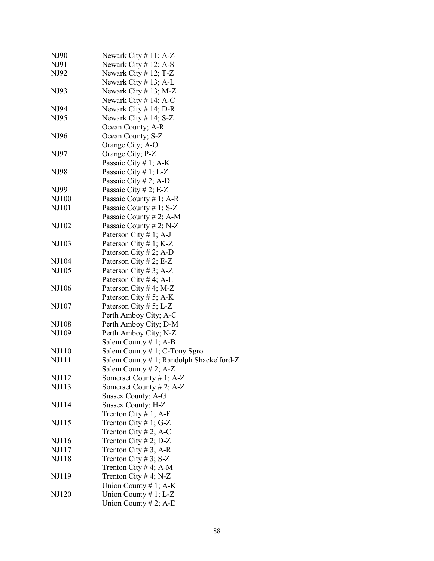| NJ90         | Newark City $# 11$ ; A-Z                    |
|--------------|---------------------------------------------|
| NJ91         | Newark City # 12; A-S                       |
| NJ92         | Newark City # 12; T-Z                       |
|              | Newark City $# 13$ ; A-L                    |
| NJ93         | Newark City # 13; M-Z                       |
|              | Newark City $# 14$ ; A-C                    |
| NJ94         | Newark City $# 14$ ; D-R                    |
| NJ95         | Newark City # 14; S-Z                       |
|              | Ocean County; A-R                           |
| NJ96         | Ocean County; S-Z                           |
|              | Orange City; A-O                            |
| NJ97         | Orange City; P-Z                            |
|              | Passaic City $# 1$ ; A-K                    |
| NJ98         | Passaic City # 1; L-Z                       |
|              | Passaic City # 2; A-D                       |
| NJ99         | Passaic City # 2; E-Z                       |
| NJ100        | Passaic County # 1; A-R                     |
| NJ101        | Passaic County # 1; S-Z                     |
|              | Passaic County # 2; A-M                     |
| NJ102        | Passaic County # 2; $N-Z$                   |
|              | Paterson City # 1; A-J                      |
| NJ103        | Paterson City # 1; K-Z                      |
|              | Paterson City # 2; A-D                      |
| NJ104        | Paterson City # 2; E-Z                      |
| NJ105        | Paterson City # 3; A-Z                      |
|              | Paterson City # 4; A-L                      |
| NJ106        | Paterson City # 4; M-Z                      |
|              | Paterson City # 5; A-K                      |
| NJ107        | Paterson City # 5; L-Z                      |
|              | Perth Amboy City; A-C                       |
| NJ108        | Perth Amboy City; D-M                       |
| NJ109        | Perth Amboy City; N-Z                       |
|              | Salem County # 1; A-B                       |
| NJ110        | Salem County # 1; C-Tony Sgro               |
| NJ111        | Salem County $# 1$ ; Randolph Shackelford-Z |
|              | Salem County $# 2$ ; A-Z                    |
| NJ112        | Somerset County # 1; $A-Z$                  |
| NJ113        | Somerset County # 2; A-Z                    |
|              | Sussex County; A-G                          |
| NJ114        | Sussex County; H-Z                          |
|              | Trenton City # 1; A-F                       |
| NJ115        | Trenton City # 1; G-Z                       |
|              | Trenton City # 2; A-C                       |
| NJ116        | Trenton City # 2; $D-Z$                     |
| NJ117        | Trenton City # 3; A-R                       |
| <b>NJ118</b> | Trenton City #3; S-Z                        |
|              | Trenton City # 4; A-M                       |
| NJ119        | Trenton City # 4; N-Z                       |
|              | Union County # 1; $A-K$                     |
| NJ120        | Union County $# 1$ ; L-Z                    |
|              | Union County # 2; A-E                       |
|              |                                             |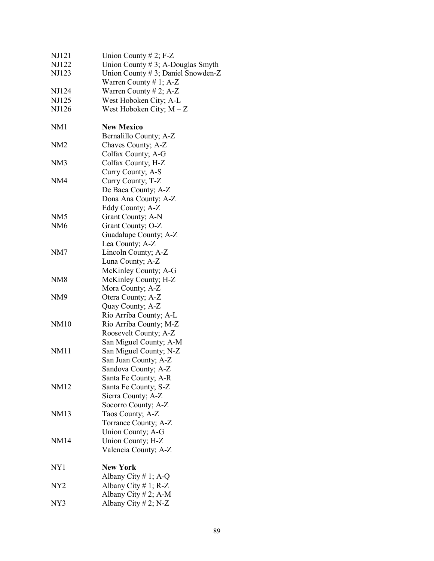| NJ121           | Union County # 2; $F-Z$              |
|-----------------|--------------------------------------|
| NJ122           | Union County $# 3$ ; A-Douglas Smyth |
| NJ123           | Union County # 3; Daniel Snowden-Z   |
|                 | Warren County # 1; $A-Z$             |
| NJ124           | Warren County # 2; A-Z               |
| NJ125           | West Hoboken City; A-L               |
| NJ126           | West Hoboken City; $M - Z$           |
|                 |                                      |
| NM <sub>1</sub> | <b>New Mexico</b>                    |
|                 | Bernalillo County; A-Z               |
| NM <sub>2</sub> | Chaves County; A-Z                   |
|                 | Colfax County; A-G                   |
| NM <sub>3</sub> | Colfax County; H-Z                   |
|                 | Curry County; A-S                    |
| NM4             | Curry County; T-Z                    |
|                 | De Baca County; A-Z                  |
|                 | Dona Ana County; A-Z                 |
|                 | Eddy County; A-Z                     |
| NM <sub>5</sub> | Grant County; A-N                    |
| NM <sub>6</sub> | Grant County; O-Z                    |
|                 | Guadalupe County; A-Z                |
|                 | Lea County; A-Z                      |
| NM7             | Lincoln County; A-Z                  |
|                 | Luna County; A-Z                     |
|                 | McKinley County; A-G                 |
| NM <sub>8</sub> | McKinley County; H-Z                 |
|                 | Mora County; A-Z                     |
| NM <sub>9</sub> | Otera County; A-Z                    |
|                 | Quay County; A-Z                     |
|                 | Rio Arriba County; A-L               |
| <b>NM10</b>     | Rio Arriba County; M-Z               |
|                 | Roosevelt County; A-Z                |
|                 | San Miguel County; A-M               |
| <b>NM11</b>     | San Miguel County; N-Z               |
|                 | San Juan County; A-Z                 |
|                 | Sandova County; A-Z                  |
|                 | Santa Fe County; A-R                 |
| NM12            | Santa Fe County; S-Z                 |
|                 | Sierra County; A-Z                   |
|                 | Socorro County; A-Z                  |
| NM13            | Taos County; A-Z                     |
|                 | Torrance County; A-Z                 |
|                 | Union County; A-G                    |
| <b>NM14</b>     | Union County; H-Z                    |
|                 | Valencia County; A-Z                 |
| NY <sub>1</sub> | <b>New York</b>                      |
|                 | Albany City # 1; A-Q                 |
| NY <sub>2</sub> | Albany City $# 1$ ; R-Z              |
|                 | Albany City # 2; A-M                 |
| NY3             | Albany City # 2; N-Z                 |
|                 |                                      |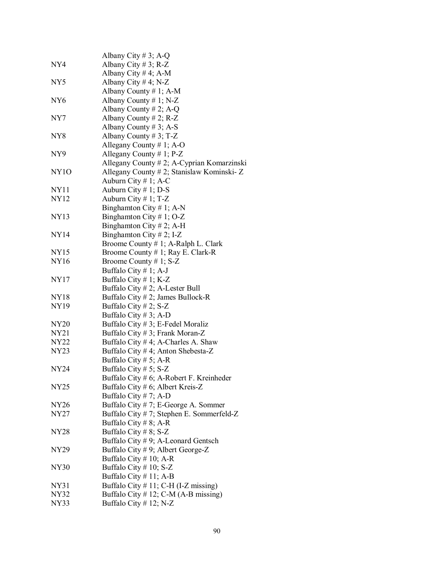|                  | Albany City # 3; A-Q                        |
|------------------|---------------------------------------------|
| NY4              | Albany City # 3; R-Z                        |
|                  | Albany City #4; A-M                         |
| NY <sub>5</sub>  | Albany City #4; N-Z                         |
|                  | Albany County # 1; A-M                      |
| NY <sub>6</sub>  | Albany County # 1; N-Z                      |
|                  | Albany County # 2; A-Q                      |
| NY7              | Albany County $# 2$ ; R-Z                   |
|                  | Albany County # 3; A-S                      |
| NY <sub>8</sub>  | Albany County # 3; T-Z                      |
|                  | Allegany County # 1; A-O                    |
| NY9              | Allegany County $# 1$ ; P-Z                 |
|                  | Allegany County # 2; A-Cyprian Komarzinski  |
| NY <sub>10</sub> | Allegany County # 2; Stanislaw Kominski-Z   |
|                  | Auburn City $# 1$ ; A-C                     |
| <b>NY11</b>      | Auburn City $# 1$ ; D-S                     |
| NY12             | Auburn City $# 1$ ; T-Z                     |
|                  | Binghamton City # 1; A-N                    |
| <b>NY13</b>      | Binghamton City #1; O-Z                     |
|                  | Binghamton City #2; A-H                     |
| <b>NY14</b>      | Binghamton City # 2; I-Z                    |
|                  | Broome County # 1; A-Ralph L. Clark         |
| NY15             | Broome County # 1; Ray E. Clark-R           |
| <b>NY16</b>      | Broome County # 1; $S-Z$                    |
|                  | Buffalo City $# 1$ ; A-J                    |
| NY17             | Buffalo City # 1; $K-Z$                     |
|                  | Buffalo City # 2; A-Lester Bull             |
| NY18             | Buffalo City # 2; James Bullock-R           |
| NY19             | Buffalo City # 2; $S-Z$                     |
|                  | Buffalo City # 3; A-D                       |
| <b>NY20</b>      | Buffalo City # 3; E-Fedel Moraliz           |
| NY21             | Buffalo City #3; Frank Moran-Z              |
| <b>NY22</b>      | Buffalo City #4; A-Charles A. Shaw          |
| NY23             | Buffalo City #4; Anton Shebesta-Z           |
|                  | Buffalo City # 5; A-R                       |
| <b>NY24</b>      | Buffalo City # 5; $S-Z$                     |
|                  | Buffalo City $# 6$ ; A-Robert F. Kreinheder |
| NY25             | Buffalo City # 6; Albert Kreis-Z            |
|                  | Buffalo City # 7; A-D                       |
| NY26             | Buffalo City # 7; E-George A. Sommer        |
| NY <sub>27</sub> | Buffalo City # 7; Stephen E. Sommerfeld-Z   |
|                  | Buffalo City # 8; A-R                       |
| NY28             | Buffalo City # 8; $S-Z$                     |
|                  | Buffalo City $# 9$ ; A-Leonard Gentsch      |
| NY29             | Buffalo City # 9; Albert George-Z           |
|                  | Buffalo City $# 10$ ; A-R                   |
| <b>NY30</b>      | Buffalo City $\#$ 10; S-Z                   |
|                  | Buffalo City $# 11$ ; A-B                   |
| NY31             | Buffalo City $# 11$ ; C-H (I-Z missing)     |
| NY32             | Buffalo City $# 12$ ; C-M (A-B missing)     |
| NY33             | Buffalo City # 12; N-Z                      |
|                  |                                             |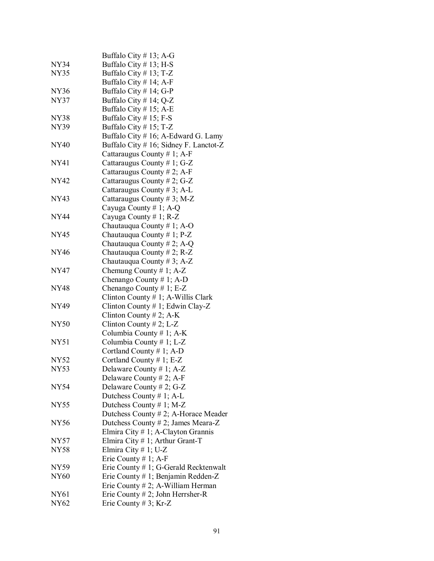|             | Buffalo City #13; A-G                  |
|-------------|----------------------------------------|
| <b>NY34</b> | Buffalo City $# 13$ ; H-S              |
| NY35        | Buffalo City $# 13$ ; T-Z              |
|             | Buffalo City $# 14$ ; A-F              |
| NY36        | Buffalo City $# 14$ ; G-P              |
| NY37        | Buffalo City # 14; $Q-Z$               |
|             | Buffalo City $# 15$ ; A-E              |
| NY38        | Buffalo City # 15; F-S                 |
| NY39        | Buffalo City $# 15$ ; T-Z              |
|             | Buffalo City # 16; A-Edward G. Lamy    |
| <b>NY40</b> | Buffalo City # 16; Sidney F. Lanctot-Z |
|             | Cattaraugus County # 1; A-F            |
| NY41        | Cattaraugus County # 1; G-Z            |
|             | Cattaraugus County # 2; A-F            |
| NY42        | Cattaraugus County # 2; G-Z            |
|             | Cattaraugus County # 3; A-L            |
| NY43        | Cattaraugus County #3; M-Z             |
|             | Cayuga County # 1; A-Q                 |
| NY44        | Cayuga County # 1; $R-Z$               |
|             | Chautauqua County # 1; A-O             |
| NY45        | Chautauqua County # 1; $P-Z$           |
|             | Chautauqua County # 2; A-Q             |
| NY46        | Chautauqua County # 2; $R-Z$           |
|             | Chautauqua County # 3; A-Z             |
| NY47        | Chemung County # 1; $A-Z$              |
|             | Chenango County # 1; A-D               |
| NY48        | Chenango County # 1; E-Z               |
|             | Clinton County # 1; A-Willis Clark     |
| NY49        | Clinton County # 1; Edwin Clay-Z       |
|             | Clinton County # 2; A-K                |
| <b>NY50</b> | Clinton County # 2; L-Z                |
|             | Columbia County # 1; A-K               |
| <b>NY51</b> | Columbia County #1; L-Z                |
|             | Cortland County $# 1$ ; A-D            |
| NY52        | Cortland County $# 1$ ; E-Z            |
| <b>NY53</b> | Delaware County # 1; A-Z               |
|             | Delaware County # 2; A-F               |
| NY54        | Delaware County # 2; G-Z               |
|             | Dutchess County # 1; A-L               |
| <b>NY55</b> | Dutchess County # 1; M-Z               |
|             | Dutchess County # 2; A-Horace Meader   |
| <b>NY56</b> | Dutchess County # 2; James Meara-Z     |
|             | Elmira City # 1; A-Clayton Grannis     |
| <b>NY57</b> | Elmira City $# 1$ ; Arthur Grant-T     |
| NY58        | Elmira City # 1; U-Z                   |
|             | Erie County # 1; A-F                   |
| NY59        | Erie County # 1; G-Gerald Recktenwalt  |
| NY60        | Erie County # 1; Benjamin Redden-Z     |
|             | Erie County $# 2$ ; A-William Herman   |
| NY61        | Erie County $# 2$ ; John Herrsher-R    |
| NY62        | Erie County # 3; Kr-Z                  |
|             |                                        |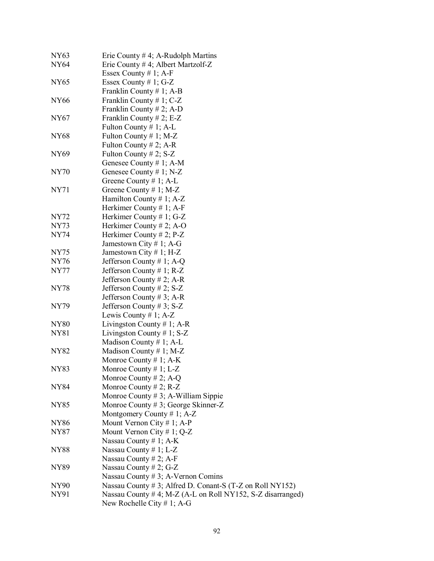| <b>NY63</b> | Erie County # 4; A-Rudolph Martins                         |
|-------------|------------------------------------------------------------|
| <b>NY64</b> | Erie County # 4; Albert Martzolf-Z                         |
|             | Essex County # 1; A-F                                      |
| NY65        | Essex County #1; G-Z                                       |
|             | Franklin County # 1; $A-B$                                 |
| <b>NY66</b> | Franklin County # 1; $C-Z$                                 |
|             | Franklin County # 2; A-D                                   |
| NY67        | Franklin County # 2; E-Z                                   |
|             | Fulton County # 1; A-L                                     |
| <b>NY68</b> | Fulton County # 1; M-Z                                     |
|             | Fulton County # 2; A-R                                     |
| NY69        | Fulton County # 2; $S-Z$                                   |
|             | Genesee County # 1; A-M                                    |
| <b>NY70</b> | Genesee County # 1; $N-Z$                                  |
|             | Greene County $# 1$ ; A-L                                  |
| NY71        | Greene County $# 1$ ; M-Z                                  |
|             | Hamilton County # 1; $A-Z$                                 |
|             | Herkimer County # 1; A-F                                   |
| NY72        | Herkimer County # 1; G-Z                                   |
| NY73        | Herkimer County # 2; A-O                                   |
| <b>NY74</b> | Herkimer County # 2; $P-Z$                                 |
|             | Jamestown City # 1; A-G                                    |
| <b>NY75</b> | Jamestown City # 1; H-Z                                    |
| <b>NY76</b> | Jefferson County # 1; A-Q                                  |
| <b>NY77</b> | Jefferson County # 1; $R-Z$                                |
|             | Jefferson County # 2; A-R                                  |
| <b>NY78</b> | Jefferson County # 2; $S-Z$                                |
|             | Jefferson County # 3; A-R                                  |
| NY79        | Jefferson County # 3; $S-Z$                                |
|             | Lewis County # 1; $A-Z$                                    |
| <b>NY80</b> | Livingston County # 1; A-R                                 |
| <b>NY81</b> | Livingston County # 1; $S-Z$                               |
|             | Madison County # 1; A-L                                    |
| <b>NY82</b> | Madison County # 1; M-Z                                    |
|             | Monroe County # 1; $A-K$                                   |
| <b>NY83</b> | Monroe County # 1; $L-Z$                                   |
|             | Monroe County # 2; A-Q                                     |
| NY84        | Monroe County # 2; $R-Z$                                   |
|             | Monroe County # 3; A-William Sippie                        |
| NY85        | Monroe County # 3; George Skinner-Z                        |
|             | Montgomery County # 1; $A-Z$                               |
| <b>NY86</b> | Mount Vernon City # 1; A-P                                 |
| NY87        | Mount Vernon City # 1; Q-Z                                 |
|             | Nassau County # 1; $A-K$                                   |
| <b>NY88</b> | Nassau County # 1; $L-Z$                                   |
|             | Nassau County # 2; A-F                                     |
| NY89        | Nassau County # 2; $G-Z$                                   |
|             | Nassau County # 3; A-Vernon Comins                         |
| NY90        | Nassau County # 3; Alfred D. Conant-S (T-Z on Roll NY152)  |
| NY91        | Nassau County #4; M-Z (A-L on Roll NY152, S-Z disarranged) |
|             | New Rochelle City # 1; A-G                                 |
|             |                                                            |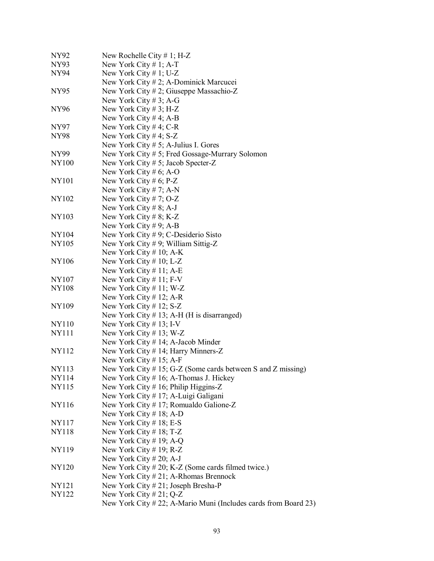| NY92         | New Rochelle City $# 1$ ; H-Z                                   |
|--------------|-----------------------------------------------------------------|
| NY93         | New York City # 1; A-T                                          |
| NY94         | New York City # 1; U-Z                                          |
|              | New York City # 2; A-Dominick Marcucei                          |
| <b>NY95</b>  | New York City # 2; Giuseppe Massachio-Z                         |
|              | New York City #3; A-G                                           |
| NY96         | New York City # 3; H-Z                                          |
|              | New York City #4; A-B                                           |
| NY97         | New York City #4; C-R                                           |
| NY98         | New York City #4; $S-Z$                                         |
|              | New York City $# 5$ ; A-Julius I. Gores                         |
| NY99         | New York City # 5; Fred Gossage-Murrary Solomon                 |
| <b>NY100</b> | New York City # 5; Jacob Specter-Z                              |
|              | New York City # 6; A-O                                          |
| <b>NY101</b> | New York City # 6; $P-Z$                                        |
|              | New York City # 7; A-N                                          |
| <b>NY102</b> | New York City # 7; $O-Z$                                        |
|              | New York City #8; A-J                                           |
| NY103        | New York City # 8; K-Z                                          |
|              | New York City #9; A-B                                           |
| NY104        | New York City $# 9$ ; C-Desiderio Sisto                         |
| <b>NY105</b> | New York City #9; William Sittig-Z                              |
|              | New York City $# 10$ ; A-K                                      |
| <b>NY106</b> | New York City # 10; L-Z                                         |
|              | New York City $\#$ 11; A-E                                      |
| NY107        | New York City $\#$ 11; F-V                                      |
| <b>NY108</b> | New York City # 11; W-Z                                         |
|              | New York City # 12; A-R                                         |
| NY109        | New York City $# 12$ ; S-Z                                      |
|              | New York City $# 13$ ; A-H (H is disarranged)                   |
| NY110        | New York City $# 13$ ; I-V                                      |
| <b>NY111</b> | New York City # 13; W-Z                                         |
|              | New York City # 14; A-Jacob Minder                              |
| NY112        | New York City # 14; Harry Minners-Z                             |
|              | New York City $# 15$ ; A-F                                      |
| NY113        | New York City $# 15$ ; G-Z (Some cards between S and Z missing) |
| NY114        | New York City $# 16$ ; A-Thomas J. Hickey                       |
| NY115        | New York City # 16; Philip Higgins-Z                            |
|              | New York City # 17; A-Luigi Galigani                            |
| NY116        | New York City # 17; Romualdo Galione-Z                          |
|              | New York City # 18; A-D                                         |
| NY117        | New York City # 18; E-S                                         |
| <b>NY118</b> | New York City $\#$ 18; T-Z                                      |
|              | New York City # 19; A-Q                                         |
| NY119        | New York City # 19; $R-Z$                                       |
|              | New York City # 20; A-J                                         |
| NY120        | New York City # 20; K-Z (Some cards filmed twice.)              |
|              | New York City # 21; A-Rhomas Brennock                           |
| NY121        | New York City # 21; Joseph Bresha-P                             |
| NY122        | New York City # 21; Q-Z                                         |
|              | New York City # 22; A-Mario Muni (Includes cards from Board 23) |
|              |                                                                 |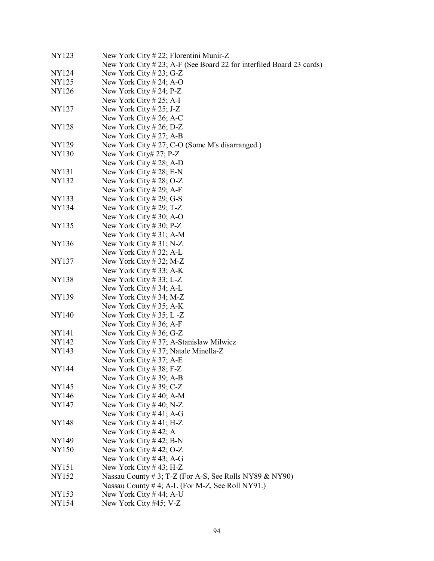| NY123        | New York City $# 22$ ; Florentini Munir-Z                            |
|--------------|----------------------------------------------------------------------|
|              | New York City # 23; A-F (See Board 22 for interfiled Board 23 cards) |
| NY124        | New York City # 23; G-Z                                              |
| NY125        | New York City # 24; A-O                                              |
| NY126        | New York City # 24; $P-Z$                                            |
|              | New York City # 25; A-I                                              |
| NY127        | New York City $\# 25$ ; J-Z                                          |
|              | New York City # 26; A-C                                              |
| <b>NY128</b> | New York City # 26; D-Z                                              |
|              | New York City # 27; A-B                                              |
| NY129        | New York City # 27; C-O (Some M's disarranged.)                      |
| NY130        | New York City# 27; P-Z                                               |
|              | New York City # 28; A-D                                              |
| NY131        | New York City # 28; E-N                                              |
| NY132        | New York City # 28; O-Z                                              |
|              | New York City # 29; A-F                                              |
| NY133        | New York City # 29; G-S                                              |
| NY134        | New York City # 29; T-Z                                              |
|              | New York City # 30; A-O                                              |
| NY135        | New York City # 30; $P-Z$                                            |
|              | New York City # 31; A-M                                              |
| NY136        | New York City # 31; N-Z                                              |
|              | New York City # 32; A-L                                              |
| NY137        | New York City # 32; M-Z                                              |
|              | New York City # 33; A-K                                              |
| <b>NY138</b> | New York City # 33; L-Z                                              |
|              | New York City # 34; A-L                                              |
| NY139        | New York City # 34; M-Z                                              |
|              | New York City # 35; A-K                                              |
| <b>NY140</b> | New York City # 35; L -Z                                             |
|              | New York City # 36; A-F                                              |
| NY141        | New York City # 36; G-Z                                              |
| <b>NY142</b> | New York City $#37$ ; A-Stanislaw Milwicz                            |
| NY143        | New York City #37; Natale Minella-Z                                  |
|              | New York City # 37; A-E                                              |
| <b>NY144</b> | New York City # 38; F-Z                                              |
|              | New York City # 39; A-B                                              |
| NY145        | New York City # 39; $C-Z$                                            |
| NY146        | New York City #40; A-M                                               |
| NY147        | New York City # 40; N-Z                                              |
|              | New York City #41; A-G                                               |
| <b>NY148</b> | New York City $#41$ ; H-Z                                            |
|              | New York City #42; A                                                 |
| NY149        | New York City #42; B-N                                               |
| <b>NY150</b> | New York City #42; O-Z                                               |
|              | New York City #43; A-G                                               |
| NY151        | New York City #43; H-Z                                               |
| NY152        | Nassau County # 3; T-Z (For A-S, See Rolls NY89 & NY90)              |
|              | Nassau County # 4; A-L (For M-Z, See Roll NY91.)                     |
| NY153        | New York City #44; A-U                                               |
| NY154        | New York City #45; V-Z                                               |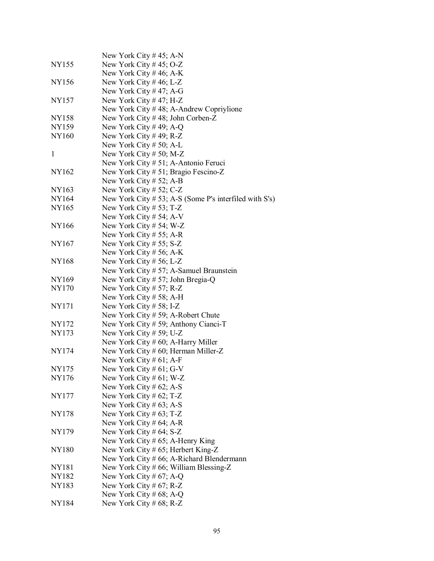|              | New York City # 45; A-N                                         |
|--------------|-----------------------------------------------------------------|
| NY155        | New York City #45; O-Z                                          |
|              | New York City # 46; A-K                                         |
| <b>NY156</b> | New York City #46; L-Z                                          |
|              | New York City #47; A-G                                          |
| <b>NY157</b> | New York City #47; H-Z                                          |
|              | New York City $#48$ ; A-Andrew Copriylione                      |
| <b>NY158</b> | New York City #48; John Corben-Z                                |
| NY159        | New York City #49; A-Q                                          |
| <b>NY160</b> | New York City #49; R-Z                                          |
|              | New York City $# 50$ ; A-L                                      |
| 1            | New York City # 50; M-Z                                         |
|              | New York City # 51; A-Antonio Feruci                            |
| NY162        | New York City # 51; Bragio Fescino-Z                            |
|              | New York City # 52; A-B                                         |
| NY163        | New York City # 52; $C-Z$                                       |
| NY164        | New York City $# 53$ ; A-S (Some P's interfiled with S's)       |
| NY165        | New York City $# 53$ ; T-Z                                      |
|              | New York City # 54; A-V                                         |
| <b>NY166</b> | New York City # 54; W-Z                                         |
|              | New York City # 55; A-R                                         |
| <b>NY167</b> | New York City # 55; $S-Z$                                       |
|              | New York City # 56; A-K                                         |
| <b>NY168</b> | New York City # 56; L-Z                                         |
|              | New York City # 57; A-Samuel Braunstein                         |
| NY169        | New York City # 57; John Bregia-Q                               |
| <b>NY170</b> | New York City # 57; R-Z                                         |
|              | New York City $# 58$ ; A-H                                      |
| NY171        | New York City $# 58$ ; I-Z                                      |
| NY172        | New York City # 59; A-Robert Chute                              |
|              | New York City # 59; Anthony Cianci-T<br>New York City # 59; U-Z |
| NY173        |                                                                 |
| <b>NY174</b> | New York City # 60; A-Harry Miller                              |
|              | New York City $# 60$ ; Herman Miller-Z                          |
| <b>NY175</b> | New York City # $61$ ; A-F<br>New York City # 61; G-V           |
| NY176        | New York City # 61; W-Z                                         |
|              | New York City # 62; A-S                                         |
| NY177        | New York City # 62; T-Z                                         |
|              | New York City $\#$ 63; A-S                                      |
| NY178        | New York City $\#$ 63; T-Z                                      |
|              | New York City # $64$ ; A-R                                      |
| NY179        | New York City # $64$ ; S-Z                                      |
|              | New York City # 65; A-Henry King                                |
| NY180        | New York City # 65; Herbert King-Z                              |
|              | New York City # 66; A-Richard Blendermann                       |
| NY181        | New York City # 66; William Blessing-Z                          |
| <b>NY182</b> | New York City # 67; A-Q                                         |
| NY183        | New York City # 67; R-Z                                         |
|              | New York City # 68; A-Q                                         |
| <b>NY184</b> | New York City # $68$ ; R-Z                                      |
|              |                                                                 |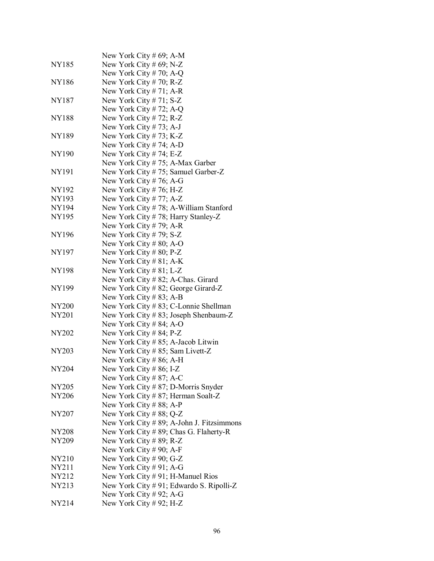| NY185        | New York City # 69; A-M<br>New York City # $69$ ; N-Z          |
|--------------|----------------------------------------------------------------|
|              | New York City #70; A-Q                                         |
| <b>NY186</b> |                                                                |
|              | New York City # 70; $R-Z$                                      |
| NY187        | New York City # 71; A-R<br>New York City # 71; $S-Z$           |
|              | New York City # 72; A-Q                                        |
| <b>NY188</b> |                                                                |
|              | New York City # 72; $R-Z$                                      |
| <b>NY189</b> | New York City $# 73$ ; A-J                                     |
|              | New York City # 73; K-Z<br>New York City # 74; A-D             |
| <b>NY190</b> | New York City #74; E-Z                                         |
|              | New York City # 75; A-Max Garber                               |
|              |                                                                |
| NY191        | New York City # 75; Samuel Garber-Z<br>New York City # 76; A-G |
| NY192        |                                                                |
| NY193        | New York City # 76; H-Z                                        |
|              | New York City #77; A-Z                                         |
| NY194        | New York City #78; A-William Stanford                          |
| NY195        | New York City #78; Harry Stanley-Z                             |
| <b>NY196</b> | New York City # 79; A-R                                        |
|              | New York City #79; S-Z<br>New York City #80; A-O               |
| NY197        |                                                                |
|              | New York City $\# 80$ ; P-Z                                    |
| <b>NY198</b> | New York City # 81; A-K<br>New York City # 81; L-Z             |
|              | New York City # 82; A-Chas. Girard                             |
| NY199        | New York City # 82; George Girard-Z                            |
|              | New York City #83; A-B                                         |
| NY200        | New York City # 83; C-Lonnie Shellman                          |
| NY201        | New York City # 83; Joseph Shenbaum-Z                          |
|              | New York City # 84; A-O                                        |
| NY202        | New York City # 84; P-Z                                        |
|              | New York City # 85; A-Jacob Litwin                             |
| <b>NY203</b> | New York City # 85; Sam Livett-Z                               |
|              | New York City # 86; A-H                                        |
| <b>NY204</b> | New York City #86; I-Z                                         |
|              | New York City # 87; A-C                                        |
| NY205        | New York City $# 87$ ; D-Morris Snyder                         |
| <b>NY206</b> | New York City # 87; Herman Soalt-Z                             |
|              | New York City # 88; A-P                                        |
| NY207        | New York City #88; Q-Z                                         |
|              | New York City # 89; A-John J. Fitzsimmons                      |
| NY208        | New York City # 89; Chas G. Flaherty-R                         |
| NY209        | New York City # 89; $R-Z$                                      |
|              | New York City # 90; A-F                                        |
| NY210        | New York City # 90; G-Z                                        |
| NY211        | New York City #91; A-G                                         |
| NY212        | New York City $# 91$ ; H-Manuel Rios                           |
| NY213        | New York City #91; Edwardo S. Ripolli-Z                        |
|              | New York City #92; A-G                                         |
| NY214        | New York City # 92; H-Z                                        |
|              |                                                                |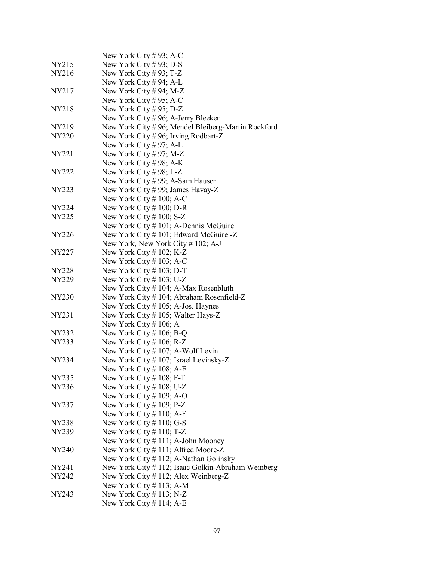|              | New York City #93; A-C                             |
|--------------|----------------------------------------------------|
| NY215        | New York City #93; D-S                             |
| NY216        | New York City # 93; T-Z                            |
|              | New York City # 94; A-L                            |
| NY217        | New York City #94; M-Z                             |
|              | New York City # 95; A-C                            |
| <b>NY218</b> | New York City # 95; D-Z                            |
|              | New York City $# 96$ ; A-Jerry Bleeker             |
| NY219        | New York City #96; Mendel Bleiberg-Martin Rockford |
| <b>NY220</b> | New York City # 96; Irving Rodbart-Z               |
|              | New York City #97; A-L                             |
| NY221        | New York City # 97; M-Z                            |
|              | New York City # 98; A-K                            |
| NY222        | New York City #98; L-Z                             |
|              | New York City # 99; A-Sam Hauser                   |
| NY223        | New York City #99; James Havay-Z                   |
|              | New York City $\#$ 100; A-C                        |
| NY224        | New York City $\#$ 100; D-R                        |
| NY225        | New York City $\#$ 100; S-Z                        |
|              | New York City # 101; A-Dennis McGuire              |
| NY226        | New York City #101; Edward McGuire -Z              |
|              | New York, New York City # 102; A-J                 |
| NY227        | New York City # $102$ ; K-Z                        |
|              | New York City $\#$ 103; A-C                        |
| NY228        | New York City $\#$ 103; D-T                        |
| NY229        | New York City # $103$ ; U-Z                        |
|              | New York City # 104; A-Max Rosenbluth              |
| <b>NY230</b> | New York City # 104; Abraham Rosenfield-Z          |
|              | New York City $\#$ 105; A-Jos. Haynes              |
| NY231        | New York City # 105; Walter Hays-Z                 |
|              | New York City # 106; A                             |
| NY232        | New York City # 106; B-Q                           |
| NY233        | New York City # $106$ ; R-Z                        |
|              | New York City # 107; A-Wolf Levin                  |
| <b>NY234</b> | New York City #107; Israel Levinsky-Z              |
|              | New York City # 108; A-E                           |
| NY235        | New York City $# 108$ ; F-T                        |
| <b>NY236</b> | New York City # 108; U-Z                           |
|              | New York City # 109; A-O                           |
| NY237        | New York City # 109; P-Z                           |
|              | New York City $\#$ 110; A-F                        |
| NY238        | New York City $\#$ 110; G-S                        |
| NY239        | New York City $\#$ 110; T-Z                        |
|              | New York City # 111; A-John Mooney                 |
| NY240        | New York City # 111; Alfred Moore-Z                |
|              | New York City # 112; A-Nathan Golinsky             |
| NY241        | New York City # 112; Isaac Golkin-Abraham Weinberg |
| NY242        | New York City # 112; Alex Weinberg-Z               |
|              | New York City # 113; A-M                           |
| NY243        | New York City $\#$ 113; N-Z                        |
|              | New York City $# 114$ ; A-E                        |
|              |                                                    |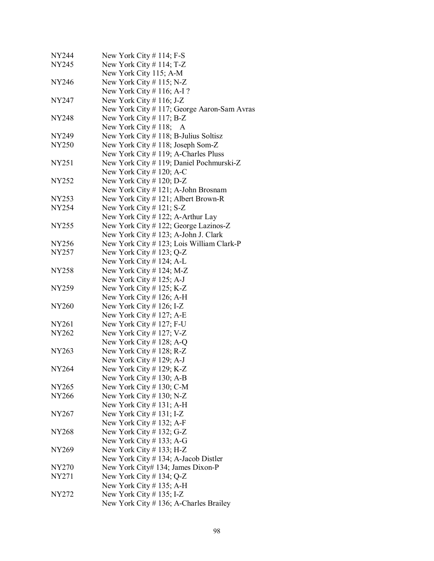| NY244             | New York City $# 114$ ; F-S                 |
|-------------------|---------------------------------------------|
| NY245             | New York City $# 114$ ; T-Z                 |
|                   | New York City 115; A-M                      |
| NY246             | New York City $# 115$ ; N-Z                 |
|                   | New York City $\#$ 116; A-I ?               |
| NY247             | New York City # 116; J-Z                    |
|                   | New York City # 117; George Aaron-Sam Avras |
| NY248             | New York City # 117; B-Z                    |
|                   | New York City # 118; A                      |
| NY249             | New York City # 118; B-Julius Soltisz       |
| NY250             | New York City #118; Joseph Som-Z            |
|                   | New York City # 119; A-Charles Pluss        |
| NY251             | New York City # 119; Daniel Pochmurski-Z    |
|                   | New York City # 120; A-C                    |
| NY252             | New York City $# 120$ ; D-Z                 |
|                   | New York City # 121; A-John Brosnam         |
| NY253             | New York City $# 121$ ; Albert Brown-R      |
| NY254             | New York City # 121; $S-Z$                  |
|                   | New York City # 122; A-Arthur Lay           |
| NY255             | New York City # 122; George Lazinos-Z       |
|                   | New York City # 123; A-John J. Clark        |
| NY <sub>256</sub> | New York City # 123; Lois William Clark-P   |
| NY257             | New York City # 123; $Q-Z$                  |
|                   | New York City $# 124$ ; A-L                 |
| NY258             | New York City $# 124$ ; M-Z                 |
|                   | New York City # 125; A-J                    |
| NY259             | New York City $# 125$ ; K-Z                 |
|                   | New York City $# 126$ ; A-H                 |
| NY260             | New York City # 126; I-Z                    |
|                   | New York City $# 127$ ; A-E                 |
| NY261             | New York City $# 127$ ; F-U                 |
| NY262             | New York City # 127; V-Z                    |
|                   | New York City $# 128$ ; A-Q                 |
| NY263             | New York City # 128; $R-Z$                  |
|                   | New York City # 129; A-J                    |
| NY264             | New York City # 129; K-Z                    |
|                   | New York City $# 130$ ; A-B                 |
| NY265             | New York City # 130; C-M                    |
| NY266             | New York City $# 130$ ; N-Z                 |
|                   | New York City $# 131$ ; A-H                 |
| NY267             | New York City $\#$ 131; I-Z                 |
|                   | New York City $# 132$ ; A-F                 |
| <b>NY268</b>      | New York City # 132; G-Z                    |
|                   | New York City $# 133$ ; A-G                 |
| NY269             | New York City $# 133$ ; H-Z                 |
|                   | New York City # 134; A-Jacob Distler        |
| NY270             | New York City# 134; James Dixon-P           |
| NY271             | New York City # 134; $Q-Z$                  |
|                   | New York City $# 135$ ; A-H                 |
| NY272             | New York City $\#$ 135; I-Z                 |
|                   | New York City # 136; A-Charles Brailey      |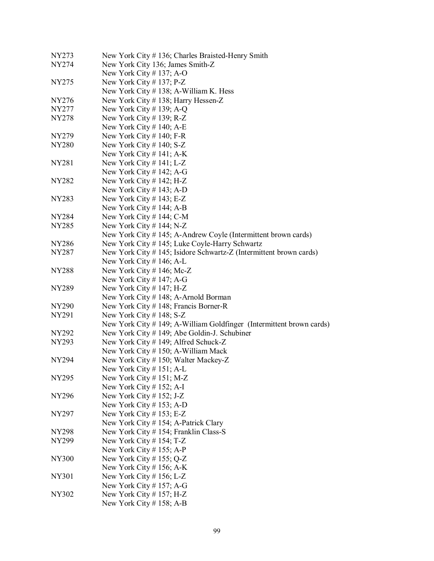| <b>NY274</b><br>New York City 136; James Smith-Z<br>New York City # 137; A-O<br>New York City # 137; $P-Z$<br>NY275<br>New York City #138; A-William K. Hess<br>New York City #138; Harry Hessen-Z<br>NY276<br>New York City # 139; A-Q<br>NY277<br>New York City # 139; $R-Z$<br>NY278<br>New York City $# 140$ ; A-E<br>New York City $# 140$ ; F-R<br>NY279<br>New York City $# 140$ ; S-Z<br><b>NY280</b><br>New York City $# 141$ ; A-K<br>New York City $\#$ 141; L-Z<br>NY281<br>New York City $# 142$ ; A-G<br>New York City $# 142$ ; H-Z<br>NY282<br>New York City $# 143$ ; A-D<br>New York City $\#$ 143; E-Z<br>NY283<br>New York City $# 144$ ; A-B<br>New York City # 144; C-M<br>NY284<br>New York City # $144$ ; N-Z<br>NY285<br>New York City # 145; A-Andrew Coyle (Intermittent brown cards)<br>New York City #145; Luke Coyle-Harry Schwartz<br>NY286<br>New York City #145; Isidore Schwartz-Z (Intermittent brown cards)<br>NY287<br>New York City # $146$ ; A-L<br>New York City # 146; Mc-Z<br><b>NY288</b><br>New York City # 147; A-G<br>New York City $# 147$ ; H-Z<br>NY289<br>New York City # 148; A-Arnold Borman<br>New York City # 148; Francis Borner-R<br>NY290<br>New York City $\#$ 148; S-Z<br>NY291<br>New York City # 149; A-William Goldfinger (Intermittent brown cards)<br>New York City # 149; Abe Goldin-J. Schubiner<br>NY292<br>New York City #149; Alfred Schuck-Z<br><b>NY293</b><br>New York City # 150; A-William Mack<br>New York City #150; Walter Mackey-Z<br><b>NY294</b><br>New York City # 151; A-L<br>New York City # 151; M-Z<br><b>NY295</b><br>New York City # 152; A-I<br>New York City # 152; J-Z<br>NY296<br>New York City $# 153$ ; A-D |
|----------------------------------------------------------------------------------------------------------------------------------------------------------------------------------------------------------------------------------------------------------------------------------------------------------------------------------------------------------------------------------------------------------------------------------------------------------------------------------------------------------------------------------------------------------------------------------------------------------------------------------------------------------------------------------------------------------------------------------------------------------------------------------------------------------------------------------------------------------------------------------------------------------------------------------------------------------------------------------------------------------------------------------------------------------------------------------------------------------------------------------------------------------------------------------------------------------------------------------------------------------------------------------------------------------------------------------------------------------------------------------------------------------------------------------------------------------------------------------------------------------------------------------------------------------------------------------------------------------------------------------------------------------------------------------------------------------|
|                                                                                                                                                                                                                                                                                                                                                                                                                                                                                                                                                                                                                                                                                                                                                                                                                                                                                                                                                                                                                                                                                                                                                                                                                                                                                                                                                                                                                                                                                                                                                                                                                                                                                                          |
|                                                                                                                                                                                                                                                                                                                                                                                                                                                                                                                                                                                                                                                                                                                                                                                                                                                                                                                                                                                                                                                                                                                                                                                                                                                                                                                                                                                                                                                                                                                                                                                                                                                                                                          |
|                                                                                                                                                                                                                                                                                                                                                                                                                                                                                                                                                                                                                                                                                                                                                                                                                                                                                                                                                                                                                                                                                                                                                                                                                                                                                                                                                                                                                                                                                                                                                                                                                                                                                                          |
|                                                                                                                                                                                                                                                                                                                                                                                                                                                                                                                                                                                                                                                                                                                                                                                                                                                                                                                                                                                                                                                                                                                                                                                                                                                                                                                                                                                                                                                                                                                                                                                                                                                                                                          |
|                                                                                                                                                                                                                                                                                                                                                                                                                                                                                                                                                                                                                                                                                                                                                                                                                                                                                                                                                                                                                                                                                                                                                                                                                                                                                                                                                                                                                                                                                                                                                                                                                                                                                                          |
|                                                                                                                                                                                                                                                                                                                                                                                                                                                                                                                                                                                                                                                                                                                                                                                                                                                                                                                                                                                                                                                                                                                                                                                                                                                                                                                                                                                                                                                                                                                                                                                                                                                                                                          |
|                                                                                                                                                                                                                                                                                                                                                                                                                                                                                                                                                                                                                                                                                                                                                                                                                                                                                                                                                                                                                                                                                                                                                                                                                                                                                                                                                                                                                                                                                                                                                                                                                                                                                                          |
|                                                                                                                                                                                                                                                                                                                                                                                                                                                                                                                                                                                                                                                                                                                                                                                                                                                                                                                                                                                                                                                                                                                                                                                                                                                                                                                                                                                                                                                                                                                                                                                                                                                                                                          |
|                                                                                                                                                                                                                                                                                                                                                                                                                                                                                                                                                                                                                                                                                                                                                                                                                                                                                                                                                                                                                                                                                                                                                                                                                                                                                                                                                                                                                                                                                                                                                                                                                                                                                                          |
|                                                                                                                                                                                                                                                                                                                                                                                                                                                                                                                                                                                                                                                                                                                                                                                                                                                                                                                                                                                                                                                                                                                                                                                                                                                                                                                                                                                                                                                                                                                                                                                                                                                                                                          |
|                                                                                                                                                                                                                                                                                                                                                                                                                                                                                                                                                                                                                                                                                                                                                                                                                                                                                                                                                                                                                                                                                                                                                                                                                                                                                                                                                                                                                                                                                                                                                                                                                                                                                                          |
|                                                                                                                                                                                                                                                                                                                                                                                                                                                                                                                                                                                                                                                                                                                                                                                                                                                                                                                                                                                                                                                                                                                                                                                                                                                                                                                                                                                                                                                                                                                                                                                                                                                                                                          |
|                                                                                                                                                                                                                                                                                                                                                                                                                                                                                                                                                                                                                                                                                                                                                                                                                                                                                                                                                                                                                                                                                                                                                                                                                                                                                                                                                                                                                                                                                                                                                                                                                                                                                                          |
|                                                                                                                                                                                                                                                                                                                                                                                                                                                                                                                                                                                                                                                                                                                                                                                                                                                                                                                                                                                                                                                                                                                                                                                                                                                                                                                                                                                                                                                                                                                                                                                                                                                                                                          |
|                                                                                                                                                                                                                                                                                                                                                                                                                                                                                                                                                                                                                                                                                                                                                                                                                                                                                                                                                                                                                                                                                                                                                                                                                                                                                                                                                                                                                                                                                                                                                                                                                                                                                                          |
|                                                                                                                                                                                                                                                                                                                                                                                                                                                                                                                                                                                                                                                                                                                                                                                                                                                                                                                                                                                                                                                                                                                                                                                                                                                                                                                                                                                                                                                                                                                                                                                                                                                                                                          |
|                                                                                                                                                                                                                                                                                                                                                                                                                                                                                                                                                                                                                                                                                                                                                                                                                                                                                                                                                                                                                                                                                                                                                                                                                                                                                                                                                                                                                                                                                                                                                                                                                                                                                                          |
|                                                                                                                                                                                                                                                                                                                                                                                                                                                                                                                                                                                                                                                                                                                                                                                                                                                                                                                                                                                                                                                                                                                                                                                                                                                                                                                                                                                                                                                                                                                                                                                                                                                                                                          |
|                                                                                                                                                                                                                                                                                                                                                                                                                                                                                                                                                                                                                                                                                                                                                                                                                                                                                                                                                                                                                                                                                                                                                                                                                                                                                                                                                                                                                                                                                                                                                                                                                                                                                                          |
|                                                                                                                                                                                                                                                                                                                                                                                                                                                                                                                                                                                                                                                                                                                                                                                                                                                                                                                                                                                                                                                                                                                                                                                                                                                                                                                                                                                                                                                                                                                                                                                                                                                                                                          |
|                                                                                                                                                                                                                                                                                                                                                                                                                                                                                                                                                                                                                                                                                                                                                                                                                                                                                                                                                                                                                                                                                                                                                                                                                                                                                                                                                                                                                                                                                                                                                                                                                                                                                                          |
|                                                                                                                                                                                                                                                                                                                                                                                                                                                                                                                                                                                                                                                                                                                                                                                                                                                                                                                                                                                                                                                                                                                                                                                                                                                                                                                                                                                                                                                                                                                                                                                                                                                                                                          |
|                                                                                                                                                                                                                                                                                                                                                                                                                                                                                                                                                                                                                                                                                                                                                                                                                                                                                                                                                                                                                                                                                                                                                                                                                                                                                                                                                                                                                                                                                                                                                                                                                                                                                                          |
|                                                                                                                                                                                                                                                                                                                                                                                                                                                                                                                                                                                                                                                                                                                                                                                                                                                                                                                                                                                                                                                                                                                                                                                                                                                                                                                                                                                                                                                                                                                                                                                                                                                                                                          |
|                                                                                                                                                                                                                                                                                                                                                                                                                                                                                                                                                                                                                                                                                                                                                                                                                                                                                                                                                                                                                                                                                                                                                                                                                                                                                                                                                                                                                                                                                                                                                                                                                                                                                                          |
|                                                                                                                                                                                                                                                                                                                                                                                                                                                                                                                                                                                                                                                                                                                                                                                                                                                                                                                                                                                                                                                                                                                                                                                                                                                                                                                                                                                                                                                                                                                                                                                                                                                                                                          |
|                                                                                                                                                                                                                                                                                                                                                                                                                                                                                                                                                                                                                                                                                                                                                                                                                                                                                                                                                                                                                                                                                                                                                                                                                                                                                                                                                                                                                                                                                                                                                                                                                                                                                                          |
|                                                                                                                                                                                                                                                                                                                                                                                                                                                                                                                                                                                                                                                                                                                                                                                                                                                                                                                                                                                                                                                                                                                                                                                                                                                                                                                                                                                                                                                                                                                                                                                                                                                                                                          |
|                                                                                                                                                                                                                                                                                                                                                                                                                                                                                                                                                                                                                                                                                                                                                                                                                                                                                                                                                                                                                                                                                                                                                                                                                                                                                                                                                                                                                                                                                                                                                                                                                                                                                                          |
|                                                                                                                                                                                                                                                                                                                                                                                                                                                                                                                                                                                                                                                                                                                                                                                                                                                                                                                                                                                                                                                                                                                                                                                                                                                                                                                                                                                                                                                                                                                                                                                                                                                                                                          |
|                                                                                                                                                                                                                                                                                                                                                                                                                                                                                                                                                                                                                                                                                                                                                                                                                                                                                                                                                                                                                                                                                                                                                                                                                                                                                                                                                                                                                                                                                                                                                                                                                                                                                                          |
|                                                                                                                                                                                                                                                                                                                                                                                                                                                                                                                                                                                                                                                                                                                                                                                                                                                                                                                                                                                                                                                                                                                                                                                                                                                                                                                                                                                                                                                                                                                                                                                                                                                                                                          |
|                                                                                                                                                                                                                                                                                                                                                                                                                                                                                                                                                                                                                                                                                                                                                                                                                                                                                                                                                                                                                                                                                                                                                                                                                                                                                                                                                                                                                                                                                                                                                                                                                                                                                                          |
|                                                                                                                                                                                                                                                                                                                                                                                                                                                                                                                                                                                                                                                                                                                                                                                                                                                                                                                                                                                                                                                                                                                                                                                                                                                                                                                                                                                                                                                                                                                                                                                                                                                                                                          |
|                                                                                                                                                                                                                                                                                                                                                                                                                                                                                                                                                                                                                                                                                                                                                                                                                                                                                                                                                                                                                                                                                                                                                                                                                                                                                                                                                                                                                                                                                                                                                                                                                                                                                                          |
|                                                                                                                                                                                                                                                                                                                                                                                                                                                                                                                                                                                                                                                                                                                                                                                                                                                                                                                                                                                                                                                                                                                                                                                                                                                                                                                                                                                                                                                                                                                                                                                                                                                                                                          |
|                                                                                                                                                                                                                                                                                                                                                                                                                                                                                                                                                                                                                                                                                                                                                                                                                                                                                                                                                                                                                                                                                                                                                                                                                                                                                                                                                                                                                                                                                                                                                                                                                                                                                                          |
|                                                                                                                                                                                                                                                                                                                                                                                                                                                                                                                                                                                                                                                                                                                                                                                                                                                                                                                                                                                                                                                                                                                                                                                                                                                                                                                                                                                                                                                                                                                                                                                                                                                                                                          |
|                                                                                                                                                                                                                                                                                                                                                                                                                                                                                                                                                                                                                                                                                                                                                                                                                                                                                                                                                                                                                                                                                                                                                                                                                                                                                                                                                                                                                                                                                                                                                                                                                                                                                                          |
| New York City # 153; E-Z<br>NY297                                                                                                                                                                                                                                                                                                                                                                                                                                                                                                                                                                                                                                                                                                                                                                                                                                                                                                                                                                                                                                                                                                                                                                                                                                                                                                                                                                                                                                                                                                                                                                                                                                                                        |
| New York City # 154; A-Patrick Clary                                                                                                                                                                                                                                                                                                                                                                                                                                                                                                                                                                                                                                                                                                                                                                                                                                                                                                                                                                                                                                                                                                                                                                                                                                                                                                                                                                                                                                                                                                                                                                                                                                                                     |
| New York City # 154; Franklin Class-S<br>NY298                                                                                                                                                                                                                                                                                                                                                                                                                                                                                                                                                                                                                                                                                                                                                                                                                                                                                                                                                                                                                                                                                                                                                                                                                                                                                                                                                                                                                                                                                                                                                                                                                                                           |
| NY299<br>New York City # 154; T-Z                                                                                                                                                                                                                                                                                                                                                                                                                                                                                                                                                                                                                                                                                                                                                                                                                                                                                                                                                                                                                                                                                                                                                                                                                                                                                                                                                                                                                                                                                                                                                                                                                                                                        |
| New York City # 155; A-P                                                                                                                                                                                                                                                                                                                                                                                                                                                                                                                                                                                                                                                                                                                                                                                                                                                                                                                                                                                                                                                                                                                                                                                                                                                                                                                                                                                                                                                                                                                                                                                                                                                                                 |
| New York City # $155$ ; Q-Z<br><b>NY300</b>                                                                                                                                                                                                                                                                                                                                                                                                                                                                                                                                                                                                                                                                                                                                                                                                                                                                                                                                                                                                                                                                                                                                                                                                                                                                                                                                                                                                                                                                                                                                                                                                                                                              |
|                                                                                                                                                                                                                                                                                                                                                                                                                                                                                                                                                                                                                                                                                                                                                                                                                                                                                                                                                                                                                                                                                                                                                                                                                                                                                                                                                                                                                                                                                                                                                                                                                                                                                                          |
|                                                                                                                                                                                                                                                                                                                                                                                                                                                                                                                                                                                                                                                                                                                                                                                                                                                                                                                                                                                                                                                                                                                                                                                                                                                                                                                                                                                                                                                                                                                                                                                                                                                                                                          |
| New York City $# 156$ ; A-K                                                                                                                                                                                                                                                                                                                                                                                                                                                                                                                                                                                                                                                                                                                                                                                                                                                                                                                                                                                                                                                                                                                                                                                                                                                                                                                                                                                                                                                                                                                                                                                                                                                                              |
| New York City # 156; L-Z<br><b>NY301</b>                                                                                                                                                                                                                                                                                                                                                                                                                                                                                                                                                                                                                                                                                                                                                                                                                                                                                                                                                                                                                                                                                                                                                                                                                                                                                                                                                                                                                                                                                                                                                                                                                                                                 |
| New York City $# 157$ ; A-G<br>New York City $# 157$ ; H-Z<br>NY302                                                                                                                                                                                                                                                                                                                                                                                                                                                                                                                                                                                                                                                                                                                                                                                                                                                                                                                                                                                                                                                                                                                                                                                                                                                                                                                                                                                                                                                                                                                                                                                                                                      |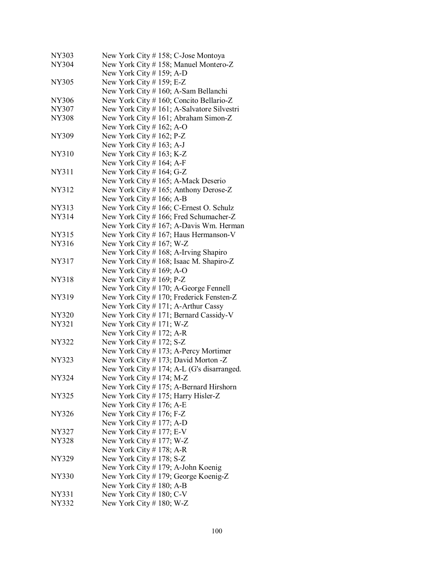| <b>NY303</b> | New York City # 158; C-Jose Montoya        |
|--------------|--------------------------------------------|
| <b>NY304</b> | New York City #158; Manuel Montero-Z       |
|              | New York City $# 159$ ; A-D                |
| NY305        | New York City # 159; E-Z                   |
|              | New York City # 160; A-Sam Bellanchi       |
| <b>NY306</b> | New York City # 160; Concito Bellario-Z    |
| NY307        | New York City # 161; A-Salvatore Silvestri |
| <b>NY308</b> | New York City # 161; Abraham Simon-Z       |
|              | New York City $# 162$ ; A-O                |
| NY309        | New York City $# 162$ ; P-Z                |
|              | New York City $\#$ 163; A-J                |
| <b>NY310</b> | New York City $# 163$ ; K-Z                |
|              | New York City $# 164$ ; A-F                |
| NY311        | New York City # 164; G-Z                   |
|              |                                            |
|              | New York City # 165; A-Mack Deserio        |
| NY312        | New York City # 165; Anthony Derose-Z      |
|              | New York City $# 166$ ; A-B                |
| NY313        | New York City # 166; C-Ernest O. Schulz    |
| NY314        | New York City # 166; Fred Schumacher-Z     |
|              | New York City # 167; A-Davis Wm. Herman    |
| NY315        | New York City $# 167$ ; Haus Hermanson-V   |
| NY316        | New York City $# 167$ ; W-Z                |
|              | New York City # 168; A-Irving Shapiro      |
| <b>NY317</b> | New York City # 168; Isaac M. Shapiro-Z    |
|              | New York City $# 169$ ; A-O                |
| <b>NY318</b> | New York City $# 169$ ; P-Z                |
|              | New York City #170; A-George Fennell       |
| NY319        | New York City #170; Frederick Fensten-Z    |
|              | New York City #171; A-Arthur Cassy         |
| NY320        | New York City #171; Bernard Cassidy-V      |
| NY321        | New York City $# 171$ ; W-Z                |
|              | New York City $# 172$ ; A-R                |
| <b>NY322</b> | New York City # 172; $S-Z$                 |
|              | New York City $# 173$ ; A-Percy Mortimer   |
| <b>NY323</b> | New York City #173; David Morton -Z        |
|              |                                            |
|              | New York City #174; A-L (G's disarranged.  |
| NY324        | New York City # 174; M-Z                   |
|              | New York City #175; A-Bernard Hirshorn     |
| NY325        | New York City #175; Harry Hisler-Z         |
|              | New York City $# 176$ ; A-E                |
| <b>NY326</b> | New York City $# 176$ ; F-Z                |
|              | New York City # 177; A-D                   |
| NY327        | New York City # 177; $E-V$                 |
| NY328        | New York City # 177; W-Z                   |
|              | New York City $# 178$ ; A-R                |
| NY329        | New York City $# 178$ ; S-Z                |
|              | New York City # 179; A-John Koenig         |
| NY330        | New York City #179; George Koenig-Z        |
|              | New York City $# 180$ ; A-B                |
| NY331        | New York City $# 180$ ; C-V                |
| NY332        | New York City $\#$ 180; W-Z                |
|              |                                            |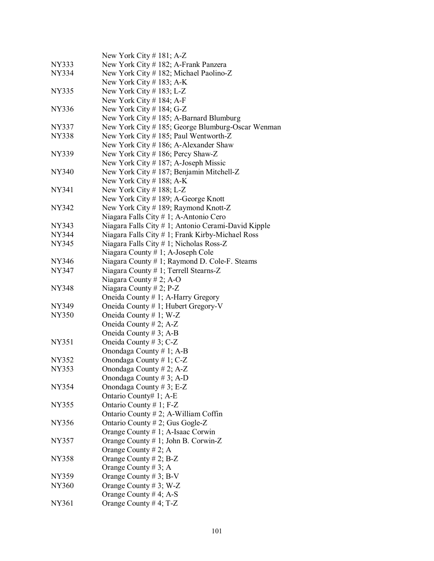|              | New York City # 181; A-Z                            |
|--------------|-----------------------------------------------------|
| NY333        | New York City # 182; A-Frank Panzera                |
| NY334        | New York City #182; Michael Paolino-Z               |
|              | New York City # 183; $A-K$                          |
| NY335        | New York City # 183; L-Z                            |
|              | New York City $# 184$ ; A-F                         |
| NY336        | New York City $# 184$ ; G-Z                         |
|              | New York City #185; A-Barnard Blumburg              |
| NY337        | New York City #185; George Blumburg-Oscar Wenman    |
| <b>NY338</b> | New York City # 185; Paul Wentworth-Z               |
|              | New York City #186; A-Alexander Shaw                |
| NY339        | New York City #186; Percy Shaw-Z                    |
|              | New York City # 187; A-Joseph Missic                |
| NY340        | New York City #187; Benjamin Mitchell-Z             |
|              | New York City $\#$ 188; A-K                         |
| NY341        | New York City #188; L-Z                             |
|              | New York City #189; A-George Knott                  |
| NY342        | New York City #189; Raymond Knott-Z                 |
|              | Niagara Falls City # 1; A-Antonio Cero              |
| NY343        | Niagara Falls City # 1; Antonio Cerami-David Kipple |
| NY344        | Niagara Falls City # 1; Frank Kirby-Michael Ross    |
| NY345        | Niagara Falls City # 1; Nicholas Ross-Z             |
|              | Niagara County # 1; A-Joseph Cole                   |
| NY346        | Niagara County # 1; Raymond D. Cole-F. Steams       |
| NY347        | Niagara County # 1; Terrell Stearns-Z               |
|              | Niagara County # 2; A-O                             |
| <b>NY348</b> | Niagara County $# 2$ ; P-Z                          |
|              | Oneida County # 1; A-Harry Gregory                  |
| NY349        | Oneida County # 1; Hubert Gregory-V                 |
| NY350        | Oneida County # 1; W-Z                              |
|              | Oneida County # 2; A-Z                              |
|              | Oneida County # 3; A-B                              |
| <b>NY351</b> | Oneida County # 3; $C-Z$                            |
|              | Onondaga County # 1; A-B                            |
| NY352        | Onondaga County # 1; C-Z                            |
| NY353        | Onondaga County # 2; A-Z                            |
|              | Onondaga County #3; A-D                             |
| <b>NY354</b> | Onondaga County # 3; E-Z                            |
|              | Ontario County# 1; A-E                              |
| NY355        | Ontario County # 1; F-Z                             |
|              | Ontario County # 2; A-William Coffin                |
| NY356        | Ontario County # 2; Gus Gogle-Z                     |
|              | Orange County # 1; A-Isaac Corwin                   |
| NY357        | Orange County # 1; John B. Corwin-Z                 |
|              | Orange County # 2; A                                |
| <b>NY358</b> | Orange County $# 2$ ; B-Z                           |
|              | Orange County # 3; A                                |
| NY359        | Orange County # 3; B-V                              |
| NY360        | Orange County # 3; W-Z                              |
|              | Orange County # 4; A-S                              |
| NY361        | Orange County #4; $T-Z$                             |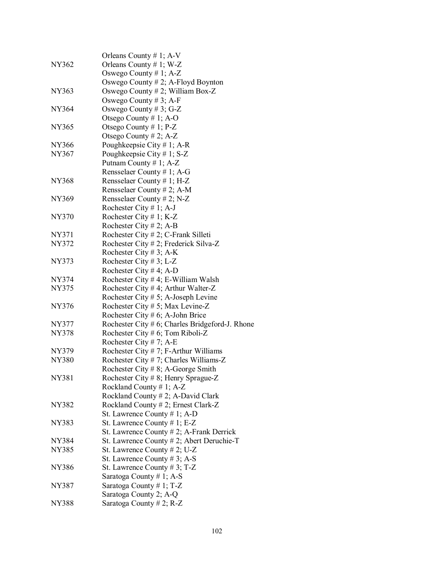|              | Orleans County # 1; $A-V$                          |
|--------------|----------------------------------------------------|
| <b>NY362</b> | Orleans County # 1; W-Z                            |
|              | Oswego County $# 1$ ; A-Z                          |
|              | Oswego County $# 2$ ; A-Floyd Boynton              |
| NY363        | Oswego County #2; William Box-Z                    |
|              | Oswego County # 3; A-F                             |
| NY364        | Oswego County # 3; G-Z                             |
|              |                                                    |
| NY365        | Otsego County # 1; A-O                             |
|              | Otsego County # 1; P-Z                             |
|              | Otsego County # 2; A-Z                             |
| NY366        | Poughkeepsie City # 1; A-R                         |
| NY367        | Poughkeepsie City # 1; $S-Z$                       |
|              | Putnam County # 1; A-Z                             |
|              | Rensselaer County # 1; A-G                         |
| NY368        | Rensselaer County # 1; H-Z                         |
|              | Rensselaer County # 2; A-M                         |
| NY369        | Rensselaer County # 2; N-Z                         |
|              | Rochester City # 1; A-J                            |
| NY370        | Rochester City # 1; K-Z                            |
|              | Rochester City # 2; A-B                            |
| <b>NY371</b> | Rochester City # 2; C-Frank Silleti                |
| NY372        | Rochester City # 2; Frederick Silva-Z              |
|              | Rochester City # 3; A-K                            |
| NY373        | Rochester City # 3; L-Z                            |
|              | Rochester City # 4; A-D                            |
| NY374        | Rochester City # 4; E-William Walsh                |
| NY375        | Rochester City # 4; Arthur Walter-Z                |
|              | Rochester City # 5; A-Joseph Levine                |
| <b>NY376</b> | Rochester City # 5; Max Levine-Z                   |
|              | Rochester City # 6; A-John Brice                   |
| NY377        | Rochester City $# 6$ ; Charles Bridgeford-J. Rhone |
| <b>NY378</b> | Rochester City # 6; Tom Riboli-Z                   |
|              | Rochester City #7; A-E                             |
| NY379        | Rochester City $# 7$ ; F-Arthur Williams           |
| <b>NY380</b> | Rochester City # 7; Charles Williams-Z             |
|              | Rochester City # 8; A-George Smith                 |
| NY381        | Rochester City # 8; Henry Sprague-Z                |
|              | Rockland County # 1; $A-Z$                         |
|              | Rockland County # 2; A-David Clark                 |
| NY382        | Rockland County # 2; Ernest Clark-Z                |
|              | St. Lawrence County $# 1$ ; A-D                    |
| NY383        | St. Lawrence County # 1; E-Z                       |
|              | St. Lawrence County $# 2$ ; A-Frank Derrick        |
| NY384        | St. Lawrence County # 2; Abert Deruchie-T          |
| NY385        | St. Lawrence County $# 2$ ; U-Z                    |
|              | St. Lawrence County # 3; A-S                       |
| <b>NY386</b> | St. Lawrence County # 3; $T-Z$                     |
|              | Saratoga County #1; A-S                            |
| NY387        | Saratoga County # 1; T-Z                           |
|              | Saratoga County 2; A-Q                             |
| <b>NY388</b> | Saratoga County # 2; R-Z                           |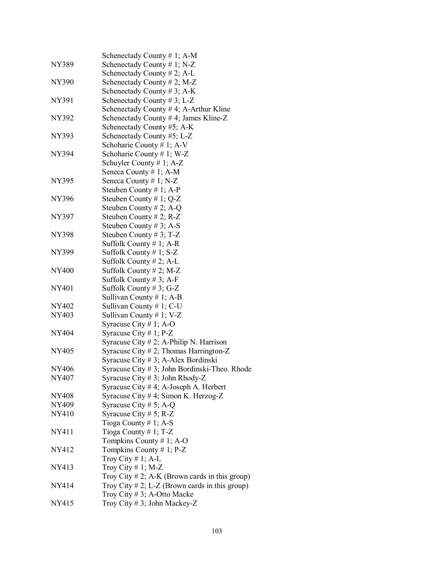| NY389        | Schenectady County # 1; A-M<br>Schenectady County # 1; N-Z |
|--------------|------------------------------------------------------------|
|              | Schenectady County # 2; A-L                                |
| NY390        | Schenectady County # 2; M-Z                                |
|              | Schenectady County # 3; A-K                                |
| NY391        | Schenectady County # 3; L-Z                                |
|              | Schenectady County $# 4$ ; A-Arthur Kline                  |
| <b>NY392</b> | Schenectady County # 4; James Kline-Z                      |
|              | Schenectady County #5; A-K                                 |
| NY393        | Schenectady County #5; L-Z                                 |
|              | Schoharie County # 1; A-V                                  |
| NY394        | Schoharie County # 1; W-Z                                  |
|              | Schuyler County $# 1$ ; A-Z                                |
|              | Seneca County # 1; A-M                                     |
| NY395        | Seneca County # 1; N-Z                                     |
|              | Steuben County $# 1$ ; A-P                                 |
| NY396        | Steuben County # 1; $Q-Z$                                  |
|              | Steuben County # 2; A-Q                                    |
| NY397        | Steuben County # 2; $R-Z$                                  |
|              | Steuben County # 3; A-S                                    |
| <b>NY398</b> | Steuben County # 3; $T-Z$                                  |
|              | Suffolk County $# 1$ ; A-R                                 |
| NY399        | Suffolk County $# 1$ ; S-Z                                 |
|              | Suffolk County $# 2$ ; A-L                                 |
| <b>NY400</b> | Suffolk County # 2; M-Z                                    |
|              | Suffolk County $# 3$ ; A-F                                 |
| NY401        | Suffolk County $# 3$ ; G-Z                                 |
|              | Sullivan County # 1; A-B                                   |
| NY402        | Sullivan County $# 1$ ; C-U                                |
| NY403        | Sullivan County $# 1$ ; V-Z                                |
|              | Syracuse City # 1; A-O                                     |
| NY404        | Syracuse City # 1; $P-Z$                                   |
|              | Syracuse City $# 2$ ; A-Philip N. Harrison                 |
| NY405        | Syracuse City # 2; Thomas Harrington-Z                     |
|              | Syracuse City # 3; A-Alex Bordinski                        |
| <b>NY406</b> | Syracuse City # 3; John Bordinski-Theo. Rhode              |
| NY407        | Syracuse City # 3; John Rhody-Z                            |
|              | Syracuse City # 4; A-Joseph A. Herbert                     |
| NY408        | Syracuse City # 4; Simon K. Herzog-Z                       |
| NY409        | Syracuse City # 5; A-Q                                     |
| NY410        | Syracuse City # 5; R-Z                                     |
|              | Tioga County # 1; A-S                                      |
| NY411        | Tioga County # 1; $T-Z$                                    |
|              | Tompkins County # 1; A-O                                   |
| NY412        | Tompkins County $# 1$ ; P-Z                                |
|              | Troy City # 1; $A-L$                                       |
| NY413        | Troy City # 1; M-Z                                         |
|              | Troy City $# 2$ ; A-K (Brown cards in this group)          |
| NY414        | Troy City $\# 2$ ; L-Z (Brown cards in this group)         |
|              | Troy City # 3; A-Otto Macke                                |
| NY415        | Troy City #3; John Mackey-Z                                |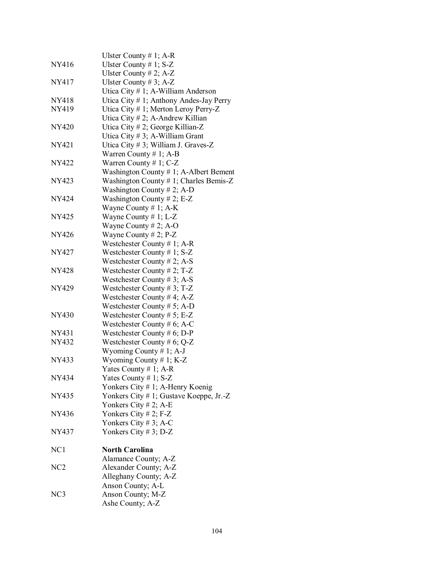|                 | Ulster County # 1; A-R                    |
|-----------------|-------------------------------------------|
| NY416           | Ulster County $# 1$ ; S-Z                 |
|                 | Ulster County # 2; $A-Z$                  |
| NY417           | Ulster County # 3; A-Z                    |
|                 | Utica City # 1; A-William Anderson        |
| NY418           | Utica City # 1; Anthony Andes-Jay Perry   |
| NY419           | Utica City # 1; Merton Leroy Perry-Z      |
|                 | Utica City # 2; A-Andrew Killian          |
| <b>NY420</b>    |                                           |
|                 | Utica City # 2; George Killian-Z          |
|                 | Utica City $# 3$ ; A-William Grant        |
| <b>NY421</b>    | Utica City #3; William J. Graves-Z        |
|                 | Warren County # 1; A-B                    |
| NY422           | Warren County # 1; $C-Z$                  |
|                 | Washington County $# 1$ ; A-Albert Bement |
| NY423           | Washington County # 1; Charles Bemis-Z    |
|                 | Washington County # 2; A-D                |
| NY424           | Washington County # 2; E-Z                |
|                 | Wayne County # 1; $A-K$                   |
| NY425           | Wayne County $# 1$ ; L-Z                  |
|                 | Wayne County # 2; A-O                     |
| NY426           | Wayne County # 2; $P-Z$                   |
|                 | Westchester County # 1; A-R               |
| NY427           | Westchester County # 1; $S-Z$             |
|                 | Westchester County # 2; A-S               |
| <b>NY428</b>    | Westchester County # 2; T-Z               |
|                 | Westchester County # 3; A-S               |
| <b>NY429</b>    | Westchester County # 3; $T-Z$             |
|                 | Westchester County #4; $A-Z$              |
|                 | Westchester County # 5; A-D               |
| <b>NY430</b>    | Westchester County # $5$ ; E-Z            |
|                 | Westchester County # 6; A-C               |
| NY431           | Westchester County # 6; D-P               |
| NY432           | Westchester County # 6; Q-Z               |
|                 | Wyoming County # 1; A-J                   |
| NY433           | Wyoming County # 1; $K-Z$                 |
|                 | Yates County # 1; A-R                     |
| NY434           | Yates County # 1; $S-Z$                   |
|                 | Yonkers City # 1; A-Henry Koenig          |
| NY435           | Yonkers City # 1; Gustave Koeppe, Jr.-Z   |
|                 | Yonkers City # 2; A-E                     |
| NY436           | Yonkers City # 2; $F-Z$                   |
|                 | Yonkers City # 3; A-C                     |
| NY437           | Yonkers City # 3; D-Z                     |
|                 |                                           |
| NC <sub>1</sub> | <b>North Carolina</b>                     |
|                 | Alamance County; A-Z                      |
| NC <sub>2</sub> | Alexander County; A-Z                     |
|                 |                                           |
|                 | Alleghany County; A-Z                     |
| NC3             | Anson County; A-L                         |
|                 | Anson County; M-Z                         |
|                 | Ashe County; A-Z                          |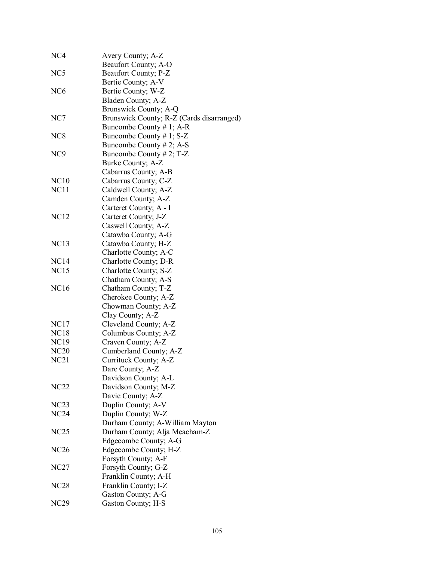| NC <sub>4</sub> | Avery County; A-Z                         |
|-----------------|-------------------------------------------|
|                 | Beaufort County; A-O                      |
| NC <sub>5</sub> | Beaufort County; P-Z                      |
|                 | Bertie County; A-V                        |
| NC <sub>6</sub> | Bertie County; W-Z                        |
|                 | Bladen County; A-Z                        |
|                 | Brunswick County; A-Q                     |
| NC7             | Brunswick County; R-Z (Cards disarranged) |
|                 | Buncombe County # 1; A-R                  |
| NC <sub>8</sub> | Buncombe County # 1; $S-Z$                |
|                 | Buncombe County $# 2$ ; A-S               |
| NC <sub>9</sub> | Buncombe County # 2; $T-Z$                |
|                 | Burke County; A-Z                         |
|                 | Cabarrus County; A-B                      |
| NC10            | Cabarrus County; C-Z                      |
| NC11            | Caldwell County; A-Z                      |
|                 | Camden County; A-Z                        |
|                 | Carteret County; A - I                    |
| <b>NC12</b>     | Carteret County; J-Z                      |
|                 |                                           |
|                 | Caswell County; A-Z                       |
|                 | Catawba County; A-G                       |
| <b>NC13</b>     | Catawba County; H-Z                       |
|                 | Charlotte County; A-C                     |
| NC14            | Charlotte County; D-R                     |
| <b>NC15</b>     | Charlotte County; S-Z                     |
|                 | Chatham County; A-S                       |
| <b>NC16</b>     | Chatham County; T-Z                       |
|                 | Cherokee County; A-Z                      |
|                 | Chowman County; A-Z                       |
|                 | Clay County; A-Z                          |
| NC17            | Cleveland County; A-Z                     |
| <b>NC18</b>     | Columbus County; A-Z                      |
| <b>NC19</b>     | Craven County; A-Z                        |
| <b>NC20</b>     | Cumberland County; A-Z                    |
| NC21            | Currituck County; A-Z                     |
|                 | Dare County; A-Z                          |
|                 | Davidson County; A-L                      |
| NC22            | Davidson County; M-Z                      |
|                 | Davie County; A-Z                         |
| NC23            | Duplin County; A-V                        |
| <b>NC24</b>     | Duplin County; W-Z                        |
|                 | Durham County; A-William Mayton           |
| NC25            | Durham County; Alja Meacham-Z             |
|                 | Edgecombe County; A-G                     |
| <b>NC26</b>     | Edgecombe County; H-Z                     |
|                 | Forsyth County; A-F                       |
| NC27            | Forsyth County; G-Z                       |
|                 | Franklin County; A-H                      |
| <b>NC28</b>     | Franklin County; I-Z                      |
|                 | Gaston County; A-G                        |
| <b>NC29</b>     | Gaston County; H-S                        |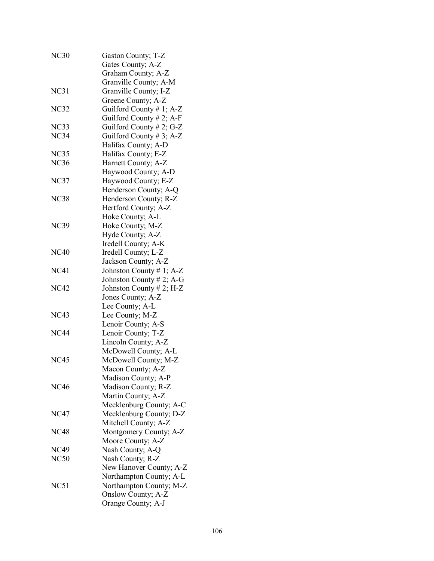| <b>NC30</b> | Gaston County; T-Z<br>Gates County; A-Z       |
|-------------|-----------------------------------------------|
|             | Graham County; A-Z                            |
|             | Granville County; A-M                         |
| NC31        | Granville County; I-Z                         |
|             | Greene County; A-Z                            |
| NC32        | Guilford County # 1; A-Z                      |
|             | Guilford County # 2; A-F                      |
| NC33        | Guilford County # 2; G-Z                      |
| NC34        | Guilford County #3; A-Z                       |
|             | Halifax County; A-D                           |
| NC35        | Halifax County; E-Z                           |
| <b>NC36</b> | Harnett County; A-Z                           |
|             | Haywood County; A-D                           |
| NC37        | Haywood County; E-Z                           |
|             | Henderson County; A-Q                         |
| <b>NC38</b> | Henderson County; R-Z                         |
|             | Hertford County; A-Z                          |
|             | Hoke County; A-L                              |
| <b>NC39</b> | Hoke County; M-Z                              |
|             | Hyde County; A-Z                              |
|             | Iredell County; A-K                           |
| <b>NC40</b> | Iredell County; L-Z                           |
|             | Jackson County; A-Z                           |
| <b>NC41</b> | Johnston County # 1; A-Z                      |
|             | Johnston County # 2; A-G                      |
| <b>NC42</b> | Johnston County # 2; H-Z                      |
|             | Jones County; A-Z                             |
| <b>NC43</b> | Lee County; A-L                               |
|             | Lee County; M-Z                               |
|             | Lenoir County; A-S                            |
| <b>NC44</b> | Lenoir County; T-Z                            |
|             | Lincoln County; A-Z                           |
|             | McDowell County; A-L                          |
| <b>NC45</b> | McDowell County; M-Z                          |
|             | Macon County; A-Z                             |
| <b>NC46</b> | Madison County; A-P                           |
|             | Madison County; R-Z                           |
|             | Martin County; A-Z<br>Mecklenburg County; A-C |
| <b>NC47</b> | Mecklenburg County; D-Z                       |
|             | Mitchell County; A-Z                          |
| <b>NC48</b> | Montgomery County; A-Z                        |
|             | Moore County; A-Z                             |
| NC49        | Nash County; A-Q                              |
| <b>NC50</b> | Nash County; R-Z                              |
|             | New Hanover County; A-Z                       |
|             | Northampton County; A-L                       |
| NC51        | Northampton County; M-Z                       |
|             | Onslow County; A-Z                            |
|             | Orange County; A-J                            |
|             |                                               |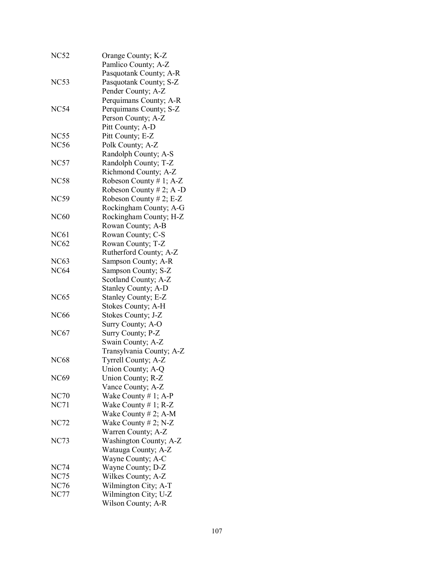| <b>NC52</b> | Orange County; K-Z<br>Pamlico County; A-Z |
|-------------|-------------------------------------------|
|             | Pasquotank County; A-R                    |
| NC53        | Pasquotank County; S-Z                    |
|             | Pender County; A-Z                        |
|             | Perquimans County; A-R                    |
| <b>NC54</b> | Perquimans County; S-Z                    |
|             | Person County; A-Z                        |
|             | Pitt County; A-D                          |
| <b>NC55</b> | Pitt County; E-Z                          |
| <b>NC56</b> | Polk County; A-Z                          |
|             | Randolph County; A-S                      |
| NC57        | Randolph County; T-Z                      |
|             | Richmond County; A-Z                      |
| NC58        | Robeson County # 1; $A-Z$                 |
|             | Robeson County # 2; $A$ -D                |
| <b>NC59</b> | Robeson County # 2; E-Z                   |
|             | Rockingham County; A-G                    |
| <b>NC60</b> | Rockingham County; H-Z                    |
|             | Rowan County; A-B                         |
| <b>NC61</b> | Rowan County; C-S                         |
| <b>NC62</b> | Rowan County; T-Z                         |
|             | Rutherford County; A-Z                    |
| <b>NC63</b> | Sampson County; A-R                       |
| <b>NC64</b> | Sampson County; S-Z                       |
|             | Scotland County; A-Z                      |
|             | Stanley County; A-D                       |
| <b>NC65</b> | Stanley County; E-Z                       |
|             | Stokes County; A-H                        |
| <b>NC66</b> | Stokes County; J-Z                        |
|             | Surry County; A-O                         |
| <b>NC67</b> | Surry County; P-Z                         |
|             | Swain County; A-Z                         |
|             | Transylvania County; A-Z                  |
| <b>NC68</b> | Tyrrell County; A-Z                       |
|             | Union County; A-Q                         |
| <b>NC69</b> | Union County; R-Z                         |
|             | Vance County; A-Z                         |
| <b>NC70</b> | Wake County $# 1$ ; A-P                   |
| NC71        | Wake County $# 1$ ; R-Z                   |
|             | Wake County $# 2$ ; A-M                   |
| <b>NC72</b> | Wake County $# 2$ ; N-Z                   |
|             | Warren County; A-Z                        |
| NC73        | Washington County; A-Z                    |
|             | Watauga County; A-Z                       |
|             | Wayne County; A-C                         |
| <b>NC74</b> | Wayne County; D-Z                         |
| <b>NC75</b> | Wilkes County; A-Z                        |
| <b>NC76</b> | Wilmington City; A-T                      |
| <b>NC77</b> | Wilmington City; U-Z                      |
|             | Wilson County; A-R                        |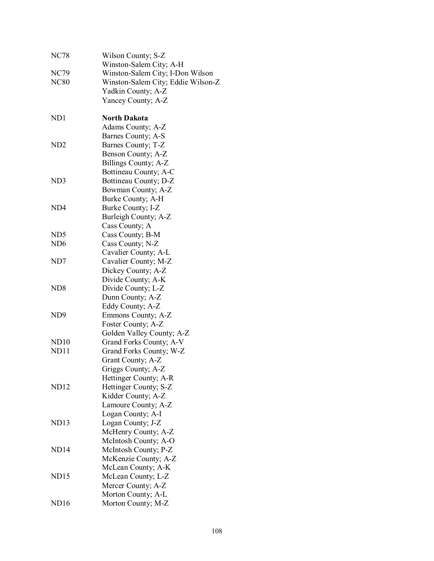| <b>NC78</b>      | Wilson County; S-Z                 |
|------------------|------------------------------------|
|                  | Winston-Salem City; A-H            |
| NC79             | Winston-Salem City; I-Don Wilson   |
| <b>NC80</b>      | Winston-Salem City; Eddie Wilson-Z |
|                  | Yadkin County; A-Z                 |
|                  | Yancey County; A-Z                 |
| ND1              | <b>North Dakota</b>                |
|                  | Adams County; A-Z                  |
|                  | Barnes County; A-S                 |
| ND2              | Barnes County; T-Z                 |
|                  | Benson County; A-Z                 |
|                  | Billings County; A-Z               |
|                  | Bottineau County; A-C              |
| ND3              | Bottineau County; D-Z              |
|                  | Bowman County; A-Z                 |
|                  | Burke County; A-H                  |
| ND4              | Burke County; I-Z                  |
|                  | Burleigh County; A-Z               |
|                  | Cass County; A                     |
| ND <sub>5</sub>  | Cass County; B-M                   |
| ND6              | Cass County; N-Z                   |
|                  | Cavalier County; A-L               |
| ND7              | Cavalier County; M-Z               |
|                  | Dickey County; A-Z                 |
|                  | Divide County; A-K                 |
| ND8              | Divide County; L-Z                 |
|                  | Dunn County; A-Z                   |
|                  | Eddy County; A-Z                   |
| ND <sub>9</sub>  | Emmons County; A-Z                 |
|                  | Foster County; A-Z                 |
|                  | Golden Valley County; A-Z          |
| ND10             | Grand Forks County; A-V            |
| ND11             | Grand Forks County; W-Z            |
|                  | Grant County; A-Z                  |
|                  | Griggs County; A-Z                 |
|                  | Hettinger County; A-R              |
| ND12             | Hettinger County; S-Z              |
|                  | Kidder County; A-Z                 |
|                  | Lamoure County; A-Z                |
|                  | Logan County; A-I                  |
| ND13             | Logan County; J-Z                  |
|                  | McHenry County; A-Z                |
|                  | McIntosh County; A-O               |
| ND14             | McIntosh County; P-Z               |
|                  | McKenzie County; A-Z               |
|                  | McLean County; A-K                 |
| ND15             | McLean County; L-Z                 |
|                  | Mercer County; A-Z                 |
|                  | Morton County; A-L                 |
| ND <sub>16</sub> | Morton County; M-Z                 |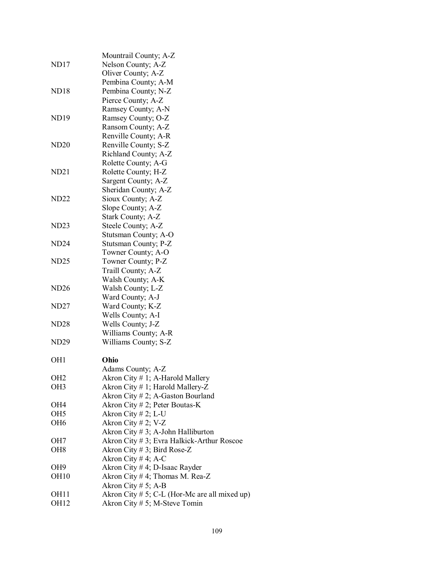|                  | Mountrail County; A-Z                            |
|------------------|--------------------------------------------------|
| ND <sub>17</sub> | Nelson County; A-Z                               |
|                  | Oliver County; A-Z                               |
|                  | Pembina County; A-M                              |
| <b>ND18</b>      | Pembina County; N-Z                              |
|                  | Pierce County; A-Z                               |
|                  | Ramsey County; A-N                               |
| <b>ND19</b>      | Ramsey County; O-Z                               |
|                  | Ransom County; A-Z                               |
|                  | Renville County; A-R                             |
| <b>ND20</b>      | Renville County; S-Z                             |
|                  | Richland County; A-Z                             |
|                  | Rolette County; A-G                              |
| ND21             | Rolette County; H-Z                              |
|                  | Sargent County; A-Z                              |
|                  | Sheridan County; A-Z                             |
| ND22             | Sioux County; A-Z                                |
|                  | Slope County; A-Z                                |
|                  | Stark County; A-Z                                |
| ND23             | Steele County; A-Z                               |
|                  | Stutsman County; A-O                             |
| ND <sub>24</sub> | Stutsman County; P-Z                             |
|                  | Towner County; A-O                               |
| <b>ND25</b>      | Towner County; P-Z                               |
|                  | Traill County; A-Z                               |
|                  | Walsh County; A-K                                |
| ND26             | Walsh County; L-Z                                |
|                  | Ward County; A-J                                 |
| <b>ND27</b>      | Ward County; K-Z                                 |
|                  | Wells County; A-I                                |
| <b>ND28</b>      | Wells County; J-Z                                |
|                  | Williams County; A-R                             |
| <b>ND29</b>      | Williams County; S-Z                             |
|                  |                                                  |
| OH <sub>1</sub>  | Ohio                                             |
|                  | Adams County; A-Z                                |
| OH <sub>2</sub>  | Akron City # 1; A-Harold Mallery                 |
| OH <sub>3</sub>  | Akron City # 1; Harold Mallery-Z                 |
|                  | Akron City # 2; A-Gaston Bourland                |
| OH4              | Akron City $# 2$ ; Peter Boutas-K                |
| OH <sub>5</sub>  | Akron City # 2; L-U                              |
| OH <sub>6</sub>  | Akron City # 2; V-Z                              |
|                  | Akron City $# 3$ ; A-John Halliburton            |
| OH7              | Akron City # 3; Evra Halkick-Arthur Roscoe       |
| OH <sub>8</sub>  | Akron City # 3; Bird Rose-Z                      |
|                  | Akron City #4; A-C                               |
| OH <sub>9</sub>  | Akron City # 4; D-Isaac Rayder                   |
| OH <sub>10</sub> | Akron City # 4; Thomas M. Rea-Z                  |
|                  | Akron City # 5; A-B                              |
| OH <sub>11</sub> | Akron City $# 5$ ; C-L (Hor-Mc are all mixed up) |
| OH <sub>12</sub> | Akron City # 5; M-Steve Tomin                    |
|                  |                                                  |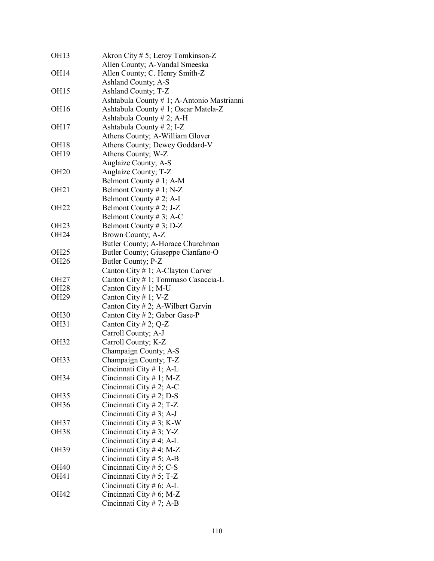| <b>OH13</b>      | Akron City # 5; Leroy Tomkinson-Z          |
|------------------|--------------------------------------------|
|                  | Allen County; A-Vandal Smeeska             |
| OH14             | Allen County; C. Henry Smith-Z             |
|                  | Ashland County; A-S                        |
| OH15             | Ashland County; T-Z                        |
|                  | Ashtabula County # 1; A-Antonio Mastrianni |
| OH16             | Ashtabula County # 1; Oscar Matela-Z       |
|                  | Ashtabula County #2; A-H                   |
| OH17             | Ashtabula County # 2; I-Z                  |
|                  | Athens County; A-William Glover            |
| OH <sub>18</sub> | Athens County; Dewey Goddard-V             |
| OH19             | Athens County; W-Z                         |
|                  | Auglaize County; A-S                       |
| <b>OH20</b>      | Auglaize County; T-Z                       |
|                  | Belmont County # 1; A-M                    |
| OH <sub>21</sub> | Belmont County # 1; $N-Z$                  |
|                  | Belmont County # 2; A-I                    |
| OH <sub>22</sub> | Belmont County # 2; J-Z                    |
|                  | Belmont County # 3; A-C                    |
| OH <sub>23</sub> | Belmont County # 3; D-Z                    |
| OH24             | Brown County; A-Z                          |
|                  | Butler County; A-Horace Churchman          |
| OH <sub>25</sub> | Butler County; Giuseppe Cianfano-O         |
| OH26             | Butler County; P-Z                         |
|                  | Canton City # 1; A-Clayton Carver          |
| OH27             | Canton City # 1; Tommaso Casaccia-L        |
| OH <sub>28</sub> | Canton City # 1; M-U                       |
|                  |                                            |
| OH29             | Canton City # 1; $V-Z$                     |
|                  | Canton City # 2; A-Wilbert Garvin          |
| <b>OH30</b>      | Canton City # 2; Gabor Gase-P              |
| OH31             | Canton City # 2; $Q-Z$                     |
|                  | Carroll County; A-J                        |
| <b>OH32</b>      | Carroll County; K-Z                        |
|                  | Champaign County; A-S                      |
| OH33             | Champaign County; T-Z                      |
|                  | Cincinnati City # 1; A-L                   |
| OH34             | Cincinnati City $# 1$ ; M-Z                |
|                  | Cincinnati City # 2; A-C                   |
| OH35             | Cincinnati City # 2; D-S                   |
| OH36             | Cincinnati City # 2; T-Z                   |
|                  | Cincinnati City # 3; A-J                   |
| OH37             | Cincinnati City # 3; K-W                   |
| OH38             | Cincinnati City # 3; Y-Z                   |
|                  | Cincinnati City # 4; A-L                   |
| OH39             | Cincinnati City # 4; M-Z                   |
|                  | Cincinnati City # 5; A-B                   |
| OH40             | Cincinnati City # 5; C-S                   |
| OH41             | Cincinnati City # 5; T-Z                   |
|                  | Cincinnati City # 6; A-L                   |
| OH42             | Cincinnati City # 6; M-Z                   |
|                  | Cincinnati City # 7; A-B                   |
|                  |                                            |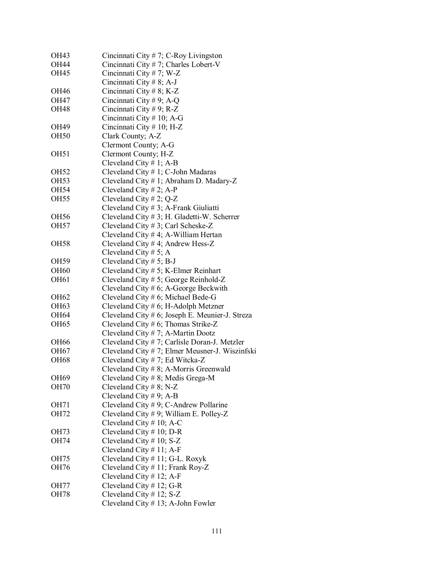| OH43             | Cincinnati City # 7; C-Roy Livingston           |
|------------------|-------------------------------------------------|
| OH44             | Cincinnati City #7; Charles Lobert-V            |
| <b>OH45</b>      | Cincinnati City # 7; W-Z                        |
|                  | Cincinnati City # 8; A-J                        |
| <b>OH46</b>      | Cincinnati City # 8; K-Z                        |
| OH47             | Cincinnati City # 9; A-Q                        |
| <b>OH48</b>      | Cincinnati City # 9; R-Z                        |
|                  | Cincinnati City # 10; A-G                       |
| OH49             | Cincinnati City # 10; H-Z                       |
| <b>OH50</b>      | Clark County; A-Z                               |
|                  | Clermont County; A-G                            |
| OH <sub>51</sub> | Clermont County; H-Z                            |
|                  | Cleveland City $# 1$ ; A-B                      |
| <b>OH52</b>      | Cleveland City # 1; C-John Madaras              |
| OH53             | Cleveland City # 1; Abraham D. Madary-Z         |
| OH54             | Cleveland City $# 2$ ; A-P                      |
| OH <sub>55</sub> | Cleveland City # 2; $Q-Z$                       |
|                  | Cleveland City # 3; A-Frank Giuliatti           |
| <b>OH56</b>      | Cleveland City # 3; H. Gladetti-W. Scherrer     |
| <b>OH57</b>      | Cleveland City #3; Carl Scheske-Z               |
|                  | Cleveland City $# 4$ ; A-William Hertan         |
| <b>OH58</b>      | Cleveland City #4; Andrew Hess-Z                |
|                  | Cleveland City # 5; A                           |
| OH59             | Cleveland City $# 5$ ; B-J                      |
| <b>OH60</b>      | Cleveland City $# 5$ ; K-Elmer Reinhart         |
| <b>OH61</b>      | Cleveland City # 5; George Reinhold-Z           |
|                  | Cleveland City $# 6$ ; A-George Beckwith        |
| OH62             | Cleveland City # 6; Michael Bede-G              |
| OH63             | Cleveland City $# 6$ ; H-Adolph Metzner         |
| <b>OH64</b>      | Cleveland City # 6; Joseph E. Meunier-J. Streza |
| <b>OH65</b>      | Cleveland City # 6; Thomas Strike-Z             |
|                  | Cleveland City #7; A-Martin Dootz               |
| <b>OH66</b>      | Cleveland City #7; Carlisle Doran-J. Metzler    |
| <b>OH67</b>      | Cleveland City # 7; Elmer Meusner-J. Wiszinfski |
| <b>OH68</b>      | Cleveland City #7; Ed Witcka-Z                  |
|                  | Cleveland City # 8; A-Morris Greenwald          |
| OH69             | Cleveland City $# 8$ ; Medis Grega-M            |
| <b>OH70</b>      | Cleveland City # 8; N-Z                         |
|                  | Cleveland City # 9; A-B                         |
| OH71             | Cleveland City $# 9$ ; C-Andrew Pollarine       |
| OH72             | Cleveland City # 9; William E. Polley-Z         |
|                  | Cleveland City $# 10$ ; A-C                     |
| OH73             | Cleveland City $# 10$ ; D-R                     |
| OH74             | Cleveland City $# 10$ ; S-Z                     |
|                  | Cleveland City $# 11$ ; A-F                     |
| OH75             | Cleveland City # 11; G-L. Roxyk                 |
| OH76             | Cleveland City # 11; Frank Roy-Z                |
|                  | Cleveland City $# 12$ ; A-F                     |
| OH77             | Cleveland City $# 12$ ; G-R                     |
| <b>OH78</b>      | Cleveland City $# 12$ ; S-Z                     |
|                  | Cleveland City $# 13$ ; A-John Fowler           |
|                  |                                                 |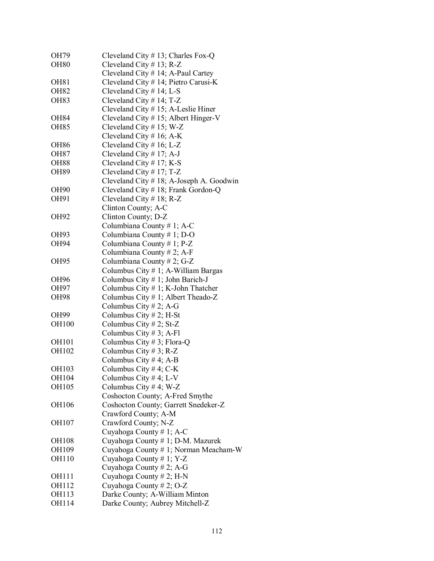| OH79         | Cleveland City $# 13$ ; Charles Fox-Q    |
|--------------|------------------------------------------|
| <b>OH80</b>  | Cleveland City $# 13$ ; R-Z              |
|              | Cleveland City # 14; A-Paul Cartey       |
| <b>OH81</b>  | Cleveland City # 14; Pietro Carusi-K     |
| <b>OH82</b>  | Cleveland City $# 14$ ; L-S              |
| <b>OH83</b>  | Cleveland City $# 14$ ; T-Z              |
|              |                                          |
|              | Cleveland City $# 15$ ; A-Leslie Hiner   |
| <b>OH84</b>  | Cleveland City $# 15$ ; Albert Hinger-V  |
| <b>OH85</b>  | Cleveland City $# 15$ ; W-Z              |
|              | Cleveland City # 16; A-K                 |
| <b>OH86</b>  | Cleveland City $# 16$ ; L-Z              |
| <b>OH87</b>  | Cleveland City $# 17$ ; A-J              |
| <b>OH88</b>  | Cleveland City # 17; K-S                 |
| <b>OH89</b>  | Cleveland City $# 17$ ; T-Z              |
|              | Cleveland City # 18; A-Joseph A. Goodwin |
| <b>OH90</b>  | Cleveland City # 18; Frank Gordon-Q      |
| OH91         | Cleveland City $# 18$ ; R-Z              |
|              | Clinton County; A-C                      |
| OH92         | Clinton County; D-Z                      |
|              | Columbiana County # 1; A-C               |
| OH93         | Columbiana County # 1; D-O               |
| <b>OH94</b>  | Columbiana County # 1; P-Z               |
|              | Columbiana County # 2; A-F               |
| <b>OH95</b>  |                                          |
|              | Columbiana County # 2; G-Z               |
|              | Columbus City #1; A-William Bargas       |
| OH96         | Columbus City # 1; John Barich-J         |
| OH97         | Columbus City $# 1$ ; K-John Thatcher    |
| <b>OH98</b>  | Columbus City # 1; Albert Theado-Z       |
|              | Columbus City # 2; A-G                   |
| OH99         | Columbus City $# 2$ ; H-St               |
| <b>OH100</b> | Columbus City # 2; St-Z                  |
|              | Columbus City # 3; A-Fl                  |
| <b>OH101</b> | Columbus City # 3; Flora-Q               |
| OH102        | Columbus City # 3; R-Z                   |
|              | Columbus City #4; A-B                    |
| OH103        | Columbus City # 4; $C-K$                 |
| OH104        | Columbus City #4; L-V                    |
| OH105        | Columbus City #4; W-Z                    |
|              | Coshocton County; A-Fred Smythe          |
| OH106        | Coshocton County; Garrett Snedeker-Z     |
|              | Crawford County; A-M                     |
| OH107        | Crawford County; N-Z                     |
|              | Cuyahoga County # 1; A-C                 |
| OH108        | Cuyahoga County # 1; D-M. Mazurek        |
| OH109        | Cuyahoga County # 1; Norman Meacham-W    |
|              |                                          |
| OH110        | Cuyahoga County # 1; Y-Z                 |
|              | Cuyahoga County # 2; A-G                 |
| OH111        | Cuyahoga County # 2; H-N                 |
| OH112        | Cuyahoga County # 2; O-Z                 |
| OH113        | Darke County; A-William Minton           |
| OH114        | Darke County; Aubrey Mitchell-Z          |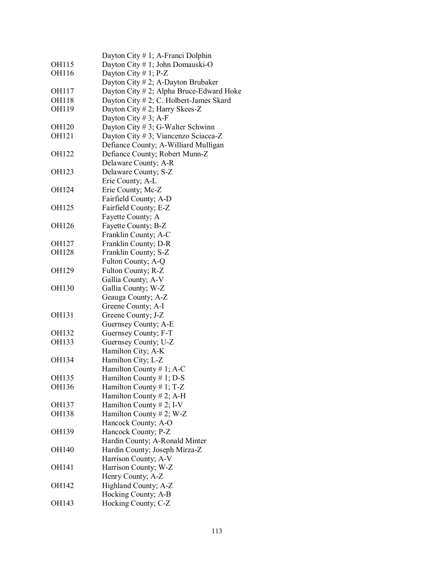|              | Dayton City # 1; A-Franci Dolphin        |
|--------------|------------------------------------------|
| OH115        | Dayton City # 1; John Domauski-O         |
| OH116        | Dayton City # 1; $P-Z$                   |
|              | Dayton City #2; A-Dayton Brubaker        |
| OH117        | Dayton City # 2; Alpha Bruce-Edward Hoke |
| OH118        | Dayton City # 2; C. Holbert-James Skard  |
| OH119        | Dayton City # 2; Harry Skees-Z           |
|              | Dayton City # 3; A-F                     |
| <b>OH120</b> | Dayton City # 3; G-Walter Schwinn        |
| <b>OH121</b> | Dayton City # 3; Viancenzo Sciacca-Z     |
|              | Defiance County; A-Williard Mulligan     |
| OH122        | Defiance County; Robert Munn-Z           |
|              | Delaware County; A-R                     |
| <b>OH123</b> | Delaware County; S-Z                     |
|              | Erie County; A-L                         |
| OH124        | Erie County; Mc-Z                        |
|              | Fairfield County; A-D                    |
| OH125        |                                          |
|              | Fairfield County; E-Z                    |
|              | Fayette County; A                        |
| <b>OH126</b> | Fayette County; B-Z                      |
|              | Franklin County; A-C                     |
| OH127        | Franklin County; D-R                     |
| <b>OH128</b> | Franklin County; S-Z                     |
|              | Fulton County; A-Q                       |
| OH129        | Fulton County; R-Z                       |
|              | Gallia County; A-V                       |
| <b>OH130</b> | Gallia County; W-Z                       |
|              | Geauga County; A-Z                       |
|              | Greene County; A-I                       |
| OH131        | Greene County; J-Z                       |
|              | Guernsey County; A-E                     |
| OH132        | Guernsey County; F-T                     |
| OH133        | Guernsey County; U-Z                     |
|              | Hamilton City; A-K                       |
| OH134        | Hamilton City; L-Z                       |
|              | Hamilton County # 1; A-C                 |
| <b>OH135</b> | Hamilton County # 1; D-S                 |
| OH136        | Hamilton County # 1; T-Z                 |
|              | Hamilton County # 2; A-H                 |
| OH137        | Hamilton County # 2; I-V                 |
| <b>OH138</b> | Hamilton County # 2; W-Z                 |
|              | Hancock County; A-O                      |
| OH139        | Hancock County; P-Z                      |
|              | Hardin County; A-Ronald Minter           |
| <b>OH140</b> | Hardin County; Joseph Mirza-Z            |
|              | Harrison County; A-V                     |
| OH141        | Harrison County; W-Z                     |
|              | Henry County; A-Z                        |
| OH142        | Highland County; A-Z                     |
|              | Hocking County; A-B                      |
| OH143        | Hocking County; C-Z                      |
|              |                                          |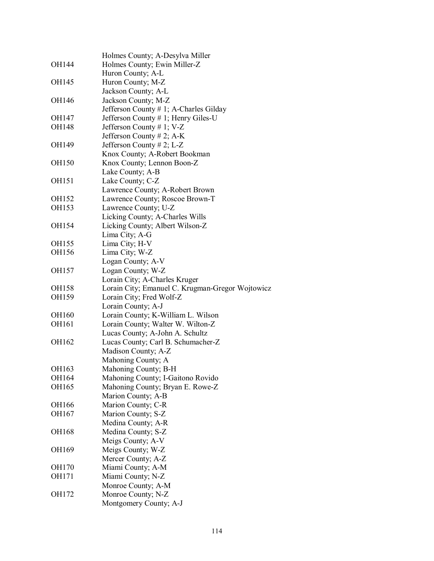|              | Holmes County; A-Desylva Miller                  |
|--------------|--------------------------------------------------|
| OH144        | Holmes County; Ewin Miller-Z                     |
|              | Huron County; A-L                                |
| OH145        | Huron County; M-Z                                |
|              | Jackson County; A-L                              |
| OH146        | Jackson County; M-Z                              |
|              | Jefferson County # 1; A-Charles Gilday           |
| OH147        | Jefferson County # 1; Henry Giles-U              |
| <b>OH148</b> | Jefferson County # 1; V-Z                        |
|              | Jefferson County # 2; A-K                        |
| OH149        | Jefferson County # 2; L-Z                        |
|              | Knox County; A-Robert Bookman                    |
| <b>OH150</b> | Knox County; Lennon Boon-Z                       |
|              | Lake County; A-B                                 |
| OH151        | Lake County; C-Z                                 |
|              | Lawrence County; A-Robert Brown                  |
| OH152        | Lawrence County; Roscoe Brown-T                  |
| OH153        | Lawrence County; U-Z                             |
|              | Licking County; A-Charles Wills                  |
| OH154        | Licking County; Albert Wilson-Z                  |
|              | Lima City; A-G                                   |
| <b>OH155</b> | Lima City; H-V                                   |
| OH156        | Lima City; W-Z                                   |
|              | Logan County; A-V                                |
| OH157        | Logan County; W-Z                                |
|              | Lorain City; A-Charles Kruger                    |
| <b>OH158</b> | Lorain City; Emanuel C. Krugman-Gregor Wojtowicz |
| OH159        | Lorain City; Fred Wolf-Z                         |
|              | Lorain County; A-J                               |
| <b>OH160</b> | Lorain County; K-William L. Wilson               |
| OH161        | Lorain County; Walter W. Wilton-Z                |
|              | Lucas County; A-John A. Schultz                  |
| OH162        | Lucas County; Carl B. Schumacher-Z               |
|              | Madison County; A-Z                              |
|              | Mahoning County; A                               |
| OH163        | Mahoning County; B-H                             |
| OH164        | Mahoning County; I-Gaitono Rovido                |
| OH165        | Mahoning County; Bryan E. Rowe-Z                 |
|              | Marion County; A-B                               |
| OH166        | Marion County; C-R                               |
| OH167        | Marion County; S-Z                               |
|              | Medina County; A-R                               |
| OH168        | Medina County; S-Z                               |
|              | Meigs County; A-V                                |
| OH169        | Meigs County; W-Z                                |
|              | Mercer County; A-Z                               |
| <b>OH170</b> | Miami County; A-M                                |
| OH171        | Miami County; N-Z                                |
|              | Monroe County; A-M                               |
| OH172        | Monroe County; N-Z                               |
|              | Montgomery County; A-J                           |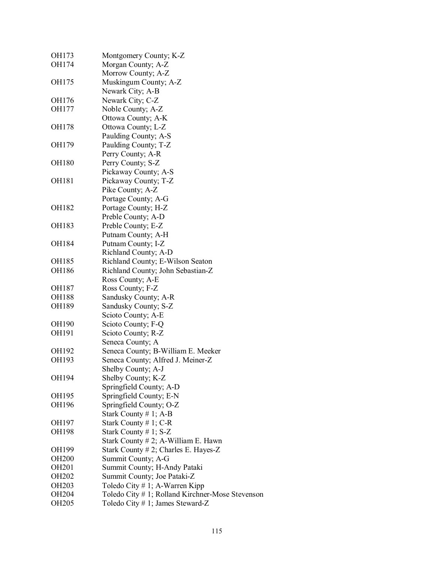| OH173             | Montgomery County; K-Z                           |
|-------------------|--------------------------------------------------|
| OH174             | Morgan County; A-Z                               |
|                   | Morrow County; A-Z                               |
| OH175             | Muskingum County; A-Z                            |
|                   | Newark City; A-B                                 |
| OH176             | Newark City; C-Z                                 |
| <b>OH177</b>      | Noble County; A-Z                                |
|                   | Ottowa County; A-K                               |
| <b>OH178</b>      | Ottowa County; L-Z                               |
|                   | Paulding County; A-S                             |
| OH179             | Paulding County; T-Z                             |
|                   | Perry County; A-R                                |
| <b>OH180</b>      | Perry County; S-Z                                |
|                   | Pickaway County; A-S                             |
| OH181             | Pickaway County; T-Z                             |
|                   | Pike County; A-Z                                 |
|                   | Portage County; A-G                              |
| OH182             | Portage County; H-Z                              |
|                   | Preble County; A-D                               |
| OH183             | Preble County; E-Z                               |
|                   | Putnam County; A-H                               |
| <b>OH184</b>      | Putnam County; I-Z                               |
|                   | Richland County; A-D                             |
| OH185             | Richland County; E-Wilson Seaton                 |
| <b>OH186</b>      | Richland County; John Sebastian-Z                |
|                   | Ross County; A-E                                 |
| OH187             | Ross County; F-Z                                 |
| <b>OH188</b>      | Sandusky County; A-R                             |
| OH189             | Sandusky County; S-Z                             |
|                   | Scioto County; A-E                               |
| <b>OH190</b>      | Scioto County; F-Q                               |
| OH191             | Scioto County; R-Z                               |
|                   | Seneca County; A                                 |
| OH192             | Seneca County; B-William E. Meeker               |
| OH193             | Seneca County; Alfred J. Meiner-Z                |
|                   | Shelby County; A-J                               |
| OH194             | Shelby County; K-Z                               |
|                   | Springfield County; A-D                          |
| OH195             | Springfield County; E-N                          |
| OH196             | Springfield County; O-Z                          |
|                   | Stark County $# 1$ ; A-B                         |
| OH197             | Stark County $# 1$ ; C-R                         |
| OH198             | Stark County # 1; $S-Z$                          |
|                   | Stark County # 2; A-William E. Hawn              |
| OH199             | Stark County # 2; Charles E. Hayes-Z             |
| <b>OH200</b>      | Summit County; A-G                               |
| <b>OH201</b>      | Summit County; H-Andy Pataki                     |
| <b>OH202</b>      | Summit County; Joe Pataki-Z                      |
| OH <sub>203</sub> | Toledo City # 1; A-Warren Kipp                   |
| OH <sub>204</sub> |                                                  |
| <b>OH205</b>      | Toledo City # 1; Rolland Kirchner-Mose Stevenson |
|                   | Toledo City # 1; James Steward-Z                 |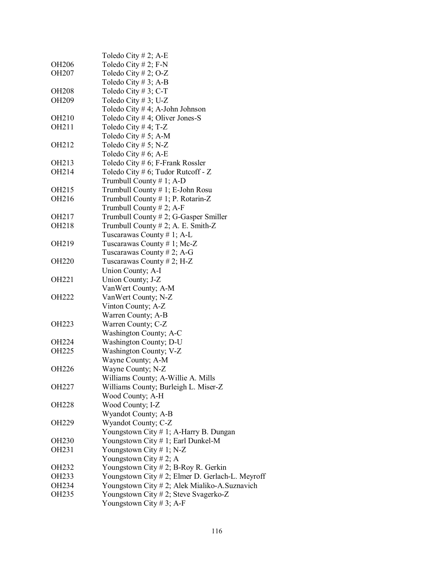|                   | Toledo City # 2; A-E                             |
|-------------------|--------------------------------------------------|
| <b>OH206</b>      | Toledo City # 2; $F-N$                           |
| OH <sub>207</sub> | Toledo City # 2; O-Z                             |
|                   | Toledo City #3; A-B                              |
| <b>OH208</b>      | Toledo City # 3; C-T                             |
| OH209             | Toledo City # 3; U-Z                             |
|                   | Toledo City # 4; A-John Johnson                  |
| OH <sub>210</sub> | Toledo City # 4; Oliver Jones-S                  |
| OH211             | Toledo City # 4; T-Z                             |
|                   | Toledo City # 5; A-M                             |
| OH212             | Toledo City # 5; N-Z                             |
|                   | Toledo City # 6; A-E                             |
| OH <sub>213</sub> | Toledo City # 6; F-Frank Rossler                 |
|                   |                                                  |
| OH214             | Toledo City # 6; Tudor Rutcoff - $Z$             |
|                   | Trumbull County # 1; A-D                         |
| OH <sub>215</sub> | Trumbull County # 1; E-John Rosu                 |
| OH <sub>216</sub> | Trumbull County # 1; P. Rotarin-Z                |
|                   | Trumbull County # 2; A-F                         |
| OH <sub>217</sub> | Trumbull County # 2; G-Gasper Smiller            |
| OH218             | Trumbull County # 2; A. E. Smith-Z               |
|                   | Tuscarawas County # 1; A-L                       |
| OH219             | Tuscarawas County # 1; Mc-Z                      |
|                   | Tuscarawas County # 2; A-G                       |
| <b>OH220</b>      | Tuscarawas County # 2; H-Z                       |
|                   | Union County; A-I                                |
| OH221             | Union County; J-Z                                |
|                   | VanWert County; A-M                              |
| <b>OH222</b>      | VanWert County; N-Z                              |
|                   | Vinton County; A-Z                               |
|                   | Warren County; A-B                               |
| OH223             | Warren County; C-Z                               |
|                   | Washington County; A-C                           |
| OH <sub>224</sub> | Washington County; D-U                           |
| OH <sub>225</sub> | Washington County; V-Z                           |
|                   | Wayne County; A-M                                |
| OH226             | Wayne County; N-Z                                |
|                   | Williams County; A-Willie A. Mills               |
| OH <sub>227</sub> | Williams County; Burleigh L. Miser-Z             |
|                   | Wood County; A-H                                 |
| <b>OH228</b>      | Wood County; I-Z                                 |
|                   | Wyandot County; A-B                              |
| OH229             | Wyandot County; C-Z                              |
|                   | Youngstown City # 1; A-Harry B. Dungan           |
| <b>OH230</b>      | Youngstown City # 1; Earl Dunkel-M               |
| OH <sub>231</sub> | Youngstown City # 1; N-Z                         |
|                   | Youngstown City # 2; A                           |
| OH <sub>232</sub> | Youngstown City # 2; B-Roy R. Gerkin             |
| OH233             | Youngstown City # 2; Elmer D. Gerlach-L. Meyroff |
| OH <sub>234</sub> | Youngstown City #2; Alek Mialiko-A.Suznavich     |
| OH <sub>235</sub> | Youngstown City #2; Steve Svagerko-Z             |
|                   | Youngstown City # 3; A-F                         |
|                   |                                                  |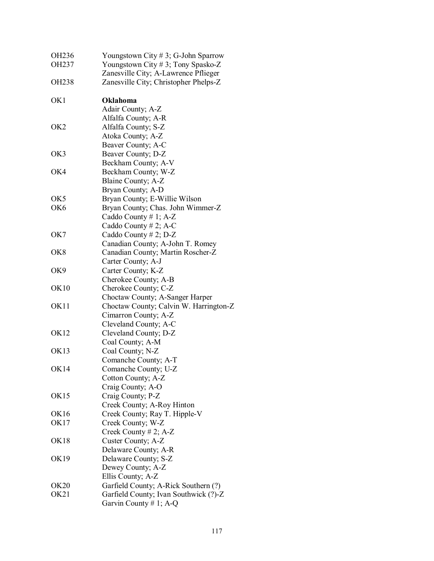| OH <sub>236</sub> | Youngstown City # 3; G-John Sparrow    |
|-------------------|----------------------------------------|
| OH <sub>237</sub> | Youngstown City #3; Tony Spasko-Z      |
|                   | Zanesville City; A-Lawrence Pflieger   |
| OH <sub>238</sub> | Zanesville City; Christopher Phelps-Z  |
| OK1               | <b>Oklahoma</b>                        |
|                   | Adair County; A-Z                      |
|                   | Alfalfa County; A-R                    |
| OK <sub>2</sub>   | Alfalfa County; S-Z                    |
|                   | Atoka County; A-Z                      |
|                   | Beaver County; A-C                     |
| OK3               | Beaver County; D-Z                     |
|                   | Beckham County; A-V                    |
| OK4               | Beckham County; W-Z                    |
|                   | Blaine County; A-Z                     |
|                   | Bryan County; A-D                      |
| OK5               | Bryan County; E-Willie Wilson          |
| OK <sub>6</sub>   | Bryan County; Chas. John Wimmer-Z      |
|                   | Caddo County # 1; $A-Z$                |
|                   | Caddo County # 2; A-C                  |
| OK7               | Caddo County # 2; $D-Z$                |
|                   | Canadian County; A-John T. Romey       |
| OK <sub>8</sub>   | Canadian County; Martin Roscher-Z      |
|                   | Carter County; A-J                     |
| OK9               | Carter County; K-Z                     |
|                   | Cherokee County; A-B                   |
| OK10              | Cherokee County; C-Z                   |
|                   | Choctaw County; A-Sanger Harper        |
| OK11              | Choctaw County; Calvin W. Harrington-Z |
|                   | Cimarron County; A-Z                   |
|                   | Cleveland County; A-C                  |
| OK12              | Cleveland County; D-Z                  |
|                   | Coal County; A-M                       |
| OK <sub>13</sub>  | Coal County; N-Z                       |
|                   | Comanche County; A-T                   |
| <b>OK14</b>       | Comanche County; U-Z                   |
|                   | Cotton County; A-Z                     |
|                   | Craig County; A-O                      |
| OK <sub>15</sub>  | Craig County; P-Z                      |
|                   | Creek County; A-Roy Hinton             |
| OK16              | Creek County; Ray T. Hipple-V          |
| OK17              | Creek County; W-Z                      |
|                   | Creek County # 2; A-Z                  |
| OK <sub>18</sub>  | Custer County; A-Z                     |
|                   | Delaware County; A-R                   |
| OK19              | Delaware County; S-Z                   |
|                   | Dewey County; A-Z                      |
|                   | Ellis County; A-Z                      |
| <b>OK20</b>       | Garfield County; A-Rick Southern (?)   |
| OK21              | Garfield County; Ivan Southwick (?)-Z  |
|                   | Garvin County # 1; A-Q                 |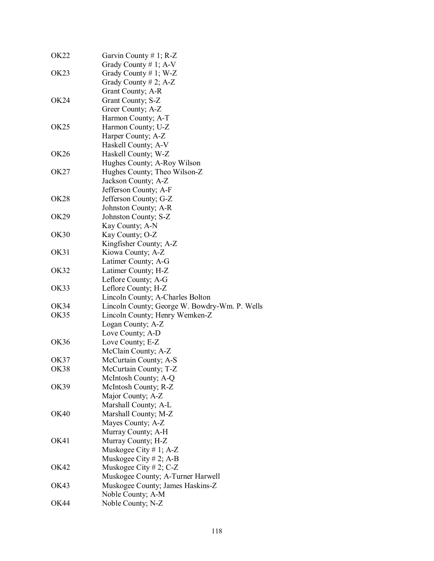| OK <sub>22</sub> | Garvin County # 1; R-Z                        |
|------------------|-----------------------------------------------|
|                  | Grady County # 1; $A-V$                       |
| OK <sub>23</sub> | Grady County # 1; W-Z                         |
|                  | Grady County # 2; $A-Z$                       |
|                  | Grant County; A-R                             |
| OK <sub>24</sub> | Grant County; S-Z                             |
|                  | Greer County; A-Z                             |
|                  | Harmon County; A-T                            |
| OK <sub>25</sub> | Harmon County; U-Z                            |
|                  | Harper County; A-Z                            |
|                  | Haskell County; A-V                           |
| OK26             | Haskell County; W-Z                           |
|                  | Hughes County; A-Roy Wilson                   |
| OK27             | Hughes County; Theo Wilson-Z                  |
|                  | Jackson County; A-Z                           |
|                  | Jefferson County; A-F                         |
| <b>OK28</b>      | Jefferson County; G-Z                         |
|                  | Johnston County; A-R                          |
| OK29             | Johnston County; S-Z                          |
|                  | Kay County; A-N                               |
| OK30             | Kay County; O-Z                               |
|                  | Kingfisher County; A-Z                        |
| OK31             | Kiowa County; A-Z                             |
|                  | Latimer County; A-G                           |
| OK32             | Latimer County; H-Z                           |
|                  | Leflore County; A-G                           |
| OK33             | Leflore County; H-Z                           |
|                  | Lincoln County; A-Charles Bolton              |
| OK34             | Lincoln County; George W. Bowdry-Wm. P. Wells |
| OK35             | Lincoln County; Henry Wemken-Z                |
|                  | Logan County; A-Z                             |
|                  | Love County; A-D                              |
| <b>OK36</b>      | Love County; E-Z                              |
|                  | McClain County; A-Z                           |
| OK37             | McCurtain County; A-S                         |
| <b>OK38</b>      | McCurtain County; T-Z                         |
|                  | McIntosh County; A-Q                          |
| OK39             | McIntosh County; R-Z                          |
|                  | Major County; A-Z                             |
|                  | Marshall County; A-L                          |
| <b>OK40</b>      | Marshall County; M-Z                          |
|                  | Mayes County; A-Z                             |
|                  | Murray County; A-H                            |
| OK41             | Murray County; H-Z                            |
|                  | Muskogee City # 1; A-Z                        |
|                  | Muskogee City # 2; A-B                        |
| OK42             | Muskogee City # 2; $C-Z$                      |
|                  | Muskogee County; A-Turner Harwell             |
| OK43             | Muskogee County; James Haskins-Z              |
|                  | Noble County; A-M                             |
| OK44             | Noble County; N-Z                             |
|                  |                                               |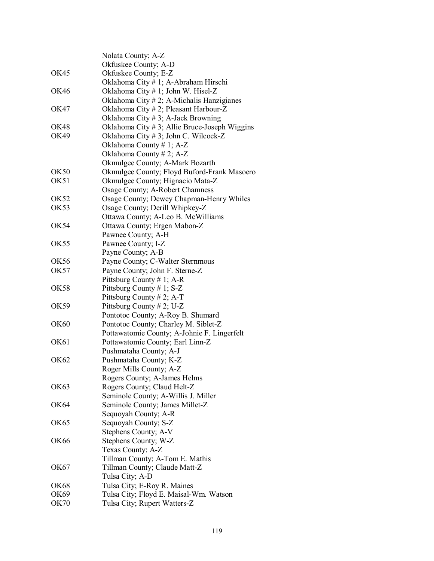|                  | Nolata County; A-Z<br>Okfuskee County; A-D                                                                                     |
|------------------|--------------------------------------------------------------------------------------------------------------------------------|
| OK45             | Okfuskee County; E-Z<br>Oklahoma City # 1; A-Abraham Hirschi                                                                   |
| OK46             | Oklahoma City # 1; John W. Hisel-Z<br>Oklahoma City $# 2$ ; A-Michalis Hanzigianes                                             |
| OK47             | Oklahoma City #2; Pleasant Harbour-Z<br>Oklahoma City # 3; A-Jack Browning                                                     |
| <b>OK48</b>      | Oklahoma City # 3; Allie Bruce-Joseph Wiggins                                                                                  |
| <b>OK49</b>      | Oklahoma City # 3; John C. Wilcock-Z<br>Oklahoma County #1; A-Z<br>Oklahoma County # 2; A-Z<br>Okmulgee County; A-Mark Bozarth |
| <b>OK50</b>      | Okmulgee County; Floyd Buford-Frank Masoero                                                                                    |
| OK51             | Okmulgee County; Hignacio Mata-Z<br>Osage County; A-Robert Chamness                                                            |
| OK <sub>52</sub> | Osage County; Dewey Chapman-Henry Whiles                                                                                       |
| OK53             | Osage County; Derill Whipkey-Z<br>Ottawa County; A-Leo B. McWilliams                                                           |
| OK54             | Ottawa County; Ergen Mabon-Z<br>Pawnee County; A-H                                                                             |
| OK <sub>55</sub> | Pawnee County; I-Z<br>Payne County; A-B                                                                                        |
| OK56             | Payne County; C-Walter Sternmous                                                                                               |
| <b>OK57</b>      | Payne County; John F. Sterne-Z<br>Pittsburg County # 1; A-R                                                                    |
| <b>OK58</b>      | Pittsburg County # 1; S-Z<br>Pittsburg County # 2; A-T                                                                         |
| OK59             | Pittsburg County # 2; U-Z<br>Pontotoc County; A-Roy B. Shumard                                                                 |
| <b>OK60</b>      | Pontotoc County; Charley M. Siblet-Z<br>Pottawatomie County; A-Johnie F. Lingerfelt                                            |
| OK61             | Pottawatomie County; Earl Linn-Z<br>Pushmataha County; A-J                                                                     |
| OK62             | Pushmataha County; K-Z<br>Roger Mills County; A-Z<br>Rogers County; A-James Helms                                              |
| OK63             | Rogers County; Claud Helt-Z<br>Seminole County; A-Willis J. Miller                                                             |
| OK64             | Seminole County; James Millet-Z<br>Sequoyah County; A-R                                                                        |
| OK65             | Sequoyah County; S-Z<br>Stephens County; A-V                                                                                   |
| <b>OK66</b>      | Stephens County; W-Z<br>Texas County; A-Z<br>Tillman County; A-Tom E. Mathis                                                   |
| OK67             | Tillman County; Claude Matt-Z<br>Tulsa City; A-D                                                                               |
| OK68             | Tulsa City; E-Roy R. Maines                                                                                                    |
| OK69             | Tulsa City; Floyd E. Maisal-Wm. Watson                                                                                         |
| <b>OK70</b>      | Tulsa City; Rupert Watters-Z                                                                                                   |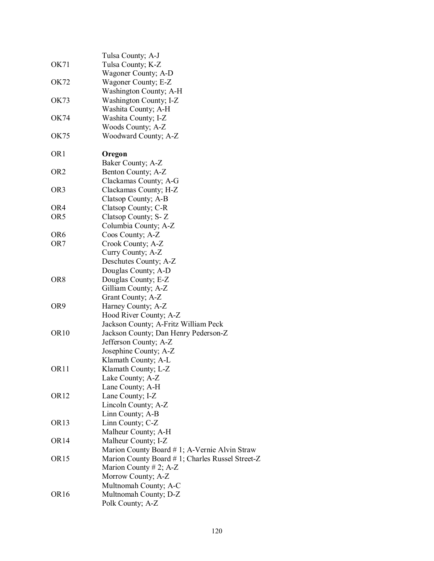|                  | Tulsa County; A-J                               |
|------------------|-------------------------------------------------|
| OK71             | Tulsa County; K-Z                               |
|                  | Wagoner County; A-D                             |
| OK72             | Wagoner County; E-Z                             |
|                  | Washington County; A-H                          |
| OK73             | Washington County; I-Z                          |
|                  |                                                 |
|                  | Washita County; A-H                             |
| OK74             | Washita County; I-Z                             |
|                  | Woods County; A-Z                               |
| OK75             | Woodward County; A-Z                            |
| OR <sub>1</sub>  | Oregon                                          |
|                  | Baker County; A-Z                               |
| OR <sub>2</sub>  | Benton County; A-Z                              |
|                  | Clackamas County; A-G                           |
| OR <sub>3</sub>  | Clackamas County; H-Z                           |
|                  | Clatsop County; A-B                             |
| OR4              | Clatsop County; C-R                             |
| OR5              | Clatsop County; S-Z                             |
|                  | Columbia County; A-Z                            |
| OR <sub>6</sub>  | Coos County; A-Z                                |
| OR7              | Crook County; A-Z                               |
|                  | Curry County; A-Z                               |
|                  | Deschutes County; A-Z                           |
|                  | Douglas County; A-D                             |
| OR8              | Douglas County; E-Z                             |
|                  | Gilliam County; A-Z                             |
|                  |                                                 |
|                  | Grant County; A-Z                               |
| OR9              | Harney County; A-Z                              |
|                  | Hood River County; A-Z                          |
|                  | Jackson County; A-Fritz William Peck            |
| OR <sub>10</sub> | Jackson County; Dan Henry Pederson-Z            |
|                  | Jefferson County; A-Z                           |
|                  | Josephine County; A-Z                           |
|                  | Klamath County; A-L                             |
| OR <sub>11</sub> | Klamath County; L-Z                             |
|                  | Lake County; A-Z                                |
|                  | Lane County; A-H                                |
| OR <sub>12</sub> | Lane County; I-Z                                |
|                  | Lincoln County; A-Z                             |
|                  | Linn County; A-B                                |
| OR <sub>13</sub> | Linn County; C-Z                                |
|                  | Malheur County; A-H                             |
| OR <sub>14</sub> | Malheur County; I-Z                             |
|                  | Marion County Board # 1; A-Vernie Alvin Straw   |
| OR <sub>15</sub> | Marion County Board #1; Charles Russel Street-Z |
|                  | Marion County # 2; A-Z                          |
|                  | Morrow County; A-Z                              |
|                  | Multnomah County; A-C                           |
| OR <sub>16</sub> | Multnomah County; D-Z                           |
|                  | Polk County; A-Z                                |
|                  |                                                 |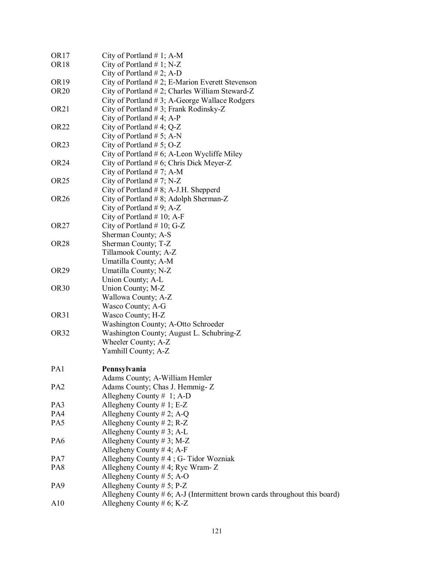| OR17             | City of Portland $# 1$ ; A-M                                                  |
|------------------|-------------------------------------------------------------------------------|
| OR <sub>18</sub> | City of Portland $# 1$ ; N-Z                                                  |
|                  | City of Portland $# 2$ ; A-D                                                  |
| OR 19            | City of Portland $# 2$ ; E-Marion Everett Stevenson                           |
| OR20             | City of Portland $# 2$ ; Charles William Steward-Z                            |
|                  | City of Portland $#3$ ; A-George Wallace Rodgers                              |
| OR21             | City of Portland $# 3$ ; Frank Rodinsky-Z                                     |
|                  | City of Portland #4; A-P                                                      |
| OR22             |                                                                               |
|                  | City of Portland #4; $Q-Z$                                                    |
|                  | City of Portland $# 5$ ; A-N                                                  |
| OR23             | City of Portland $# 5$ ; O-Z                                                  |
|                  | City of Portland $# 6$ ; A-Leon Wycliffe Miley                                |
| OR24             | City of Portland $# 6$ ; Chris Dick Meyer-Z                                   |
|                  | City of Portland $# 7$ ; A-M                                                  |
| OR25             | City of Portland $# 7$ ; N-Z                                                  |
|                  | City of Portland $# 8$ ; A-J.H. Shepperd                                      |
| OR26             | City of Portland $# 8$ ; Adolph Sherman-Z                                     |
|                  | City of Portland $# 9$ ; A-Z                                                  |
|                  | City of Portland $# 10$ ; A-F                                                 |
| OR27             | City of Portland $# 10$ ; G-Z                                                 |
|                  | Sherman County; A-S                                                           |
| OR28             | Sherman County; T-Z                                                           |
|                  | Tillamook County; A-Z                                                         |
|                  | Umatilla County; A-M                                                          |
| OR29             | Umatilla County; N-Z                                                          |
|                  | Union County; A-L                                                             |
| OR30             | Union County; M-Z                                                             |
|                  | Wallowa County; A-Z                                                           |
|                  | Wasco County; A-G                                                             |
| OR31             | Wasco County; H-Z                                                             |
|                  | Washington County; A-Otto Schroeder                                           |
| OR32             | Washington County; August L. Schubring-Z                                      |
|                  | Wheeler County; A-Z                                                           |
|                  | Yamhill County; A-Z                                                           |
|                  |                                                                               |
| PA1              | Pennsylvania                                                                  |
|                  | Adams County; A-William Hemler                                                |
| PA <sub>2</sub>  | Adams County; Chas J. Hemmig- Z                                               |
|                  | Allegheny County $# 1$ ; A-D                                                  |
| PA3              | Allegheny County # 1; E-Z                                                     |
| PA4              | Allegheny County # 2; A-Q                                                     |
| PA5              | Allegheny County $# 2$ ; R-Z                                                  |
|                  |                                                                               |
| PA6              | Allegheny County $# 3$ ; A-L                                                  |
|                  | Allegheny County # 3; M-Z                                                     |
|                  | Allegheny County # 4; A-F                                                     |
| PA7              | Allegheny County $# 4$ ; G-Tidor Wozniak                                      |
| PA8              | Allegheny County # 4; Ryc Wram- $Z$                                           |
|                  | Allegheny County # 5; A-O                                                     |
| PA9              | Allegheny County $# 5$ ; P-Z                                                  |
|                  | Allegheny County $# 6$ ; A-J (Intermittent brown cards throughout this board) |
| A10              | Allegheny County # 6; K-Z                                                     |
|                  |                                                                               |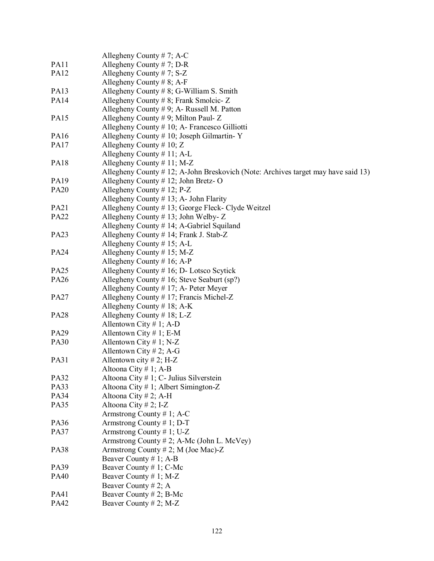|             | Allegheny County # 7; A-C                                                         |
|-------------|-----------------------------------------------------------------------------------|
| PA11        | Allegheny County $# 7$ ; D-R                                                      |
| <b>PA12</b> | Allegheny County #7; S-Z                                                          |
|             | Allegheny County # 8; A-F                                                         |
| <b>PA13</b> | Allegheny County $# 8$ ; G-William S. Smith                                       |
| <b>PA14</b> | Allegheny County # 8; Frank Smolcic- $Z$                                          |
|             | Allegheny County $# 9$ ; A- Russell M. Patton                                     |
| <b>PA15</b> | Allegheny County #9; Milton Paul- Z                                               |
|             | Allegheny County # 10; A- Francesco Gilliotti                                     |
| PA16        | Allegheny County $# 10$ ; Joseph Gilmartin-Y                                      |
| <b>PA17</b> | Allegheny County # 10; $Z$                                                        |
|             | Allegheny County $# 11$ ; A-L                                                     |
| <b>PA18</b> | Allegheny County $# 11$ ; M-Z                                                     |
|             |                                                                                   |
|             | Allegheny County # 12; A-John Breskovich (Note: Archives target may have said 13) |
| PA19        | Allegheny County $# 12$ ; John Bretz-O                                            |
| <b>PA20</b> | Allegheny County # 12; $P-Z$                                                      |
|             | Allegheny County $# 13$ ; A- John Flarity                                         |
| <b>PA21</b> | Allegheny County # 13; George Fleck- Clyde Weitzel                                |
| <b>PA22</b> | Allegheny County $\#$ 13; John Welby- Z                                           |
|             | Allegheny County # 14; A-Gabriel Squiland                                         |
| <b>PA23</b> | Allegheny County # 14; Frank J. Stab-Z                                            |
|             | Allegheny County $# 15$ ; A-L                                                     |
| <b>PA24</b> | Allegheny County $# 15$ ; M-Z                                                     |
|             | Allegheny County # 16; A-P                                                        |
| <b>PA25</b> | Allegheny County $# 16$ ; D- Lotsco Scytick                                       |
| <b>PA26</b> | Allegheny County # 16; Steve Seaburt (sp?)                                        |
|             | Allegheny County # 17; A- Peter Meyer                                             |
| <b>PA27</b> | Allegheny County # 17; Francis Michel-Z                                           |
|             | Allegheny County $# 18$ ; A-K                                                     |
| <b>PA28</b> | Allegheny County $# 18$ ; L-Z                                                     |
|             | Allentown City # 1; A-D                                                           |
| PA29        | Allentown City # 1; E-M                                                           |
|             |                                                                                   |
| <b>PA30</b> | Allentown City # 1; N-Z                                                           |
|             | Allentown City #2; A-G                                                            |
| <b>PA31</b> | Allentown city # 2; H-Z                                                           |
|             | Altoona City # 1; A-B                                                             |
| <b>PA32</b> | Altoona City $# 1$ ; C- Julius Silverstein                                        |
| PA33        | Altoona City # 1; Albert Simington-Z                                              |
| <b>PA34</b> | Altoona City # 2; A-H                                                             |
| PA35        | Altoona City # 2; I-Z                                                             |
|             | Armstrong County $# 1$ ; A-C                                                      |
| PA36        | Armstrong County # 1; D-T                                                         |
| <b>PA37</b> | Armstrong County #1; U-Z                                                          |
|             | Armstrong County # 2; A-Mc (John L. McVey)                                        |
| <b>PA38</b> | Armstrong County # 2; M (Joe Mac)-Z                                               |
|             | Beaver County # 1; A-B                                                            |
| PA39        | Beaver County # 1; C-Mc                                                           |
| <b>PA40</b> | Beaver County # 1; M-Z                                                            |
|             | Beaver County # 2; A                                                              |
| PA41        | Beaver County # 2; B-Mc                                                           |
| PA42        |                                                                                   |
|             | Beaver County # 2; M-Z                                                            |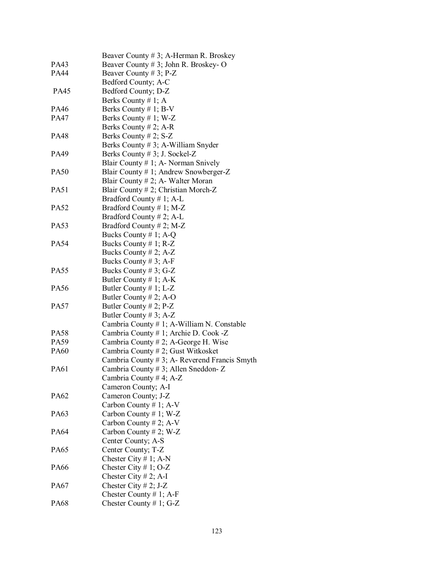|             | Beaver County # 3; A-Herman R. Broskey        |
|-------------|-----------------------------------------------|
| PA43        | Beaver County # 3; John R. Broskey- O         |
| PA44        | Beaver County # 3; $P-Z$                      |
|             | Bedford County; A-C                           |
| <b>PA45</b> | Bedford County; D-Z                           |
|             | Berks County # 1; A                           |
| PA46        | Berks County # 1; B-V                         |
| PA47        | Berks County # 1; W-Z                         |
|             | Berks County # 2; A-R                         |
| PA48        | Berks County # 2; $S-Z$                       |
|             | Berks County # 3; A-William Snyder            |
| PA49        | Berks County # 3; J. Sockel-Z                 |
|             | Blair County $# 1$ ; A- Norman Snively        |
| PA50        | Blair County # 1; Andrew Snowberger-Z         |
|             | Blair County # 2; A- Walter Moran             |
| PA51        | Blair County # 2; Christian Morch-Z           |
|             | Bradford County # 1; A-L                      |
| PA52        | Bradford County # 1; M-Z                      |
|             | Bradford County # 2; A-L                      |
| PA53        | Bradford County # 2; M-Z                      |
|             | Bucks County # 1; A-Q                         |
| PA54        | Bucks County $# 1$ ; R-Z                      |
|             | Bucks County # 2; $A-Z$                       |
|             | Bucks County $# 3$ ; A-F                      |
| PA55        | Bucks County #3; G-Z                          |
|             | Butler County # 1; $A-K$                      |
| PA56        | Butler County # 1; $L-Z$                      |
|             | Butler County # 2; A-O                        |
| PA57        | Butler County # 2; $P-Z$                      |
|             | Butler County # 3; A-Z                        |
|             | Cambria County # 1; A-William N. Constable    |
| PA58        | Cambria County # 1; Archie D. Cook -Z         |
| PA59        | Cambria County # 2; A-George H. Wise          |
| PA60        | Cambria County # 2; Gust Witkosket            |
|             | Cambria County # 3; A- Reverend Francis Smyth |
| PA61        | Cambria County # 3; Allen Sneddon- Z          |
|             | Cambria County # 4; $A-Z$                     |
|             | Cameron County; A-I                           |
| PA62        | Cameron County; J-Z                           |
|             | Carbon County $# 1$ ; A-V                     |
| PA63        | Carbon County # 1; W-Z                        |
|             | Carbon County # 2; A-V                        |
| PA64        | Carbon County # 2; W-Z                        |
|             | Center County; A-S                            |
| PA65        | Center County; T-Z                            |
|             | Chester City # 1; A-N                         |
| PA66        | Chester City # 1; O-Z                         |
|             | Chester City # 2; A-I                         |
| PA67        | Chester City # 2; J-Z                         |
|             | Chester County # 1; A-F                       |
| PA68        | Chester County # 1; $G-Z$                     |
|             |                                               |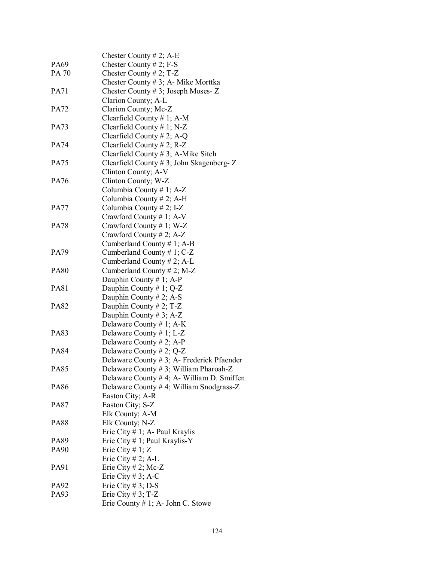|             | Chester County $# 2$ ; A-E                  |
|-------------|---------------------------------------------|
| PA69        | Chester County # 2; $F-S$                   |
| PA 70       | Chester County # 2; $T-Z$                   |
|             | Chester County # 3; A- Mike Morttka         |
| <b>PA71</b> | Chester County # 3; Joseph Moses- $Z$       |
|             | Clarion County; A-L                         |
| <b>PA72</b> | Clarion County; Mc-Z                        |
|             | Clearfield County $# 1$ ; A-M               |
| <b>PA73</b> | Clearfield County $# 1$ ; N-Z               |
|             | Clearfield County # 2; A-Q                  |
| <b>PA74</b> | Clearfield County # 2; $R-Z$                |
|             | Clearfield County $# 3$ ; A-Mike Sitch      |
| <b>PA75</b> | Clearfield County # 3; John Skagenberg- $Z$ |
|             | Clinton County; A-V                         |
| <b>PA76</b> | Clinton County; W-Z                         |
|             | Columbia County #1; A-Z                     |
|             | Columbia County # 2; A-H                    |
|             | Columbia County # 2; I-Z                    |
| <b>PA77</b> |                                             |
| <b>PA78</b> | Crawford County # 1; A-V                    |
|             | Crawford County #1; W-Z                     |
|             | Crawford County # 2; A-Z                    |
|             | Cumberland County # 1; A-B                  |
| PA79        | Cumberland County # 1; $C-Z$                |
|             | Cumberland County # 2; A-L                  |
| <b>PA80</b> | Cumberland County # 2; M-Z                  |
|             | Dauphin County # 1; A-P                     |
| <b>PA81</b> | Dauphin County # 1; $Q-Z$                   |
|             | Dauphin County # 2; A-S                     |
| PA82        | Dauphin County # 2; T-Z                     |
|             | Dauphin County # 3; A-Z                     |
|             | Delaware County # 1; $A-K$                  |
| <b>PA83</b> | Delaware County # 1; L-Z                    |
|             | Delaware County # 2; A-P                    |
| <b>PA84</b> | Delaware County # 2; $Q$ -Z                 |
|             | Delaware County # 3; A- Frederick Pfaender  |
| <b>PA85</b> | Delaware County # 3; William Pharoah-Z      |
|             | Delaware County # 4; A - William D. Smiffen |
| PA86        | Delaware County #4; William Snodgrass-Z     |
|             | Easton City; A-R                            |
| PA87        | Easton City; S-Z                            |
|             | Elk County; A-M                             |
| <b>PA88</b> | Elk County; N-Z                             |
|             | Erie City $# 1$ ; A- Paul Kraylis           |
| PA89        | Erie City $# 1$ ; Paul Kraylis-Y            |
| PA90        | Erie City # $1; Z$                          |
|             | Erie City # 2; A-L                          |
| PA91        | Erie City # 2; Mc-Z                         |
|             | Erie City # 3; A-C                          |
| PA92        | Erie City # 3; D-S                          |
| PA93        | Erie City # 3; $T-Z$                        |
|             | Erie County $# 1$ ; A- John C. Stowe        |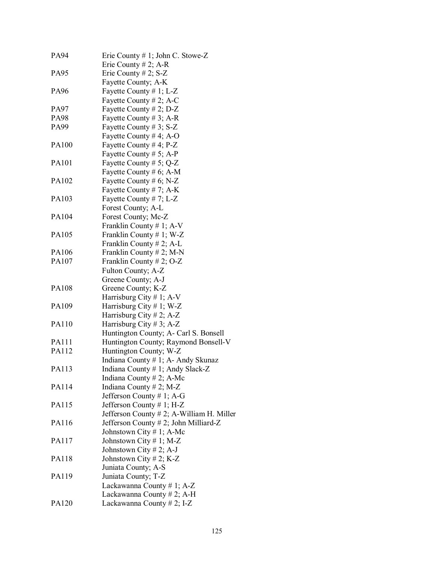| PA94  | Erie County # 1; John C. Stowe-Z          |
|-------|-------------------------------------------|
|       | Erie County # 2; A-R                      |
| PA95  | Erie County # 2; $S-Z$                    |
|       | Fayette County; A-K                       |
| PA96  | Fayette County # 1; L-Z                   |
|       | Fayette County # 2; A-C                   |
| PA97  | Fayette County # 2; $D-Z$                 |
| PA98  | Fayette County # 3; A-R                   |
| PA99  | Fayette County # 3; $S-Z$                 |
|       | Fayette County # 4; A-O                   |
| PA100 | Fayette County # 4; $P-Z$                 |
|       | Fayette County # 5; A-P                   |
| PA101 | Fayette County # 5; $Q-Z$                 |
|       | Fayette County # 6; A-M                   |
| PA102 | Fayette County # 6; N-Z                   |
|       | Fayette County # 7; $A-K$                 |
| PA103 | Fayette County #7; L-Z                    |
|       | Forest County; A-L                        |
| PA104 | Forest County; Mc-Z                       |
|       | Franklin County # 1; A-V                  |
| PA105 | Franklin County # 1; W-Z                  |
|       | Franklin County # 2; A-L                  |
| PA106 | Franklin County # 2; M-N                  |
| PA107 | Franklin County # 2; $O-Z$                |
|       | Fulton County; A-Z                        |
|       | Greene County; A-J                        |
| PA108 | Greene County; K-Z                        |
|       | Harrisburg City # 1; A-V                  |
| PA109 | Harrisburg City # 1; W-Z                  |
|       | Harrisburg City # 2; A-Z                  |
| PA110 | Harrisburg City # 3; A-Z                  |
|       | Huntington County; A- Carl S. Bonsell     |
| PA111 | Huntington County; Raymond Bonsell-V      |
| PA112 | Huntington County; W-Z                    |
|       | Indiana County # 1; A- Andy Skunaz        |
| PA113 | Indiana County # 1; Andy Slack-Z          |
|       | Indiana County # 2; A-Mc                  |
| PA114 | Indiana County # 2; M-Z                   |
|       | Jefferson County # 1; A-G                 |
| PA115 | Jefferson County # 1; H-Z                 |
|       | Jefferson County # 2; A-William H. Miller |
| PA116 | Jefferson County # 2; John Milliard-Z     |
|       | Johnstown City # 1; A-Mc                  |
| PA117 | Johnstown City $# 1$ ; M-Z                |
|       | Johnstown City # 2; A-J                   |
| PA118 | Johnstown City # 2; K-Z                   |
|       | Juniata County; A-S                       |
| PA119 | Juniata County; T-Z                       |
|       | Lackawanna County # 1; A-Z                |
|       |                                           |
|       | Lackawanna County # 2; A-H                |
| PA120 | Lackawanna County $# 2$ ; I-Z             |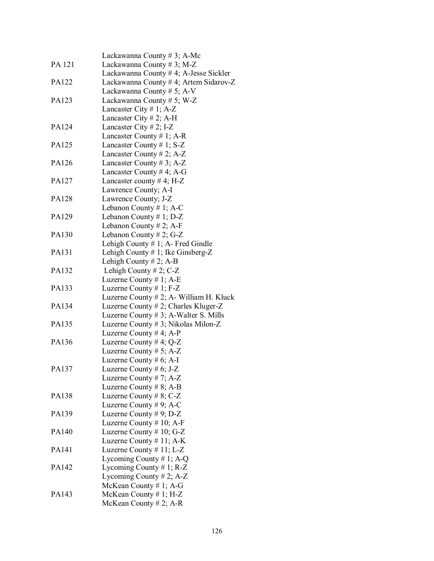|              | Lackawanna County $# 3$ ; A-Mc           |
|--------------|------------------------------------------|
| PA 121       | Lackawanna County # 3; M-Z               |
|              | Lackawanna County # 4; A-Jesse Sickler   |
| PA122        | Lackawanna County # 4; Artem Sidarov-Z   |
|              | Lackawanna County # 5; A-V               |
| PA123        | Lackawanna County # 5; W-Z               |
|              | Lancaster City # 1; $A-Z$                |
|              | Lancaster City # 2; A-H                  |
| PA124        | Lancaster City # 2; I-Z                  |
|              | Lancaster County # 1; A-R                |
| PA125        | Lancaster County # 1; $S-Z$              |
|              | Lancaster County # 2; A-Z                |
| PA126        | Lancaster County # 3; A-Z                |
|              |                                          |
|              | Lancaster County # 4; A-G                |
| PA127        | Lancaster county #4; H-Z                 |
|              | Lawrence County; A-I                     |
| <b>PA128</b> | Lawrence County; J-Z                     |
|              | Lebanon County # 1; A-C                  |
| PA129        | Lebanon County # 1; D-Z                  |
|              | Lebanon County # 2; A-F                  |
| PA130        | Lebanon County # 2; G-Z                  |
|              | Lehigh County $# 1$ ; A- Fred Gindle     |
| PA131        | Lehigh County $# 1$ ; Ike Ginsberg-Z     |
|              | Lehigh County $# 2$ ; A-B                |
| PA132        | Lehigh County # 2; $C-Z$                 |
|              | Luzerne County $# 1$ ; A-E               |
| PA133        | Luzerne County $# 1$ ; F-Z               |
|              | Luzerne County # 2; A- William H. Kluck  |
| PA134        | Luzerne County # 2; Charles Kluger-Z     |
|              | Luzerne County $# 3$ ; A-Walter S. Mills |
| PA135        | Luzerne County # 3; Nikolas Milon-Z      |
|              | Luzerne County # 4; A-P                  |
| PA136        | Luzerne County # 4; Q-Z                  |
|              | Luzerne County # 5; A-Z                  |
|              | Luzerne County $# 6$ ; A-I               |
| PA137        | Luzerne County # $6$ ; J-Z               |
|              | Luzerne County # 7; $A-Z$                |
|              | Luzerne County # 8; A-B                  |
| PA138        | Luzerne County # $8$ ; C-Z               |
|              | Luzerne County # 9; A-C                  |
| PA139        | Luzerne County # 9; $D-Z$                |
|              | Luzerne County $# 10$ ; A-F              |
| PA140        | Luzerne County $# 10; G-Z$               |
|              | Luzerne County $# 11$ ; A-K              |
| PA141        | Luzerne County $# 11$ ; L-Z              |
|              | Lycoming County # 1; A-Q                 |
| PA142        | Lycoming County # 1; $R-Z$               |
|              | Lycoming County # 2; $A-Z$               |
|              | McKean County $# 1$ ; A-G                |
| PA143        | McKean County $# 1$ ; H-Z                |
|              | McKean County $# 2$ ; A-R                |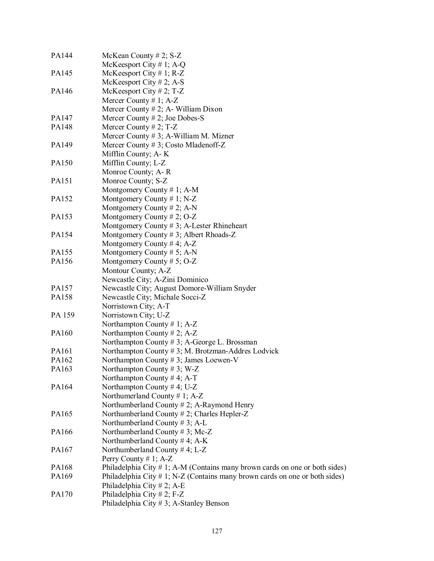| PA144  | McKean County # 2; S-Z                                                         |
|--------|--------------------------------------------------------------------------------|
|        | McKeesport City # 1; A-Q                                                       |
| PA145  | McKeesport City # 1; R-Z                                                       |
|        | McKeesport City # 2; A-S                                                       |
| PA146  | McKeesport City # 2; T-Z                                                       |
|        | Mercer County # 1; $A-Z$                                                       |
|        | Mercer County $# 2$ ; A- William Dixon                                         |
| PA147  | Mercer County # 2; Joe Dobes-S                                                 |
| PA148  | Mercer County # 2; $T-Z$                                                       |
|        | Mercer County # 3; A-William M. Mizner                                         |
| PA149  | Mercer County # 3; Costo Mladenoff-Z                                           |
|        | Mifflin County; A-K                                                            |
| PA150  | Mifflin County; L-Z                                                            |
|        | Monroe County; A-R                                                             |
| PA151  | Monroe County; S-Z                                                             |
|        | Montgomery County # 1; A-M                                                     |
| PA152  | Montgomery County # 1; N-Z                                                     |
|        | Montgomery County # 2; A-N                                                     |
| PA153  | Montgomery County # 2; O-Z                                                     |
|        | Montgomery County # 3; A-Lester Rhineheart                                     |
| PA154  | Montgomery County #3; Albert Rhoads-Z                                          |
|        | Montgomery County #4; $A-Z$                                                    |
| PA155  | Montgomery County # 5; A-N                                                     |
| PA156  | Montgomery County # 5; O-Z                                                     |
|        | Montour County; A-Z                                                            |
|        | Newcastle City; A-Zini Dominico                                                |
| PA157  | Newcastle City; August Domore-William Snyder                                   |
| PA158  | Newcastle City; Michale Socci-Z                                                |
|        | Norristown City; A-T                                                           |
| PA 159 | Norristown City; U-Z                                                           |
|        | Northampton County # 1; $A-Z$                                                  |
| PA160  | Northampton County # 2; A-Z                                                    |
|        | Northampton County #3; A-George L. Brossman                                    |
| PA161  | Northampton County #3; M. Brotzman-Addres Lodvick                              |
| PA162  | Northampton County # 3; James Loewen-V                                         |
| PA163  | Northampton County #3; W-Z                                                     |
|        | Northampton County #4; A-T                                                     |
| PA164  | Northampton County #4; U-Z                                                     |
|        | Northumerland County # 1; $A-Z$                                                |
|        | Northumberland County $# 2$ ; A-Raymond Henry                                  |
| PA165  | Northumberland County # 2; Charles Hepler-Z                                    |
|        | Northumberland County # 3; A-L                                                 |
| PA166  | Northumberland County # 3; Mc-Z                                                |
|        | Northumberland County #4; A-K                                                  |
| PA167  | Northumberland County #4; L-Z                                                  |
|        | Perry County # 1; $A-Z$                                                        |
| PA168  | Philadelphia City #1; A-M (Contains many brown cards on one or both sides)     |
| PA169  | Philadelphia City $\#$ 1; N-Z (Contains many brown cards on one or both sides) |
|        | Philadelphia City $# 2$ ; A-E                                                  |
| PA170  | Philadelphia City # 2; F-Z                                                     |
|        | Philadelphia City #3; A-Stanley Benson                                         |
|        |                                                                                |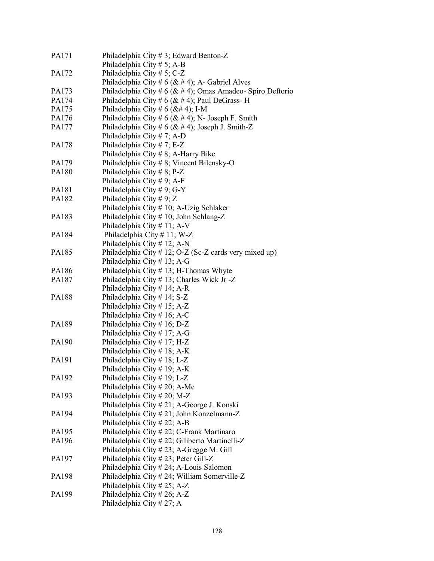| PA171        | Philadelphia City # 3; Edward Benton-Z                         |
|--------------|----------------------------------------------------------------|
|              | Philadelphia City $# 5$ ; A-B                                  |
| PA172        | Philadelphia City # 5; C-Z                                     |
|              | Philadelphia City # 6 ( $&$ # 4); A- Gabriel Alves             |
| PA173        | Philadelphia City # 6 ( $\&$ # 4); Omas Amadeo- Spiro Deftorio |
| PA174        | Philadelphia City # 6 ( $&$ # 4); Paul DeGrass-H               |
| PA175        | Philadelphia City # 6 ( $&$ # 4); I-M                          |
| PA176        | Philadelphia City # 6 ( $&$ # 4); N- Joseph F. Smith           |
| PA177        | Philadelphia City # 6 ( $&$ # 4); Joseph J. Smith-Z            |
|              | Philadelphia City # 7; A-D                                     |
| PA178        | Philadelphia City #7; E-Z                                      |
|              | Philadelphia City # 8; A-Harry Bike                            |
| PA179        | Philadelphia City # 8; Vincent Bilensky-O                      |
| PA180        | Philadelphia City #8; P-Z                                      |
|              | Philadelphia City # 9; A-F                                     |
| PA181        | Philadelphia City # 9; G-Y                                     |
| PA182        | Philadelphia City # 9; Z                                       |
|              | Philadelphia City # 10; A-Uzig Schlaker                        |
| PA183        | Philadelphia City # 10; John Schlang-Z                         |
|              |                                                                |
|              | Philadelphia City # 11; A-V                                    |
| PA184        | Philadelphia City #11; W-Z                                     |
|              | Philadelphia City # 12; A-N                                    |
| PA185        | Philadelphia City # 12; O-Z (Sc-Z cards very mixed up)         |
|              | Philadelphia City # 13; A-G                                    |
| PA186        | Philadelphia City #13; H-Thomas Whyte                          |
| PA187        | Philadelphia City # 13; Charles Wick Jr -Z                     |
|              | Philadelphia City # 14; A-R                                    |
| <b>PA188</b> | Philadelphia City # 14; S-Z                                    |
|              | Philadelphia City #15; A-Z                                     |
|              | Philadelphia City # 16; A-C                                    |
| PA189        | Philadelphia City # 16; D-Z                                    |
|              | Philadelphia City # 17; A-G                                    |
| PA190        | Philadelphia City #17; H-Z                                     |
|              | Philadelphia City # 18; A-K                                    |
| PA191        | Philadelphia City #18; L-Z                                     |
|              | Philadelphia City # 19; A-K                                    |
| PA192        | Philadelphia City #19; L-Z                                     |
|              | Philadelphia City $# 20$ ; A-Mc                                |
| PA193        | Philadelphia City # 20; M-Z                                    |
|              | Philadelphia City # 21; A-George J. Konski                     |
| PA194        | Philadelphia City # 21; John Konzelmann-Z                      |
|              | Philadelphia City #22; A-B                                     |
| PA195        | Philadelphia City # 22; C-Frank Martinaro                      |
| PA196        | Philadelphia City #22; Giliberto Martinelli-Z                  |
|              | Philadelphia City # 23; A-Gregge M. Gill                       |
| PA197        | Philadelphia City # 23; Peter Gill-Z                           |
|              | Philadelphia City # 24; A-Louis Salomon                        |
| PA198        | Philadelphia City # 24; William Somerville-Z                   |
|              | Philadelphia City # 25; A-Z                                    |
| PA199        | Philadelphia City # 26; A-Z                                    |
|              | Philadelphia City #27; A                                       |
|              |                                                                |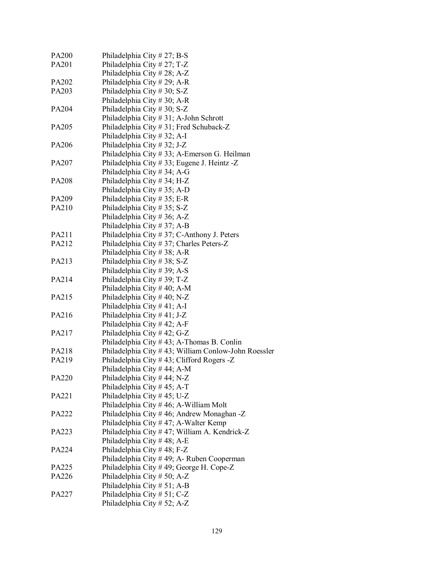| PA200 | Philadelphia City # 27; B-S                         |
|-------|-----------------------------------------------------|
| PA201 | Philadelphia City # 27; T-Z                         |
|       | Philadelphia City # 28; A-Z                         |
| PA202 | Philadelphia City # 29; A-R                         |
| PA203 | Philadelphia City # 30; S-Z                         |
|       | Philadelphia City # 30; A-R                         |
| PA204 | Philadelphia City # 30; S-Z                         |
|       | Philadelphia City # 31; A-John Schrott              |
| PA205 | Philadelphia City #31; Fred Schuback-Z              |
|       | Philadelphia City # 32; A-I                         |
| PA206 | Philadelphia City # 32; J-Z                         |
|       | Philadelphia City # 33; A-Emerson G. Heilman        |
| PA207 | Philadelphia City # 33; Eugene J. Heintz -Z         |
|       | Philadelphia City # 34; A-G                         |
| PA208 | Philadelphia City # 34; H-Z                         |
|       | Philadelphia City # 35; A-D                         |
| PA209 | Philadelphia City $# 35$ ; E-R                      |
| PA210 | Philadelphia City # 35; S-Z                         |
|       | Philadelphia City # 36; A-Z                         |
|       | Philadelphia City #37; A-B                          |
| PA211 | Philadelphia City # 37; C-Anthony J. Peters         |
| PA212 | Philadelphia City # 37; Charles Peters-Z            |
|       | Philadelphia City #38; A-R                          |
| PA213 | Philadelphia City #38; S-Z                          |
|       | Philadelphia City #39; A-S                          |
| PA214 | Philadelphia City #39; T-Z                          |
|       | Philadelphia City #40; A-M                          |
| PA215 | Philadelphia City # 40; N-Z                         |
|       | Philadelphia City $#41; A-I$                        |
| PA216 | Philadelphia City #41; J-Z                          |
|       | Philadelphia City #42; A-F                          |
| PA217 | Philadelphia City #42; G-Z                          |
|       | Philadelphia City #43; A-Thomas B. Conlin           |
| PA218 | Philadelphia City #43; William Conlow-John Roessler |
| PA219 | Philadelphia City #43; Clifford Rogers -Z           |
|       | Philadelphia City #44; A-M                          |
| PA220 | Philadelphia City #44; N-Z                          |
|       | Philadelphia City #45; A-T                          |
| PA221 | Philadelphia City #45; U-Z                          |
|       | Philadelphia City #46; A-William Molt               |
| PA222 | Philadelphia City #46; Andrew Monaghan -Z           |
|       | Philadelphia City #47; A-Walter Kemp                |
| PA223 | Philadelphia City #47; William A. Kendrick-Z        |
|       | Philadelphia City #48; A-E                          |
| PA224 | Philadelphia City #48; F-Z                          |
|       | Philadelphia City #49; A- Ruben Cooperman           |
| PA225 | Philadelphia City #49; George H. Cope-Z             |
| PA226 | Philadelphia City # 50; A-Z                         |
|       | Philadelphia City # 51; A-B                         |
| PA227 | Philadelphia City # 51; C-Z                         |
|       | Philadelphia City # 52; A-Z                         |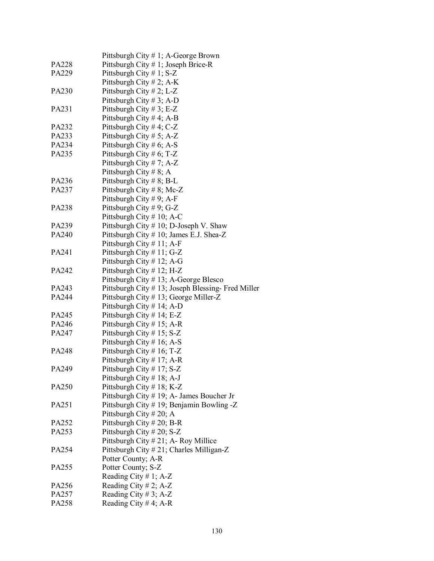|       | Pittsburgh City # 1; A-George Brown                |
|-------|----------------------------------------------------|
| PA228 | Pittsburgh City $# 1$ ; Joseph Brice-R             |
| PA229 | Pittsburgh City $# 1$ ; S-Z                        |
|       | Pittsburgh City # 2; A-K                           |
| PA230 | Pittsburgh City # 2; L-Z                           |
|       | Pittsburgh City # 3; A-D                           |
| PA231 | Pittsburgh City # 3; E-Z                           |
|       | Pittsburgh City # 4; A-B                           |
| PA232 | Pittsburgh City # 4; C-Z                           |
| PA233 | Pittsburgh City # 5; A-Z                           |
| PA234 | Pittsburgh City # 6; A-S                           |
| PA235 | Pittsburgh City # 6; T-Z                           |
|       | Pittsburgh City # 7; A-Z                           |
|       | Pittsburgh City # 8; A                             |
|       |                                                    |
| PA236 | Pittsburgh City # 8; B-L                           |
| PA237 | Pittsburgh City # 8; Mc-Z                          |
|       | Pittsburgh City #9; A-F                            |
| PA238 | Pittsburgh City # 9; G-Z                           |
|       | Pittsburgh City # 10; A-C                          |
| PA239 | Pittsburgh City # 10; D-Joseph V. Shaw             |
| PA240 | Pittsburgh City # 10; James E.J. Shea-Z            |
|       | Pittsburgh City $# 11$ ; A-F                       |
| PA241 | Pittsburgh City # 11; G-Z                          |
|       | Pittsburgh City # 12; A-G                          |
| PA242 | Pittsburgh City # 12; H-Z                          |
|       | Pittsburgh City # 13; A-George Blesco              |
| PA243 | Pittsburgh City # 13; Joseph Blessing- Fred Miller |
| PA244 | Pittsburgh City # 13; George Miller-Z              |
|       | Pittsburgh City $# 14$ ; A-D                       |
| PA245 | Pittsburgh City $# 14$ ; E-Z                       |
| PA246 | Pittsburgh City $# 15$ ; A-R                       |
| PA247 | Pittsburgh City #15; S-Z                           |
|       | Pittsburgh City # 16; A-S                          |
| PA248 | Pittsburgh City # 16; T-Z                          |
|       | Pittsburgh City # 17; A-R                          |
| PA249 | Pittsburgh City #17; S-Z                           |
|       | Pittsburgh City $\#$ 18; A-J                       |
| PA250 | Pittsburgh City $# 18$ ; K-Z                       |
|       | Pittsburgh City # 19; A- James Boucher Jr          |
| PA251 | Pittsburgh City # 19; Benjamin Bowling -Z          |
|       | Pittsburgh City # 20; A                            |
| PA252 | Pittsburgh City # 20; B-R                          |
| PA253 | Pittsburgh City # 20; S-Z                          |
|       | Pittsburgh City # 21; A- Roy Millice               |
| PA254 | Pittsburgh City # 21; Charles Milligan-Z           |
|       | Potter County; A-R                                 |
| PA255 | Potter County; S-Z                                 |
|       | Reading City # 1; A-Z                              |
| PA256 | Reading City # 2; A-Z                              |
| PA257 | Reading City # 3; A-Z                              |
| PA258 | Reading City # 4; A-R                              |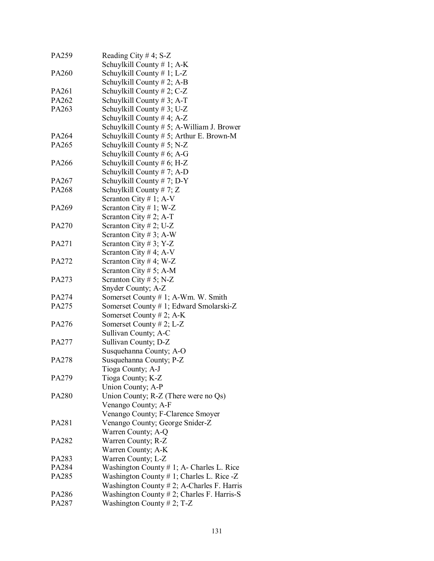| PA259        | Reading City # 4; $S-Z$                       |
|--------------|-----------------------------------------------|
|              | Schuylkill County $# 1$ ; A-K                 |
| PA260        | Schuylkill County # 1; L-Z                    |
|              | Schuylkill County $# 2$ ; A-B                 |
| PA261        | Schuylkill County # 2; C-Z                    |
| PA262        | Schuylkill County # 3; A-T                    |
| PA263        | Schuylkill County $# 3$ ; U-Z                 |
|              | Schuylkill County #4; $A-Z$                   |
|              | Schuylkill County # 5; A-William J. Brower    |
| PA264        | Schuylkill County # 5; Arthur E. Brown-M      |
| PA265        | Schuylkill County # 5; N-Z                    |
|              | Schuylkill County # $6$ ; A-G                 |
| PA266        | Schuylkill County # 6; H-Z                    |
|              | Schuylkill County #7; A-D                     |
| PA267        | Schuylkill County #7; D-Y                     |
| PA268        | Schuylkill County # 7; $Z$                    |
|              | Scranton City # 1; A-V                        |
| PA269        | Scranton City # 1; W-Z                        |
|              | Scranton City # 2; A-T                        |
| PA270        | Scranton City # 2; U-Z                        |
|              | Scranton City # 3; A-W                        |
| PA271        | Scranton City # 3; Y-Z                        |
|              | Scranton City # 4; A-V                        |
| PA272        | Scranton City # 4; W-Z                        |
|              |                                               |
|              | Scranton City # 5; A-M                        |
| PA273        | Scranton City # 5; N-Z                        |
|              | Snyder County; A-Z                            |
| PA274        | Somerset County # 1; A-Wm. W. Smith           |
| PA275        | Somerset County # 1; Edward Smolarski-Z       |
|              | Somerset County # 2; A-K                      |
| PA276        | Somerset County # 2; $L-Z$                    |
|              | Sullivan County; A-C                          |
| PA277        | Sullivan County; D-Z                          |
|              | Susquehanna County; A-O                       |
| PA278        | Susquehanna County; P-Z                       |
|              | Tioga County; A-J                             |
| PA279        | Tioga County; K-Z                             |
|              | Union County; A-P                             |
| <b>PA280</b> | Union County; R-Z (There were no Qs)          |
|              | Venango County; A-F                           |
|              | Venango County; F-Clarence Smoyer             |
| PA281        | Venango County; George Snider-Z               |
|              | Warren County; A-Q                            |
| PA282        | Warren County; R-Z                            |
|              | Warren County; A-K                            |
| PA283        | Warren County; L-Z                            |
| PA284        | Washington County $# 1$ ; A- Charles L. Rice  |
| PA285        | Washington County $# 1$ ; Charles L. Rice -Z  |
|              | Washington County $# 2$ ; A-Charles F. Harris |
| PA286        | Washington County $# 2$ ; Charles F. Harris-S |
| PA287        | Washington County # 2; T-Z                    |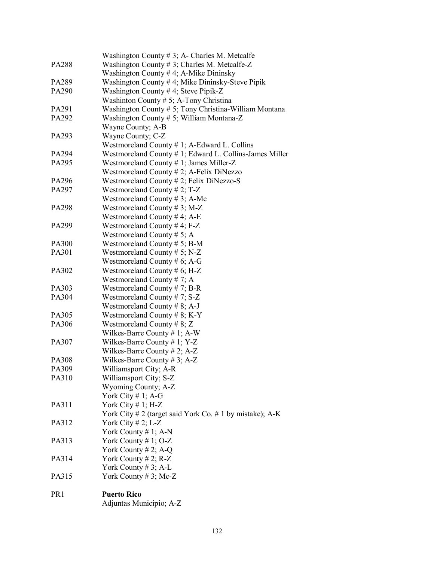|                 | Washington County # 3; A- Charles M. Metcalfe                                         |
|-----------------|---------------------------------------------------------------------------------------|
| <b>PA288</b>    | Washington County # 3; Charles M. Metcalfe-Z<br>Washington County #4; A-Mike Dininsky |
|                 |                                                                                       |
| PA289<br>PA290  | Washington County #4; Mike Dininsky-Steve Pipik                                       |
|                 | Washington County # 4; Steve Pipik-Z                                                  |
|                 | Washinton County # 5; A-Tony Christina                                                |
| PA291           | Washington County # 5; Tony Christina-William Montana                                 |
| PA292           | Washington County # 5; William Montana-Z                                              |
|                 | Wayne County; A-B                                                                     |
| PA293           | Wayne County; C-Z                                                                     |
|                 | Westmoreland County # 1; A-Edward L. Collins                                          |
| PA294           | Westmoreland County # 1; Edward L. Collins-James Miller                               |
| PA295           | Westmoreland County # 1; James Miller-Z                                               |
|                 | Westmoreland County $# 2$ ; A-Felix DiNezzo                                           |
| PA296           | Westmoreland County $# 2$ ; Felix DiNezzo-S                                           |
| PA297           | Westmoreland County # 2; T-Z                                                          |
|                 | Westmoreland County # 3; A-Mc                                                         |
| PA298           | Westmoreland County #3; M-Z                                                           |
|                 | Westmoreland County #4; A-E                                                           |
| PA299           | Westmoreland County #4; F-Z                                                           |
|                 | Westmoreland County # 5; A                                                            |
| PA300           | Westmoreland County # 5; B-M                                                          |
| PA301           | Westmoreland County # 5; N-Z                                                          |
|                 | Westmoreland County # 6; A-G                                                          |
| PA302           | Westmoreland County # 6; H-Z                                                          |
|                 | Westmoreland County #7; A                                                             |
| PA303           | Westmoreland County # 7; B-R                                                          |
| PA304           | Westmoreland County #7; $S-Z$                                                         |
|                 | Westmoreland County # 8; A-J                                                          |
| PA305           | Westmoreland County # 8; K-Y                                                          |
| PA306           | Westmoreland County # 8; Z                                                            |
|                 | Wilkes-Barre County $# 1$ ; A-W                                                       |
| PA307           | Wilkes-Barre County # 1; $Y-Z$                                                        |
|                 | Wilkes-Barre County # 2; A-Z                                                          |
| PA308           | Wilkes-Barre County # 3; A-Z                                                          |
| PA309           | Williamsport City; A-R                                                                |
| PA310           | Williamsport City; S-Z                                                                |
|                 | Wyoming County; A-Z                                                                   |
|                 | York City $# 1$ ; A-G                                                                 |
| PA311           | York City #1; H-Z                                                                     |
|                 | York City # 2 (target said York Co. # 1 by mistake); $A-K$                            |
| PA312           | York City # 2; L-Z                                                                    |
|                 | York County # 1; A-N                                                                  |
| PA313           | York County # 1; $O-Z$                                                                |
|                 | York County $# 2$ ; A-Q                                                               |
| PA314           | York County # 2; $R-Z$                                                                |
|                 | York County # 3; A-L                                                                  |
| PA315           | York County # 3; Mc-Z                                                                 |
| PR <sub>1</sub> | <b>Puerto Rico</b>                                                                    |
|                 | Adjuntas Municipio; A-Z                                                               |
|                 |                                                                                       |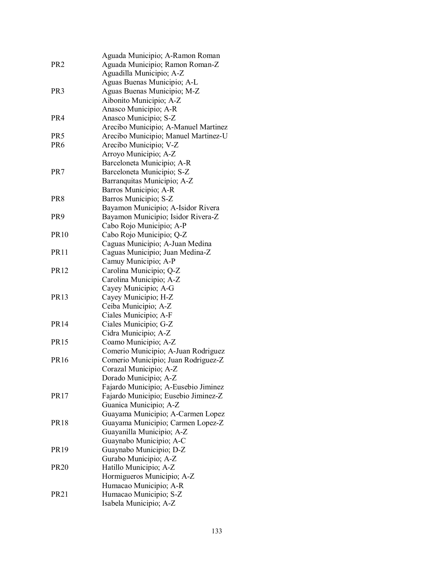|                 | Aguada Municipio; A-Ramon Roman              |
|-----------------|----------------------------------------------|
| PR <sub>2</sub> | Aguada Municipio; Ramon Roman-Z              |
|                 | Aguadilla Municipio; A-Z                     |
|                 | Aguas Buenas Municipio; A-L                  |
| PR <sub>3</sub> | Aguas Buenas Municipio; M-Z                  |
|                 | Aibonito Municipio; A-Z                      |
|                 | Anasco Municipio; A-R                        |
| PR4             | Anasco Municipio; S-Z                        |
|                 | Arecibo Municipio; A-Manuel Martinez         |
| PR5             | Arecibo Municipio; Manuel Martinez-U         |
| PR6             | Arecibo Municipio; V-Z                       |
|                 | Arroyo Municipio; A-Z                        |
|                 | Barceloneta Municipio; A-R                   |
| PR7             | Barceloneta Municipio; S-Z                   |
|                 | Barranquitas Municipio; A-Z                  |
|                 | Barros Municipio; A-R                        |
| PR8             | Barros Municipio; S-Z                        |
|                 | Bayamon Municipio; A-Isidor Rivera           |
| PR <sub>9</sub> | Bayamon Municipio; Isidor Rivera-Z           |
|                 | Cabo Rojo Municipio; A-P                     |
| PR10            | Cabo Rojo Municipio; Q-Z                     |
|                 | Caguas Municipio; A-Juan Medina              |
| PR11            | Caguas Municipio; Juan Medina-Z              |
|                 | Camuy Municipio; A-P                         |
| PR12            | Carolina Municipio; Q-Z                      |
|                 | Carolina Municipio; A-Z                      |
|                 | Cayey Municipio; A-G                         |
| PR13            |                                              |
|                 | Cayey Municipio; H-Z<br>Ceiba Municipio; A-Z |
|                 |                                              |
| PR14            | Ciales Municipio; A-F                        |
|                 | Ciales Municipio; G-Z                        |
|                 | Cidra Municipio; A-Z                         |
| PR15            | Coamo Municipio; A-Z                         |
|                 | Comerio Municipio; A-Juan Rodriguez          |
| PR16            | Comerio Municipio; Juan Rodriguez-Z          |
|                 | Corazal Municipio; A-Z                       |
|                 | Dorado Municipio; A-Z                        |
|                 | Fajardo Municipio; A-Eusebio Jiminez         |
| PR17            | Fajardo Municipio; Eusebio Jiminez-Z         |
|                 | Guanica Municipio; A-Z                       |
|                 | Guayama Municipio; A-Carmen Lopez            |
| <b>PR18</b>     | Guayama Municipio; Carmen Lopez-Z            |
|                 | Guayanilla Municipio; A-Z                    |
|                 | Guaynabo Municipio; A-C                      |
| PR19            | Guaynabo Municipio; D-Z                      |
|                 | Gurabo Municipio; A-Z                        |
| <b>PR20</b>     | Hatillo Municipio; A-Z                       |
|                 | Hormigueros Municipio; A-Z                   |
|                 | Humacao Municipio; A-R                       |
| PR21            | Humacao Municipio; S-Z                       |
|                 | Isabela Municipio; A-Z                       |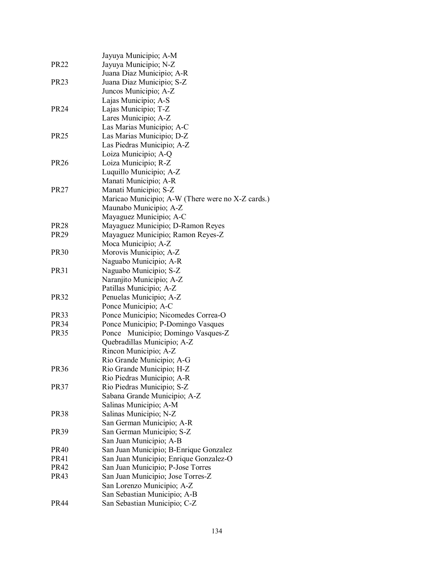|                  | Jayuya Municipio; A-M                             |
|------------------|---------------------------------------------------|
| <b>PR22</b>      | Jayuya Municipio; N-Z                             |
|                  | Juana Diaz Municipio; A-R                         |
| PR <sub>23</sub> | Juana Diaz Municipio; S-Z                         |
|                  | Juncos Municipio; A-Z                             |
|                  | Lajas Municipio; A-S                              |
| <b>PR24</b>      | Lajas Municipio; T-Z                              |
|                  | Lares Municipio; A-Z                              |
|                  | Las Marias Municipio; A-C                         |
| <b>PR25</b>      | Las Marias Municipio; D-Z                         |
|                  | Las Piedras Municipio; A-Z                        |
|                  | Loiza Municipio; A-Q                              |
| <b>PR26</b>      | Loiza Municipio; R-Z                              |
|                  | Luquillo Municipio; A-Z                           |
|                  | Manati Municipio; A-R                             |
| <b>PR27</b>      | Manati Municipio; S-Z                             |
|                  | Maricao Municipio; A-W (There were no X-Z cards.) |
|                  | Maunabo Municipio; A-Z                            |
|                  | Mayaguez Municipio; A-C                           |
| <b>PR28</b>      | Mayaguez Municipio; D-Ramon Reyes                 |
| <b>PR29</b>      | Mayaguez Municipio; Ramon Reyes-Z                 |
|                  | Moca Municipio; A-Z                               |
| <b>PR30</b>      | Morovis Municipio; A-Z                            |
|                  | Naguabo Municipio; A-R                            |
| <b>PR31</b>      | Naguabo Municipio; S-Z                            |
|                  | Naranjito Municipio; A-Z                          |
|                  | Patillas Municipio; A-Z                           |
| <b>PR32</b>      | Penuelas Municipio; A-Z                           |
|                  | Ponce Municipio; A-C                              |
| <b>PR33</b>      | Ponce Municipio; Nicomedes Correa-O               |
| <b>PR34</b>      | Ponce Municipio; P-Domingo Vasques                |
| <b>PR35</b>      | Municipio; Domingo Vasques-Z<br>Ponce             |
|                  | Quebradillas Municipio; A-Z                       |
|                  | Rincon Municipio; A-Z                             |
|                  | Rio Grande Municipio; A-G                         |
| <b>PR36</b>      | Rio Grande Municipio; H-Z                         |
|                  | Rio Piedras Municipio; A-R                        |
| <b>PR37</b>      | Rio Piedras Municipio; S-Z                        |
|                  | Sabana Grande Municipio; A-Z                      |
|                  | Salinas Municipio; A-M                            |
| PR <sub>38</sub> | Salinas Municipio; N-Z                            |
|                  | San German Municipio; A-R                         |
| <b>PR39</b>      | San German Municipio; S-Z                         |
|                  | San Juan Municipio; A-B                           |
| <b>PR40</b>      | San Juan Municipio; B-Enrique Gonzalez            |
| <b>PR41</b>      | San Juan Municipio; Enrique Gonzalez-O            |
| <b>PR42</b>      | San Juan Municipio; P-Jose Torres                 |
| PR43             | San Juan Municipio; Jose Torres-Z                 |
|                  | San Lorenzo Municipio; A-Z                        |
|                  | San Sebastian Municipio; A-B                      |
| <b>PR44</b>      | San Sebastian Municipio; C-Z                      |
|                  |                                                   |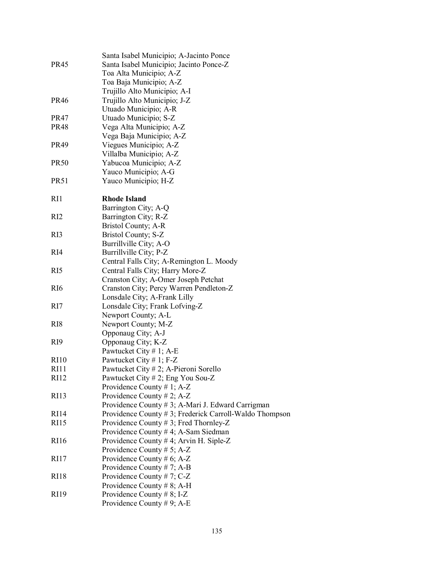|                   | Santa Isabel Municipio; A-Jacinto Ponce                 |
|-------------------|---------------------------------------------------------|
| <b>PR45</b>       | Santa Isabel Municipio; Jacinto Ponce-Z                 |
|                   | Toa Alta Municipio; A-Z                                 |
|                   | Toa Baja Municipio; A-Z                                 |
|                   | Trujillo Alto Municipio; A-I                            |
| <b>PR46</b>       | Trujillo Alto Municipio; J-Z                            |
|                   | Utuado Municipio; A-R                                   |
| <b>PR47</b>       | Utuado Municipio; S-Z                                   |
| <b>PR48</b>       | Vega Alta Municipio; A-Z                                |
|                   | Vega Baja Municipio; A-Z                                |
| PR49              | Viegues Municipio; A-Z                                  |
|                   | Villalba Municipio; A-Z                                 |
| <b>PR50</b>       | Yabucoa Municipio; A-Z                                  |
|                   | Yauco Municipio; A-G                                    |
| <b>PR51</b>       | Yauco Municipio; H-Z                                    |
|                   |                                                         |
| R <sub>I1</sub>   | <b>Rhode Island</b>                                     |
|                   | Barrington City; A-Q                                    |
| RI2               | Barrington City; R-Z                                    |
|                   | Bristol County; A-R                                     |
| RI3               | Bristol County; S-Z                                     |
|                   | Burrillville City; A-O                                  |
| RI4               | Burrillville City; P-Z                                  |
|                   | Central Falls City; A-Remington L. Moody                |
| R <sub>I5</sub>   | Central Falls City; Harry More-Z                        |
|                   | Cranston City; A-Omer Joseph Petchat                    |
| R <sub>I6</sub>   | Cranston City; Percy Warren Pendleton-Z                 |
|                   | Lonsdale City; A-Frank Lilly                            |
| R <sub>I7</sub>   | Lonsdale City; Frank Lofving-Z                          |
|                   | Newport County; A-L                                     |
| R <sub>I</sub> 8  | Newport County; M-Z                                     |
|                   | Opponaug City; A-J                                      |
| R <sub>I9</sub>   | Opponaug City; K-Z                                      |
|                   | Pawtucket City # 1; A-E                                 |
| <b>RI10</b>       | Pawtucket City # 1; $F-Z$                               |
| R <sub>11</sub>   | Pawtucket City # 2; A-Pieroni Sorello                   |
| <b>RI12</b>       | Pawtucket City # 2; Eng You Sou-Z                       |
|                   | Providence County # 1; $A-Z$                            |
| <b>RI13</b>       | Providence County # 2; A-Z                              |
|                   | Providence County # 3; A-Mari J. Edward Carrigman       |
| R <sub>I</sub> 14 | Providence County # 3; Frederick Carroll-Waldo Thompson |
| <b>RI15</b>       | Providence County #3; Fred Thornley-Z                   |
|                   | Providence County # 4; A-Sam Siedman                    |
| <b>RI16</b>       | Providence County # 4; Arvin H. Siple-Z                 |
|                   | Providence County # 5; A-Z                              |
| R <sub>117</sub>  | Providence County # 6; A-Z                              |
|                   | Providence County # 7; A-B                              |
| <b>RI18</b>       | Providence County # 7; $C-Z$                            |
|                   | Providence County # 8; A-H                              |
| <b>RI19</b>       | Providence County # 8; I-Z                              |
|                   | Providence County # 9; A-E                              |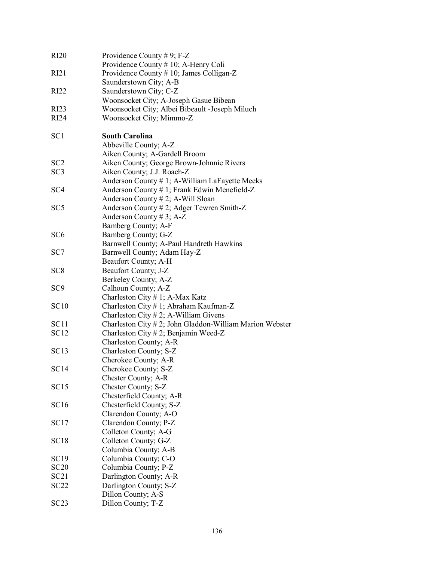| RI <sub>20</sub>         | Providence County # 9; $F-Z$<br>Providence County # 10; A-Henry Coli |
|--------------------------|----------------------------------------------------------------------|
| RI21                     | Providence County # 10; James Colligan-Z                             |
|                          | Saunderstown City; A-B                                               |
| RI22                     | Saunderstown City; C-Z                                               |
|                          | Woonsocket City; A-Joseph Gasue Bibean                               |
| RI23                     | Woonsocket City; Albei Bibeault -Joseph Miluch                       |
| RI24                     |                                                                      |
|                          | Woonsocket City; Mimmo-Z                                             |
| SC <sub>1</sub>          | <b>South Carolina</b>                                                |
|                          | Abbeville County; A-Z                                                |
|                          | Aiken County; A-Gardell Broom                                        |
| SC2                      | Aiken County; George Brown-Johnnie Rivers                            |
| SC <sub>3</sub>          | Aiken County; J.J. Roach-Z                                           |
|                          | Anderson County # 1; A-William LaFayette Meeks                       |
| SC <sub>4</sub>          | Anderson County # 1; Frank Edwin Menefield-Z                         |
|                          | Anderson County # 2; A-Will Sloan                                    |
| SC <sub>5</sub>          | Anderson County #2; Adger Tewren Smith-Z                             |
|                          | Anderson County # 3; $A-Z$                                           |
|                          | Bamberg County; A-F                                                  |
| SC <sub>6</sub>          | Bamberg County; G-Z                                                  |
|                          | Barnwell County; A-Paul Handreth Hawkins                             |
| SC7                      | Barnwell County; Adam Hay-Z                                          |
|                          | Beaufort County; A-H                                                 |
| SC <sub>8</sub>          | Beaufort County; J-Z                                                 |
|                          | Berkeley County; A-Z                                                 |
| SC <sub>9</sub>          | Calhoun County; A-Z                                                  |
|                          | Charleston City # 1; A-Max Katz                                      |
| <b>SC10</b>              | Charleston City # 1; Abraham Kaufman-Z                               |
|                          | Charleston City $# 2$ ; A-William Givens                             |
| SC11                     | Charleston City $# 2$ ; John Gladdon-William Marion Webster          |
| <b>SC12</b>              | Charleston City # 2; Benjamin Weed-Z                                 |
|                          | Charleston County; A-R                                               |
| SC <sub>13</sub>         | Charleston County; S-Z                                               |
|                          | Cherokee County; A-R                                                 |
| SC14                     | Cherokee County; S-Z                                                 |
|                          | Chester County; A-R                                                  |
| <b>SC15</b>              | Chester County; S-Z                                                  |
|                          | Chesterfield County; A-R                                             |
| <b>SC16</b>              | Chesterfield County; S-Z                                             |
|                          | Clarendon County; A-O                                                |
| SC17                     | Clarendon County; P-Z                                                |
|                          | Colleton County; A-G                                                 |
| SC <sub>18</sub>         | Colleton County; G-Z                                                 |
|                          | Columbia County; A-B                                                 |
| <b>SC19</b>              |                                                                      |
| <b>SC20</b>              | Columbia County; C-O                                                 |
|                          | Columbia County; P-Z                                                 |
| SC21<br>SC <sub>22</sub> | Darlington County; A-R                                               |
|                          | Darlington County; S-Z                                               |
|                          | Dillon County; A-S                                                   |
| SC23                     | Dillon County; T-Z                                                   |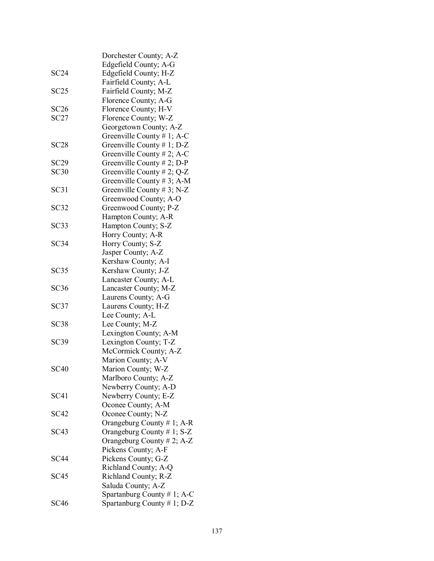|                   | Dorchester County; A-Z        |
|-------------------|-------------------------------|
|                   | Edgefield County; A-G         |
| SC24              | Edgefield County; H-Z         |
|                   | Fairfield County; A-L         |
| SC25              | Fairfield County; M-Z         |
|                   | Florence County; A-G          |
| SC26              | Florence County; H-V          |
| SC27              | Florence County; W-Z          |
|                   | Georgetown County; A-Z        |
|                   | Greenville County # 1; A-C    |
| SC28              | Greenville County # 1; $D-Z$  |
|                   | Greenville County # 2; A-C    |
| SC <sub>29</sub>  | Greenville County $# 2$ ; D-P |
| SC30              | Greenville County # 2; $Q-Z$  |
|                   | Greenville County # 3; A-M    |
| SC31              | Greenville County # 3; N-Z    |
|                   | Greenwood County; A-O         |
| SC32              | Greenwood County; P-Z         |
|                   | Hampton County; A-R           |
|                   |                               |
| SC <sub>3</sub> 3 | Hampton County; S-Z           |
|                   | Horry County; A-R             |
| SC34              | Horry County; S-Z             |
|                   | Jasper County; A-Z            |
|                   | Kershaw County; A-I           |
| SC35              | Kershaw County; J-Z           |
|                   | Lancaster County; A-L         |
| SC36              | Lancaster County; M-Z         |
|                   | Laurens County; A-G           |
| SC37              | Laurens County; H-Z           |
|                   | Lee County; A-L               |
| SC <sub>38</sub>  | Lee County; M-Z               |
|                   | Lexington County; A-M         |
| SC <sub>39</sub>  | Lexington County; T-Z         |
|                   | McCormick County; A-Z         |
|                   | Marion County; A-V            |
| <b>SC40</b>       | Marion County; W-Z            |
|                   | Marlboro County; A-Z          |
|                   | Newberry County; A-D          |
| SC41              | Newberry County; E-Z          |
|                   | Oconee County; A-M            |
| <b>SC42</b>       | Oconee County; N-Z            |
|                   | Orangeburg County # 1; A-R    |
| SC <sub>43</sub>  | Orangeburg County $# 1$ ; S-Z |
|                   | Orangeburg County # 2; A-Z    |
|                   | Pickens County; A-F           |
| <b>SC44</b>       | Pickens County; G-Z           |
|                   | Richland County; A-Q          |
| SC <sub>45</sub>  | Richland County; R-Z          |
|                   | Saluda County; A-Z            |
|                   | Spartanburg County # 1; A-C   |
| <b>SC46</b>       | Spartanburg County # 1; D-Z   |
|                   |                               |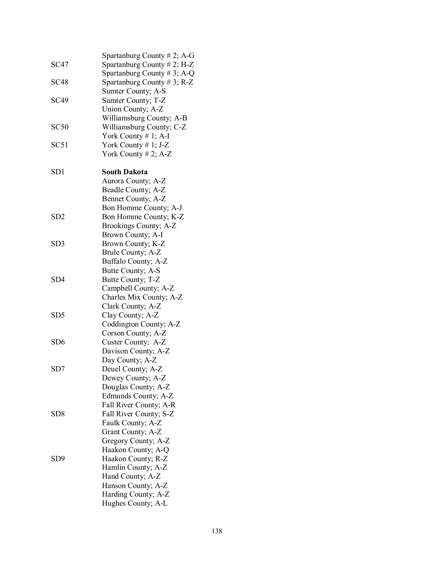|                  | Spartanburg County $# 2$ ; A-G |
|------------------|--------------------------------|
| <b>SC47</b>      | Spartanburg County $# 2$ ; H-Z |
|                  | Spartanburg County # 3; A-Q    |
| <b>SC48</b>      | Spartanburg County # 3; R-Z    |
|                  | Sumter County; A-S             |
| <b>SC49</b>      | Sumter County; T-Z             |
|                  |                                |
|                  | Union County; A-Z              |
|                  | Williamsburg County; A-B       |
| SC50             | Williamsburg County; C-Z       |
|                  | York County $# 1$ ; A-I        |
| SC <sub>51</sub> | York County $# 1; J-Z$         |
|                  | York County $# 2$ ; A-Z        |
| SD <sub>1</sub>  | <b>South Dakota</b>            |
|                  | Aurora County; A-Z             |
|                  | Beadle County; A-Z             |
|                  |                                |
|                  | Bennet County; A-Z             |
|                  | Bon Homme County; A-J          |
| SD <sub>2</sub>  | Bon Homme County; K-Z          |
|                  | Brookings County; A-Z          |
|                  | Brown County; A-I              |
| SD <sub>3</sub>  | Brown County; K-Z              |
|                  | Brule County; A-Z              |
|                  | Buffalo County; A-Z            |
|                  | Butte County; A-S              |
| SD4              | Butte County; T-Z              |
|                  | Campbell County; A-Z           |
|                  | Charles Mix County; A-Z        |
|                  | Clark County; A-Z              |
| SD <sub>5</sub>  | Clay County; A-Z               |
|                  | Coddington County; A-Z         |
|                  | Corson County; A-Z             |
| SD <sub>6</sub>  | Custer County; A-Z             |
|                  | Davison County; A-Z            |
|                  | Day County; A-Z                |
| SD7              | Deuel County; A-Z              |
|                  | Dewey County; A-Z              |
|                  | Douglas County; A-Z            |
|                  | Edmunds County; A-Z            |
|                  | Fall River County; A-R         |
| SD <sub>8</sub>  | Fall River County; S-Z         |
|                  | Faulk County; A-Z              |
|                  | Grant County; A-Z              |
|                  | Gregory County; A-Z            |
|                  | Haakon County; A-Q             |
| SD <sub>9</sub>  | Haakon County; R-Z             |
|                  | Hamlin County; A-Z             |
|                  | Hand County; A-Z               |
|                  | Hanson County; A-Z             |
|                  | Harding County; A-Z            |
|                  | Hughes County; A-L             |
|                  |                                |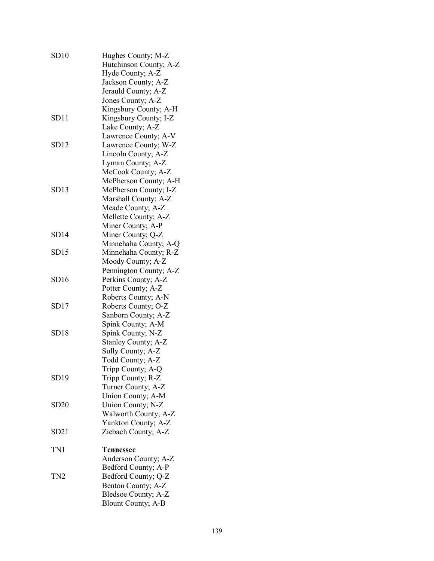| SD10             | Hughes County; M-Z<br>Hutchinson County; A-Z<br>Hyde County; A-Z<br>Jackson County; A-Z<br>Jerauld County; A-Z<br>Jones County; A-Z       |
|------------------|-------------------------------------------------------------------------------------------------------------------------------------------|
| SD11             | Kingsbury County; A-H<br>Kingsbury County; I-Z<br>Lake County; A-Z                                                                        |
| SD12             | Lawrence County; A-V<br>Lawrence County; W-Z<br>Lincoln County; A-Z<br>Lyman County; A-Z                                                  |
| SD13             | McCook County; A-Z<br>McPherson County; A-H<br>McPherson County; I-Z<br>Marshall County; A-Z<br>Meade County; A-Z<br>Mellette County; A-Z |
| SD14             | Miner County; A-P<br>Miner County; Q-Z                                                                                                    |
| SD15             | Minnehaha County; A-Q<br>Minnehaha County; R-Z<br>Moody County; A-Z                                                                       |
| SD16             | Pennington County; A-Z<br>Perkins County; A-Z<br>Potter County; A-Z                                                                       |
| SD17             | Roberts County; A-N<br>Roberts County; O-Z<br>Sanborn County; A-Z                                                                         |
| SD <sub>18</sub> | Spink County; A-M<br>Spink County; N-Z<br>Stanley County; A-Z<br>Sully County; A-Z                                                        |
| SD <sub>19</sub> | Todd County; A-Z<br>Tripp County; A-Q<br>Tripp County; R-Z<br>Turner County; A-Z                                                          |
| SD20             | Union County; A-M<br>Union County; N-Z<br>Walworth County; A-Z                                                                            |
| SD21             | Yankton County; A-Z<br>Ziebach County; A-Z                                                                                                |
| TN1              | <b>Tennessee</b><br>Anderson County; A-Z                                                                                                  |
| TN <sub>2</sub>  | Bedford County; A-P<br>Bedford County; Q-Z<br>Benton County; A-Z<br>Bledsoe County; A-Z<br><b>Blount County; A-B</b>                      |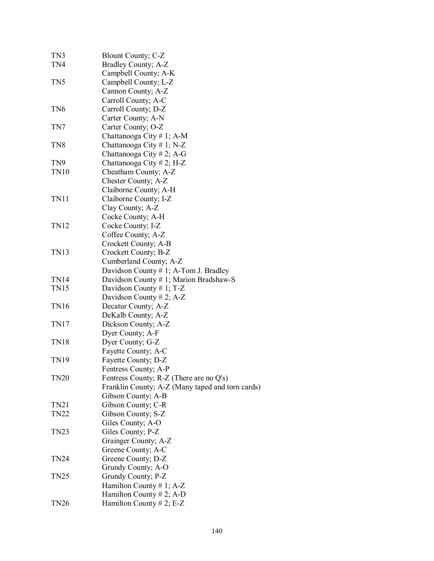| TN3              | Blount County; C-Z                               |  |
|------------------|--------------------------------------------------|--|
| TN4              | Bradley County; A-Z                              |  |
|                  | Campbell County; A-K                             |  |
| TN5              | Campbell County; L-Z                             |  |
|                  | Cannon County; A-Z                               |  |
|                  | Carroll County; A-C                              |  |
| TN <sub>6</sub>  | Carroll County; D-Z                              |  |
|                  | Carter County; A-N                               |  |
| TN7              | Carter County; O-Z                               |  |
|                  | Chattanooga City # 1; A-M                        |  |
| TN <sub>8</sub>  | Chattanooga City #1; N-Z                         |  |
|                  | Chattanooga City # 2; A-G                        |  |
| TN9              | Chattanooga City # 2; H-Z                        |  |
| <b>TN10</b>      | Cheatham County; A-Z                             |  |
|                  | Chester County; A-Z                              |  |
|                  | Claiborne County; A-H                            |  |
| TN11             | Claiborne County; I-Z                            |  |
|                  | Clay County; A-Z                                 |  |
|                  | Cocke County; A-H                                |  |
| TN12             | Cocke County; I-Z                                |  |
|                  | Coffee County; A-Z                               |  |
|                  | Crockett County; A-B                             |  |
| TN13             | Crockett County; B-Z                             |  |
|                  | Cumberland County; A-Z                           |  |
|                  | Davidson County $# 1$ ; A-Tom J. Bradley         |  |
| TN14             | Davidson County # 1; Marion Bradshaw-S           |  |
| <b>TN15</b>      | Davidson County # 1; $T-Z$                       |  |
|                  | Davidson County # 2; $A-Z$                       |  |
| <b>TN16</b>      | Decatur County; A-Z                              |  |
|                  | DeKalb County; A-Z                               |  |
| TN17             | Dickson County; A-Z                              |  |
|                  | Dyer County; A-F                                 |  |
| <b>TN18</b>      | Dyer County; G-Z                                 |  |
|                  | Fayette County; A-C                              |  |
| TN19             | Fayette County; D-Z                              |  |
|                  | Fentress County; A-P                             |  |
| <b>TN20</b>      | Fentress County; R-Z (There are no Q's)          |  |
|                  | Franklin County; A-Z (Many taped and torn cards) |  |
|                  | Gibson County; A-B                               |  |
| TN21             | Gibson County; C-R                               |  |
| <b>TN22</b>      | Gibson County; S-Z                               |  |
|                  | Giles County; A-O                                |  |
| <b>TN23</b>      | Giles County; P-Z                                |  |
|                  | Grainger County; A-Z                             |  |
|                  | Greene County; A-C                               |  |
| <b>TN24</b>      | Greene County; D-Z                               |  |
|                  | Grundy County; A-O                               |  |
| TN <sub>25</sub> | Grundy County; P-Z                               |  |
|                  | Hamilton County # 1; $A-Z$                       |  |
|                  | Hamilton County # 2; A-D                         |  |
| <b>TN26</b>      | Hamilton County # 2; E-Z                         |  |
|                  |                                                  |  |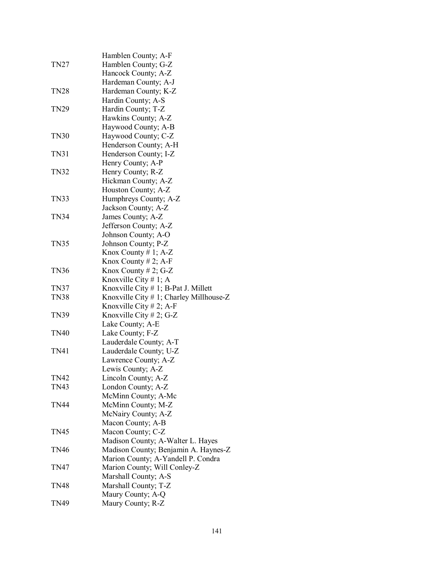|             | Hamblen County; A-F                        |
|-------------|--------------------------------------------|
| <b>TN27</b> | Hamblen County; G-Z                        |
|             | Hancock County; A-Z                        |
|             | Hardeman County; A-J                       |
| <b>TN28</b> | Hardeman County; K-Z                       |
|             | Hardin County; A-S                         |
| <b>TN29</b> | Hardin County; T-Z                         |
|             |                                            |
|             | Hawkins County; A-Z                        |
|             | Haywood County; A-B                        |
| <b>TN30</b> | Haywood County; C-Z                        |
|             | Henderson County; A-H                      |
| <b>TN31</b> | Henderson County; I-Z                      |
|             | Henry County; A-P                          |
| <b>TN32</b> | Henry County; R-Z                          |
|             | Hickman County; A-Z                        |
|             | Houston County; A-Z                        |
| <b>TN33</b> | Humphreys County; A-Z                      |
|             | Jackson County; A-Z                        |
| <b>TN34</b> | James County; A-Z                          |
|             | Jefferson County; A-Z                      |
|             | Johnson County; A-O                        |
| <b>TN35</b> | Johnson County; P-Z                        |
|             | Knox County #1; A-Z                        |
|             | Knox County # 2; A-F                       |
| <b>TN36</b> | Knox County # 2; G-Z                       |
|             | Knoxville City # 1; A                      |
| <b>TN37</b> | Knoxville City $# 1$ ; B-Pat J. Millett    |
| <b>TN38</b> | Knoxville City $# 1$ ; Charley Millhouse-Z |
|             | Knoxville City $# 2$ ; A-F                 |
| <b>TN39</b> | Knoxville City # 2; G-Z                    |
|             | Lake County; A-E                           |
| <b>TN40</b> | Lake County; F-Z                           |
|             | Lauderdale County; A-T                     |
| TN41        | Lauderdale County; U-Z                     |
|             | Lawrence County; A-Z                       |
|             | Lewis County; A-Z                          |
| <b>TN42</b> | Lincoln County; A-Z                        |
| <b>TN43</b> | London County; A-Z                         |
|             | McMinn County; A-Mc                        |
| TN44        | McMinn County; M-Z                         |
|             | McNairy County; A-Z                        |
|             | Macon County; A-B                          |
| <b>TN45</b> | Macon County; C-Z                          |
|             | Madison County; A-Walter L. Hayes          |
| <b>TN46</b> | Madison County; Benjamin A. Haynes-Z       |
|             | Marion County; A-Yandell P. Condra         |
| TN47        | Marion County; Will Conley-Z               |
|             | Marshall County; A-S                       |
| TN48        | Marshall County; T-Z                       |
|             | Maury County; A-Q                          |
| <b>TN49</b> | Maury County; R-Z                          |
|             |                                            |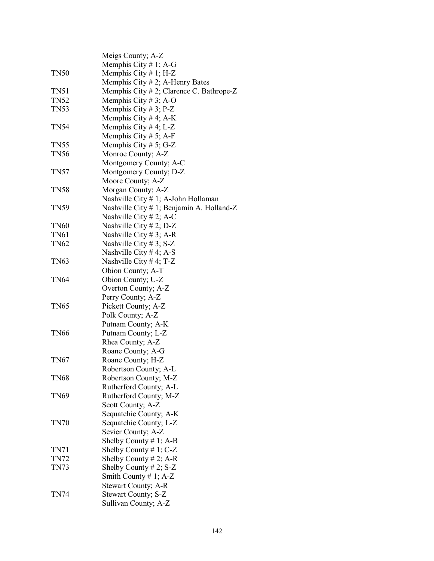|             | Meigs County; A-Z                           |
|-------------|---------------------------------------------|
|             | Memphis City # 1; A-G                       |
| <b>TN50</b> | Memphis City $# 1$ ; H-Z                    |
|             | Memphis City $# 2$ ; A-Henry Bates          |
| <b>TN51</b> | Memphis City $# 2$ ; Clarence C. Bathrope-Z |
| <b>TN52</b> | Memphis City # 3; A-O                       |
| <b>TN53</b> | Memphis City # 3; P-Z                       |
|             | Memphis City # 4; A-K                       |
| <b>TN54</b> | Memphis City #4; L-Z                        |
|             | Memphis City # 5; A-F                       |
| <b>TN55</b> | Memphis City # 5; G-Z                       |
| <b>TN56</b> | Monroe County; A-Z                          |
|             | Montgomery County; A-C                      |
| <b>TN57</b> | Montgomery County; D-Z                      |
|             | Moore County; A-Z                           |
| <b>TN58</b> | Morgan County; A-Z                          |
|             | Nashville City # 1; A-John Hollaman         |
| <b>TN59</b> | Nashville City # 1; Benjamin A. Holland-Z   |
|             | Nashville City # 2; A-C                     |
| <b>TN60</b> | Nashville City # 2; D-Z                     |
| <b>TN61</b> | Nashville City # 3; A-R                     |
| <b>TN62</b> | Nashville City # 3; $S-Z$                   |
|             | Nashville City # 4; A-S                     |
| <b>TN63</b> | Nashville City # 4; T-Z                     |
|             | Obion County; A-T                           |
| <b>TN64</b> | Obion County; U-Z                           |
|             | Overton County; A-Z                         |
|             | Perry County; A-Z                           |
| TN65        | Pickett County; A-Z                         |
|             | Polk County; A-Z                            |
|             | Putnam County; A-K                          |
| <b>TN66</b> | Putnam County; L-Z                          |
|             | Rhea County; A-Z                            |
|             | Roane County; A-G                           |
| TN67        | Roane County; H-Z                           |
|             | Robertson County; A-L                       |
| <b>TN68</b> | Robertson County; M-Z                       |
|             | Rutherford County; A-L                      |
| <b>TN69</b> | Rutherford County; M-Z<br>Scott County; A-Z |
|             | Sequatchie County; A-K                      |
| <b>TN70</b> | Sequatchie County; L-Z                      |
|             | Sevier County; A-Z                          |
|             | Shelby County # 1; A-B                      |
| TN71        | Shelby County #1; C-Z                       |
| <b>TN72</b> | Shelby County # 2; A-R                      |
| TN73        | Shelby County # 2; S-Z                      |
|             | Smith County # 1; $A-Z$                     |
|             | Stewart County; A-R                         |
| TN74        | Stewart County; S-Z                         |
|             | Sullivan County; A-Z                        |
|             |                                             |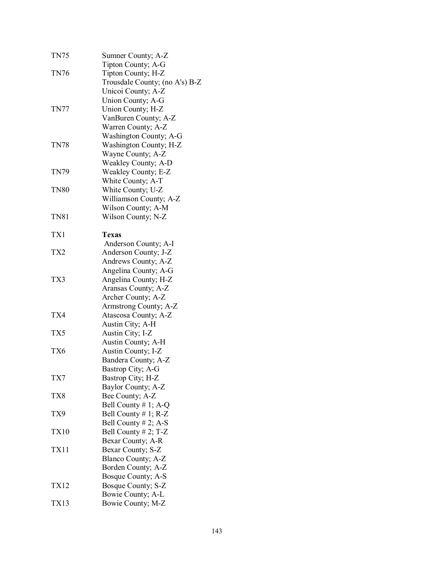| TN75            | Sumner County; A-Z             |
|-----------------|--------------------------------|
|                 | Tipton County; A-G             |
| <b>TN76</b>     | Tipton County; H-Z             |
|                 | Trousdale County; (no A's) B-Z |
|                 | Unicoi County; A-Z             |
|                 | Union County; A-G              |
| <b>TN77</b>     | Union County; H-Z              |
|                 | VanBuren County; A-Z           |
|                 | Warren County; A-Z             |
|                 | Washington County; A-G         |
| <b>TN78</b>     | Washington County; H-Z         |
|                 | Wayne County; A-Z              |
|                 | Weakley County; A-D            |
| <b>TN79</b>     | Weakley County; E-Z            |
|                 |                                |
|                 | White County; A-T              |
| <b>TN80</b>     | White County; U-Z              |
|                 | Williamson County; A-Z         |
|                 | Wilson County; A-M             |
| <b>TN81</b>     | Wilson County; N-Z             |
| TX1             | <b>Texas</b>                   |
|                 | Anderson County; A-I           |
| TX <sub>2</sub> | Anderson County; J-Z           |
|                 | Andrews County; A-Z            |
|                 | Angelina County; A-G           |
| TX3             | Angelina County; H-Z           |
|                 | Aransas County; A-Z            |
|                 | Archer County; A-Z             |
|                 |                                |
| TX4             | Armstrong County; A-Z          |
|                 | Atascosa County; A-Z           |
|                 | Austin City; A-H               |
| TX5             | Austin City; I-Z               |
|                 | Austin County; A-H             |
| TX6             | Austin County; I-Z             |
|                 | Bandera County; A-Z            |
|                 | Bastrop City; A-G              |
| TX7             | Bastrop City; H-Z              |
|                 | Baylor County; A-Z             |
| TX8             | Bee County; A-Z                |
|                 | Bell County # 1; A-Q           |
| TX9             | Bell County # 1; R-Z           |
|                 | Bell County # 2; A-S           |
| <b>TX10</b>     | Bell County # 2; $T-Z$         |
|                 | Bexar County; A-R              |
| <b>TX11</b>     | Bexar County; S-Z              |
|                 | Blanco County; A-Z             |
|                 | Borden County; A-Z             |
|                 | Bosque County; A-S             |
| TX12            | Bosque County; S-Z             |
| <b>TX13</b>     | Bowie County; A-L              |
|                 | Bowie County; M-Z              |
|                 |                                |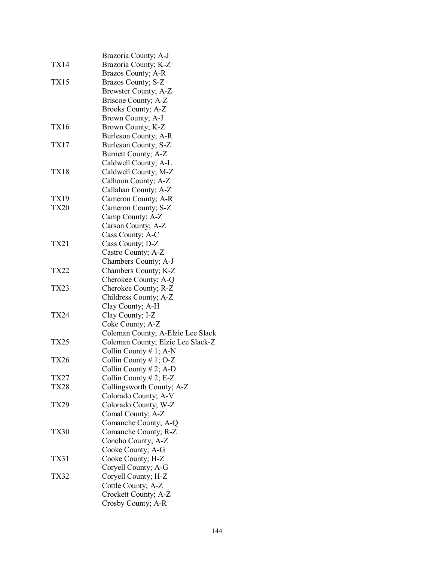|             | Brazoria County; A-J              |
|-------------|-----------------------------------|
| TX14        | Brazoria County; K-Z              |
|             | Brazos County; A-R                |
| TX15        | Brazos County; S-Z                |
|             | Brewster County; A-Z              |
|             | Briscoe County; A-Z               |
|             | Brooks County; A-Z                |
|             | Brown County; A-J                 |
| TX16        | Brown County; K-Z                 |
|             | Burleson County; A-R              |
| TX17        | Burleson County; S-Z              |
|             | Burnett County; A-Z               |
|             | Caldwell County; A-L              |
| TX18        | Caldwell County; M-Z              |
|             | Calhoun County; A-Z               |
|             |                                   |
| TX19        | Callahan County; A-Z              |
|             | Cameron County; A-R               |
| <b>TX20</b> | Cameron County; S-Z               |
|             | Camp County; A-Z                  |
|             | Carson County; A-Z                |
|             | Cass County; A-C                  |
| TX21        | Cass County; D-Z                  |
|             | Castro County; A-Z                |
|             | Chambers County; A-J              |
| TX22        | Chambers County; K-Z              |
|             | Cherokee County; A-Q              |
| TX23        | Cherokee County; R-Z              |
|             | Childress County; A-Z             |
|             | Clay County; A-H                  |
| TX24        | Clay County; I-Z                  |
|             | Coke County; A-Z                  |
|             | Coleman County; A-Elzie Lee Slack |
| TX25        | Coleman County; Elzie Lee Slack-Z |
|             | Collin County # 1; A-N            |
| <b>TX26</b> | Collin County # 1; O-Z            |
|             | Collin County # 2; A-D            |
| TX27        | Collin County $# 2$ ; E-Z         |
| TX28        | Collingsworth County; A-Z         |
|             | Colorado County; A-V              |
| TX29        | Colorado County; W-Z              |
|             | Comal County; A-Z                 |
|             | Comanche County; A-Q              |
| <b>TX30</b> | Comanche County; R-Z              |
|             | Concho County; A-Z                |
|             | Cooke County; A-G                 |
| TX31        | Cooke County; H-Z                 |
|             | Coryell County; A-G               |
| TX32        | Coryell County; H-Z               |
|             | Cottle County; A-Z                |
|             | Crockett County; A-Z              |
|             | Crosby County; A-R                |
|             |                                   |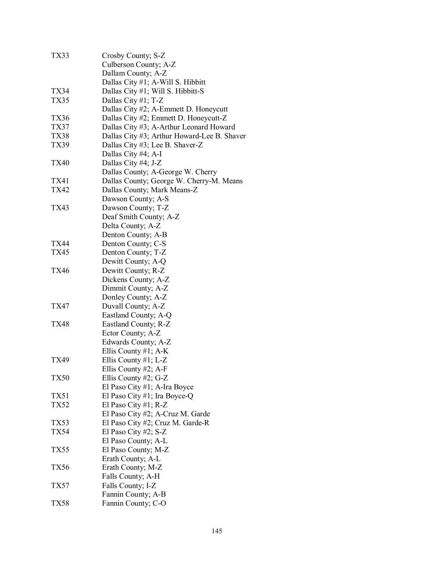| TX33        | Crosby County; S-Z                          |
|-------------|---------------------------------------------|
|             | Culberson County; A-Z                       |
|             | Dallam County; A-Z                          |
|             | Dallas City #1; A-Will S. Hibbitt           |
| <b>TX34</b> | Dallas City #1; Will S. Hibbitt-S           |
| TX35        |                                             |
|             | Dallas City #1; T-Z                         |
|             | Dallas City #2; A-Emmett D. Honeycutt       |
| <b>TX36</b> | Dallas City #2; Emmett D. Honeycutt-Z       |
| <b>TX37</b> | Dallas City #3; A-Arthur Leonard Howard     |
| <b>TX38</b> | Dallas City #3; Arthur Howard-Lee B. Shaver |
| TX39        | Dallas City #3; Lee B. Shaver-Z             |
|             | Dallas City #4; A-I                         |
| <b>TX40</b> | Dallas City #4; J-Z                         |
|             | Dallas County; A-George W. Cherry           |
| <b>TX41</b> | Dallas County; George W. Cherry-M. Means    |
| TX42        | Dallas County; Mark Means-Z                 |
|             | Dawson County; A-S                          |
| <b>TX43</b> | Dawson County; T-Z                          |
|             | Deaf Smith County; A-Z                      |
|             | Delta County; A-Z                           |
|             | Denton County; A-B                          |
| <b>TX44</b> | Denton County; C-S                          |
| <b>TX45</b> |                                             |
|             | Denton County; T-Z                          |
|             | Dewitt County; A-Q                          |
| <b>TX46</b> | Dewitt County; R-Z                          |
|             | Dickens County; A-Z                         |
|             | Dimmit County; A-Z                          |
|             | Donley County; A-Z                          |
| <b>TX47</b> | Duvall County; A-Z                          |
|             | Eastland County; A-Q                        |
| <b>TX48</b> | Eastland County; R-Z                        |
|             | Ector County; A-Z                           |
|             | Edwards County; A-Z                         |
|             | Ellis County #1; $A-K$                      |
| TX49        | Ellis County #1; $L-Z$                      |
|             | Ellis County #2; A-F                        |
| TX50        | Ellis County #2; $G-Z$                      |
|             | El Paso City #1; A-Ira Boyce                |
| <b>TX51</b> | El Paso City #1; Ira Boyce-Q                |
| <b>TX52</b> | El Paso City #1; $R-Z$                      |
|             | El Paso City #2; A-Cruz M. Garde            |
| <b>TX53</b> | El Paso City #2; Cruz M. Garde-R            |
| <b>TX54</b> | El Paso City #2; S-Z                        |
|             | El Paso County; A-L                         |
| TX55        | El Paso County; M-Z                         |
|             | Erath County; A-L                           |
| TX56        | Erath County; M-Z                           |
|             | Falls County; A-H                           |
| TX57        | Falls County; I-Z                           |
|             | Fannin County; A-B                          |
| <b>TX58</b> | Fannin County; C-O                          |
|             |                                             |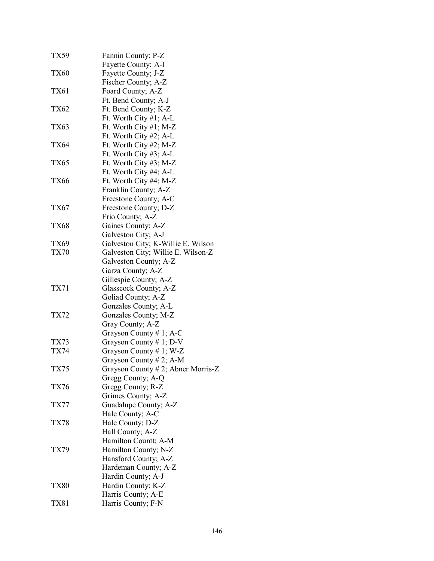| TX59        | Fannin County; P-Z                 |
|-------------|------------------------------------|
|             | Fayette County; A-I                |
| <b>TX60</b> | Fayette County; J-Z                |
|             | Fischer County; A-Z                |
| <b>TX61</b> | Foard County; A-Z                  |
|             | Ft. Bend County; A-J               |
| TX62        | Ft. Bend County; K-Z               |
|             | Ft. Worth City $#1$ ; A-L          |
| TX63        | Ft. Worth City #1; M-Z             |
|             | Ft. Worth City #2; A-L             |
| TX64        | Ft. Worth City #2; M-Z             |
|             | Ft. Worth City #3; A-L             |
| TX65        | Ft. Worth City #3; M-Z             |
|             | Ft. Worth City #4; A-L             |
| TX66        | Ft. Worth City #4; M-Z             |
|             | Franklin County; A-Z               |
|             | Freestone County; A-C              |
| TX67        | Freestone County; D-Z              |
|             |                                    |
|             | Frio County; A-Z                   |
| TX68        | Gaines County; A-Z                 |
|             | Galveston City; A-J                |
| TX69        | Galveston City; K-Willie E. Wilson |
| <b>TX70</b> | Galveston City; Willie E. Wilson-Z |
|             | Galveston County; A-Z              |
|             | Garza County; A-Z                  |
|             | Gillespie County; A-Z              |
| TX71        | Glasscock County; A-Z              |
|             | Goliad County; A-Z                 |
|             | Gonzales County; A-L               |
| TX72        | Gonzales County; M-Z               |
|             | Gray County; A-Z                   |
|             | Grayson County # 1; A-C            |
| TX73        | Grayson County $# 1$ ; D-V         |
| TX74        | Grayson County # 1; W-Z            |
|             | Grayson County # 2; A-M            |
| TX75        | Grayson County # 2; Abner Morris-Z |
|             | Gregg County; A-Q                  |
| TX76        | Gregg County; R-Z                  |
|             | Grimes County; A-Z                 |
| TX77        | Guadalupe County; A-Z              |
|             | Hale County; A-C                   |
| <b>TX78</b> | Hale County; D-Z                   |
|             | Hall County; A-Z                   |
|             | Hamilton Countt; A-M               |
| TX79        | Hamilton County; N-Z               |
|             | Hansford County; A-Z               |
|             | Hardeman County; A-Z               |
|             | Hardin County; A-J                 |
| TX80        | Hardin County; K-Z                 |
|             | Harris County; A-E                 |
| TX81        | Harris County; F-N                 |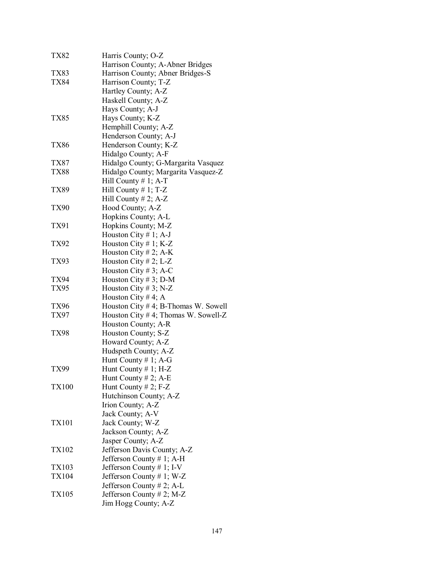| <b>TX82</b>  | Harris County; O-Z                      |
|--------------|-----------------------------------------|
|              | Harrison County; A-Abner Bridges        |
| TX83         | Harrison County; Abner Bridges-S        |
| <b>TX84</b>  | Harrison County; T-Z                    |
|              | Hartley County; A-Z                     |
|              | Haskell County; A-Z                     |
|              | Hays County; A-J                        |
| TX85         | Hays County; K-Z                        |
|              | Hemphill County; A-Z                    |
|              | Henderson County; A-J                   |
| <b>TX86</b>  | Henderson County; K-Z                   |
|              | Hidalgo County; A-F                     |
| TX87         | Hidalgo County; G-Margarita Vasquez     |
| <b>TX88</b>  | Hidalgo County; Margarita Vasquez-Z     |
|              | Hill County $# 1$ ; A-T                 |
| TX89         | Hill County #1; T-Z                     |
|              | Hill County $# 2$ ; A-Z                 |
| <b>TX90</b>  | Hood County; A-Z                        |
|              | Hopkins County; A-L                     |
| <b>TX91</b>  |                                         |
|              | Hopkins County; M-Z                     |
|              | Houston City # 1; A-J                   |
| <b>TX92</b>  | Houston City # 1; $K-Z$                 |
|              | Houston City # 2; A-K                   |
| <b>TX93</b>  | Houston City # 2; L-Z                   |
|              | Houston City #3; A-C                    |
| <b>TX94</b>  | Houston City # 3; D-M                   |
| <b>TX95</b>  | Houston City # 3; N-Z                   |
|              | Houston City #4; A                      |
| TX96         | Houston City $# 4$ ; B-Thomas W. Sowell |
| TX97         | Houston City #4; Thomas W. Sowell-Z     |
|              | Houston County; A-R                     |
| <b>TX98</b>  | Houston County; S-Z                     |
|              | Howard County; A-Z                      |
|              | Hudspeth County; A-Z                    |
|              | Hunt County $# 1$ ; A-G                 |
| <b>TX99</b>  | Hunt County $# 1$ ; H-Z                 |
|              | Hunt County # 2; A-E                    |
| <b>TX100</b> | Hunt County # 2; $F-Z$                  |
|              | Hutchinson County; A-Z                  |
|              | Irion County; A-Z                       |
|              | Jack County; A-V                        |
| <b>TX101</b> | Jack County; W-Z                        |
|              | Jackson County; A-Z                     |
|              | Jasper County; A-Z                      |
| <b>TX102</b> | Jefferson Davis County; A-Z             |
|              | Jefferson County # 1; A-H               |
| TX103        | Jefferson County # 1; I-V               |
| <b>TX104</b> | Jefferson County # 1; W-Z               |
|              | Jefferson County $# 2$ ; A-L            |
| <b>TX105</b> | Jefferson County # 2; M-Z               |
|              | Jim Hogg County; A-Z                    |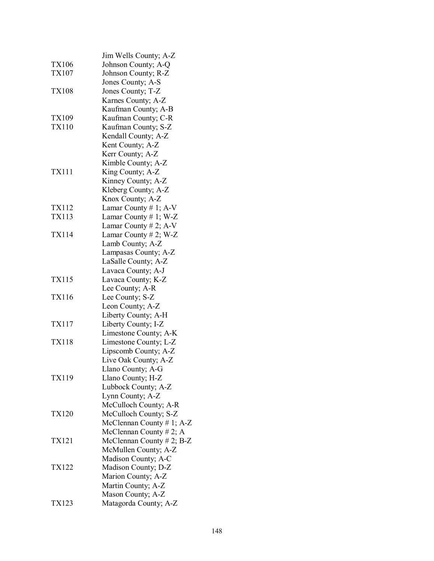|              | Jim Wells County; A-Z        |
|--------------|------------------------------|
| <b>TX106</b> | Johnson County; A-Q          |
| TX107        | Johnson County; R-Z          |
|              | Jones County; A-S            |
| <b>TX108</b> | Jones County; T-Z            |
|              | Karnes County; A-Z           |
|              | Kaufman County; A-B          |
| <b>TX109</b> | Kaufman County; C-R          |
| <b>TX110</b> | Kaufman County; S-Z          |
|              | Kendall County; A-Z          |
|              | Kent County; A-Z             |
|              | Kerr County; A-Z             |
|              | Kimble County; A-Z           |
| <b>TX111</b> | King County; A-Z             |
|              |                              |
|              | Kinney County; A-Z           |
|              | Kleberg County; A-Z          |
|              | Knox County; A-Z             |
| TX112        | Lamar County # 1; A-V        |
| <b>TX113</b> | Lamar County # 1; W-Z        |
|              | Lamar County # 2; A-V        |
| <b>TX114</b> | Lamar County # 2; W-Z        |
|              | Lamb County; A-Z             |
|              | Lampasas County; A-Z         |
|              | LaSalle County; A-Z          |
|              | Lavaca County; A-J           |
| <b>TX115</b> | Lavaca County; K-Z           |
|              | Lee County; A-R              |
| <b>TX116</b> | Lee County; S-Z              |
|              | Leon County; A-Z             |
|              | Liberty County; A-H          |
| <b>TX117</b> | Liberty County; I-Z          |
|              | Limestone County; A-K        |
| <b>TX118</b> | Limestone County; L-Z        |
|              | Lipscomb County; A-Z         |
|              | Live Oak County; A-Z         |
|              | Llano County; A-G            |
| <b>TX119</b> | Llano County; H-Z            |
|              | Lubbock County; A-Z          |
|              | Lynn County; A-Z             |
|              | McCulloch County; A-R        |
| <b>TX120</b> | McCulloch County; S-Z        |
|              | McClennan County $# 1$ ; A-Z |
|              | McClennan County $# 2; A$    |
| <b>TX121</b> | McClennan County $# 2$ ; B-Z |
|              | McMullen County; A-Z         |
|              | Madison County; A-C          |
| <b>TX122</b> | Madison County; D-Z          |
|              | Marion County; A-Z           |
|              | Martin County; A-Z           |
|              | Mason County; A-Z            |
| TX123        | Matagorda County; A-Z        |
|              |                              |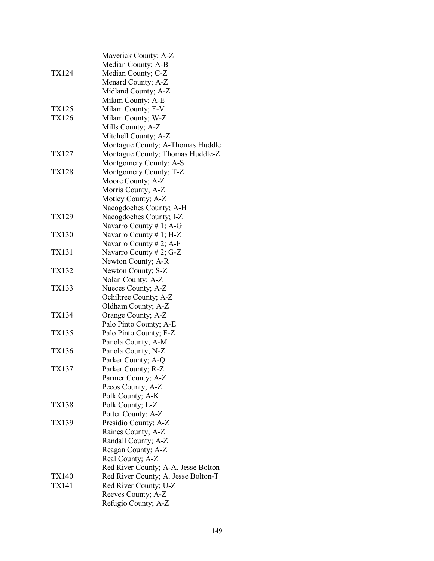|              | Maverick County; A-Z                |
|--------------|-------------------------------------|
|              | Median County; A-B                  |
| <b>TX124</b> | Median County; C-Z                  |
|              | Menard County; A-Z                  |
|              | Midland County; A-Z                 |
|              | Milam County; A-E                   |
| <b>TX125</b> | Milam County; F-V                   |
| <b>TX126</b> | Milam County; W-Z                   |
|              | Mills County; A-Z                   |
|              | Mitchell County; A-Z                |
|              | Montague County; A-Thomas Huddle    |
| TX127        | Montague County; Thomas Huddle-Z    |
|              | Montgomery County; A-S              |
| <b>TX128</b> | Montgomery County; T-Z              |
|              | Moore County; A-Z                   |
|              | Morris County; A-Z                  |
|              | Motley County; A-Z                  |
|              | Nacogdoches County; A-H             |
| <b>TX129</b> | Nacogdoches County; I-Z             |
|              | Navarro County # 1; A-G             |
| <b>TX130</b> | Navarro County # 1; H-Z             |
|              | Navarro County # 2; A-F             |
| <b>TX131</b> | Navarro County # 2; G-Z             |
|              | Newton County; A-R                  |
| <b>TX132</b> | Newton County; S-Z                  |
|              | Nolan County; A-Z                   |
| <b>TX133</b> | Nueces County; A-Z                  |
|              | Ochiltree County; A-Z               |
|              | Oldham County; A-Z                  |
| <b>TX134</b> | Orange County; A-Z                  |
|              | Palo Pinto County; A-E              |
| <b>TX135</b> | Palo Pinto County; F-Z              |
|              | Panola County; A-M                  |
| <b>TX136</b> | Panola County; N-Z                  |
|              | Parker County; A-Q                  |
| <b>TX137</b> | Parker County; R-Z                  |
|              | Parmer County; A-Z                  |
|              | Pecos County; A-Z                   |
|              | Polk County; A-K                    |
| <b>TX138</b> | Polk County; L-Z                    |
|              | Potter County; A-Z                  |
| <b>TX139</b> | Presidio County; A-Z                |
|              | Raines County; A-Z                  |
|              | Randall County; A-Z                 |
|              | Reagan County; A-Z                  |
|              | Real County; A-Z                    |
|              | Red River County; A-A. Jesse Bolton |
| <b>TX140</b> | Red River County; A. Jesse Bolton-T |
| <b>TX141</b> | Red River County; U-Z               |
|              | Reeves County; A-Z                  |
|              | Refugio County; A-Z                 |
|              |                                     |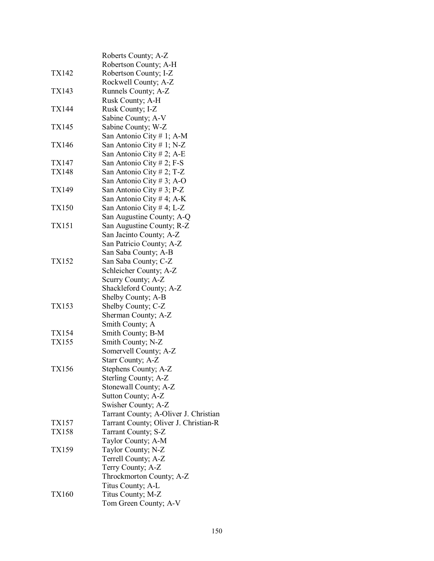|              | Roberts County; A-Z                   |
|--------------|---------------------------------------|
|              | Robertson County; A-H                 |
| TX142        | Robertson County; I-Z                 |
|              | Rockwell County; A-Z                  |
| TX143        | Runnels County; A-Z                   |
|              | Rusk County; A-H                      |
| TX144        | Rusk County; I-Z                      |
|              | Sabine County; A-V                    |
| <b>TX145</b> | Sabine County; W-Z                    |
|              | San Antonio City # 1; A-M             |
| <b>TX146</b> | San Antonio City # 1; N-Z             |
|              | San Antonio City # 2; A-E             |
| TX147        | San Antonio City # 2; F-S             |
| <b>TX148</b> | San Antonio City # 2; T-Z             |
|              |                                       |
| TX149        | San Antonio City #3; A-O              |
|              | San Antonio City # 3; P-Z             |
|              | San Antonio City # 4; A-K             |
| <b>TX150</b> | San Antonio City # 4; L-Z             |
|              | San Augustine County; A-Q             |
| TX151        | San Augustine County; R-Z             |
|              | San Jacinto County; A-Z               |
|              | San Patricio County; A-Z              |
|              | San Saba County; A-B                  |
| TX152        | San Saba County; C-Z                  |
|              | Schleicher County; A-Z                |
|              | Scurry County; A-Z                    |
|              | Shackleford County; A-Z               |
|              | Shelby County; A-B                    |
| <b>TX153</b> | Shelby County; C-Z                    |
|              | Sherman County; A-Z                   |
|              | Smith County; A                       |
| TX154        | Smith County; B-M                     |
| <b>TX155</b> | Smith County; N-Z                     |
|              | Somervell County; A-Z                 |
|              | Starr County; A-Z                     |
| <b>TX156</b> | Stephens County; A-Z                  |
|              | Sterling County; A-Z                  |
|              | Stonewall County; A-Z                 |
|              | Sutton County; A-Z                    |
|              | Swisher County; A-Z                   |
|              | Tarrant County; A-Oliver J. Christian |
| TX157        | Tarrant County; Oliver J. Christian-R |
| <b>TX158</b> | Tarrant County; S-Z                   |
|              | Taylor County; A-M                    |
| <b>TX159</b> | Taylor County; N-Z                    |
|              | Terrell County; A-Z                   |
|              |                                       |
|              | Terry County; A-Z                     |
|              | Throckmorton County; A-Z              |
|              | Titus County; A-L                     |
| <b>TX160</b> | Titus County; M-Z                     |
|              | Tom Green County; A-V                 |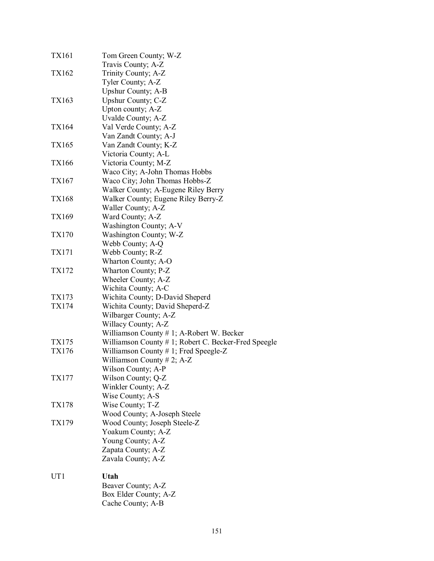| <b>TX161</b>    | Tom Green County; W-Z                                |
|-----------------|------------------------------------------------------|
|                 | Travis County; A-Z                                   |
| TX162           | Trinity County; A-Z                                  |
|                 | Tyler County; A-Z                                    |
|                 | Upshur County; A-B                                   |
| TX163           | Upshur County; C-Z                                   |
|                 | Upton county; A-Z                                    |
|                 | Uvalde County; A-Z                                   |
| <b>TX164</b>    | Val Verde County; A-Z                                |
|                 | Van Zandt County; A-J                                |
| <b>TX165</b>    | Van Zandt County; K-Z                                |
|                 | Victoria County; A-L                                 |
| <b>TX166</b>    | Victoria County; M-Z                                 |
|                 | Waco City; A-John Thomas Hobbs                       |
| TX167           | Waco City; John Thomas Hobbs-Z                       |
|                 | Walker County; A-Eugene Riley Berry                  |
| <b>TX168</b>    | Walker County; Eugene Riley Berry-Z                  |
|                 | Waller County; A-Z                                   |
| TX169           | Ward County; A-Z                                     |
|                 |                                                      |
|                 | Washington County; A-V                               |
| <b>TX170</b>    | Washington County; W-Z                               |
|                 | Webb County; A-Q                                     |
| TX171           | Webb County; R-Z                                     |
|                 | Wharton County; A-O                                  |
| TX172           | Wharton County; P-Z                                  |
|                 | Wheeler County; A-Z                                  |
|                 | Wichita County; A-C                                  |
| TX173           | Wichita County; D-David Sheperd                      |
| TX174           | Wichita County; David Sheperd-Z                      |
|                 | Wilbarger County; A-Z                                |
|                 | Willacy County; A-Z                                  |
|                 | Williamson County # 1; A-Robert W. Becker            |
| TX175           | Williamson County # 1; Robert C. Becker-Fred Speegle |
| TX176           | Williamson County $# 1$ ; Fred Speegle-Z             |
|                 | Williamson County # 2; A-Z                           |
|                 | Wilson County; A-P                                   |
| TX177           | Wilson County; Q-Z                                   |
|                 | Winkler County; A-Z                                  |
|                 | Wise County; A-S                                     |
| <b>TX178</b>    | Wise County; T-Z                                     |
|                 | Wood County; A-Joseph Steele                         |
| TX179           | Wood County; Joseph Steele-Z                         |
|                 | Yoakum County; A-Z                                   |
|                 | Young County; A-Z                                    |
|                 | Zapata County; A-Z                                   |
|                 | Zavala County; A-Z                                   |
| UT <sub>1</sub> | Utah                                                 |
|                 | Beaver County; A-Z                                   |
|                 | Box Elder County; A-Z                                |
|                 | Cache County; A-B                                    |
|                 |                                                      |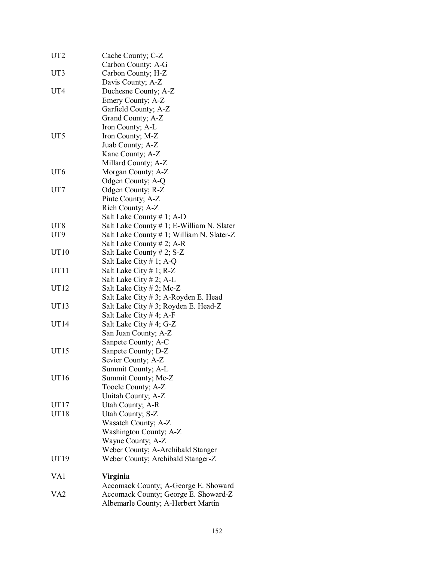| UT <sub>2</sub>  | Cache County; C-Z                         |
|------------------|-------------------------------------------|
|                  | Carbon County; A-G                        |
| UT3              | Carbon County; H-Z                        |
|                  | Davis County; A-Z                         |
| UT <sub>4</sub>  | Duchesne County; A-Z                      |
|                  | Emery County; A-Z                         |
|                  | Garfield County; A-Z                      |
|                  | Grand County; A-Z                         |
|                  | Iron County; A-L                          |
| UT5              | Iron County; M-Z                          |
|                  | Juab County; A-Z                          |
|                  | Kane County; A-Z                          |
|                  | Millard County; A-Z                       |
| UT <sub>6</sub>  | Morgan County; A-Z                        |
|                  | Odgen County; A-Q                         |
| UT7              | Odgen County; R-Z                         |
|                  | Piute County; A-Z                         |
|                  | Rich County; A-Z                          |
|                  | Salt Lake County $# 1$ ; A-D              |
| UT <sub>8</sub>  | Salt Lake County # 1; E-William N. Slater |
| UT <sub>9</sub>  | Salt Lake County # 1; William N. Slater-Z |
|                  | Salt Lake County $# 2$ ; A-R              |
| UT10             | Salt Lake County # 2; S-Z                 |
|                  | Salt Lake City # 1; A-Q                   |
| UT11             | Salt Lake City $# 1$ ; R-Z                |
|                  | Salt Lake City $# 2$ ; A-L                |
| UT12             | Salt Lake City $# 2$ ; Mc-Z               |
|                  | Salt Lake City # 3; A-Royden E. Head      |
| UT13             | Salt Lake City # 3; Royden E. Head-Z      |
|                  | Salt Lake City # 4; A-F                   |
| UT14             | Salt Lake City # 4; G-Z                   |
|                  | San Juan County; A-Z                      |
|                  | Sanpete County; A-C                       |
| UT <sub>15</sub> | Sanpete County; D-Z                       |
|                  | Sevier County; A-Z                        |
|                  | Summit County; A-L                        |
| UT <sub>16</sub> | Summit County; Mc-Z                       |
|                  | Tooele County; A-Z                        |
|                  | Unitah County; A-Z                        |
| UT17             | Utah County; A-R                          |
| UT18             | Utah County; S-Z                          |
|                  | Wasatch County; A-Z                       |
|                  | Washington County; A-Z                    |
|                  | Wayne County; A-Z                         |
|                  | Weber County; A-Archibald Stanger         |
| UT19             | Weber County; Archibald Stanger-Z         |
| VA1              | Virginia                                  |
|                  | Accomack County; A-George E. Showard      |
| VA <sub>2</sub>  | Accomack County; George E. Showard-Z      |
|                  | Albemarle County; A-Herbert Martin        |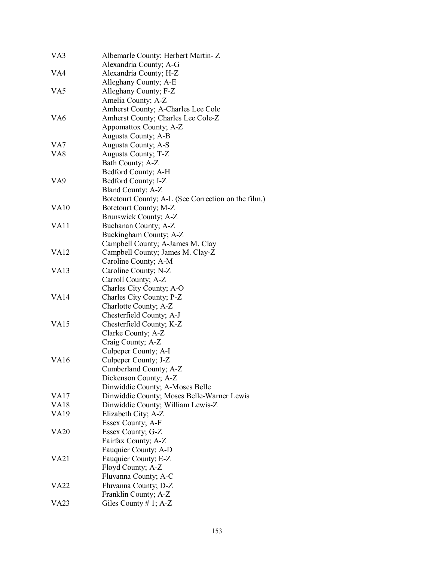| VA3              | Albemarle County; Herbert Martin-Z                  |
|------------------|-----------------------------------------------------|
|                  | Alexandria County; A-G                              |
| VA4              | Alexandria County; H-Z                              |
|                  | Alleghany County; A-E                               |
| VA <sub>5</sub>  | Alleghany County; F-Z                               |
|                  | Amelia County; A-Z                                  |
|                  | Amherst County; A-Charles Lee Cole                  |
| VA <sub>6</sub>  | Amherst County; Charles Lee Cole-Z                  |
|                  | Appomattox County; A-Z                              |
|                  | Augusta County; A-B                                 |
| VA7              | Augusta County; A-S                                 |
| VA8              | Augusta County; T-Z                                 |
|                  | Bath County; A-Z                                    |
|                  | Bedford County; A-H                                 |
| VA <sub>9</sub>  | Bedford County; I-Z                                 |
|                  | Bland County; A-Z                                   |
|                  | Botetourt County; A-L (See Correction on the film.) |
| VA10             | Botetourt County; M-Z                               |
|                  | Brunswick County; A-Z                               |
| VA <sub>11</sub> | Buchanan County; A-Z                                |
|                  | Buckingham County; A-Z                              |
|                  | Campbell County; A-James M. Clay                    |
| VA <sub>12</sub> | Campbell County; James M. Clay-Z                    |
|                  | Caroline County; A-M                                |
| <b>VA13</b>      | Caroline County; N-Z                                |
|                  | Carroll County; A-Z                                 |
|                  | Charles City County; A-O                            |
| <b>VA14</b>      | Charles City County; P-Z                            |
|                  | Charlotte County; A-Z                               |
|                  | Chesterfield County; A-J                            |
| <b>VA15</b>      | Chesterfield County; K-Z                            |
|                  | Clarke County; A-Z                                  |
|                  | Craig County; A-Z                                   |
|                  | Culpeper County; A-I                                |
| VA <sub>16</sub> | Culpeper County; J-Z                                |
|                  | Cumberland County; A-Z                              |
|                  | Dickenson County; A-Z                               |
|                  | Dinwiddie County; A-Moses Belle                     |
| <b>VA17</b>      | Dinwiddie County; Moses Belle-Warner Lewis          |
| <b>VA18</b>      | Dinwiddie County; William Lewis-Z                   |
| <b>VA19</b>      | Elizabeth City; A-Z                                 |
|                  | Essex County; A-F                                   |
| <b>VA20</b>      | Essex County; G-Z                                   |
|                  | Fairfax County; A-Z                                 |
|                  | Fauquier County; A-D                                |
| VA <sub>21</sub> | Fauquier County; E-Z                                |
|                  | Floyd County; A-Z                                   |
|                  | Fluvanna County; A-C                                |
| VA <sub>22</sub> | Fluvanna County; D-Z                                |
|                  | Franklin County; A-Z                                |
| <b>VA23</b>      | Giles County # 1; $A-Z$                             |
|                  |                                                     |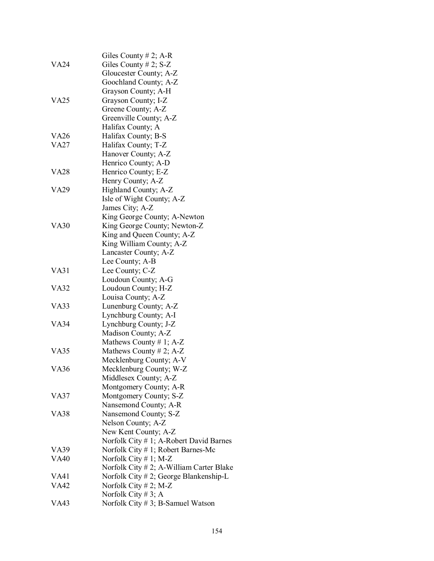|                  | Giles County $# 2$ ; A-R                 |
|------------------|------------------------------------------|
| VA24             | Giles County # 2; $S-Z$                  |
|                  | Gloucester County; A-Z                   |
|                  | Goochland County; A-Z                    |
|                  | Grayson County; A-H                      |
| VA <sub>25</sub> | Grayson County; I-Z                      |
|                  | Greene County; A-Z                       |
|                  | Greenville County; A-Z                   |
|                  | Halifax County; A                        |
| VA26             | Halifax County; B-S                      |
| <b>VA27</b>      | Halifax County; T-Z                      |
|                  | Hanover County; A-Z                      |
|                  | Henrico County; A-D                      |
| <b>VA28</b>      | Henrico County; E-Z                      |
|                  | Henry County; A-Z                        |
| <b>VA29</b>      | Highland County; A-Z                     |
|                  | Isle of Wight County; A-Z                |
|                  | James City; A-Z                          |
|                  | King George County; A-Newton             |
| <b>VA30</b>      | King George County; Newton-Z             |
|                  | King and Queen County; A-Z               |
|                  | King William County; A-Z                 |
|                  | Lancaster County; A-Z                    |
|                  | Lee County; A-B                          |
| VA31             | Lee County; C-Z                          |
|                  | Loudoun County; A-G                      |
| <b>VA32</b>      | Loudoun County; H-Z                      |
|                  | Louisa County; A-Z                       |
| VA33             | Lunenburg County; A-Z                    |
|                  | Lynchburg County; A-I                    |
| <b>VA34</b>      | Lynchburg County; J-Z                    |
|                  | Madison County; A-Z                      |
|                  | Mathews County # 1; $A-Z$                |
| VA35             | Mathews County # 2; $A-Z$                |
|                  | Mecklenburg County; A-V                  |
| <b>VA36</b>      | Mecklenburg County; W-Z                  |
|                  | Middlesex County; A-Z                    |
|                  | Montgomery County; A-R                   |
| VA37             | Montgomery County; S-Z                   |
|                  | Nansemond County; A-R                    |
| VA38             | Nansemond County; S-Z                    |
|                  | Nelson County; A-Z                       |
|                  | New Kent County; A-Z                     |
|                  | Norfolk City # 1; A-Robert David Barnes  |
| VA39             | Norfolk City # 1; Robert Barnes-Mc       |
| <b>VA40</b>      | Norfolk City $# 1$ ; M-Z                 |
|                  | Norfolk City # 2; A-William Carter Blake |
| VA41             | Norfolk City #2; George Blankenship-L    |
| VA42             | Norfolk City $# 2$ ; M-Z                 |
|                  | Norfolk City # 3; A                      |
| VA43             | Norfolk City $# 3$ ; B-Samuel Watson     |
|                  |                                          |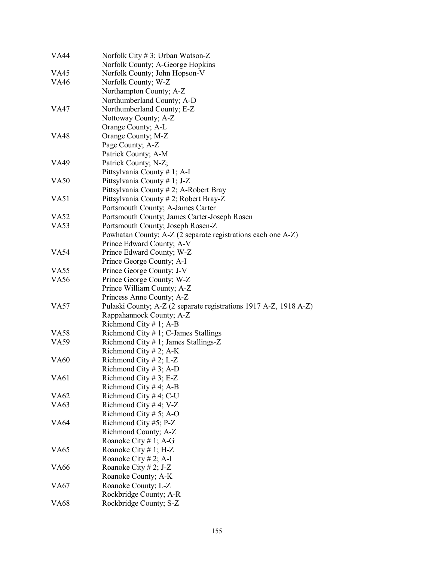| VA44             | Norfolk City # 3; Urban Watson-Z                                  |
|------------------|-------------------------------------------------------------------|
|                  | Norfolk County; A-George Hopkins                                  |
| VA45             | Norfolk County; John Hopson-V                                     |
| <b>VA46</b>      | Norfolk County; W-Z                                               |
|                  | Northampton County; A-Z                                           |
|                  | Northumberland County; A-D                                        |
| <b>VA47</b>      | Northumberland County; E-Z                                        |
|                  | Nottoway County; A-Z                                              |
|                  | Orange County; A-L                                                |
| <b>VA48</b>      | Orange County; M-Z                                                |
|                  | Page County; A-Z                                                  |
|                  | Patrick County; A-M                                               |
| <b>VA49</b>      | Patrick County; N-Z;                                              |
|                  | Pittsylvania County # 1; A-I                                      |
| <b>VA50</b>      | Pittsylvania County # 1; J-Z                                      |
|                  | Pittsylvania County # 2; A-Robert Bray                            |
| V <sub>A51</sub> | Pittsylvania County # 2; Robert Bray-Z                            |
|                  | Portsmouth County; A-James Carter                                 |
| <b>VA52</b>      | Portsmouth County; James Carter-Joseph Rosen                      |
| <b>VA53</b>      | Portsmouth County; Joseph Rosen-Z                                 |
|                  | Powhatan County; A-Z (2 separate registrations each one A-Z)      |
|                  | Prince Edward County; A-V                                         |
| VA54             | Prince Edward County; W-Z                                         |
|                  | Prince George County; A-I                                         |
| VA <sub>55</sub> | Prince George County; J-V                                         |
| <b>VA56</b>      | Prince George County; W-Z                                         |
|                  | Prince William County; A-Z                                        |
|                  | Princess Anne County; A-Z                                         |
| <b>VA57</b>      | Pulaski County; A-Z (2 separate registrations 1917 A-Z, 1918 A-Z) |
|                  | Rappahannock County; A-Z                                          |
|                  | Richmond City # 1; A-B                                            |
| <b>VA58</b>      | Richmond City # 1; C-James Stallings                              |
| <b>VA59</b>      | Richmond City $# 1$ ; James Stallings-Z                           |
|                  | Richmond City # 2; A-K                                            |
| <b>VA60</b>      | Richmond City # 2; L-Z                                            |
|                  | Richmond City $# 3$ ; A-D                                         |
| VA61             | Richmond City # 3; E-Z                                            |
|                  | Richmond City # 4; A-B                                            |
| VA62             | Richmond City # 4; $C$ -U                                         |
| VA63             | Richmond City # 4; V-Z                                            |
|                  | Richmond City # 5; A-O                                            |
| <b>VA64</b>      | Richmond City #5; P-Z                                             |
|                  | Richmond County; A-Z                                              |
|                  | Roanoke City # 1; A-G                                             |
| VA <sub>65</sub> | Roanoke City # 1; H-Z                                             |
|                  | Roanoke City $# 2$ ; A-I                                          |
| <b>VA66</b>      | Roanoke City $# 2; J-Z$                                           |
|                  | Roanoke County; A-K                                               |
| VA67             | Roanoke County; L-Z                                               |
|                  | Rockbridge County; A-R                                            |
| VA68             | Rockbridge County; S-Z                                            |
|                  |                                                                   |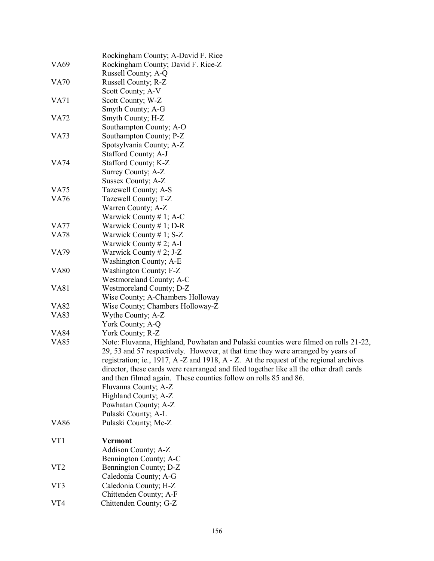|                 | Rockingham County; A-David F. Rice                                                                                                                                                                                                                                                                                                                                                                                                                       |
|-----------------|----------------------------------------------------------------------------------------------------------------------------------------------------------------------------------------------------------------------------------------------------------------------------------------------------------------------------------------------------------------------------------------------------------------------------------------------------------|
| <b>VA69</b>     | Rockingham County; David F. Rice-Z                                                                                                                                                                                                                                                                                                                                                                                                                       |
|                 | Russell County; A-Q                                                                                                                                                                                                                                                                                                                                                                                                                                      |
| <b>VA70</b>     | Russell County; R-Z                                                                                                                                                                                                                                                                                                                                                                                                                                      |
|                 | Scott County; A-V                                                                                                                                                                                                                                                                                                                                                                                                                                        |
| <b>VA71</b>     | Scott County; W-Z                                                                                                                                                                                                                                                                                                                                                                                                                                        |
|                 | Smyth County; A-G                                                                                                                                                                                                                                                                                                                                                                                                                                        |
| <b>VA72</b>     | Smyth County; H-Z                                                                                                                                                                                                                                                                                                                                                                                                                                        |
|                 | Southampton County; A-O                                                                                                                                                                                                                                                                                                                                                                                                                                  |
| <b>VA73</b>     | Southampton County; P-Z                                                                                                                                                                                                                                                                                                                                                                                                                                  |
|                 | Spotsylvania County; A-Z                                                                                                                                                                                                                                                                                                                                                                                                                                 |
|                 | Stafford County; A-J                                                                                                                                                                                                                                                                                                                                                                                                                                     |
| <b>VA74</b>     | Stafford County; K-Z                                                                                                                                                                                                                                                                                                                                                                                                                                     |
|                 | Surrey County; A-Z                                                                                                                                                                                                                                                                                                                                                                                                                                       |
|                 | Sussex County; A-Z                                                                                                                                                                                                                                                                                                                                                                                                                                       |
| <b>VA75</b>     | Tazewell County; A-S                                                                                                                                                                                                                                                                                                                                                                                                                                     |
| <b>VA76</b>     | Tazewell County; T-Z                                                                                                                                                                                                                                                                                                                                                                                                                                     |
|                 | Warren County; A-Z                                                                                                                                                                                                                                                                                                                                                                                                                                       |
|                 | Warwick County # 1; A-C                                                                                                                                                                                                                                                                                                                                                                                                                                  |
| <b>VA77</b>     | Warwick County $# 1$ ; D-R                                                                                                                                                                                                                                                                                                                                                                                                                               |
| <b>VA78</b>     | Warwick County # 1; $S-Z$                                                                                                                                                                                                                                                                                                                                                                                                                                |
|                 | Warwick County # 2; A-I                                                                                                                                                                                                                                                                                                                                                                                                                                  |
| <b>VA79</b>     | Warwick County # 2; J-Z                                                                                                                                                                                                                                                                                                                                                                                                                                  |
|                 | Washington County; A-E                                                                                                                                                                                                                                                                                                                                                                                                                                   |
| <b>VA80</b>     | Washington County; F-Z                                                                                                                                                                                                                                                                                                                                                                                                                                   |
|                 | Westmoreland County; A-C                                                                                                                                                                                                                                                                                                                                                                                                                                 |
| <b>VA81</b>     | Westmoreland County; D-Z                                                                                                                                                                                                                                                                                                                                                                                                                                 |
|                 | Wise County; A-Chambers Holloway                                                                                                                                                                                                                                                                                                                                                                                                                         |
| <b>VA82</b>     | Wise County; Chambers Holloway-Z                                                                                                                                                                                                                                                                                                                                                                                                                         |
| <b>VA83</b>     | Wythe County; A-Z                                                                                                                                                                                                                                                                                                                                                                                                                                        |
|                 | York County; A-Q                                                                                                                                                                                                                                                                                                                                                                                                                                         |
| <b>VA84</b>     | York County; R-Z                                                                                                                                                                                                                                                                                                                                                                                                                                         |
| <b>VA85</b>     | Note: Fluvanna, Highland, Powhatan and Pulaski counties were filmed on rolls 21-22,<br>29, 53 and 57 respectively. However, at that time they were arranged by years of<br>registration; ie., 1917, A -Z and 1918, A - Z. At the request of the regional archives<br>director, these cards were rearranged and filed together like all the other draft cards<br>and then filmed again. These counties follow on rolls 85 and 86.<br>Fluvanna County; A-Z |
|                 | Highland County; A-Z                                                                                                                                                                                                                                                                                                                                                                                                                                     |
|                 | Powhatan County; A-Z                                                                                                                                                                                                                                                                                                                                                                                                                                     |
|                 | Pulaski County; A-L                                                                                                                                                                                                                                                                                                                                                                                                                                      |
| <b>VA86</b>     | Pulaski County; Mc-Z                                                                                                                                                                                                                                                                                                                                                                                                                                     |
| VT1             | <b>Vermont</b>                                                                                                                                                                                                                                                                                                                                                                                                                                           |
|                 | Addison County; A-Z                                                                                                                                                                                                                                                                                                                                                                                                                                      |
|                 | Bennington County; A-C                                                                                                                                                                                                                                                                                                                                                                                                                                   |
| VT <sub>2</sub> | Bennington County; D-Z                                                                                                                                                                                                                                                                                                                                                                                                                                   |
|                 | Caledonia County; A-G                                                                                                                                                                                                                                                                                                                                                                                                                                    |
| VT3             | Caledonia County; H-Z                                                                                                                                                                                                                                                                                                                                                                                                                                    |
|                 | Chittenden County; A-F                                                                                                                                                                                                                                                                                                                                                                                                                                   |
| VT4             | Chittenden County; G-Z                                                                                                                                                                                                                                                                                                                                                                                                                                   |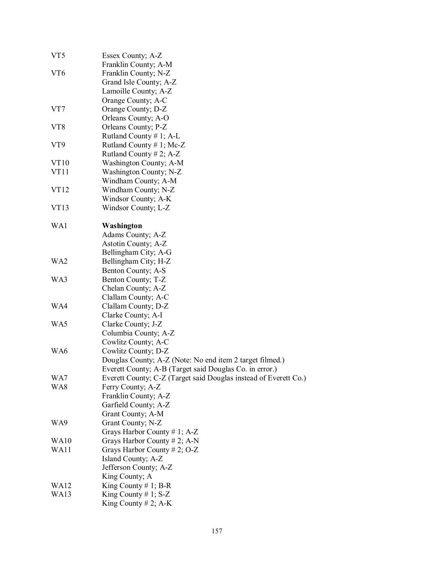| VT5              | Essex County; A-Z                                                |  |
|------------------|------------------------------------------------------------------|--|
|                  | Franklin County; A-M                                             |  |
| VT6              | Franklin County; N-Z                                             |  |
|                  | Grand Isle County; A-Z                                           |  |
|                  | Lamoille County; A-Z                                             |  |
|                  | Orange County; A-C                                               |  |
| VT7              | Orange County; D-Z                                               |  |
|                  | Orleans County; A-O                                              |  |
| VT8              | Orleans County; P-Z                                              |  |
|                  | Rutland County $# 1$ ; A-L                                       |  |
| VT9              | Rutland County # 1; Mc-Z                                         |  |
|                  | Rutland County # 2; $A-Z$                                        |  |
| VT <sub>10</sub> | Washington County; A-M                                           |  |
| VT11             | Washington County; N-Z                                           |  |
|                  | Windham County; A-M                                              |  |
| VT <sub>12</sub> | Windham County; N-Z                                              |  |
|                  | Windsor County; A-K                                              |  |
| VT13             | Windsor County; L-Z                                              |  |
|                  |                                                                  |  |
| WA1              | Washington                                                       |  |
|                  | Adams County; A-Z                                                |  |
|                  | Astotin County; A-Z                                              |  |
|                  | Bellingham City; A-G                                             |  |
| WA2              | Bellingham City; H-Z                                             |  |
|                  | Benton County; A-S                                               |  |
| WA3              | Benton County; T-Z                                               |  |
|                  | Chelan County; A-Z                                               |  |
|                  | Clallam County; A-C                                              |  |
| WA4              | Clallam County; D-Z                                              |  |
| WA5              | Clarke County; A-I                                               |  |
|                  | Clarke County; J-Z                                               |  |
|                  | Columbia County; A-Z                                             |  |
| WA6              | Cowlitz County; A-C                                              |  |
|                  | Cowlitz County; D-Z                                              |  |
|                  | Douglas County; A-Z (Note: No end item 2 target filmed.)         |  |
| WA7              | Everett County; A-B (Target said Douglas Co. in error.)          |  |
|                  | Everett County; C-Z (Target said Douglas instead of Everett Co.) |  |
| WA8              | Ferry County; A-Z                                                |  |
|                  | Franklin County; A-Z                                             |  |
|                  | Garfield County; A-Z                                             |  |
|                  | Grant County; A-M                                                |  |
| WA9              | Grant County; N-Z                                                |  |
|                  | Grays Harbor County # 1; $A-Z$                                   |  |
| <b>WA10</b>      | Grays Harbor County # 2; A-N                                     |  |
| WA11             | Grays Harbor County # 2; O-Z                                     |  |
|                  | Island County; A-Z                                               |  |
|                  | Jefferson County; A-Z                                            |  |
|                  | King County; A                                                   |  |
| WA12             | King County $# 1$ ; B-R                                          |  |
| WA13             | King County # 1; $S-Z$                                           |  |
|                  | King County # 2; A-K                                             |  |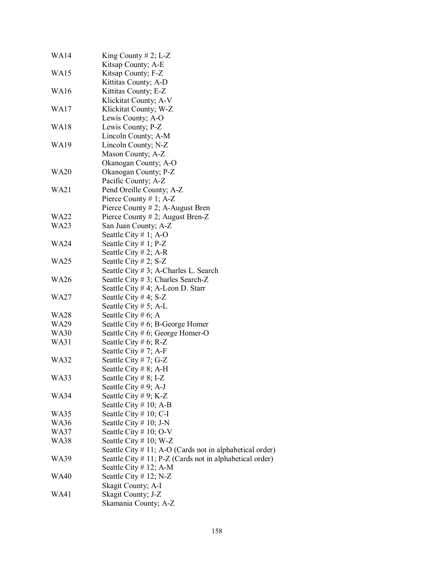| <b>WA14</b> | King County $# 2$ ; L-Z                                     |
|-------------|-------------------------------------------------------------|
|             | Kitsap County; A-E                                          |
| WA15        | Kitsap County; F-Z                                          |
|             | Kittitas County; A-D                                        |
| WA16        | Kittitas County; E-Z                                        |
|             | Klickitat County; A-V                                       |
| WA17        | Klickitat County; W-Z                                       |
|             | Lewis County; A-O                                           |
| <b>WA18</b> | Lewis County; P-Z                                           |
|             | Lincoln County; A-M                                         |
| WA19        | Lincoln County; N-Z                                         |
|             | Mason County; A-Z                                           |
|             | Okanogan County; A-O                                        |
| <b>WA20</b> | Okanogan County; P-Z                                        |
|             | Pacific County; A-Z                                         |
| <b>WA21</b> | Pend Oreille County; A-Z                                    |
|             | Pierce County # 1; $A-Z$                                    |
|             | Pierce County $# 2$ ; A-August Bren                         |
| <b>WA22</b> | Pierce County # 2; August Bren-Z                            |
| WA23        | San Juan County; A-Z                                        |
|             | Seattle City # 1; A-O                                       |
| <b>WA24</b> | Seattle City $# 1$ ; P-Z                                    |
|             | Seattle City # 2; A-R                                       |
| <b>WA25</b> | Seattle City # 2; $S-Z$                                     |
|             |                                                             |
|             | Seattle City # 3; A-Charles L. Search                       |
| <b>WA26</b> | Seattle City # 3; Charles Search-Z                          |
|             | Seattle City # 4; A-Leon D. Starr                           |
| WA27        | Seattle City # 4; S-Z                                       |
|             | Seattle City # 5; A-L                                       |
| WA28        | Seattle City # 6; A                                         |
| <b>WA29</b> | Seattle City # 6; B-George Homer                            |
| <b>WA30</b> | Seattle City # 6; George Homer-O                            |
| WA31        | Seattle City # 6; R-Z                                       |
|             | Seattle City # 7; A-F                                       |
| <b>WA32</b> | Seattle City # 7; G-Z                                       |
|             | Seattle City # 8; A-H                                       |
| WA33        | Seattle City $# 8$ ; I-Z                                    |
|             | Seattle City # 9; A-J                                       |
| WA34        | Seattle City # 9; K-Z                                       |
|             | Seattle City $# 10$ ; A-B                                   |
| WA35        | Seattle City # 10; C-I                                      |
| WA36        | Seattle City $# 10$ ; J-N                                   |
| WA37        | Seattle City # 10; O-V                                      |
| <b>WA38</b> | Seattle City # 10; W-Z                                      |
|             | Seattle City # 11; A-O (Cards not in alphabetical order)    |
| WA39        | Seattle City $# 11$ ; P-Z (Cards not in alphabetical order) |
|             | Seattle City # 12; A-M                                      |
| <b>WA40</b> | Seattle City # 12; $N-Z$                                    |
|             | Skagit County; A-I                                          |
| WA41        | Skagit County; J-Z                                          |
|             | Skamania County; A-Z                                        |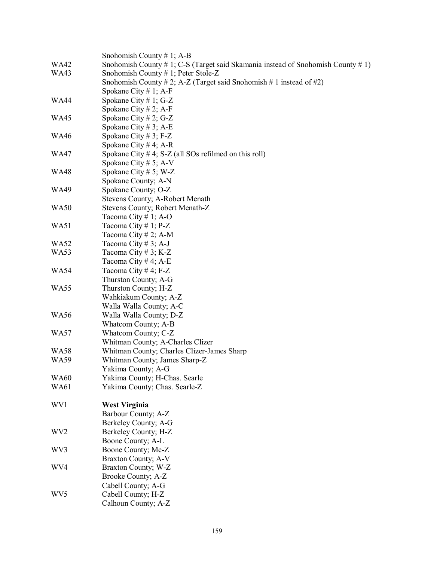|                 | Snohomish County # 1; A-B                                                              |
|-----------------|----------------------------------------------------------------------------------------|
| <b>WA42</b>     | Snohomish County $\#$ 1; C-S (Target said Skamania instead of Snohomish County $\#$ 1) |
| <b>WA43</b>     | Snohomish County # 1; Peter Stole-Z                                                    |
|                 | Snohomish County # 2; A-Z (Target said Snohomish # 1 instead of #2)                    |
|                 | Spokane City # 1; A-F                                                                  |
| <b>WA44</b>     | Spokane City # 1; G-Z                                                                  |
|                 | Spokane City # 2; A-F                                                                  |
| <b>WA45</b>     | Spokane City # 2; G-Z                                                                  |
|                 | Spokane City # 3; A-E                                                                  |
| <b>WA46</b>     | Spokane City # 3; F-Z                                                                  |
|                 | Spokane City #4; A-R                                                                   |
| <b>WA47</b>     | Spokane City #4; S-Z (all SOs refilmed on this roll)                                   |
|                 | Spokane City # 5; A-V                                                                  |
| <b>WA48</b>     | Spokane City # 5; W-Z                                                                  |
|                 | Spokane County; A-N                                                                    |
| <b>WA49</b>     | Spokane County; O-Z                                                                    |
|                 | Stevens County; A-Robert Menath                                                        |
| <b>WA50</b>     | Stevens County; Robert Menath-Z                                                        |
|                 | Tacoma City # 1; A-O                                                                   |
| WA51            | Tacoma City # 1; $P-Z$                                                                 |
|                 | Tacoma City # 2; A-M                                                                   |
| <b>WA52</b>     | Tacoma City #3; A-J                                                                    |
| WA53            | Tacoma City #3; K-Z                                                                    |
|                 | Tacoma City #4; A-E                                                                    |
| <b>WA54</b>     | Tacoma City #4; F-Z                                                                    |
|                 | Thurston County; A-G                                                                   |
| WA55            |                                                                                        |
|                 | Thurston County; H-Z                                                                   |
|                 | Wahkiakum County; A-Z                                                                  |
| <b>WA56</b>     | Walla Walla County; A-C                                                                |
|                 | Walla Walla County; D-Z                                                                |
|                 | Whatcom County; A-B                                                                    |
| <b>WA57</b>     | Whatcom County; C-Z                                                                    |
|                 | Whitman County; A-Charles Clizer                                                       |
| <b>WA58</b>     | Whitman County; Charles Clizer-James Sharp                                             |
| <b>WA59</b>     | Whitman County; James Sharp-Z                                                          |
|                 | Yakima County; A-G                                                                     |
| <b>WA60</b>     | Yakima County; H-Chas. Searle                                                          |
| <b>WA61</b>     | Yakima County; Chas. Searle-Z                                                          |
|                 |                                                                                        |
| WV1             | <b>West Virginia</b>                                                                   |
|                 | Barbour County; A-Z                                                                    |
|                 | Berkeley County; A-G                                                                   |
| WV <sub>2</sub> | Berkeley County; H-Z                                                                   |
|                 | Boone County; A-L                                                                      |
| WV3             | Boone County; Mc-Z                                                                     |
|                 | Braxton County; A-V                                                                    |
| WV4             | Braxton County; W-Z                                                                    |
|                 | Brooke County; A-Z                                                                     |
|                 | Cabell County; A-G                                                                     |
| WV <sub>5</sub> | Cabell County; H-Z                                                                     |
|                 | Calhoun County; A-Z                                                                    |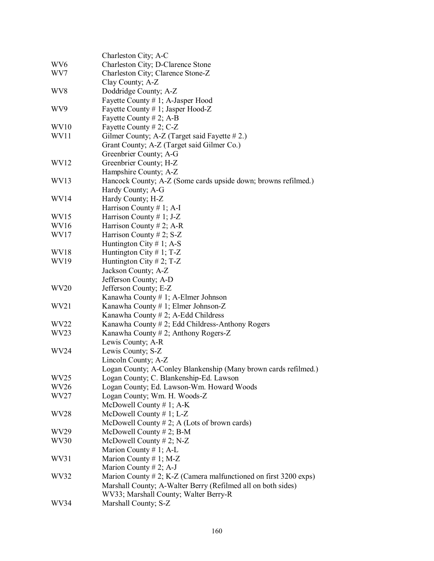|                  | Charleston City; A-C                                                  |
|------------------|-----------------------------------------------------------------------|
| WV <sub>6</sub>  | Charleston City; D-Clarence Stone                                     |
| WV7              | Charleston City; Clarence Stone-Z                                     |
|                  | Clay County; A-Z                                                      |
| WV8              | Doddridge County; A-Z                                                 |
|                  | Fayette County # 1; A-Jasper Hood                                     |
| WV9              | Fayette County # 1; Jasper Hood-Z                                     |
|                  | Fayette County # 2; A-B                                               |
| WV <sub>10</sub> | Fayette County # 2; C-Z                                               |
| WV11             | Gilmer County; A-Z (Target said Fayette #2.)                          |
|                  | Grant County; A-Z (Target said Gilmer Co.)                            |
|                  | Greenbrier County; A-G                                                |
| WV12             | Greenbrier County; H-Z                                                |
|                  | Hampshire County; A-Z                                                 |
| WV13             | Hancock County; A-Z (Some cards upside down; browns refilmed.)        |
|                  | Hardy County; A-G                                                     |
| WV14             | Hardy County; H-Z                                                     |
|                  | Harrison County # 1; A-I                                              |
| WV <sub>15</sub> | Harrison County # 1; J-Z                                              |
| WV <sub>16</sub> | Harrison County # 2; A-R                                              |
| WV17             | Harrison County # 2; $S-Z$                                            |
|                  | Huntington City # 1; A-S                                              |
| WV <sub>18</sub> | Huntington City # 1; $T-Z$                                            |
| WV19             | Huntington City #2; T-Z                                               |
|                  | Jackson County; A-Z                                                   |
|                  | Jefferson County; A-D                                                 |
| WV <sub>20</sub> | Jefferson County; E-Z                                                 |
|                  | Kanawha County # 1; A-Elmer Johnson                                   |
| WV21             | Kanawha County # 1; Elmer Johnson-Z                                   |
|                  | Kanawha County # 2; A-Edd Childress                                   |
| WV <sub>22</sub> | Kanawha County # 2; Edd Childress-Anthony Rogers                      |
| WV23             | Kanawha County # 2; Anthony Rogers-Z                                  |
|                  | Lewis County; A-R                                                     |
| WV24             | Lewis County; S-Z                                                     |
|                  | Lincoln County; A-Z                                                   |
|                  | Logan County; A-Conley Blankenship (Many brown cards refilmed.)       |
| WV <sub>25</sub> | Logan County; C. Blankenship-Ed. Lawson                               |
| WV <sub>26</sub> | Logan County; Ed. Lawson-Wm. Howard Woods                             |
| WV27             | Logan County; Wm. H. Woods-Z                                          |
|                  | McDowell County $# 1$ ; A-K                                           |
| WV <sub>28</sub> | McDowell County # 1; L-Z                                              |
|                  | McDowell County $# 2$ ; A (Lots of brown cards)                       |
| WV29             | McDowell County # 2; B-M                                              |
| WV30             | McDowell County # 2; N-Z                                              |
|                  | Marion County # 1; A-L                                                |
| WV31             | Marion County # 1; M-Z                                                |
|                  | Marion County # 2; A-J                                                |
| WV32             | Marion County # 2; K-Z (Camera malfunctioned on first $3200 \exp s$ ) |
|                  | Marshall County; A-Walter Berry (Refilmed all on both sides)          |
|                  | WV33; Marshall County; Walter Berry-R                                 |
| WV34             | Marshall County; S-Z                                                  |
|                  |                                                                       |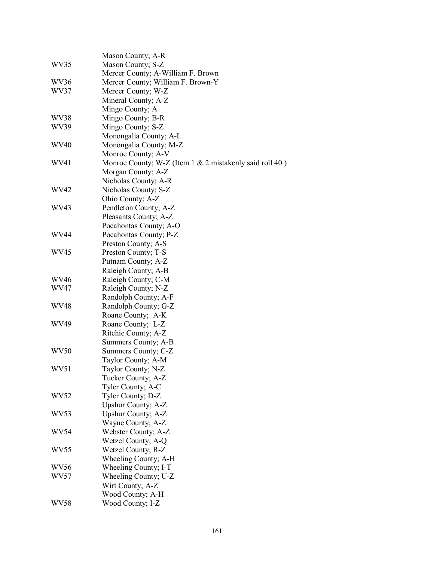|             | Mason County; A-R                                          |
|-------------|------------------------------------------------------------|
| WV35        | Mason County; S-Z                                          |
|             | Mercer County; A-William F. Brown                          |
| WV36        | Mercer County; William F. Brown-Y                          |
| WV37        | Mercer County; W-Z                                         |
|             | Mineral County; A-Z                                        |
|             |                                                            |
|             | Mingo County; A                                            |
| WV38        | Mingo County; B-R                                          |
| WV39        | Mingo County; S-Z                                          |
|             | Monongalia County; A-L                                     |
| <b>WV40</b> | Monongalia County; M-Z                                     |
|             | Monroe County; A-V                                         |
| WV41        | Monroe County; W-Z (Item $1 \& 2$ mistakenly said roll 40) |
|             | Morgan County; A-Z                                         |
|             | Nicholas County; A-R                                       |
| WV42        | Nicholas County; S-Z                                       |
|             | Ohio County; A-Z                                           |
| WV43        | Pendleton County; A-Z                                      |
|             | Pleasants County; A-Z                                      |
|             | Pocahontas County; A-O                                     |
| WV44        | Pocahontas County; P-Z                                     |
|             | Preston County; A-S                                        |
| WV45        | Preston County; T-S                                        |
|             | Putnam County; A-Z                                         |
|             | Raleigh County; A-B                                        |
| WV46        | Raleigh County; C-M                                        |
| WV47        | Raleigh County; N-Z                                        |
|             | Randolph County; A-F                                       |
| WV48        | Randolph County; G-Z                                       |
|             | Roane County; A-K                                          |
| WV49        | Roane County; L-Z                                          |
|             | Ritchie County; A-Z                                        |
|             | Summers County; A-B                                        |
| WV50        | Summers County; C-Z                                        |
|             | Taylor County; A-M                                         |
| WV51        | Taylor County; N-Z                                         |
|             | Tucker County; A-Z                                         |
|             | Tyler County; A-C                                          |
| WV52        | Tyler County; D-Z                                          |
|             | Upshur County; A-Z                                         |
| WV53        | Upshur County; A-Z                                         |
|             | Wayne County; A-Z                                          |
| WV54        | Webster County; A-Z                                        |
|             | Wetzel County; A-Q                                         |
| WV55        | Wetzel County; R-Z                                         |
|             | Wheeling County; A-H                                       |
| WV56        | Wheeling County; I-T                                       |
| WV57        | Wheeling County; U-Z                                       |
|             | Wirt County; A-Z                                           |
|             | Wood County; A-H                                           |
| WV58        | Wood County; I-Z                                           |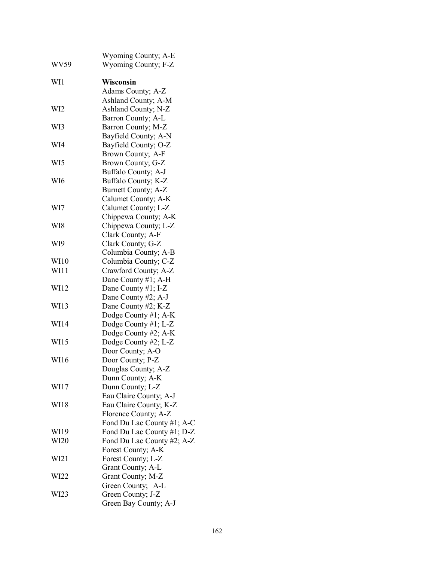|                  | <b>Wyoming County; A-E</b> |
|------------------|----------------------------|
| WV59             | Wyoming County; F-Z        |
| WI1              | Wisconsin                  |
|                  | Adams County; A-Z          |
|                  | Ashland County; A-M        |
| WI2              | Ashland County; N-Z        |
|                  | Barron County; A-L         |
| WI3              | Barron County; M-Z         |
|                  | Bayfield County; A-N       |
| WI4              | Bayfield County; O-Z       |
|                  | Brown County; A-F          |
| WI5              | Brown County; G-Z          |
|                  | Buffalo County; A-J        |
| WI6              | Buffalo County; K-Z        |
|                  | Burnett County; A-Z        |
|                  | Calumet County; A-K        |
| WI7              | Calumet County; L-Z        |
|                  | Chippewa County; A-K       |
| WI8              | Chippewa County; L-Z       |
|                  | Clark County; A-F          |
| WI9              | Clark County; G-Z          |
|                  | Columbia County; A-B       |
| WI10             | Columbia County; C-Z       |
| WI11             | Crawford County; A-Z       |
|                  | Dane County #1; A-H        |
| WI12             | Dane County #1; I-Z        |
|                  | Dane County #2; A-J        |
| WI13             | Dane County #2; K-Z        |
|                  | Dodge County #1; A-K       |
| WI14             | Dodge County #1; L-Z       |
|                  | Dodge County #2; A-K       |
| WI15             | Dodge County #2; L-Z       |
|                  | Door County; A-O           |
| WI16             | Door County; P-Z           |
|                  | Douglas County; A-Z        |
|                  | Dunn County; A-K           |
| WI17             | Dunn County; L-Z           |
|                  | Eau Claire County; A-J     |
| WI18             | Eau Claire County; K-Z     |
|                  | Florence County; A-Z       |
|                  | Fond Du Lac County #1; A-C |
| WI19             | Fond Du Lac County #1; D-Z |
| WI20             | Fond Du Lac County #2; A-Z |
|                  | Forest County; A-K         |
| W <sub>121</sub> | Forest County; L-Z         |
|                  | Grant County; A-L          |
| WI22             | Grant County; M-Z          |
|                  | Green County; A-L          |
| WI23             | Green County; J-Z          |
|                  | Green Bay County; A-J      |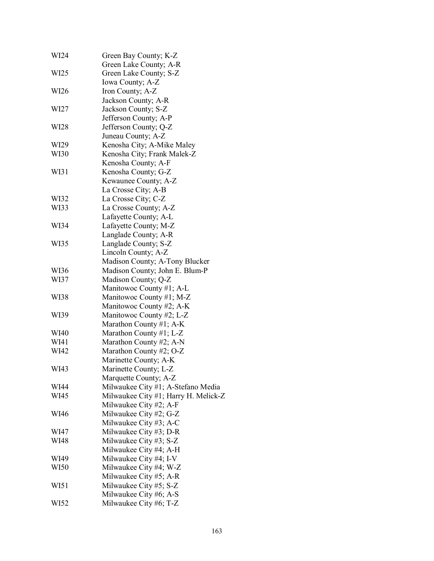| WI24 | Green Bay County; K-Z                |
|------|--------------------------------------|
|      | Green Lake County; A-R               |
| WI25 | Green Lake County; S-Z               |
|      | Iowa County; A-Z                     |
| WI26 | Iron County; A-Z                     |
|      | Jackson County; A-R                  |
| WI27 | Jackson County; S-Z                  |
|      | Jefferson County; A-P                |
| WI28 | Jefferson County; Q-Z                |
|      | Juneau County; A-Z                   |
| WI29 | Kenosha City; A-Mike Maley           |
| WI30 | Kenosha City; Frank Malek-Z          |
|      | Kenosha County; A-F                  |
| WI31 | Kenosha County; G-Z                  |
|      | Kewaunee County; A-Z                 |
|      | La Crosse City; A-B                  |
| WI32 | La Crosse City; C-Z                  |
| WI33 | La Crosse County; A-Z                |
|      | Lafayette County; A-L                |
| WI34 | Lafayette County; M-Z                |
|      | Langlade County; A-R                 |
| WI35 | Langlade County; S-Z                 |
|      | Lincoln County; A-Z                  |
|      | Madison County; A-Tony Blucker       |
| WI36 | Madison County; John E. Blum-P       |
| WI37 | Madison County; Q-Z                  |
|      | Manitowoc County #1; A-L             |
| WI38 | Manitowoc County #1; M-Z             |
|      | Manitowoc County #2; A-K             |
| WI39 | Manitowoc County #2; L-Z             |
|      | Marathon County #1; $A-K$            |
| WI40 | Marathon County #1; L-Z              |
| WI41 | Marathon County #2; A-N              |
| WI42 | Marathon County #2; O-Z              |
|      | Marinette County; A-K                |
| WI43 | Marinette County; L-Z                |
|      | Marquette County; A-Z                |
| WI44 | Milwaukee City #1; A-Stefano Media   |
| WI45 | Milwaukee City #1; Harry H. Melick-Z |
|      | Milwaukee City #2; A-F               |
| WI46 | Milwaukee City #2; G-Z               |
|      | Milwaukee City #3; A-C               |
| WI47 | Milwaukee City #3; D-R               |
| WI48 | Milwaukee City #3; S-Z               |
|      | Milwaukee City #4; A-H               |
| WI49 | Milwaukee City #4; I-V               |
| WI50 | Milwaukee City #4; W-Z               |
|      | Milwaukee City #5; A-R               |
| WI51 | Milwaukee City #5; S-Z               |
|      | Milwaukee City #6; A-S               |
| WI52 | Milwaukee City #6; T-Z               |
|      |                                      |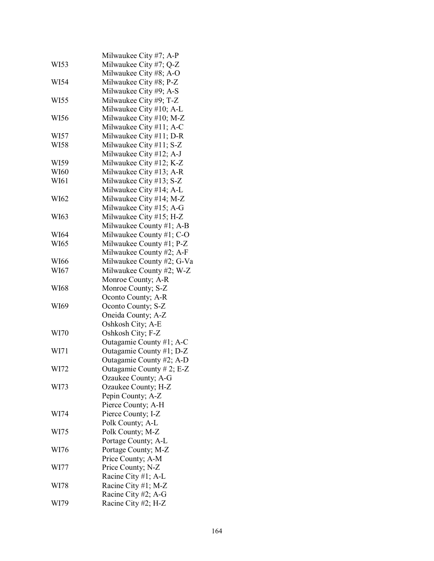|      | Milwaukee City #7; A-P    |
|------|---------------------------|
| WI53 | Milwaukee City #7; Q-Z    |
|      | Milwaukee City #8; A-O    |
| WI54 | Milwaukee City #8; P-Z    |
|      | Milwaukee City #9; A-S    |
| WI55 | Milwaukee City #9; T-Z    |
|      | Milwaukee City #10; A-L   |
| WI56 | Milwaukee City #10; M-Z   |
|      | Milwaukee City #11; A-C   |
|      | Milwaukee City #11; D-R   |
| WI57 |                           |
| WI58 | Milwaukee City #11; S-Z   |
|      | Milwaukee City #12; A-J   |
| WI59 | Milwaukee City #12; K-Z   |
| WI60 | Milwaukee City #13; A-R   |
| WI61 | Milwaukee City #13; S-Z   |
|      | Milwaukee City #14; A-L   |
| WI62 | Milwaukee City #14; M-Z   |
|      | Milwaukee City #15; A-G   |
| WI63 | Milwaukee City #15; H-Z   |
|      | Milwaukee County #1; A-B  |
| WI64 | Milwaukee County #1; C-O  |
| WI65 | Milwaukee County #1; P-Z  |
|      | Milwaukee County #2; A-F  |
| WI66 | Milwaukee County #2; G-Va |
| WI67 | Milwaukee County #2; W-Z  |
|      | Monroe County; A-R        |
| WI68 | Monroe County; S-Z        |
|      | Oconto County; A-R        |
| WI69 | Oconto County; S-Z        |
|      | Oneida County; A-Z        |
|      | Oshkosh City; A-E         |
| WI70 | Oshkosh City; F-Z         |
|      | Outagamie County #1; A-C  |
| WI71 |                           |
|      | Outagamie County #1; D-Z  |
|      | Outagamie County #2; A-D  |
| WI72 | Outagamie County # 2; E-Z |
|      | Ozaukee County; A-G       |
| WI73 | Ozaukee County; H-Z       |
|      | Pepin County; A-Z         |
|      | Pierce County; A-H        |
| WI74 | Pierce County; I-Z        |
|      | Polk County; A-L          |
| WI75 | Polk County; M-Z          |
|      | Portage County; A-L       |
| WI76 | Portage County; M-Z       |
|      | Price County; A-M         |
| WI77 | Price County; N-Z         |
|      | Racine City #1; A-L       |
| WI78 | Racine City #1; M-Z       |
|      | Racine City #2; A-G       |
| WI79 | Racine City #2; H-Z       |
|      |                           |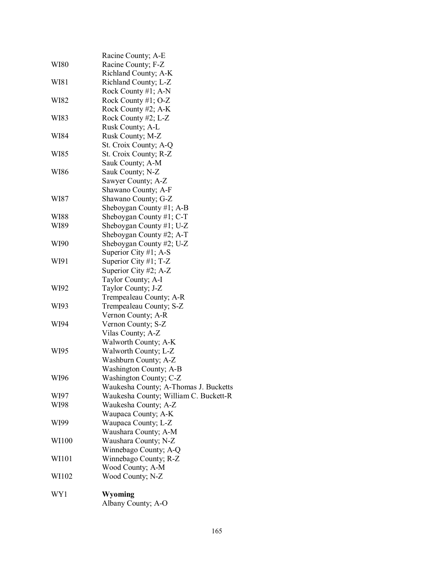| WY1         | Wyoming<br>Albany County; A-O         |
|-------------|---------------------------------------|
| WI102       | Wood County; N-Z                      |
|             | Wood County; A-M                      |
| WI101       | Winnebago County; R-Z                 |
|             | Winnebago County; A-Q                 |
| WI100       | Waushara County; N-Z                  |
|             | Waushara County; A-M                  |
| WI99        | Waupaca County; L-Z                   |
|             | Waupaca County; A-K                   |
| WI98        | Waukesha County; A-Z                  |
| WI97        | Waukesha County; William C. Buckett-R |
|             | Waukesha County; A-Thomas J. Bucketts |
| WI96        | Washington County; C-Z                |
|             | Washington County; A-B                |
|             | Washburn County; A-Z                  |
| WI95        | Walworth County; L-Z                  |
|             | Walworth County; A-K                  |
|             | Vilas County; A-Z                     |
| WI94        | Vernon County; S-Z                    |
|             | Vernon County; A-R                    |
| WI93        | Trempealeau County; S-Z               |
|             | Trempealeau County; A-R               |
| WI92        | Taylor County; J-Z                    |
|             | Taylor County; A-I                    |
|             | Superior City #2; $A-Z$               |
| WI91        | Superior City #1; $T-Z$               |
|             | Superior City #1; A-S                 |
| WI90        | Sheboygan County #2; U-Z              |
|             | Sheboygan County #2; A-T              |
| WI89        | Sheboygan County #1; U-Z              |
| WI88        | Sheboygan County #1; C-T              |
|             | Sheboygan County #1; A-B              |
| WI87        | Shawano County; G-Z                   |
|             | Shawano County; A-F                   |
|             | Sawyer County; A-Z                    |
| WI86        | Sauk County; N-Z                      |
|             | Sauk County; A-M                      |
| WI85        | St. Croix County; R-Z                 |
|             | St. Croix County; A-Q                 |
| WI84        | Rusk County; M-Z                      |
|             | Rusk County; A-L                      |
| WI83        | Rock County #2; L-Z                   |
|             | Rock County #2; A-K                   |
| WI82        | Rock County #1; $O-Z$                 |
|             | Rock County #1; A-N                   |
| WI81        | Richland County; L-Z                  |
|             | Richland County; A-K                  |
| <b>WI80</b> | Racine County; F-Z                    |
|             | Racine County; A-E                    |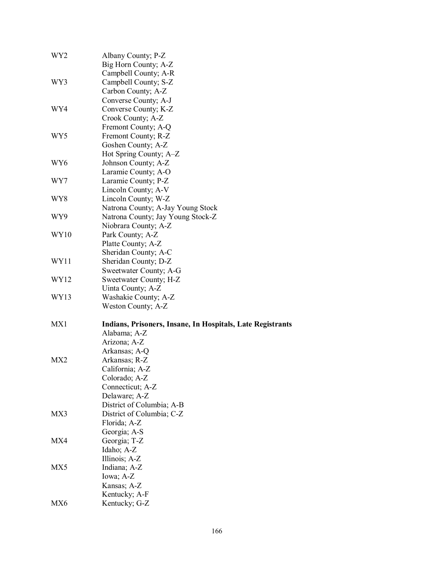| WY2             | Albany County; P-Z                                         |
|-----------------|------------------------------------------------------------|
|                 | Big Horn County; A-Z                                       |
|                 | Campbell County; A-R                                       |
| WY3             | Campbell County; S-Z                                       |
|                 | Carbon County; A-Z                                         |
|                 | Converse County; A-J                                       |
| WY4             | Converse County; K-Z                                       |
|                 | Crook County; A-Z                                          |
|                 | Fremont County; A-Q                                        |
| WY5             | Fremont County; R-Z                                        |
|                 | Goshen County; A-Z                                         |
|                 | Hot Spring County; A–Z                                     |
| WY6             | Johnson County; A-Z                                        |
|                 | Laramie County; A-O                                        |
| WY7             | Laramie County; P-Z                                        |
|                 | Lincoln County; A-V                                        |
| WY8             | Lincoln County; W-Z                                        |
|                 | Natrona County; A-Jay Young Stock                          |
| WY9             | Natrona County; Jay Young Stock-Z                          |
|                 | Niobrara County; A-Z                                       |
| WY10            | Park County; A-Z                                           |
|                 | Platte County; A-Z                                         |
|                 | Sheridan County; A-C                                       |
| WY11            | Sheridan County; D-Z                                       |
|                 | Sweetwater County; A-G                                     |
| WY12            | Sweetwater County; H-Z                                     |
|                 | Uinta County; A-Z                                          |
| WY13            | Washakie County; A-Z                                       |
|                 | Weston County; A-Z                                         |
| MX1             | Indians, Prisoners, Insane, In Hospitals, Late Registrants |
|                 | Alabama; A-Z                                               |
|                 | Arizona; A-Z                                               |
|                 | Arkansas; A-Q                                              |
| MX <sub>2</sub> | Arkansas; R-Z                                              |
|                 | California; A-Z                                            |
|                 | Colorado; A-Z                                              |
|                 | Connecticut; A-Z                                           |
|                 | Delaware; A-Z                                              |
|                 | District of Columbia; A-B                                  |
| MX3             | District of Columbia; C-Z                                  |
|                 | Florida; A-Z                                               |
|                 | Georgia; A-S                                               |
| MX4             | Georgia; T-Z                                               |
|                 | Idaho; A-Z                                                 |
|                 | Illinois; A-Z                                              |
| MX5             | Indiana; A-Z                                               |
|                 | Iowa; A-Z                                                  |
|                 | Kansas; A-Z                                                |
|                 | Kentucky; A-F                                              |
| MX6             | Kentucky; G-Z                                              |